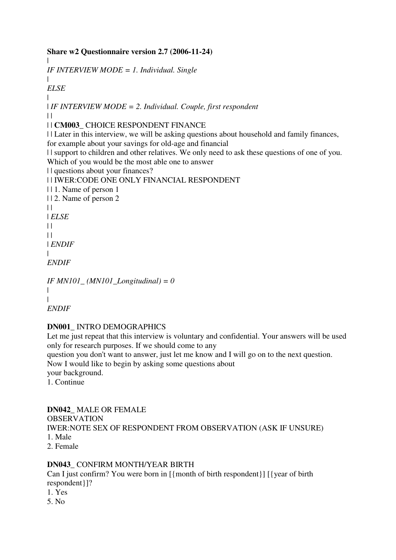### **Share w2 Questionnaire version 2.7 (2006-11-24)**

*IF INTERVIEW MODE = 1. Individual. Single*

| *ELSE*

|

| | *IF INTERVIEW MODE = 2. Individual. Couple, first respondent*  $\perp$ 

| | **CM003\_** CHOICE RESPONDENT FINANCE

| | Later in this interview, we will be asking questions about household and family finances, for example about your savings for old-age and financial

| | support to children and other relatives. We only need to ask these questions of one of you.

Which of you would be the most able one to answer

| | questions about your finances?

| | IWER:CODE ONE ONLY FINANCIAL RESPONDENT

| | 1. Name of person 1

| | 2. Name of person 2

 $\|$ 

| *ELSE*

 $\|$ 

 $\perp$ 

| *ENDIF*

| *ENDIF*

```
IF MN101_ (MN101_Longitudinal) = 0
| 
| 
ENDIF
```
## **DN001\_** INTRO DEMOGRAPHICS

Let me just repeat that this interview is voluntary and confidential. Your answers will be used only for research purposes. If we should come to any

question you don't want to answer, just let me know and I will go on to the next question.

Now I would like to begin by asking some questions about

your background.

1. Continue

## **DN042\_** MALE OR FEMALE

OBSERVATION IWER:NOTE SEX OF RESPONDENT FROM OBSERVATION (ASK IF UNSURE) 1. Male 2. Female

## **DN043\_** CONFIRM MONTH/YEAR BIRTH

Can I just confirm? You were born in [{month of birth respondent}] [{year of birth respondent}]?

- 1. Yes
- 5. No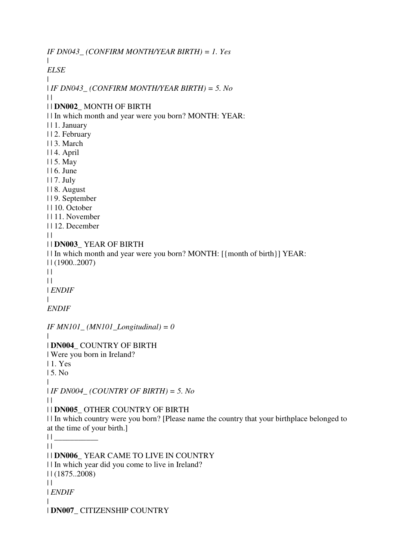*IF DN043\_ (CONFIRM MONTH/YEAR BIRTH) = 1. Yes*  $\blacksquare$ *ELSE* | | *IF DN043\_ (CONFIRM MONTH/YEAR BIRTH) = 5. No*  $\Box$ | | **DN002\_** MONTH OF BIRTH | | In which month and year were you born? MONTH: YEAR: | | 1. January | | 2. February | | 3. March | | 4. April | | 5. May | | 6. June | | 7. July | | 8. August | | 9. September | | 10. October | | 11. November | | 12. December  $\perp$ | | **DN003\_** YEAR OF BIRTH | | In which month and year were you born? MONTH: [{month of birth}] YEAR: | | (1900..2007)  $\|$  $| |$ | *ENDIF*  $\blacksquare$ *ENDIF IF MN101\_ (MN101\_Longitudinal) = 0* | | **DN004\_** COUNTRY OF BIRTH | Were you born in Ireland? | 1. Yes | 5. No  $\blacksquare$ | *IF DN004\_ (COUNTRY OF BIRTH) = 5. No*  $\perp$ | | **DN005\_** OTHER COUNTRY OF BIRTH | | In which country were you born? [Please name the country that your birthplace belonged to at the time of your birth.]  $|| \cdot ||$  $\|$ | | **DN006\_** YEAR CAME TO LIVE IN COUNTRY | | In which year did you come to live in Ireland? | | (1875..2008)  $\|$ | *ENDIF* | | **DN007\_** CITIZENSHIP COUNTRY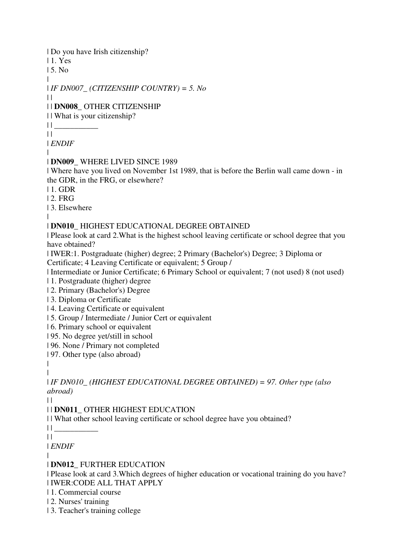| Do you have Irish citizenship?

| 1. Yes

| 5. No

| | *IF DN007\_ (CITIZENSHIP COUNTRY) = 5. No*

 $\|$ 

## | | **DN008\_** OTHER CITIZENSHIP

| | What is your citizenship?

 $||$ 

 $\|$ 

| *ENDIF* |

## | **DN009\_** WHERE LIVED SINCE 1989

| Where have you lived on November 1st 1989, that is before the Berlin wall came down - in the GDR, in the FRG, or elsewhere?

| 1. GDR

| 2. FRG

| 3. Elsewhere

|

## | **DN010\_** HIGHEST EDUCATIONAL DEGREE OBTAINED

| Please look at card 2.What is the highest school leaving certificate or school degree that you have obtained?

| IWER:1. Postgraduate (higher) degree; 2 Primary (Bachelor's) Degree; 3 Diploma or Certificate; 4 Leaving Certificate or equivalent; 5 Group /

| Intermediate or Junior Certificate; 6 Primary School or equivalent; 7 (not used) 8 (not used)

| 1. Postgraduate (higher) degree

| 2. Primary (Bachelor's) Degree

| 3. Diploma or Certificate

| 4. Leaving Certificate or equivalent

| 5. Group / Intermediate / Junior Cert or equivalent

| 6. Primary school or equivalent

| 95. No degree yet/still in school

| 96. None / Primary not completed

| 97. Other type (also abroad)

| |

| *IF DN010\_ (HIGHEST EDUCATIONAL DEGREE OBTAINED) = 97. Other type (also abroad)*

 $\blacksquare$ 

| | **DN011\_** OTHER HIGHEST EDUCATION

| | What other school leaving certificate or school degree have you obtained?

| | \_\_\_\_\_\_\_\_\_\_\_

 $\|$ 

| *ENDIF*

|

## | **DN012\_** FURTHER EDUCATION

| Please look at card 3.Which degrees of higher education or vocational training do you have? | IWER:CODE ALL THAT APPLY

| 1. Commercial course

- | 2. Nurses' training
- | 3. Teacher's training college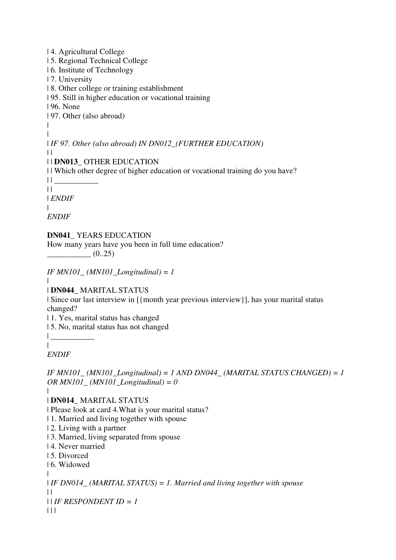| 4. Agricultural College | 5. Regional Technical College | 6. Institute of Technology | 7. University | 8. Other college or training establishment | 95. Still in higher education or vocational training | 96. None | 97. Other (also abroad)  $\blacksquare$ | | *IF 97. Other (also abroad) IN DN012\_(FURTHER EDUCATION)*  $\|$ | | **DN013\_** OTHER EDUCATION | | Which other degree of higher education or vocational training do you have?  $||$  $\|$ | *ENDIF* | *ENDIF*

**DN041\_** YEARS EDUCATION How many years have you been in full time education?  $\underline{\hspace{1.5cm}}(0..25)$ 

*IF MN101\_ (MN101\_Longitudinal) = 1*

| | **DN044\_** MARITAL STATUS

| Since our last interview in  $[\{month\} ]$  year previous interview  $\}]$ , has your marital status changed?

| 1. Yes, marital status has changed

| 5. No, marital status has not changed

 $\|$ |

*ENDIF*

*IF MN101\_ (MN101\_Longitudinal) = 1 AND DN044\_ (MARITAL STATUS CHANGED) = 1 OR MN101\_ (MN101\_Longitudinal) = 0*

|

| **DN014\_** MARITAL STATUS

| Please look at card 4.What is your marital status?

| 1. Married and living together with spouse

| 2. Living with a partner

| 3. Married, living separated from spouse

| 4. Never married

| 5. Divorced

| 6. Widowed

|

| *IF DN014\_ (MARITAL STATUS) = 1. Married and living together with spouse*  $| |$ 

| | *IF RESPONDENT ID = 1*

 $| 11$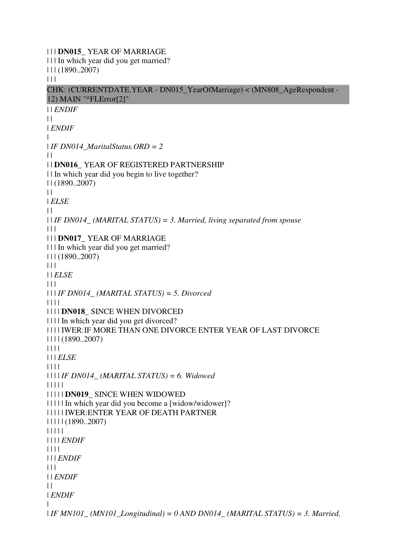| | | **DN015\_** YEAR OF MARRIAGE | | | In which year did you get married? | | | (1890..2007)  $| 11$ CHK: (CURRENTDATE.YEAR - DN015\_YearOfMarriage) < (MN808\_AgeRespondent - 12) MAIN "^FLError[2]" | | *ENDIF*  $\perp$ | *ENDIF* | | *IF DN014\_MaritalStatus.ORD = 2*  $| |$ | | **DN016\_** YEAR OF REGISTERED PARTNERSHIP | | In which year did you begin to live together? | | (1890..2007)  $\|$ | *ELSE*  $\perp$ | | *IF DN014\_ (MARITAL STATUS) = 3. Married, living separated from spouse*  $| | | |$ | | | **DN017\_** YEAR OF MARRIAGE | | | In which year did you get married? | | | (1890..2007)  $|| ||$ | | *ELSE*  $\Box$ | | | *IF DN014\_ (MARITAL STATUS) = 5. Divorced* | | | | | | | | **DN018\_** SINCE WHEN DIVORCED | | | | In which year did you get divorced? | | | | IWER:IF MORE THAN ONE DIVORCE ENTER YEAR OF LAST DIVORCE | | | | (1890..2007) | | | | | | | *ELSE* | | | | | | | | *IF DN014\_ (MARITAL STATUS) = 6. Widowed* | | | | | | | | | | **DN019\_** SINCE WHEN WIDOWED | | | | | In which year did you become a [widow/widower]? | | | | | IWER:ENTER YEAR OF DEATH PARTNER | | | | | (1890..2007) | | | | | | | | | *ENDIF* | | | | | | | *ENDIF*  $| 11 |$ | | *ENDIF*  $\perp$ | *ENDIF* | | *IF MN101\_ (MN101\_Longitudinal) = 0 AND DN014\_ (MARITAL STATUS) = 3. Married,*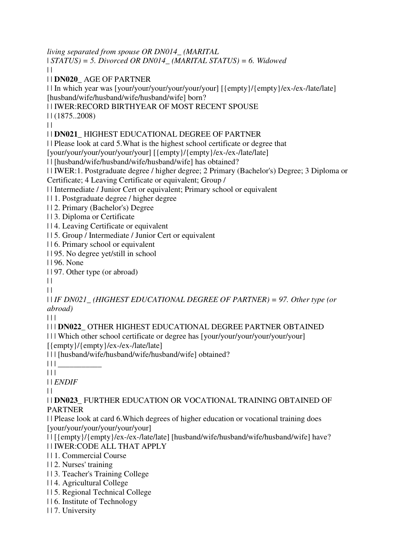*living separated from spouse OR DN014\_ (MARITAL*  | *STATUS) = 5. Divorced OR DN014\_ (MARITAL STATUS) = 6. Widowed*

 $\|$ 

| | **DN020\_** AGE OF PARTNER

| | In which year was [your/your/your/your/your/your] [{empty}/{empty}/ex-/ex-/late/late] [husband/wife/husband/wife/husband/wife] born?

| | IWER:RECORD BIRTHYEAR OF MOST RECENT SPOUSE

| | (1875..2008)

 $\|$ 

## | | **DN021\_** HIGHEST EDUCATIONAL DEGREE OF PARTNER

| | Please look at card 5.What is the highest school certificate or degree that

[your/your/your/your/your/your] [{empty}/{empty}/ex-/ex-/late/late]

| | [husband/wife/husband/wife/husband/wife] has obtained?

| | IWER:1. Postgraduate degree / higher degree; 2 Primary (Bachelor's) Degree; 3 Diploma or Certificate; 4 Leaving Certificate or equivalent; Group /

| | Intermediate / Junior Cert or equivalent; Primary school or equivalent

| | 1. Postgraduate degree / higher degree

| | 2. Primary (Bachelor's) Degree

| | 3. Diploma or Certificate

| | 4. Leaving Certificate or equivalent

| | 5. Group / Intermediate / Junior Cert or equivalent

| | 6. Primary school or equivalent

| | 95. No degree yet/still in school

| | 96. None

| | 97. Other type (or abroad)

 $\|$ 

 $\|$ 

| | *IF DN021\_ (HIGHEST EDUCATIONAL DEGREE OF PARTNER) = 97. Other type (or abroad)*

 $| 11$ 

## | | | **DN022\_** OTHER HIGHEST EDUCATIONAL DEGREE PARTNER OBTAINED

| | | Which other school certificate or degree has [your/your/your/your/your/your]

[{empty}/{empty}/ex-/ex-/late/late]

| | | [husband/wife/husband/wife/husband/wife] obtained?

 $|| || ||$ 

 $| 11 |$ 

| | *ENDIF*

 $\|$ 

### | | **DN023\_** FURTHER EDUCATION OR VOCATIONAL TRAINING OBTAINED OF PARTNER

| | Please look at card 6.Which degrees of higher education or vocational training does [your/your/your/your/your/your]

| | [{empty}/{empty}/ex-/ex-/late/late] [husband/wife/husband/wife/husband/wife] have? | | IWER:CODE ALL THAT APPLY

| | 1. Commercial Course

| | 2. Nurses' training

| | 3. Teacher's Training College

| | 4. Agricultural College

| | 5. Regional Technical College

| | 6. Institute of Technology

| | 7. University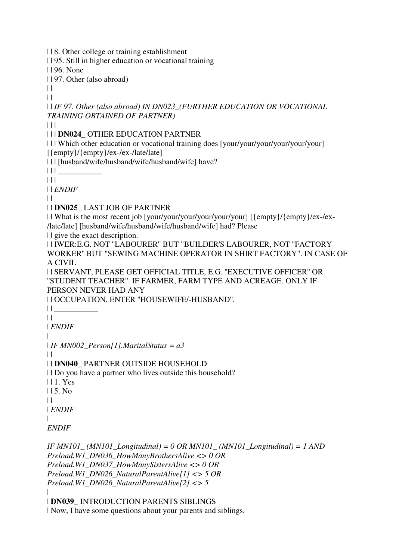| | 8. Other college or training establishment

| | 95. Still in higher education or vocational training

| | 96. None

| | 97. Other (also abroad)

 $\|$ 

 $| |$ 

| | *IF 97. Other (also abroad) IN DN023\_(FURTHER EDUCATION OR VOCATIONAL TRAINING OBTAINED OF PARTNER)*

| | |

| | | **DN024\_** OTHER EDUCATION PARTNER

| | | Which other education or vocational training does [your/your/your/your/your/your] [{empty}/{empty}/ex-/ex-/late/late]

| | | [husband/wife/husband/wife/husband/wife] have?

 $|| ||$ 

 $|| ||$ 

| | *ENDIF*

 $\|$ 

| | **DN025\_** LAST JOB OF PARTNER

| | What is the most recent job [your/your/your/your/your/your] [{empty}/{empty}/ex-/ex- /late/late] [husband/wife/husband/wife/husband/wife] had? Please

| | give the exact description.

| | IWER:E.G. NOT ''LABOURER'' BUT "BUILDER'S LABOURER, NOT ''FACTORY WORKER'' BUT "SEWING MACHINE OPERATOR IN SHIRT FACTORY". IN CASE OF A CIVIL

| | SERVANT, PLEASE GET OFFICIAL TITLE, E.G. ''EXECUTIVE OFFICER'' OR ''STUDENT TEACHER''. IF FARMER, FARM TYPE AND ACREAGE. ONLY IF PERSON NEVER HAD ANY

| | OCCUPATION, ENTER ''HOUSEWIFE/-HUSBAND''.

 $|| \cdot ||$ 

 $\|$ | *ENDIF*

|

| *IF MN002\_Person[1].MaritalStatus = a3*

 $\|$ 

| | **DN040\_** PARTNER OUTSIDE HOUSEHOLD

| | Do you have a partner who lives outside this household?

| | 1. Yes

 $115.$  No.

 $\perp$ 

|

| *ENDIF*

*ENDIF*

*IF MN101\_ (MN101\_Longitudinal) = 0 OR MN101\_ (MN101\_Longitudinal) = 1 AND Preload.W1\_DN036\_HowManyBrothersAlive <> 0 OR Preload.W1\_DN037\_HowManySistersAlive <> 0 OR Preload.W1\_DN026\_NaturalParentAlive[1] <> 5 OR Preload.W1\_DN026\_NaturalParentAlive[2] <> 5* |

| **DN039\_** INTRODUCTION PARENTS SIBLINGS | Now, I have some questions about your parents and siblings.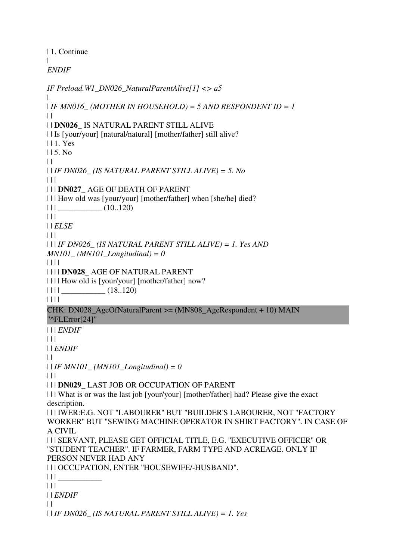| 1. Continue  $\blacksquare$ *ENDIF*

*IF Preload.W1\_DN026\_NaturalParentAlive[1] <> a5* |  $I$  *IF MN016* (MOTHER IN HOUSEHOLD) = 5 AND RESPONDENT ID = 1  $\|$ | | **DN026\_** IS NATURAL PARENT STILL ALIVE | | Is [your/your] [natural/natural] [mother/father] still alive? | | 1. Yes  $115.$  No  $\|$ | | *IF DN026\_ (IS NATURAL PARENT STILL ALIVE) = 5. No*  $| | | |$ | | | **DN027\_** AGE OF DEATH OF PARENT | | | How old was [your/your] [mother/father] when [she/he] died? | | | \_\_\_\_\_\_\_\_\_\_\_ (10..120)  $| 11$ | | *ELSE*  $|| \ ||$ | | | *IF DN026\_ (IS NATURAL PARENT STILL ALIVE) = 1. Yes AND MN101\_ (MN101\_Longitudinal) = 0* | | | | | | | | **DN028\_** AGE OF NATURAL PARENT | | | | How old is [your/your] [mother/father] now?  $|| \t|| \t(18..120)$ | | | | CHK: DN028\_AgeOfNaturalParent >= (MN808\_AgeRespondent + 10) MAIN "^FLError[24]" | | | *ENDIF*  $| 11$ | | *ENDIF*  $\Box$ | | *IF MN101\_ (MN101\_Longitudinal) = 0*  $| 11$ | | | **DN029\_** LAST JOB OR OCCUPATION OF PARENT | | | What is or was the last job [your/your] [mother/father] had? Please give the exact description. | | | IWER:E.G. NOT ''LABOURER'' BUT "BUILDER'S LABOURER, NOT ''FACTORY WORKER'' BUT "SEWING MACHINE OPERATOR IN SHIRT FACTORY". IN CASE OF A CIVIL | | | SERVANT, PLEASE GET OFFICIAL TITLE, E.G. ''EXECUTIVE OFFICER'' OR ''STUDENT TEACHER''. IF FARMER, FARM TYPE AND ACREAGE. ONLY IF PERSON NEVER HAD ANY | | | OCCUPATION, ENTER ''HOUSEWIFE/-HUSBAND''.  $|| ||$  $| 11$ | | *ENDIF*  $\perp$ | | *IF DN026\_ (IS NATURAL PARENT STILL ALIVE) = 1. Yes*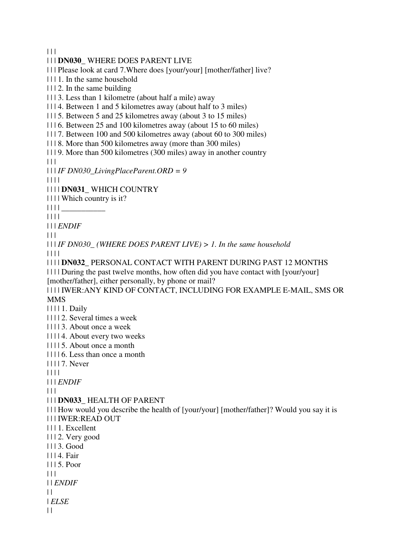$|| ||$ 

#### | | | **DN030\_** WHERE DOES PARENT LIVE

| | | Please look at card 7.Where does [your/your] [mother/father] live?

| | | 1. In the same household

| | | 2. In the same building

| | | 3. Less than 1 kilometre (about half a mile) away

| | | 4. Between 1 and 5 kilometres away (about half to 3 miles)

| | | 5. Between 5 and 25 kilometres away (about 3 to 15 miles)

| | | 6. Between 25 and 100 kilometres away (about 15 to 60 miles)

| | | 7. Between 100 and 500 kilometres away (about 60 to 300 miles)

| | | 8. More than 500 kilometres away (more than 300 miles)

| | | 9. More than 500 kilometres (300 miles) away in another country  $\Box$ 

| | | *IF DN030\_LivingPlaceParent.ORD = 9*

| | | |

| | | | **DN031\_** WHICH COUNTRY

| | | | Which country is it?

| | | | \_\_\_\_\_\_\_\_\_\_\_

| | | |

| | | *ENDIF*

 $\Box$ 

| | | *IF DN030\_ (WHERE DOES PARENT LIVE) > 1. In the same household*  | | | |

| | | | **DN032\_** PERSONAL CONTACT WITH PARENT DURING PAST 12 MONTHS

| | | | During the past twelve months, how often did you have contact with [your/your] [mother/father], either personally, by phone or mail?

| | | | IWER:ANY KIND OF CONTACT, INCLUDING FOR EXAMPLE E-MAIL, SMS OR MMS

| | | | 1. Daily

| | | | 2. Several times a week

| | | | 3. About once a week

| | | | 4. About every two weeks

| | | | 5. About once a month

| | | | 6. Less than once a month

| | | | 7. Never

| | | |

| | | *ENDIF*

 $| 11$ 

| | | **DN033\_** HEALTH OF PARENT

| | | How would you describe the health of [your/your] [mother/father]? Would you say it is | | | IWER:READ OUT

| | | 1. Excellent

| | | 2. Very good

| | | 3. Good

| | | 4. Fair

| | | 5. Poor

| | |

| | *ENDIF*

 $| |$ 

| *ELSE*

 $| |$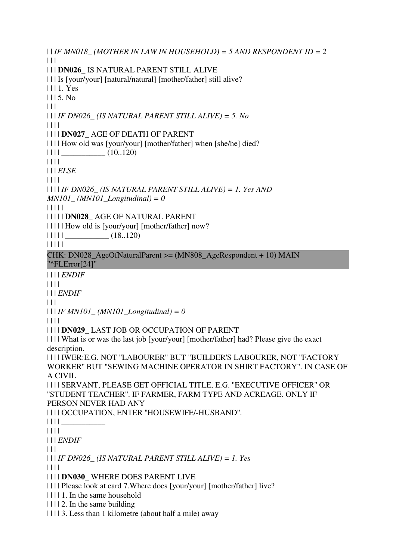$| \cdot |$  *IF MN018* (*MOTHER IN LAW IN HOUSEHOLD*) = 5 AND RESPONDENT ID = 2  $\Box$ | | | **DN026\_** IS NATURAL PARENT STILL ALIVE | | | Is [your/your] [natural/natural] [mother/father] still alive? | | | 1. Yes  $1115.$  No  $| 11$ | | | *IF DN026\_ (IS NATURAL PARENT STILL ALIVE) = 5. No* | | | | | | | | **DN027\_** AGE OF DEATH OF PARENT | | | | How old was [your/your] [mother/father] when [she/he] died?  $|| || ||$   $(10..120)$  $|| || ||$ | | | *ELSE* | | | | | | | | *IF DN026\_ (IS NATURAL PARENT STILL ALIVE) = 1. Yes AND MN101\_ (MN101\_Longitudinal) = 0* | | | | | | | | | | **DN028\_** AGE OF NATURAL PARENT | | | | | How old is [your/your] [mother/father] now?  $|| 1 || ||$   $\qquad \qquad \qquad$   $(18..120)$ | | | | | CHK: DN028\_AgeOfNaturalParent >= (MN808\_AgeRespondent + 10) MAIN "^FLError[24]" | | | | *ENDIF* | | | | | | | *ENDIF*  $| | | |$ | | | *IF MN101\_ (MN101\_Longitudinal) = 0* | | | | | | | | **DN029\_** LAST JOB OR OCCUPATION OF PARENT | | | | What is or was the last job [your/your] [mother/father] had? Please give the exact description. | | | | IWER:E.G. NOT ''LABOURER'' BUT "BUILDER'S LABOURER, NOT ''FACTORY WORKER'' BUT "SEWING MACHINE OPERATOR IN SHIRT FACTORY". IN CASE OF A CIVIL | | | | SERVANT, PLEASE GET OFFICIAL TITLE, E.G. ''EXECUTIVE OFFICER'' OR ''STUDENT TEACHER''. IF FARMER, FARM TYPE AND ACREAGE. ONLY IF PERSON NEVER HAD ANY | | | | OCCUPATION, ENTER ''HOUSEWIFE/-HUSBAND''. | | | | \_\_\_\_\_\_\_\_\_\_\_  $|| || ||$ | | | *ENDIF* | | | | | | *IF DN026\_ (IS NATURAL PARENT STILL ALIVE) = 1. Yes* | | | | | | | | **DN030\_** WHERE DOES PARENT LIVE | | | | Please look at card 7.Where does [your/your] [mother/father] live? | | | | 1. In the same household  $|| \cdot || \cdot ||_2$ . In the same building | | | | 3. Less than 1 kilometre (about half a mile) away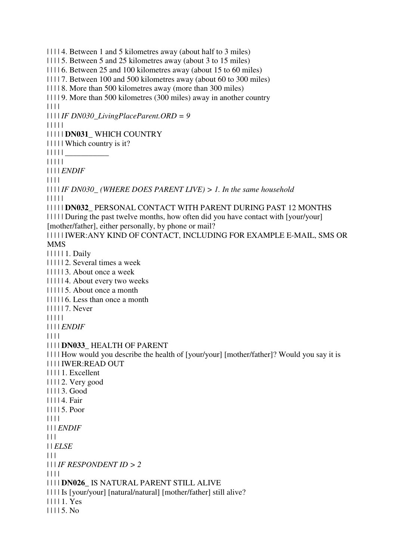| | | | 4. Between 1 and 5 kilometres away (about half to 3 miles) | | | | 5. Between 5 and 25 kilometres away (about 3 to 15 miles) | | | | 6. Between 25 and 100 kilometres away (about 15 to 60 miles) | | | | 7. Between 100 and 500 kilometres away (about 60 to 300 miles) | | | | 8. More than 500 kilometres away (more than 300 miles) | | | | 9. More than 500 kilometres (300 miles) away in another country | | | | | | | | *IF DN030\_LivingPlaceParent.ORD = 9* | | | | | | | | | | **DN031\_** WHICH COUNTRY | | | | | Which country is it? | | | | | \_\_\_\_\_\_\_\_\_\_\_ | | | | | | | | | *ENDIF* | | | | | | | | *IF DN030\_ (WHERE DOES PARENT LIVE) > 1. In the same household*  | | | | | | | | | | **DN032\_** PERSONAL CONTACT WITH PARENT DURING PAST 12 MONTHS | | | | | During the past twelve months, how often did you have contact with [your/your] [mother/father], either personally, by phone or mail? | | | | | IWER:ANY KIND OF CONTACT, INCLUDING FOR EXAMPLE E-MAIL, SMS OR MMS | | | | | 1. Daily | | | | | 2. Several times a week | | | | | 3. About once a week | | | | | 4. About every two weeks | | | | | 5. About once a month | | | | | 6. Less than once a month | | | | | 7. Never | | | | | | | | | *ENDIF* | | | | | | | | **DN033\_** HEALTH OF PARENT | | | | How would you describe the health of [your/your] [mother/father]? Would you say it is | | | | IWER:READ OUT | | | | 1. Excellent | | | | 2. Very good | | | | 3. Good | | | | 4. Fair | | | | 5. Poor | | | | | | | *ENDIF*  $\Box$ | | *ELSE* | | | | | | *IF RESPONDENT ID > 2* | | | | | | | | **DN026\_** IS NATURAL PARENT STILL ALIVE | | | | Is [your/your] [natural/natural] [mother/father] still alive? | | | | 1. Yes | | | | 5. No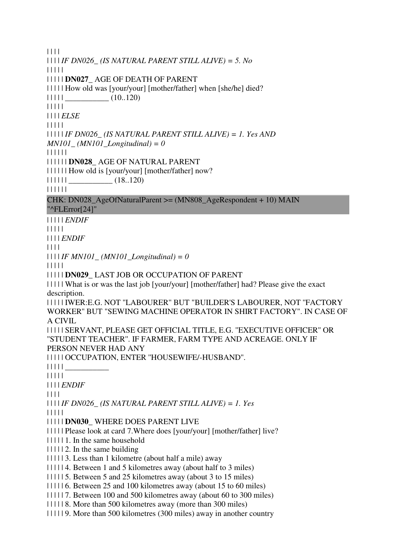| | | |

| | | | *IF DN026\_ (IS NATURAL PARENT STILL ALIVE) = 5. No* | | | | | | | | | | **DN027\_** AGE OF DEATH OF PARENT | | | | | How old was [your/your] [mother/father] when [she/he] died?  $| 11111$   $(10..120)$ | | | | | | | | | *ELSE* | | | | | | | | | | *IF DN026\_ (IS NATURAL PARENT STILL ALIVE) = 1. Yes AND MN101\_ (MN101\_Longitudinal) = 0* | | | | | | | | | | | | **DN028\_** AGE OF NATURAL PARENT | | | | | | How old is [your/your] [mother/father] now?  $|| || || || ||$   $(18..120)$ | | | | | | CHK: DN028\_AgeOfNaturalParent  $>=(MN808$  AgeRespondent + 10) MAIN "^FLError[24]" | | | | | *ENDIF* | | | | | | | | | *ENDIF* | | | | | | | | *IF MN101\_ (MN101\_Longitudinal) = 0* | | | | | | | | | | **DN029\_** LAST JOB OR OCCUPATION OF PARENT | | | | | What is or was the last job [your/your] [mother/father] had? Please give the exact description. | | | | | IWER:E.G. NOT ''LABOURER'' BUT "BUILDER'S LABOURER, NOT ''FACTORY WORKER'' BUT "SEWING MACHINE OPERATOR IN SHIRT FACTORY". IN CASE OF A CIVIL | | | | | SERVANT, PLEASE GET OFFICIAL TITLE, E.G. ''EXECUTIVE OFFICER'' OR ''STUDENT TEACHER''. IF FARMER, FARM TYPE AND ACREAGE. ONLY IF PERSON NEVER HAD ANY | | | | | OCCUPATION, ENTER ''HOUSEWIFE/-HUSBAND''.  $\left| \right|$   $\left| \right|$   $\left| \right|$   $\left| \right|$   $\left| \right|$ | | | | | | | | | *ENDIF* | | | | | | | | *IF DN026\_ (IS NATURAL PARENT STILL ALIVE) = 1. Yes* | | | | | | | | | | **DN030\_** WHERE DOES PARENT LIVE | | | | | Please look at card 7.Where does [your/your] [mother/father] live? | | | | | 1. In the same household | | | | | 2. In the same building | | | | | 3. Less than 1 kilometre (about half a mile) away | | | | | 4. Between 1 and 5 kilometres away (about half to 3 miles) | | | | | 5. Between 5 and 25 kilometres away (about 3 to 15 miles) | | | | | 6. Between 25 and 100 kilometres away (about 15 to 60 miles) | | | | | 7. Between 100 and 500 kilometres away (about 60 to 300 miles) | | | | | 8. More than 500 kilometres away (more than 300 miles)

| | | | | 9. More than 500 kilometres (300 miles) away in another country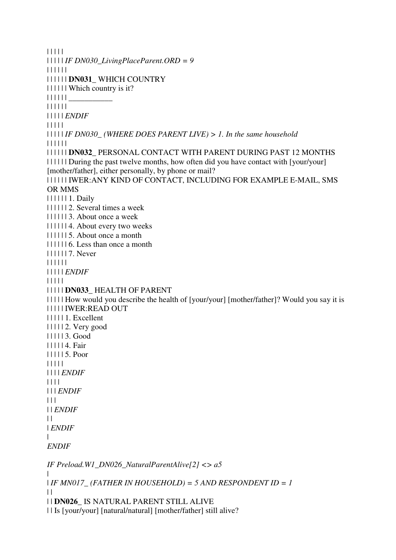| | | | | | | | | | *IF DN030\_LivingPlaceParent.ORD = 9* | | | | | | | | | | | | **DN031\_** WHICH COUNTRY | | | | | | Which country is it? | | | | | | \_\_\_\_\_\_\_\_\_\_\_ | | | | | | | | | | | *ENDIF* | | | | | | | | | | *IF DN030\_ (WHERE DOES PARENT LIVE) > 1. In the same household*  | | | | | | | | | | | | **DN032\_** PERSONAL CONTACT WITH PARENT DURING PAST 12 MONTHS | | | | | | During the past twelve months, how often did you have contact with [your/your] [mother/father], either personally, by phone or mail? | | | | | | IWER:ANY KIND OF CONTACT, INCLUDING FOR EXAMPLE E-MAIL, SMS OR MMS | | | | | | 1. Daily | | | | | | 2. Several times a week | | | | | | 3. About once a week | | | | | | 4. About every two weeks | | | | | | 5. About once a month | | | | | | 6. Less than once a month | | | | | | 7. Never | | | | | | | | | | | *ENDIF* | | | | | | | | | | **DN033\_** HEALTH OF PARENT | | | | | How would you describe the health of [your/your] [mother/father]? Would you say it is | | | | | IWER:READ OUT | | | | | 1. Excellent | | | | | 2. Very good | | | | | 3. Good | | | | | 4. Fair | | | | | 5. Poor | | | | | | | | | *ENDIF* | | | | | | | *ENDIF*  $| 11$ | | *ENDIF*  $\perp$ | *ENDIF* | *ENDIF IF Preload.W1\_DN026\_NaturalParentAlive[2] <> a5* | | *IF MN017\_ (FATHER IN HOUSEHOLD) = 5 AND RESPONDENT ID = 1*  $\perp$ | | **DN026\_** IS NATURAL PARENT STILL ALIVE | | Is [your/your] [natural/natural] [mother/father] still alive?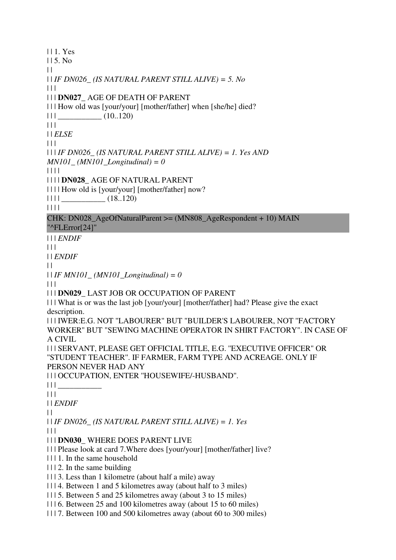| | 1. Yes  $|| 5. No$  $\|$ | | *IF DN026\_ (IS NATURAL PARENT STILL ALIVE) = 5. No* | | | | | | **DN027\_** AGE OF DEATH OF PARENT | | | How old was [your/your] [mother/father] when [she/he] died?  $|| ||$   $|| \t(10.120)$  $| 11 |$ | | *ELSE*  $\Box$ | | | *IF DN026\_ (IS NATURAL PARENT STILL ALIVE) = 1. Yes AND MN101\_ (MN101\_Longitudinal) = 0* | | | | | | | | **DN028\_** AGE OF NATURAL PARENT | | | | How old is [your/your] [mother/father] now?  $|| \t|| \t(18..120)$ | | | |  $CHK: DN028$  AgeOfNaturalParent  $>=(MN808$  AgeRespondent + 10) MAIN "^FLError[24]" | | | *ENDIF* | | | | | *ENDIF*  $| |$ | | *IF MN101\_ (MN101\_Longitudinal) = 0*  $\Box$ | | | **DN029\_** LAST JOB OR OCCUPATION OF PARENT | | | What is or was the last job [your/your] [mother/father] had? Please give the exact description. | | | IWER:E.G. NOT ''LABOURER'' BUT "BUILDER'S LABOURER, NOT ''FACTORY WORKER'' BUT "SEWING MACHINE OPERATOR IN SHIRT FACTORY". IN CASE OF A CIVIL | | | SERVANT, PLEASE GET OFFICIAL TITLE, E.G. ''EXECUTIVE OFFICER'' OR ''STUDENT TEACHER''. IF FARMER, FARM TYPE AND ACREAGE. ONLY IF PERSON NEVER HAD ANY | | | OCCUPATION, ENTER ''HOUSEWIFE/-HUSBAND''. | | | \_\_\_\_\_\_\_\_\_\_\_ | | | | | *ENDIF*  $\|$ | | *IF DN026\_ (IS NATURAL PARENT STILL ALIVE) = 1. Yes*  $| | | |$ | | | **DN030\_** WHERE DOES PARENT LIVE | | | Please look at card 7.Where does [your/your] [mother/father] live? | | | 1. In the same household  $|| \cdot ||$  2. In the same building | | | 3. Less than 1 kilometre (about half a mile) away | | | 4. Between 1 and 5 kilometres away (about half to 3 miles) | | | 5. Between 5 and 25 kilometres away (about 3 to 15 miles) | | | 6. Between 25 and 100 kilometres away (about 15 to 60 miles) | | | 7. Between 100 and 500 kilometres away (about 60 to 300 miles)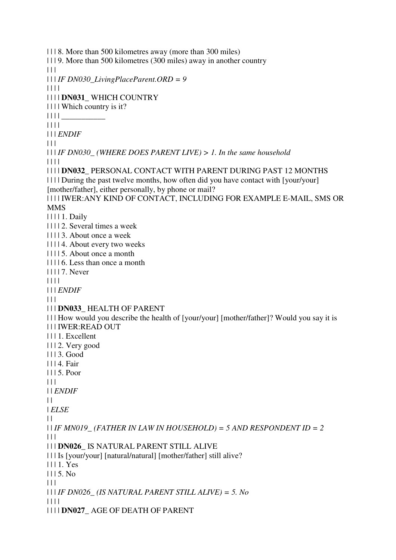| | | 8. More than 500 kilometres away (more than 300 miles) | | | 9. More than 500 kilometres (300 miles) away in another country  $\Box$ | | | *IF DN030\_LivingPlaceParent.ORD = 9* | | | | | | | | **DN031\_** WHICH COUNTRY | | | | Which country is it?  $|| || ||$ | | | | | | | *ENDIF*  $\Box$ | | | *IF DN030\_ (WHERE DOES PARENT LIVE) > 1. In the same household*  | | | | | | | | **DN032\_** PERSONAL CONTACT WITH PARENT DURING PAST 12 MONTHS | | | | During the past twelve months, how often did you have contact with [your/your] [mother/father], either personally, by phone or mail? | | | | IWER:ANY KIND OF CONTACT, INCLUDING FOR EXAMPLE E-MAIL, SMS OR MMS | | | | 1. Daily | | | | 2. Several times a week | | | | 3. About once a week | | | | 4. About every two weeks | | | | 5. About once a month | | | | 6. Less than once a month | | | | 7. Never | | | | | | | *ENDIF*  $\Box$ | | | **DN033\_** HEALTH OF PARENT | | | How would you describe the health of [your/your] [mother/father]? Would you say it is | | | IWER:READ OUT | | | 1. Excellent | | | 2. Very good | | | 3. Good | | | 4. Fair | | | 5. Poor  $| 11$ | | *ENDIF*  $\|$ | *ELSE*  $\|$  $| \cdot |$  *IF MN019* (FATHER IN LAW IN HOUSEHOLD) = 5 AND RESPONDENT ID = 2  $| 11$ | | | **DN026\_** IS NATURAL PARENT STILL ALIVE | | | Is [your/your] [natural/natural] [mother/father] still alive? | | | 1. Yes  $1115$ . No  $| 11$ | | | *IF DN026\_ (IS NATURAL PARENT STILL ALIVE) = 5. No* | | | | | | | | **DN027\_** AGE OF DEATH OF PARENT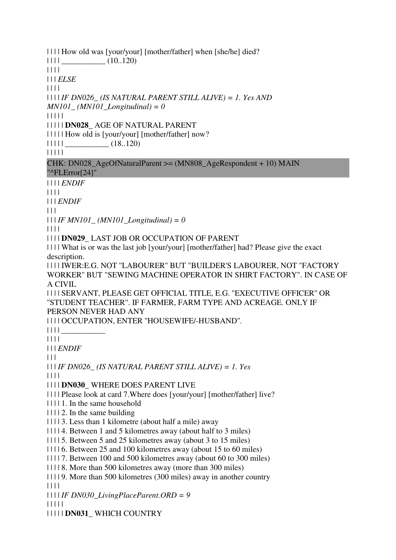| | | | How old was [your/your] [mother/father] when [she/he] died?

 $|| || ||$   $(10..120)$ 

| | | |

| | | *ELSE*

| | | |

| | | | *IF DN026\_ (IS NATURAL PARENT STILL ALIVE) = 1. Yes AND* 

*MN101\_ (MN101\_Longitudinal) = 0*

| | | | |

| | | | | **DN028\_** AGE OF NATURAL PARENT

| | | | | How old is [your/your] [mother/father] now?

 $|| || || ||$   $(18..120)$ 

| | | | |

CHK: DN028\_AgeOfNaturalParent >= (MN808\_AgeRespondent + 10) MAIN "^FLError[24]"

| | | | *ENDIF*

| | | |

| | | *ENDIF*

 $\Box$ 

| | | *IF MN101\_ (MN101\_Longitudinal) = 0*

| | | |

| | | | **DN029\_** LAST JOB OR OCCUPATION OF PARENT

| | | | What is or was the last job [your/your] [mother/father] had? Please give the exact description.

| | | | IWER:E.G. NOT ''LABOURER'' BUT "BUILDER'S LABOURER, NOT ''FACTORY WORKER'' BUT "SEWING MACHINE OPERATOR IN SHIRT FACTORY". IN CASE OF A CIVIL

| | | | SERVANT, PLEASE GET OFFICIAL TITLE, E.G. ''EXECUTIVE OFFICER'' OR ''STUDENT TEACHER''. IF FARMER, FARM TYPE AND ACREAGE. ONLY IF PERSON NEVER HAD ANY

| | | | OCCUPATION, ENTER ''HOUSEWIFE/-HUSBAND''.

 $|| || ||$ 

| | | |

| | | *ENDIF*

 $\Box$ 

| | | *IF DN026\_ (IS NATURAL PARENT STILL ALIVE) = 1. Yes*

| | | |

| | | | **DN030\_** WHERE DOES PARENT LIVE

| | | | Please look at card 7.Where does [your/your] [mother/father] live?

| | | | 1. In the same household

- $|| \cdot || \cdot ||_2$ . In the same building
- | | | | 3. Less than 1 kilometre (about half a mile) away

| | | | 4. Between 1 and 5 kilometres away (about half to 3 miles)

- | | | | 5. Between 5 and 25 kilometres away (about 3 to 15 miles)
- | | | | 6. Between 25 and 100 kilometres away (about 15 to 60 miles)

| | | | 7. Between 100 and 500 kilometres away (about 60 to 300 miles)

| | | | 8. More than 500 kilometres away (more than 300 miles)

| | | | 9. More than 500 kilometres (300 miles) away in another country

| | | |

| | | | *IF DN030\_LivingPlaceParent.ORD = 9*

| | | | |

| | | | | **DN031\_** WHICH COUNTRY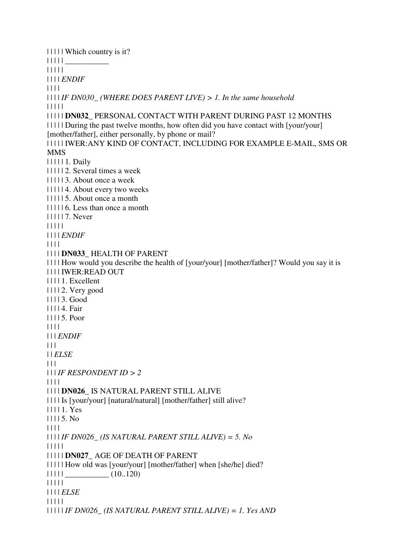| | | | | Which country is it? | | | | | \_\_\_\_\_\_\_\_\_\_\_ | | | | | | | | | *ENDIF* | | | | | | | | *IF DN030\_ (WHERE DOES PARENT LIVE) > 1. In the same household*  | | | | | | | | | | **DN032\_** PERSONAL CONTACT WITH PARENT DURING PAST 12 MONTHS | | | | | During the past twelve months, how often did you have contact with [your/your] [mother/father], either personally, by phone or mail? | | | | | IWER:ANY KIND OF CONTACT, INCLUDING FOR EXAMPLE E-MAIL, SMS OR MMS | | | | | 1. Daily | | | | | 2. Several times a week | | | | | 3. About once a week | | | | | 4. About every two weeks | | | | | 5. About once a month | | | | | 6. Less than once a month | | | | | 7. Never | | | | | | | | | *ENDIF* | | | | | | | | **DN033\_** HEALTH OF PARENT | | | | How would you describe the health of [your/your] [mother/father]? Would you say it is | | | | IWER:READ OUT | | | | 1. Excellent | | | | 2. Very good | | | | 3. Good | | | | 4. Fair | | | | 5. Poor | | | | | | | *ENDIF*  $| 11$ | | *ELSE*  $\Box$ | | | *IF RESPONDENT ID > 2* | | | | | | | | **DN026\_** IS NATURAL PARENT STILL ALIVE | | | | Is [your/your] [natural/natural] [mother/father] still alive? | | | | 1. Yes | | | | 5. No | | | | | | | | *IF DN026\_ (IS NATURAL PARENT STILL ALIVE) = 5. No* | | | | | | | | | | **DN027\_** AGE OF DEATH OF PARENT | | | | | How old was [your/your] [mother/father] when [she/he] died?  $|| || || ||$   $\qquad \qquad \qquad$   $(10..120)$ | | | | | | | | | *ELSE* | | | | | | | | | | *IF DN026\_ (IS NATURAL PARENT STILL ALIVE) = 1. Yes AND*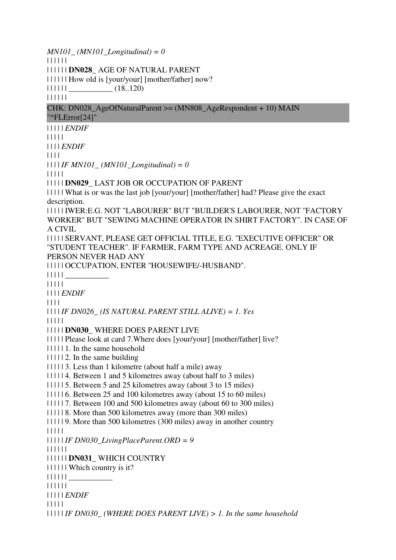*MN101\_ (MN101\_Longitudinal) = 0* | | | | | | | | | | | | **DN028\_** AGE OF NATURAL PARENT | | | | | | How old is [your/your] [mother/father] now?  $|| || || || ||$   $(18..120)$ | | | | | | CHK: DN028\_AgeOfNaturalParent  $>= (MN808$  AgeRespondent + 10) MAIN "^FLError[24]" | | | | | *ENDIF* | | | | | | | | | *ENDIF* | | | |  $| 111IF MN101$  (*MN101 Longitudinal*) = 0 | | | | | | | | | | **DN029\_** LAST JOB OR OCCUPATION OF PARENT | | | | | What is or was the last job [your/your] [mother/father] had? Please give the exact description. | | | | | IWER:E.G. NOT ''LABOURER'' BUT "BUILDER'S LABOURER, NOT ''FACTORY WORKER'' BUT "SEWING MACHINE OPERATOR IN SHIRT FACTORY". IN CASE OF A CIVIL | | | | | SERVANT, PLEASE GET OFFICIAL TITLE, E.G. ''EXECUTIVE OFFICER'' OR ''STUDENT TEACHER''. IF FARMER, FARM TYPE AND ACREAGE. ONLY IF PERSON NEVER HAD ANY | | | | | OCCUPATION, ENTER ''HOUSEWIFE/-HUSBAND''.  $|| || || ||$ | | | | | | | | | *ENDIF* | | | | | | | | *IF DN026\_ (IS NATURAL PARENT STILL ALIVE) = 1. Yes* | | | | | | | | | | **DN030\_** WHERE DOES PARENT LIVE | | | | | Please look at card 7.Where does [your/your] [mother/father] live? | | | | | 1. In the same household | | | | | 2. In the same building | | | | | 3. Less than 1 kilometre (about half a mile) away | | | | | 4. Between 1 and 5 kilometres away (about half to 3 miles) | | | | | 5. Between 5 and 25 kilometres away (about 3 to 15 miles) | | | | | 6. Between 25 and 100 kilometres away (about 15 to 60 miles) | | | | | 7. Between 100 and 500 kilometres away (about 60 to 300 miles) | | | | | 8. More than 500 kilometres away (more than 300 miles) | | | | | 9. More than 500 kilometres (300 miles) away in another country | | | | | | | | | | *IF DN030\_LivingPlaceParent.ORD = 9* | | | | | | | | | | | | **DN031\_** WHICH COUNTRY | | | | | | Which country is it?  $|| || || || ||$ | | | | | | | | | | | *ENDIF* | | | | | | | | | | *IF DN030\_ (WHERE DOES PARENT LIVE) > 1. In the same household*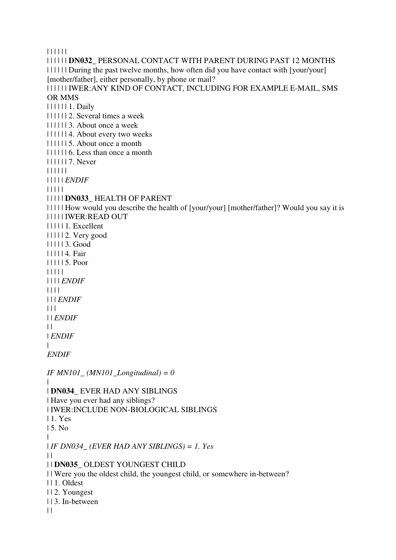| | | | | |

| | | | | | **DN032\_** PERSONAL CONTACT WITH PARENT DURING PAST 12 MONTHS | | | | | | During the past twelve months, how often did you have contact with [your/your] [mother/father], either personally, by phone or mail? | | | | | | IWER:ANY KIND OF CONTACT, INCLUDING FOR EXAMPLE E-MAIL, SMS OR MMS | | | | | | 1. Daily | | | | | | 2. Several times a week | | | | | | 3. About once a week | | | | | | 4. About every two weeks | | | | | | 5. About once a month | | | | | | 6. Less than once a month | | | | | | 7. Never | | | | | | | | | | | *ENDIF* | | | | | | | | | | **DN033\_** HEALTH OF PARENT | | | | | How would you describe the health of [your/your] [mother/father]? Would you say it is | | | | | IWER:READ OUT | | | | | 1. Excellent | | | | | 2. Very good | | | | | 3. Good | | | | | 4. Fair | | | | | 5. Poor | | | | | | | | | *ENDIF* | | | | | | | *ENDIF*  $| 11$ | | *ENDIF*  $\perp$ | *ENDIF* | *ENDIF IF MN101\_ (MN101\_Longitudinal) = 0* | | **DN034\_** EVER HAD ANY SIBLINGS | Have you ever had any siblings? | IWER:INCLUDE NON-BIOLOGICAL SIBLINGS | 1. Yes | 5. No | | *IF DN034\_ (EVER HAD ANY SIBLINGS) = 1. Yes*  $\perp$ | | **DN035\_** OLDEST YOUNGEST CHILD | | Were you the oldest child, the youngest child, or somewhere in-between? | | 1. Oldest | | 2. Youngest | | 3. In-between  $| |$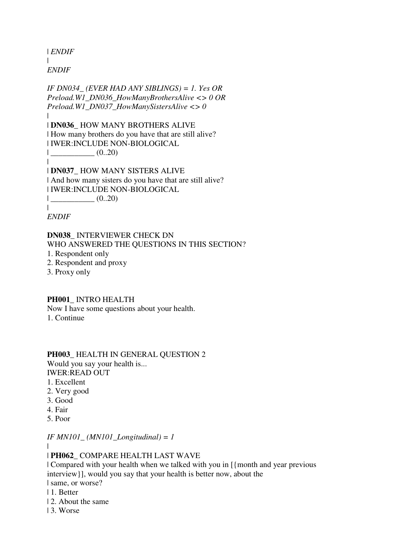| *ENDIF* | *ENDIF*

*IF DN034\_ (EVER HAD ANY SIBLINGS) = 1. Yes OR Preload.W1\_DN036\_HowManyBrothersAlive <> 0 OR Preload.W1\_DN037\_HowManySistersAlive <> 0* | | **DN036\_** HOW MANY BROTHERS ALIVE | How many brothers do you have that are still alive? | IWER:INCLUDE NON-BIOLOGICAL  $|$   $(0..20)$ | | **DN037\_** HOW MANY SISTERS ALIVE | And how many sisters do you have that are still alive? | IWER:INCLUDE NON-BIOLOGICAL  $|$   $(0..20)$ 

|

*ENDIF*

**DN038\_** INTERVIEWER CHECK DN WHO ANSWERED THE OUESTIONS IN THIS SECTION?

- 1. Respondent only
- 2. Respondent and proxy
- 3. Proxy only

**PH001\_** INTRO HEALTH Now I have some questions about your health.

1. Continue

#### **PH003\_** HEALTH IN GENERAL QUESTION 2

Would you say your health is...

- IWER:READ OUT
- 1. Excellent
- 2. Very good
- 3. Good
- 4. Fair
- 5. Poor

*IF MN101\_ (MN101\_Longitudinal) = 1*

|

### | **PH062\_** COMPARE HEALTH LAST WAVE

| Compared with your health when we talked with you in [{month and year previous interview}], would you say that your health is better now, about the

| same, or worse?

- | 1. Better
- | 2. About the same
- | 3. Worse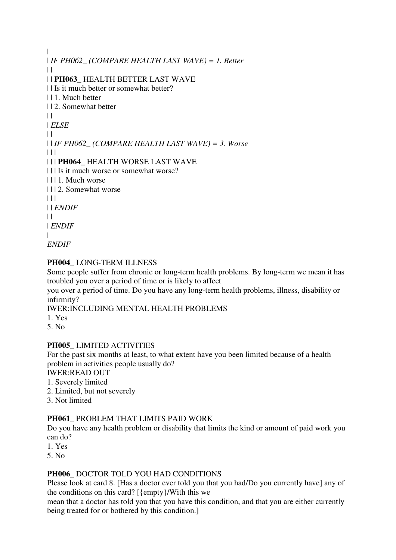| | *IF PH062\_ (COMPARE HEALTH LAST WAVE) = 1. Better*  $\|$ | | **PH063\_** HEALTH BETTER LAST WAVE | | Is it much better or somewhat better? | | 1. Much better | | 2. Somewhat better  $\|$ | *ELSE*  $\perp$ | | *IF PH062\_ (COMPARE HEALTH LAST WAVE) = 3. Worse*  $\| \cdot \| \cdot \|$ | | | **PH064\_** HEALTH WORSE LAST WAVE | | | Is it much worse or somewhat worse? | | | 1. Much worse | | | 2. Somewhat worse  $| 11 |$ | | *ENDIF*  $\perp$ | *ENDIF* | *ENDIF*

### **PH004\_** LONG-TERM ILLNESS

Some people suffer from chronic or long-term health problems. By long-term we mean it has troubled you over a period of time or is likely to affect

you over a period of time. Do you have any long-term health problems, illness, disability or infirmity?

IWER:INCLUDING MENTAL HEALTH PROBLEMS

1. Yes

5. No

#### **PH005\_** LIMITED ACTIVITIES

For the past six months at least, to what extent have you been limited because of a health problem in activities people usually do?

IWER:READ OUT

1. Severely limited

- 2. Limited, but not severely
- 3. Not limited

#### **PH061\_** PROBLEM THAT LIMITS PAID WORK

Do you have any health problem or disability that limits the kind or amount of paid work you can do?

- 1. Yes
- 5. No

#### **PH006\_** DOCTOR TOLD YOU HAD CONDITIONS

Please look at card 8. [Has a doctor ever told you that you had/Do you currently have] any of the conditions on this card? [{empty}/With this we

mean that a doctor has told you that you have this condition, and that you are either currently being treated for or bothered by this condition.]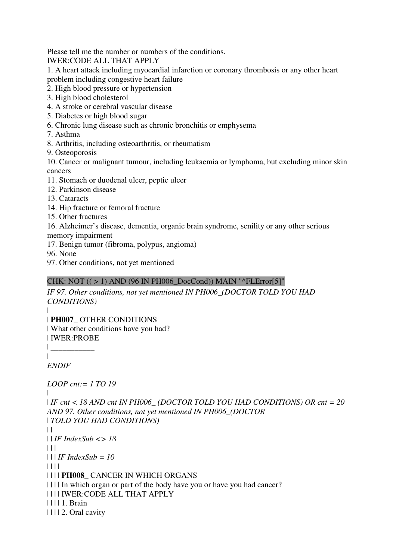Please tell me the number or numbers of the conditions.

IWER:CODE ALL THAT APPLY

1. A heart attack including myocardial infarction or coronary thrombosis or any other heart problem including congestive heart failure

- 2. High blood pressure or hypertension
- 3. High blood cholesterol
- 4. A stroke or cerebral vascular disease
- 5. Diabetes or high blood sugar
- 6. Chronic lung disease such as chronic bronchitis or emphysema
- 7. Asthma
- 8. Arthritis, including osteoarthritis, or rheumatism
- 9. Osteoporosis

10. Cancer or malignant tumour, including leukaemia or lymphoma, but excluding minor skin cancers

- 11. Stomach or duodenal ulcer, peptic ulcer
- 12. Parkinson disease
- 13. Cataracts
- 14. Hip fracture or femoral fracture
- 15. Other fractures
- 16. Alzheimer's disease, dementia, organic brain syndrome, senility or any other serious memory impairment
- 17. Benign tumor (fibroma, polypus, angioma)
- 96. None
- 97. Other conditions, not yet mentioned

# CHK: NOT  $((>1)$  AND (96 IN PH006 DocCond)) MAIN "^FLError[5]"

*IF 97. Other conditions, not yet mentioned IN PH006\_(DOCTOR TOLD YOU HAD CONDITIONS)*

| | **PH007\_** OTHER CONDITIONS

| What other conditions have you had? | IWER:PROBE

 $\blacksquare$ 

 $\|$ 

*ENDIF*

```
LOOP cnt:= 1 TO 19
```
 $\blacksquare$ 

| *IF cnt < 18 AND cnt IN PH006\_ (DOCTOR TOLD YOU HAD CONDITIONS) OR cnt = 20 AND 97. Other conditions, not yet mentioned IN PH006\_(DOCTOR*  | *TOLD YOU HAD CONDITIONS)*  $\perp$ | | *IF IndexSub <> 18*  $| | | |$ | | | *IF IndexSub = 10*

| | | |

| | | | **PH008\_** CANCER IN WHICH ORGANS

| | | | In which organ or part of the body have you or have you had cancer?

| | | | IWER:CODE ALL THAT APPLY

| | | | 1. Brain

| | | | 2. Oral cavity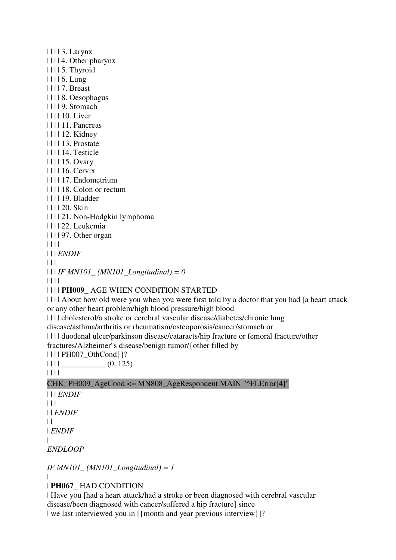| | | | 3. Larynx | | | | 4. Other pharynx | | | | 5. Thyroid | | | | 6. Lung | | | | 7. Breast | | | | 8. Oesophagus | | | | 9. Stomach | | | | 10. Liver | | | | 11. Pancreas | | | | 12. Kidney | | | | 13. Prostate | | | | 14. Testicle | | | | 15. Ovary | | | | 16. Cervix | | | | 17. Endometrium | | | | 18. Colon or rectum | | | | 19. Bladder | | | | 20. Skin | | | | 21. Non-Hodgkin lymphoma | | | | 22. Leukemia | | | | 97. Other organ | | | | | | | *ENDIF*  $\Box$ | | | *IF MN101\_ (MN101\_Longitudinal) = 0* | | | | | | | | **PH009\_** AGE WHEN CONDITION STARTED | | | | About how old were you when you were first told by a doctor that you had [a heart attack or any other heart problem/high blood pressure/high blood

| | | | cholesterol/a stroke or cerebral vascular disease/diabetes/chronic lung

disease/asthma/arthritis or rheumatism/osteoporosis/cancer/stomach or

| | | | duodenal ulcer/parkinson disease/cataracts/hip fracture or femoral fracture/other

fractures/Alzheimer''s disease/benign tumor/{other filled by

| | | | PH007\_OthCond}]?

| | | | \_\_\_\_\_\_\_\_\_\_\_ (0..125)

| | | |

CHK: PH009\_AgeCond <= MN808\_AgeRespondent MAIN "^FLError[4]"

| | | *ENDIF*  $| 11$ | | *ENDIF*  $\perp$ | *ENDIF* | *ENDLOOP*

*IF MN101\_ (MN101\_Longitudinal) = 1*

|

| **PH067\_** HAD CONDITION

| Have you [had a heart attack/had a stroke or been diagnosed with cerebral vascular disease/been diagnosed with cancer/suffered a hip fracture] since | we last interviewed you in  $[\{month \text{ and } year \text{ previous} \text{ interview} \}]\$ ?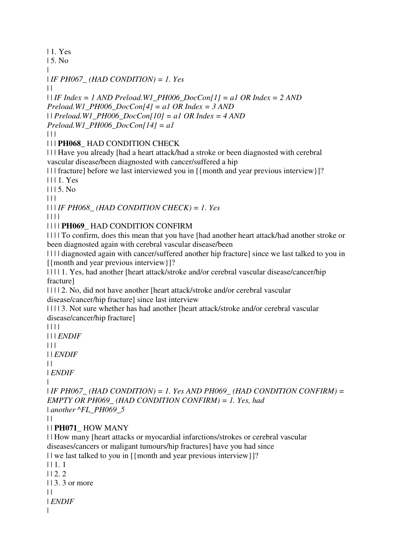| 1. Yes

| 5. No

| | *IF PH067\_ (HAD CONDITION) = 1. Yes*

| |

| | *IF Index = 1 AND Preload.W1\_PH006\_DocCon[1] = a1 OR Index = 2 AND Preload.W1\_PH006\_DocCon[4] = a1 OR Index = 3 AND*  | | *Preload.W1\_PH006\_DocCon[10] = a1 OR Index = 4 AND Preload.W1\_PH006\_DocCon[14] = a1*

 $| 11$ 

| | | **PH068\_** HAD CONDITION CHECK

| | | Have you already [had a heart attack/had a stroke or been diagnosted with cerebral vascular disease/been diagnosted with cancer/suffered a hip

| | | fracture] before we last interviewed you in [{month and year previous interview}]? | | | 1. Yes

 $1115.$  No

 $| 11 |$ 

| | | *IF PH068\_ (HAD CONDITION CHECK) = 1. Yes*

| | | |

| | | | **PH069\_** HAD CONDITION CONFIRM

| | | | To confirm, does this mean that you have [had another heart attack/had another stroke or been diagnosted again with cerebral vascular disease/been

| | | | diagnosted again with cancer/suffered another hip fracture] since we last talked to you in [{month and year previous interview}]?

| | | | 1. Yes, had another [heart attack/stroke and/or cerebral vascular disease/cancer/hip fracture]

| | | | 2. No, did not have another [heart attack/stroke and/or cerebral vascular disease/cancer/hip fracture] since last interview

| | | | 3. Not sure whether has had another [heart attack/stroke and/or cerebral vascular disease/cancer/hip fracture]

| | | | | | | *ENDIF*

 $| 11$ 

| | *ENDIF*

 $\perp$ 

| *ENDIF*

|

| *IF PH067\_ (HAD CONDITION) = 1. Yes AND PH069\_ (HAD CONDITION CONFIRM) = EMPTY OR PH069\_ (HAD CONDITION CONFIRM) = 1. Yes, had*  | *another ^FL\_PH069\_5*

 $\perp$ 

| | **PH071\_** HOW MANY

| | How many [heart attacks or myocardial infarctions/strokes or cerebral vascular diseases/cancers or maligant tumours/hip fractures] have you had since

```
| | we last talked to you in [{month and year previous interview}]?
```
| | 1. 1

 $112.2$ 

| | 3. 3 or more

 $\|$ 

| *ENDIF* |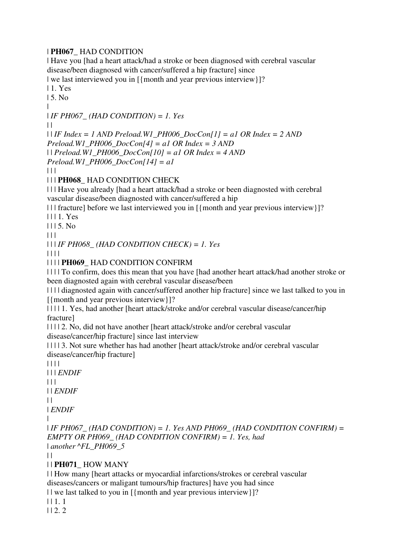### | **PH067\_** HAD CONDITION

| Have you [had a heart attack/had a stroke or been diagnosed with cerebral vascular disease/been diagnosed with cancer/suffered a hip fracture] since

| we last interviewed you in  $[\{month \text{ and } year \text{ previous interview} \}]$ ?

| 1. Yes

| 5. No

|

| *IF PH067\_ (HAD CONDITION) = 1. Yes*

| |

| | *IF Index = 1 AND Preload.W1\_PH006\_DocCon[1] = a1 OR Index = 2 AND Preload.W1\_PH006\_DocCon[4] = a1 OR Index = 3 AND*  | | *Preload.W1\_PH006\_DocCon[10] = a1 OR Index = 4 AND* 

*Preload.W1\_PH006\_DocCon[14] = a1*

 $\Box$ 

## | | | **PH068\_** HAD CONDITION CHECK

| | | Have you already [had a heart attack/had a stroke or been diagnosted with cerebral vascular disease/been diagnosted with cancer/suffered a hip

| | | fracture] before we last interviewed you in [{month and year previous interview}]?

| | | 1. Yes

 $1115$ . No.

 $\Box$ 

| | | *IF PH068\_ (HAD CONDITION CHECK) = 1. Yes*

| | | |

| | | | **PH069\_** HAD CONDITION CONFIRM

| | | | To confirm, does this mean that you have [had another heart attack/had another stroke or been diagnosted again with cerebral vascular disease/been

| | | | diagnosted again with cancer/suffered another hip fracture] since we last talked to you in [{month and year previous interview}]?

| | | | 1. Yes, had another [heart attack/stroke and/or cerebral vascular disease/cancer/hip fracture]

| | | | 2. No, did not have another [heart attack/stroke and/or cerebral vascular disease/cancer/hip fracture] since last interview

| | | | 3. Not sure whether has had another [heart attack/stroke and/or cerebral vascular disease/cancer/hip fracture]

| | | |

| | | *ENDIF*

 $| 11$ 

| | *ENDIF*

 $\perp$ 

| *ENDIF*

|

| *IF PH067\_ (HAD CONDITION) = 1. Yes AND PH069\_ (HAD CONDITION CONFIRM) = EMPTY OR PH069\_ (HAD CONDITION CONFIRM) = 1. Yes, had*  | *another ^FL\_PH069\_5*

 $| |$ 

| | **PH071\_** HOW MANY

| | How many [heart attacks or myocardial infarctions/strokes or cerebral vascular diseases/cancers or maligant tumours/hip fractures] have you had since

| | we last talked to you in [{month and year previous interview}]?

 $| 11.1|$ 

 $| 12.2 \rangle$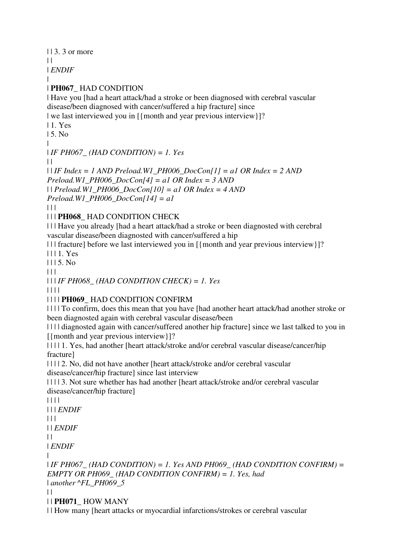$| \cdot | 3$ . 3 or more

 $\perp$ 

| *ENDIF*

| | **PH067\_** HAD CONDITION

| Have you [had a heart attack/had a stroke or been diagnosed with cerebral vascular disease/been diagnosed with cancer/suffered a hip fracture] since

| we last interviewed you in  $[\{month \text{ and } year \text{ previous} \text{ interview} \}]$ ?

- | 1. Yes
- | 5. No
- |

| *IF PH067\_ (HAD CONDITION) = 1. Yes*

 $\perp$ 

| | *IF Index = 1 AND Preload.W1\_PH006\_DocCon[1] = a1 OR Index = 2 AND Preload.W1\_PH006\_DocCon[4] = a1 OR Index = 3 AND*  | | *Preload.W1\_PH006\_DocCon[10] = a1 OR Index = 4 AND* 

*Preload.W1\_PH006\_DocCon[14] = a1*

 $\Box$ 

| | | **PH068\_** HAD CONDITION CHECK

| | | Have you already [had a heart attack/had a stroke or been diagnosted with cerebral vascular disease/been diagnosted with cancer/suffered a hip

| | | fracture] before we last interviewed you in [{month and year previous interview}]?

| | | 1. Yes

 $1115$ . No

 $\begin{array}{c|c} \hline \end{array}$ 

| | | *IF PH068\_ (HAD CONDITION CHECK) = 1. Yes*

| | | |

| | | | **PH069\_** HAD CONDITION CONFIRM

| | | | To confirm, does this mean that you have [had another heart attack/had another stroke or been diagnosted again with cerebral vascular disease/been

| | | | diagnosted again with cancer/suffered another hip fracture] since we last talked to you in [{month and year previous interview}]?

| | | | 1. Yes, had another [heart attack/stroke and/or cerebral vascular disease/cancer/hip fracture]

| | | | 2. No, did not have another [heart attack/stroke and/or cerebral vascular disease/cancer/hip fracture] since last interview

| | | | 3. Not sure whether has had another [heart attack/stroke and/or cerebral vascular disease/cancer/hip fracture]

| | | |

```
| | | ENDIF
```
 $| 11$ 

| | *ENDIF*

 $\perp$ 

| *ENDIF*

|

| *IF PH067\_ (HAD CONDITION) = 1. Yes AND PH069\_ (HAD CONDITION CONFIRM) = EMPTY OR PH069\_ (HAD CONDITION CONFIRM) = 1. Yes, had*  | *another ^FL\_PH069\_5*  $| \cdot |$ 

| | **PH071\_** HOW MANY

| | How many [heart attacks or myocardial infarctions/strokes or cerebral vascular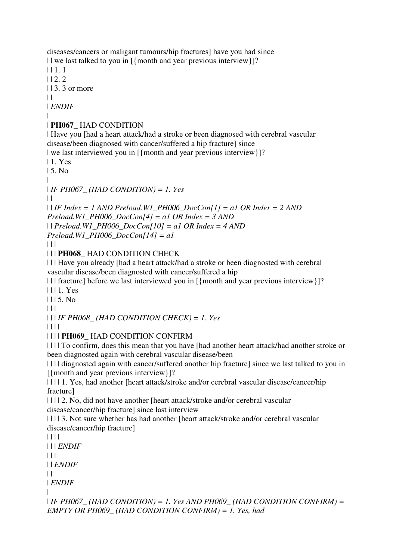diseases/cancers or maligant tumours/hip fractures] have you had since | | we last talked to you in [{month and year previous interview}]?

| | 1. 1

 $| 12.2 \rangle$ 

| | 3. 3 or more

 $| |$ 

| *ENDIF*

#### | | **PH067\_** HAD CONDITION

| Have you [had a heart attack/had a stroke or been diagnosed with cerebral vascular disease/been diagnosed with cancer/suffered a hip fracture] since

| we last interviewed you in  $[\{month \text{ and } year \text{ previous} \text{ intervals} \}!]$ ?

| 1. Yes

| 5. No

|

| *IF PH067\_ (HAD CONDITION) = 1. Yes*

 $| |$ 

| | *IF Index = 1 AND Preload.W1\_PH006\_DocCon[1] = a1 OR Index = 2 AND* 

*Preload.W1\_PH006\_DocCon[4] = a1 OR Index = 3 AND* 

| | *Preload.W1\_PH006\_DocCon[10] = a1 OR Index = 4 AND* 

*Preload.W1\_PH006\_DocCon[14] = a1*

 $| 11$ 

| | | **PH068\_** HAD CONDITION CHECK

| | | Have you already [had a heart attack/had a stroke or been diagnosted with cerebral vascular disease/been diagnosted with cancer/suffered a hip

| | | fracture] before we last interviewed you in [{month and year previous interview}]?

| | | 1. Yes

 $1115$ . No

 $|| ||$ 

| | | *IF PH068\_ (HAD CONDITION CHECK) = 1. Yes*

| | | |

 $\perp$ 

|

## | | | | **PH069\_** HAD CONDITION CONFIRM

| | | | To confirm, does this mean that you have [had another heart attack/had another stroke or been diagnosted again with cerebral vascular disease/been

| | | | diagnosted again with cancer/suffered another hip fracture] since we last talked to you in [{month and year previous interview}]?

| | | | 1. Yes, had another [heart attack/stroke and/or cerebral vascular disease/cancer/hip fracture]

| | | | 2. No, did not have another [heart attack/stroke and/or cerebral vascular disease/cancer/hip fracture] since last interview

| | | | 3. Not sure whether has had another [heart attack/stroke and/or cerebral vascular disease/cancer/hip fracture]

| | | | | | | *ENDIF*  $\Box$ | | *ENDIF* | *ENDIF* | *IF PH067\_ (HAD CONDITION) = 1. Yes AND PH069\_ (HAD CONDITION CONFIRM) = EMPTY OR PH069\_ (HAD CONDITION CONFIRM) = 1. Yes, had*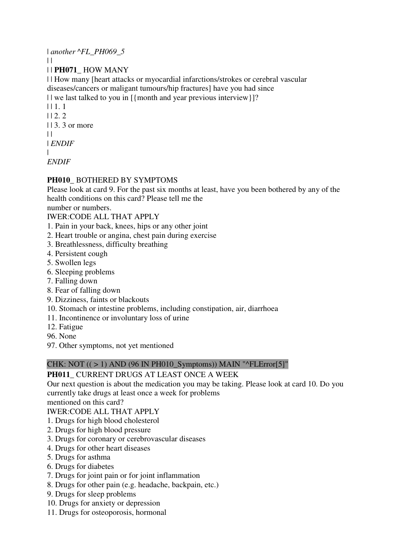| *another ^FL\_PH069\_5*  $\perp$ | | **PH071\_** HOW MANY | | How many [heart attacks or myocardial infarctions/strokes or cerebral vascular diseases/cancers or maligant tumours/hip fractures] have you had since | | we last talked to you in [{month and year previous interview}]? | | 1. 1  $| 12.2 \rangle$  $| 13.3$  or more  $\perp$ | *ENDIF* |

*ENDIF*

## **PH010\_** BOTHERED BY SYMPTOMS

Please look at card 9. For the past six months at least, have you been bothered by any of the health conditions on this card? Please tell me the

number or numbers.

### IWER:CODE ALL THAT APPLY

- 1. Pain in your back, knees, hips or any other joint
- 2. Heart trouble or angina, chest pain during exercise
- 3. Breathlessness, difficulty breathing
- 4. Persistent cough
- 5. Swollen legs
- 6. Sleeping problems
- 7. Falling down
- 8. Fear of falling down
- 9. Dizziness, faints or blackouts
- 10. Stomach or intestine problems, including constipation, air, diarrhoea
- 11. Incontinence or involuntary loss of urine
- 12. Fatigue
- 96. None
- 97. Other symptoms, not yet mentioned

## CHK: NOT  $((>1)$  AND (96 IN PH010 Symptoms)) MAIN "^FLError[5]"

## **PH011\_** CURRENT DRUGS AT LEAST ONCE A WEEK

Our next question is about the medication you may be taking. Please look at card 10. Do you currently take drugs at least once a week for problems

mentioned on this card?

IWER:CODE ALL THAT APPLY

- 1. Drugs for high blood cholesterol
- 2. Drugs for high blood pressure
- 3. Drugs for coronary or cerebrovascular diseases
- 4. Drugs for other heart diseases
- 5. Drugs for asthma
- 6. Drugs for diabetes
- 7. Drugs for joint pain or for joint inflammation
- 8. Drugs for other pain (e.g. headache, backpain, etc.)
- 9. Drugs for sleep problems
- 10. Drugs for anxiety or depression
- 11. Drugs for osteoporosis, hormonal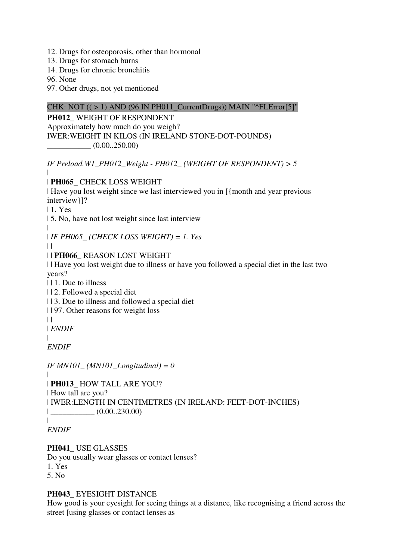- 12. Drugs for osteoporosis, other than hormonal
- 13. Drugs for stomach burns
- 14. Drugs for chronic bronchitis

96. None

97. Other drugs, not yet mentioned

### CHK: NOT  $((>1)$  AND  $(96$  IN PH011\_CurrentDrugs)) MAIN "^FLError[5]"

**PH012\_** WEIGHT OF RESPONDENT Approximately how much do you weigh? IWER:WEIGHT IN KILOS (IN IRELAND STONE-DOT-POUNDS)  $(0.00..250.00)$ 

*IF Preload.W1\_PH012\_Weight - PH012\_ (WEIGHT OF RESPONDENT) > 5*

#### | | **PH065\_** CHECK LOSS WEIGHT

| Have you lost weight since we last interviewed you in [{month and year previous interview}]?

| 1. Yes

| 5. No, have not lost weight since last interview

| | *IF PH065\_ (CHECK LOSS WEIGHT) = 1. Yes*

 $\|$ 

| | **PH066\_** REASON LOST WEIGHT

| | Have you lost weight due to illness or have you followed a special diet in the last two years?

| | 1. Due to illness

| | 2. Followed a special diet

| | 3. Due to illness and followed a special diet

| | 97. Other reasons for weight loss

 $\|$ 

 $\blacksquare$ 

| *ENDIF*

*ENDIF*

*IF MN101\_ (MN101\_Longitudinal) = 0*

 $\overline{\phantom{a}}$ | **PH013\_** HOW TALL ARE YOU?

| How tall are you?

| IWER:LENGTH IN CENTIMETRES (IN IRELAND: FEET-DOT-INCHES)  $|$  (0.00..230.00)

*ENDIF*

|

#### **PH041\_** USE GLASSES

Do you usually wear glasses or contact lenses?

1. Yes

5. No

#### **PH043\_** EYESIGHT DISTANCE

How good is your eyesight for seeing things at a distance, like recognising a friend across the street [using glasses or contact lenses as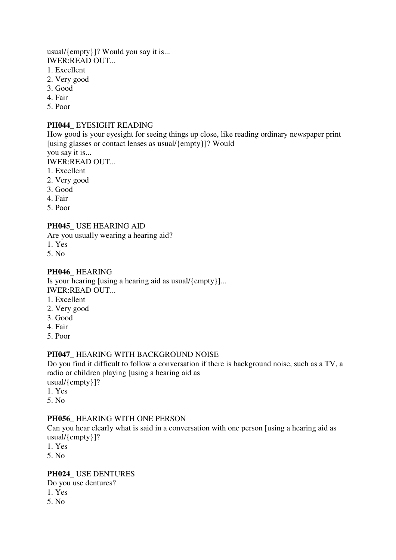usual/{empty}]? Would you say it is... IWER:READ OUT...

- 1. Excellent
- 2. Very good
- 3. Good
- 4. Fair
- 5. Poor

#### **PH044\_** EYESIGHT READING

How good is your eyesight for seeing things up close, like reading ordinary newspaper print [using glasses or contact lenses as usual/{empty}]? Would you say it is...

IWER:READ OUT...

- 1. Excellent
- 2. Very good
- 3. Good
- 4. Fair
- 5. Poor

#### **PH045\_** USE HEARING AID

Are you usually wearing a hearing aid?

- 1. Yes
- 5. No

#### **PH046\_** HEARING

Is your hearing [using a hearing aid as usual/{empty}]... IWER:READ OUT...

- 1. Excellent
- 2. Very good
- 3. Good
- 4. Fair
- 5. Poor

#### **PH047\_** HEARING WITH BACKGROUND NOISE

Do you find it difficult to follow a conversation if there is background noise, such as a TV, a radio or children playing [using a hearing aid as usual/{empty}]?

- 1. Yes
- 
- 5. No

#### **PH056\_** HEARING WITH ONE PERSON

Can you hear clearly what is said in a conversation with one person [using a hearing aid as usual/{empty}]?

1. Yes

5. No

#### **PH024\_** USE DENTURES

Do you use dentures?

- 1. Yes
- 5. No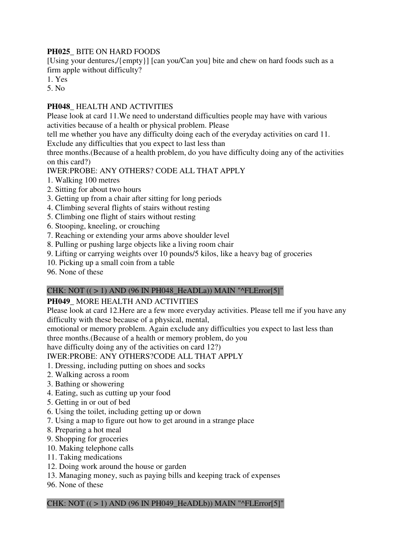## **PH025\_** BITE ON HARD FOODS

[Using your dentures,/{empty}] [can you/Can you] bite and chew on hard foods such as a firm apple without difficulty?

1. Yes

5. No

### **PH048\_** HEALTH AND ACTIVITIES

Please look at card 11.We need to understand difficulties people may have with various activities because of a health or physical problem. Please

tell me whether you have any difficulty doing each of the everyday activities on card 11.

Exclude any difficulties that you expect to last less than

three months.(Because of a health problem, do you have difficulty doing any of the activities on this card?)

## IWER:PROBE: ANY OTHERS? CODE ALL THAT APPLY

- 1. Walking 100 metres
- 2. Sitting for about two hours
- 3. Getting up from a chair after sitting for long periods
- 4. Climbing several flights of stairs without resting
- 5. Climbing one flight of stairs without resting
- 6. Stooping, kneeling, or crouching
- 7. Reaching or extending your arms above shoulder level
- 8. Pulling or pushing large objects like a living room chair
- 9. Lifting or carrying weights over 10 pounds/5 kilos, like a heavy bag of groceries
- 10. Picking up a small coin from a table

96. None of these

#### CHK: NOT  $((>1)$  AND  $(96$  IN PH048\_HeADLa)) MAIN "^FLError[5]"

#### **PH049\_** MORE HEALTH AND ACTIVITIES

Please look at card 12.Here are a few more everyday activities. Please tell me if you have any difficulty with these because of a physical, mental,

emotional or memory problem. Again exclude any difficulties you expect to last less than three months.(Because of a health or memory problem, do you

have difficulty doing any of the activities on card 12?)

#### IWER:PROBE: ANY OTHERS?CODE ALL THAT APPLY

- 1. Dressing, including putting on shoes and socks
- 2. Walking across a room
- 3. Bathing or showering
- 4. Eating, such as cutting up your food
- 5. Getting in or out of bed
- 6. Using the toilet, including getting up or down
- 7. Using a map to figure out how to get around in a strange place
- 8. Preparing a hot meal
- 9. Shopping for groceries
- 10. Making telephone calls
- 11. Taking medications
- 12. Doing work around the house or garden
- 13. Managing money, such as paying bills and keeping track of expenses
- 96. None of these

#### CHK: NOT  $((>1)$  AND  $(96$  IN PH049\_HeADLb)) MAIN "^FLError[5]"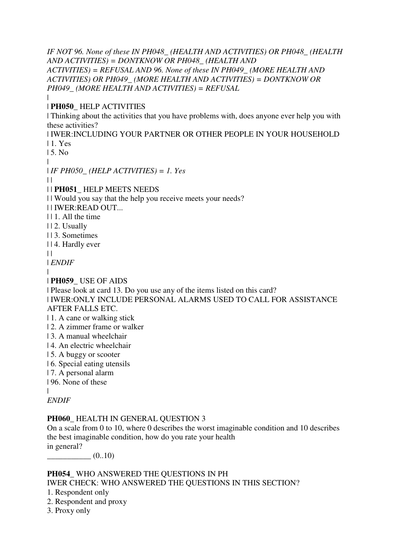*IF NOT 96. None of these IN PH048\_ (HEALTH AND ACTIVITIES) OR PH048\_ (HEALTH AND ACTIVITIES) = DONTKNOW OR PH048\_ (HEALTH AND ACTIVITIES) = REFUSAL AND 96. None of these IN PH049\_ (MORE HEALTH AND ACTIVITIES) OR PH049\_ (MORE HEALTH AND ACTIVITIES) = DONTKNOW OR PH049\_ (MORE HEALTH AND ACTIVITIES) = REFUSAL* |

#### | **PH050\_** HELP ACTIVITIES

| Thinking about the activities that you have problems with, does anyone ever help you with these activities?

| IWER:INCLUDING YOUR PARTNER OR OTHER PEOPLE IN YOUR HOUSEHOLD | 1. Yes

| 5. No

|

| *IF PH050\_ (HELP ACTIVITIES) = 1. Yes*

 $\perp$ 

#### | | **PH051\_** HELP MEETS NEEDS

| | Would you say that the help you receive meets your needs?

| | IWER:READ OUT...

- | | 1. All the time
- | | 2. Usually
- | | 3. Sometimes
- | | 4. Hardly ever
- $\perp$

| *ENDIF*

|

| **PH059\_** USE OF AIDS

| Please look at card 13. Do you use any of the items listed on this card?

| IWER:ONLY INCLUDE PERSONAL ALARMS USED TO CALL FOR ASSISTANCE AFTER FALLS ETC.

- | 1. A cane or walking stick
- | 2. A zimmer frame or walker
- | 3. A manual wheelchair
- | 4. An electric wheelchair
- | 5. A buggy or scooter
- | 6. Special eating utensils
- | 7. A personal alarm
- | 96. None of these

|

*ENDIF*

#### **PH060\_** HEALTH IN GENERAL QUESTION 3

On a scale from 0 to 10, where 0 describes the worst imaginable condition and 10 describes the best imaginable condition, how do you rate your health in general?

 $(0..10)$ 

#### **PH054\_** WHO ANSWERED THE QUESTIONS IN PH

IWER CHECK: WHO ANSWERED THE QUESTIONS IN THIS SECTION?

- 1. Respondent only
- 2. Respondent and proxy
- 3. Proxy only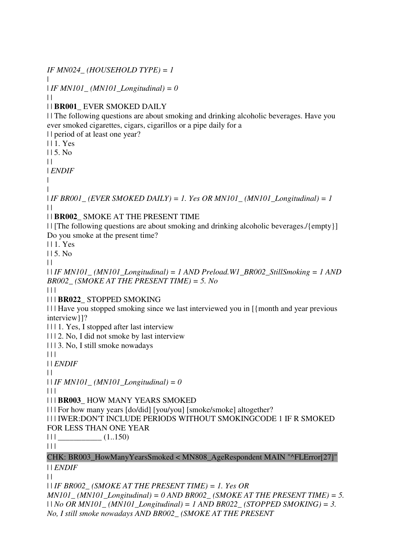*IF MN024\_ (HOUSEHOLD TYPE) = 1*

| *IF MN101\_ (MN101\_Longitudinal) = 0*

 $\|$ 

 $\blacksquare$ 

### | | **BR001\_** EVER SMOKED DAILY

| | The following questions are about smoking and drinking alcoholic beverages. Have you ever smoked cigarettes, cigars, cigarillos or a pipe daily for a

| | period of at least one year?

| | 1. Yes

| | 5. No

 $\perp$ 

| *ENDIF*

| |

 $| IFRBRO01$  (*EVER SMOKED DAILY) = 1. Yes OR MN101* (*MN101 Longitudinal*) = 1  $\|$ 

| | **BR002\_** SMOKE AT THE PRESENT TIME

| | [The following questions are about smoking and drinking alcoholic beverages./{empty}] Do you smoke at the present time?

| | 1. Yes

| | 5. No

 $\perp$ 

| | *IF MN101\_ (MN101\_Longitudinal) = 1 AND Preload.W1\_BR002\_StillSmoking = 1 AND BR002\_ (SMOKE AT THE PRESENT TIME) = 5. No*

 $| 11$ 

| | | **BR022\_** STOPPED SMOKING

| | | Have you stopped smoking since we last interviewed you in [{month and year previous interview}]?

| | | 1. Yes, I stopped after last interview

| | | 2. No, I did not smoke by last interview

| | | 3. No, I still smoke nowadays

| | |

| | *ENDIF*

 $\perp$ 

| | *IF MN101\_ (MN101\_Longitudinal) = 0*

 $| 11$ 

| | | **BR003\_** HOW MANY YEARS SMOKED

| | | For how many years [do/did] [you/you] [smoke/smoke] altogether?

| | | IWER:DON'T INCLUDE PERIODS WITHOUT SMOKINGCODE 1 IF R SMOKED

FOR LESS THAN ONE YEAR

 $|| ||$   $(1..150)$ 

 $|| ||$ 

CHK: BR003\_HowManyYearsSmoked < MN808\_AgeRespondent MAIN "^FLError[27]" | | *ENDIF*

 $| |$ 

| | *IF BR002\_ (SMOKE AT THE PRESENT TIME) = 1. Yes OR* 

*MN101\_ (MN101\_Longitudinal) = 0 AND BR002\_ (SMOKE AT THE PRESENT TIME) = 5.*  | | *No OR MN101\_ (MN101\_Longitudinal) = 1 AND BR022\_ (STOPPED SMOKING) = 3. No, I still smoke nowadays AND BR002\_ (SMOKE AT THE PRESENT*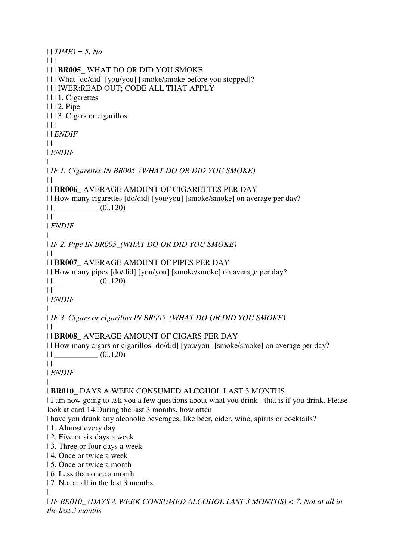```
| | TIME) = 5. No
\Box| | | BR005_ WHAT DO OR DID YOU SMOKE 
| | | What [do/did] [you/you] [smoke/smoke before you stopped]? 
| | | IWER:READ OUT; CODE ALL THAT APPLY 
| | | 1. Cigarettes 
| | | 2. Pipe 
| | | 3. Cigars or cigarillos 
\Box| | ENDIF
\perp| ENDIF
| 
| IF 1. Cigarettes IN BR005_(WHAT DO OR DID YOU SMOKE)
\perp| | BR006_ AVERAGE AMOUNT OF CIGARETTES PER DAY 
| | How many cigarettes [do/did] [you/you] [smoke/smoke] on average per day? 
|| (0..120)\|| ENDIF
| 
| IF 2. Pipe IN BR005_(WHAT DO OR DID YOU SMOKE)
\|| | BR007_ AVERAGE AMOUNT OF PIPES PER DAY 
| | How many pipes [do/did] [you/you] [smoke/smoke] on average per day? 
|| (0..120)\|| ENDIF
| 
| IF 3. Cigars or cigarillos IN BR005_(WHAT DO OR DID YOU SMOKE)
\perp| | BR008_ AVERAGE AMOUNT OF CIGARS PER DAY 
| | How many cigars or cigarillos [do/did] [you/you] [smoke/smoke] on average per day? 
|| (0..120)||| ENDIF
\blacksquare| BR010_ DAYS A WEEK CONSUMED ALCOHOL LAST 3 MONTHS 
| I am now going to ask you a few questions about what you drink - that is if you drink. Please 
look at card 14 During the last 3 months, how often 
| have you drunk any alcoholic beverages, like beer, cider, wine, spirits or cocktails? 
| 1. Almost every day 
| 2. Five or six days a week 
| 3. Three or four days a week 
| 4. Once or twice a week 
| 5. Once or twice a month 
| 6. Less than once a month 
| 7. Not at all in the last 3 months 
| 
| IF BR010_ (DAYS A WEEK CONSUMED ALCOHOL LAST 3 MONTHS) < 7. Not at all in 
the last 3 months
```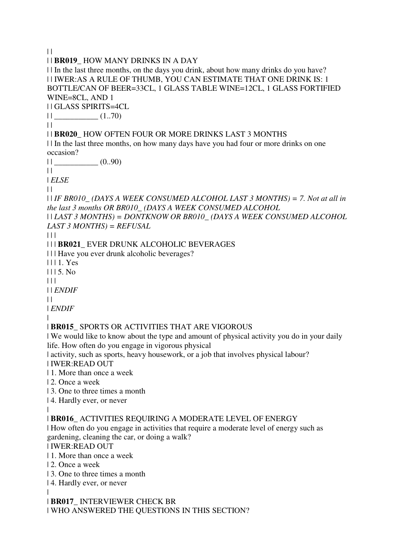$\|$ | | **BR019\_** HOW MANY DRINKS IN A DAY | | In the last three months, on the days you drink, about how many drinks do you have? | | IWER:AS A RULE OF THUMB, YOU CAN ESTIMATE THAT ONE DRINK IS: 1 BOTTLE/CAN OF BEER=33CL, 1 GLASS TABLE WINE=12CL, 1 GLASS FORTIFIED WINE=8CL, AND 1 | | GLASS SPIRITS=4CL  $||$   $(1.70)$  $\perp$ | | **BR020\_** HOW OFTEN FOUR OR MORE DRINKS LAST 3 MONTHS | | In the last three months, on how many days have you had four or more drinks on one occasion?  $11$  (0..90)  $\|$ | *ELSE*  $\perp$ | | *IF BR010\_ (DAYS A WEEK CONSUMED ALCOHOL LAST 3 MONTHS) = 7. Not at all in the last 3 months OR BR010\_ (DAYS A WEEK CONSUMED ALCOHOL*  | | *LAST 3 MONTHS) = DONTKNOW OR BR010\_ (DAYS A WEEK CONSUMED ALCOHOL LAST 3 MONTHS) = REFUSAL*  $\Box$ | | | **BR021\_** EVER DRUNK ALCOHOLIC BEVERAGES | | | Have you ever drunk alcoholic beverages? | | | 1. Yes | | | 5. No  $| 11$ | | *ENDIF*  $\|$ | *ENDIF* | | **BR015\_** SPORTS OR ACTIVITIES THAT ARE VIGOROUS | We would like to know about the type and amount of physical activity you do in your daily life. How often do you engage in vigorous physical

| activity, such as sports, heavy housework, or a job that involves physical labour?

| IWER:READ OUT

| 1. More than once a week

| 2. Once a week

| 3. One to three times a month

| 4. Hardly ever, or never

#### | | **BR016\_** ACTIVITIES REQUIRING A MODERATE LEVEL OF ENERGY

| How often do you engage in activities that require a moderate level of energy such as gardening, cleaning the car, or doing a walk?

| IWER:READ OUT

- | 1. More than once a week
- | 2. Once a week

| 3. One to three times a month

| 4. Hardly ever, or never

|

| **BR017\_** INTERVIEWER CHECK BR | WHO ANSWERED THE QUESTIONS IN THIS SECTION?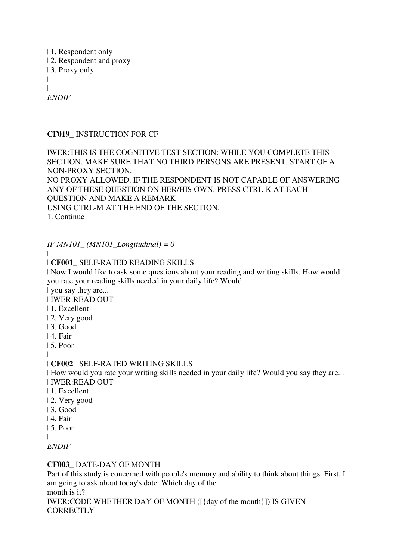| 1. Respondent only | 2. Respondent and proxy | 3. Proxy only | | *ENDIF*

### **CF019\_** INSTRUCTION FOR CF

IWER:THIS IS THE COGNITIVE TEST SECTION: WHILE YOU COMPLETE THIS SECTION, MAKE SURE THAT NO THIRD PERSONS ARE PRESENT. START OF A NON-PROXY SECTION. NO PROXY ALLOWED. IF THE RESPONDENT IS NOT CAPABLE OF ANSWERING ANY OF THESE QUESTION ON HER/HIS OWN, PRESS CTRL-K AT EACH QUESTION AND MAKE A REMARK USING CTRL-M AT THE END OF THE SECTION. 1. Continue

*IF MN101\_ (MN101\_Longitudinal) = 0*

#### | | **CF001\_** SELF-RATED READING SKILLS

| Now I would like to ask some questions about your reading and writing skills. How would you rate your reading skills needed in your daily life? Would

| you say they are...

| IWER:READ OUT

- | 1. Excellent
- | 2. Very good
- | 3. Good
- | 4. Fair
- | 5. Poor

|

#### | **CF002\_** SELF-RATED WRITING SKILLS

| How would you rate your writing skills needed in your daily life? Would you say they are... | IWER:READ OUT

- | 1. Excellent
- | 2. Very good
- | 3. Good
- | 4. Fair
- | 5. Poor
- |

*ENDIF*

#### **CF003\_** DATE-DAY OF MONTH

Part of this study is concerned with people's memory and ability to think about things. First, I am going to ask about today's date. Which day of the month is it? IWER:CODE WHETHER DAY OF MONTH ([{day of the month}]) IS GIVEN **CORRECTLY**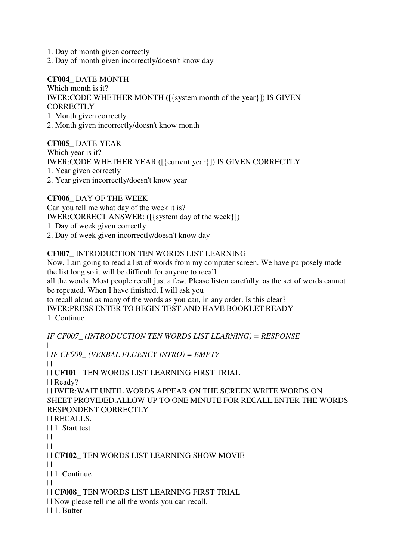1. Day of month given correctly

2. Day of month given incorrectly/doesn't know day

**CF004\_** DATE-MONTH Which month is it? IWER:CODE WHETHER MONTH ([{system month of the year}]) IS GIVEN CORRECTLY 1. Month given correctly 2. Month given incorrectly/doesn't know month

**CF005\_** DATE-YEAR Which year is it? IWER:CODE WHETHER YEAR ([{current year}]) IS GIVEN CORRECTLY 1. Year given correctly 2. Year given incorrectly/doesn't know year

**CF006\_** DAY OF THE WEEK Can you tell me what day of the week it is? IWER:CORRECT ANSWER: ([{system day of the week}]) 1. Day of week given correctly 2. Day of week given incorrectly/doesn't know day

### **CF007\_** INTRODUCTION TEN WORDS LIST LEARNING

Now, I am going to read a list of words from my computer screen. We have purposely made the list long so it will be difficult for anyone to recall

all the words. Most people recall just a few. Please listen carefully, as the set of words cannot be repeated. When I have finished, I will ask you

to recall aloud as many of the words as you can, in any order. Is this clear? IWER:PRESS ENTER TO BEGIN TEST AND HAVE BOOKLET READY 1. Continue

*IF CF007\_ (INTRODUCTION TEN WORDS LIST LEARNING) = RESPONSE* | | *IF CF009\_ (VERBAL FLUENCY INTRO) = EMPTY*  $\perp$ | | **CF101\_** TEN WORDS LIST LEARNING FIRST TRIAL | | Ready? | | IWER:WAIT UNTIL WORDS APPEAR ON THE SCREEN.WRITE WORDS ON SHEET PROVIDED.ALLOW UP TO ONE MINUTE FOR RECALL.ENTER THE WORDS RESPONDENT CORRECTLY | | RECALLS. | | 1. Start test  $\|$  $| \cdot |$ | | **CF102\_** TEN WORDS LIST LEARNING SHOW MOVIE  $\perp$ | | 1. Continue  $| |$ | | **CF008\_** TEN WORDS LIST LEARNING FIRST TRIAL | | Now please tell me all the words you can recall. | | 1. Butter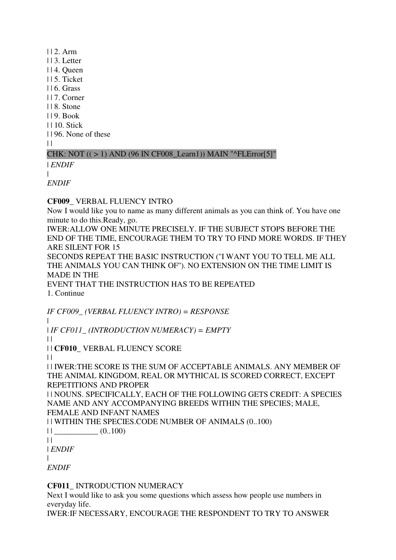| | 2. Arm | | 3. Letter | | 4. Queen | | 5. Ticket | | 6. Grass | | 7. Corner | | 8. Stone | | 9. Book | | 10. Stick | | 96. None of these  $\|$ 

### CHK: NOT  $((>1)$  AND  $(96$  IN CF008 Learn1)) MAIN "^FLError[5]"

| *ENDIF*  $\blacksquare$ 

*ENDIF*

**CF009\_** VERBAL FLUENCY INTRO

Now I would like you to name as many different animals as you can think of. You have one minute to do this.Ready, go.

IWER:ALLOW ONE MINUTE PRECISELY. IF THE SUBJECT STOPS BEFORE THE END OF THE TIME, ENCOURAGE THEM TO TRY TO FIND MORE WORDS. IF THEY ARE SILENT FOR 15

SECONDS REPEAT THE BASIC INSTRUCTION (''I WANT YOU TO TELL ME ALL THE ANIMALS YOU CAN THINK OF''). NO EXTENSION ON THE TIME LIMIT IS MADE IN THE

EVENT THAT THE INSTRUCTION HAS TO BE REPEATED 1. Continue

*IF CF009\_ (VERBAL FLUENCY INTRO) = RESPONSE* | | *IF CF011\_ (INTRODUCTION NUMERACY) = EMPTY*  $\|$ 

| | **CF010\_** VERBAL FLUENCY SCORE

 $\perp$ 

| | IWER:THE SCORE IS THE SUM OF ACCEPTABLE ANIMALS. ANY MEMBER OF THE ANIMAL KINGDOM, REAL OR MYTHICAL IS SCORED CORRECT, EXCEPT REPETITIONS AND PROPER

| | NOUNS. SPECIFICALLY, EACH OF THE FOLLOWING GETS CREDIT: A SPECIES NAME AND ANY ACCOMPANYING BREEDS WITHIN THE SPECIES; MALE, FEMALE AND INFANT NAMES

| | WITHIN THE SPECIES.CODE NUMBER OF ANIMALS (0..100)

| | \_\_\_\_\_\_\_\_\_\_\_ (0..100)

 $\|$ 

| *ENDIF*

|

*ENDIF*

**CF011\_** INTRODUCTION NUMERACY

Next I would like to ask you some questions which assess how people use numbers in everyday life.

IWER:IF NECESSARY, ENCOURAGE THE RESPONDENT TO TRY TO ANSWER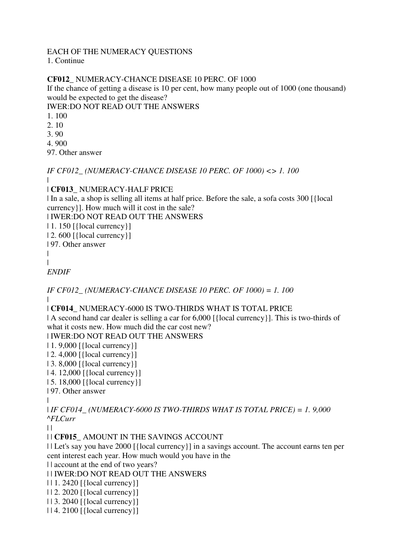#### EACH OF THE NUMERACY QUESTIONS 1. Continue

# **CF012\_** NUMERACY-CHANCE DISEASE 10 PERC. OF 1000

If the chance of getting a disease is 10 per cent, how many people out of 1000 (one thousand) would be expected to get the disease?

IWER:DO NOT READ OUT THE ANSWERS

- 1. 100
- 2. 10
- 3. 90
- 4. 900

97. Other answer

*IF CF012\_ (NUMERACY-CHANCE DISEASE 10 PERC. OF 1000) <> 1. 100* |

# | **CF013\_** NUMERACY-HALF PRICE

| In a sale, a shop is selling all items at half price. Before the sale, a sofa costs 300 [{local currency}]. How much will it cost in the sale?

| IWER:DO NOT READ OUT THE ANSWERS

| 1. 150 [{local currency}]

| 2. 600 [{local currency}]

| 97. Other answer

```
|
```

```
|
```
*ENDIF*

*IF CF012\_ (NUMERACY-CHANCE DISEASE 10 PERC. OF 1000) = 1. 100* |

# | **CF014\_** NUMERACY-6000 IS TWO-THIRDS WHAT IS TOTAL PRICE

| A second hand car dealer is selling a car for  $6,000$  [{local currency}]. This is two-thirds of what it costs new. How much did the car cost new?

| IWER:DO NOT READ OUT THE ANSWERS

| 1. 9,000 [{local currency}]

| 2. 4,000 [{local currency}]

| 3. 8,000 [{local currency}]

```
| 4. 12,000 [{local currency}]
```
| 5. 18,000 [{local currency}]

```
| 97. Other answer
```
|

| *IF CF014\_ (NUMERACY-6000 IS TWO-THIRDS WHAT IS TOTAL PRICE) = 1. 9,000 ^FLCurr*

 $\|$ 

| | **CF015\_** AMOUNT IN THE SAVINGS ACCOUNT

| | Let's say you have 2000 [{local currency}] in a savings account. The account earns ten per cent interest each year. How much would you have in the

| | account at the end of two years?

| | IWER:DO NOT READ OUT THE ANSWERS

| | 1. 2420 [{local currency}]

- | | 2. 2020 [{local currency}]
- | | 3. 2040 [{local currency}]
- | | 4. 2100 [{local currency}]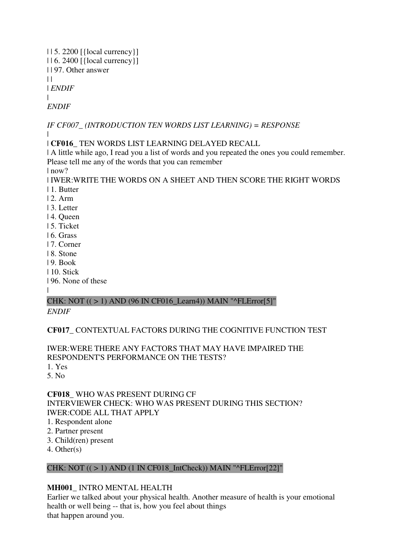| | 5. 2200 [{local currency}] | | 6. 2400 [{local currency}] | | 97. Other answer  $| |$ | *ENDIF* | *ENDIF*

*IF CF007\_ (INTRODUCTION TEN WORDS LIST LEARNING) = RESPONSE* |

| **CF016\_** TEN WORDS LIST LEARNING DELAYED RECALL

| A little while ago, I read you a list of words and you repeated the ones you could remember. Please tell me any of the words that you can remember

| now?

| IWER:WRITE THE WORDS ON A SHEET AND THEN SCORE THE RIGHT WORDS | 1. Butter

- $|2 \text{ Arm}|$
- | 3. Letter
- | 4. Queen
- | 5. Ticket
- | 6. Grass
- | 7. Corner
- | 8. Stone
- | 9. Book
- | 10. Stick
- | 96. None of these

|

#### CHK: NOT  $((>1)$  AND  $(96$  IN CF016\_Learn4)) MAIN "^FLError[5]" *ENDIF*

# **CF017\_** CONTEXTUAL FACTORS DURING THE COGNITIVE FUNCTION TEST

IWER:WERE THERE ANY FACTORS THAT MAY HAVE IMPAIRED THE RESPONDENT'S PERFORMANCE ON THE TESTS?

1. Yes

5. No

**CF018\_** WHO WAS PRESENT DURING CF INTERVIEWER CHECK: WHO WAS PRESENT DURING THIS SECTION? IWER:CODE ALL THAT APPLY

- 1. Respondent alone
- 2. Partner present
- 3. Child(ren) present
- 4. Other(s)

### CHK: NOT  $((>1)$  AND  $(1$  IN CF018\_IntCheck)) MAIN "^FLError[22]"

# **MH001\_** INTRO MENTAL HEALTH

Earlier we talked about your physical health. Another measure of health is your emotional health or well being -- that is, how you feel about things that happen around you.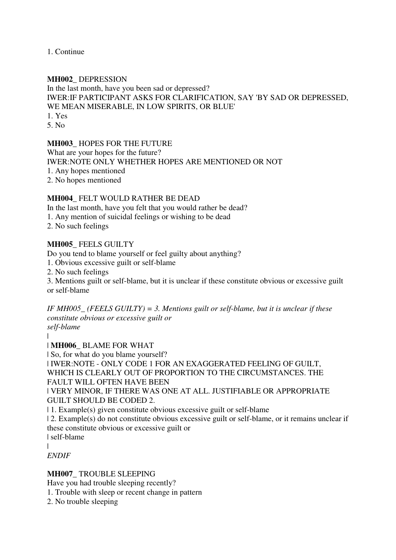1. Continue

### **MH002\_** DEPRESSION

In the last month, have you been sad or depressed? IWER:IF PARTICIPANT ASKS FOR CLARIFICATION, SAY 'BY SAD OR DEPRESSED, WE MEAN MISERABLE, IN LOW SPIRITS, OR BLUE' 1. Yes

5. No

### **MH003\_** HOPES FOR THE FUTURE

What are your hopes for the future?

IWER:NOTE ONLY WHETHER HOPES ARE MENTIONED OR NOT

1. Any hopes mentioned

2. No hopes mentioned

### **MH004\_** FELT WOULD RATHER BE DEAD

In the last month, have you felt that you would rather be dead?

1. Any mention of suicidal feelings or wishing to be dead

2. No such feelings

### **MH005\_** FEELS GUILTY

Do you tend to blame yourself or feel guilty about anything?

1. Obvious excessive guilt or self-blame

2. No such feelings

3. Mentions guilt or self-blame, but it is unclear if these constitute obvious or excessive guilt or self-blame

*IF MH005\_ (FEELS GUILTY) = 3. Mentions guilt or self-blame, but it is unclear if these constitute obvious or excessive guilt or self-blame*

|

| **MH006\_** BLAME FOR WHAT

| So, for what do you blame yourself?

| IWER:NOTE - ONLY CODE 1 FOR AN EXAGGERATED FEELING OF GUILT, WHICH IS CLEARLY OUT OF PROPORTION TO THE CIRCUMSTANCES. THE FAULT WILL OFTEN HAVE BEEN

| VERY MINOR, IF THERE WAS ONE AT ALL. JUSTIFIABLE OR APPROPRIATE GUILT SHOULD BE CODED 2.

| 1. Example(s) given constitute obvious excessive guilt or self-blame

| 2. Example(s) do not constitute obvious excessive guilt or self-blame, or it remains unclear if these constitute obvious or excessive guilt or

| self-blame

|

*ENDIF*

### **MH007\_** TROUBLE SLEEPING

Have you had trouble sleeping recently?

1. Trouble with sleep or recent change in pattern

2. No trouble sleeping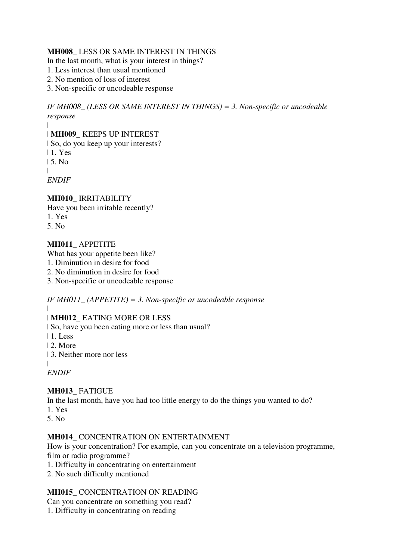### **MH008\_** LESS OR SAME INTEREST IN THINGS

In the last month, what is your interest in things?

- 1. Less interest than usual mentioned
- 2. No mention of loss of interest
- 3. Non-specific or uncodeable response

*IF MH008\_ (LESS OR SAME INTEREST IN THINGS) = 3. Non-specific or uncodeable response*

### | **MH009\_** KEEPS UP INTEREST

| So, do you keep up your interests?

| 1. Yes

|

|

| 5. No

*ENDIF*

# **MH010\_** IRRITABILITY

Have you been irritable recently?

1. Yes

5. No

### **MH011\_** APPETITE

What has your appetite been like?

- 1. Diminution in desire for food
- 2. No diminution in desire for food
- 3. Non-specific or uncodeable response

*IF MH011\_ (APPETITE) = 3. Non-specific or uncodeable response* |

### | **MH012\_** EATING MORE OR LESS

| So, have you been eating more or less than usual?

- | 1. Less
- | 2. More
- | 3. Neither more nor less

|

# *ENDIF*

# **MH013\_** FATIGUE

In the last month, have you had too little energy to do the things you wanted to do?

- 1. Yes
- 5. No

### **MH014\_** CONCENTRATION ON ENTERTAINMENT

How is your concentration? For example, can you concentrate on a television programme, film or radio programme?

- 1. Difficulty in concentrating on entertainment
- 2. No such difficulty mentioned

### **MH015\_** CONCENTRATION ON READING

Can you concentrate on something you read?

1. Difficulty in concentrating on reading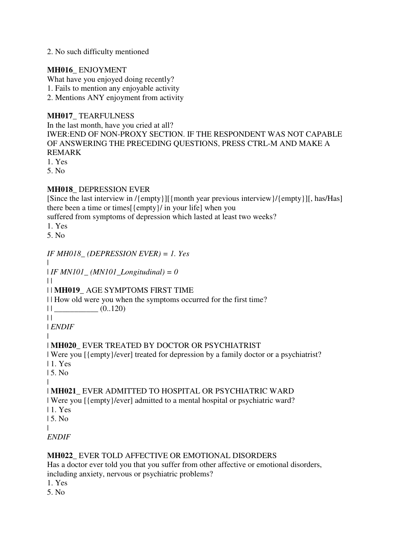### 2. No such difficulty mentioned

### **MH016\_** ENJOYMENT

What have you enjoyed doing recently?

1. Fails to mention any enjoyable activity

2. Mentions ANY enjoyment from activity

### **MH017\_** TEARFULNESS

In the last month, have you cried at all? IWER:END OF NON-PROXY SECTION. IF THE RESPONDENT WAS NOT CAPABLE OF ANSWERING THE PRECEDING QUESTIONS, PRESS CTRL-M AND MAKE A REMARK

1. Yes

5. No

### **MH018\_** DEPRESSION EVER

[Since the last interview in /{empty}][{month year previous interview}/{empty}][, has/Has] there been a time or times[{empty}/ in your life] when you

suffered from symptoms of depression which lasted at least two weeks?

1. Yes

5. No

### *IF MH018\_ (DEPRESSION EVER) = 1. Yes*

| | *IF MN101\_ (MN101\_Longitudinal) = 0*

 $\|$ 

# | | **MH019\_** AGE SYMPTOMS FIRST TIME

| | How old were you when the symptoms occurred for the first time?

 $||$   $(0.120)$ 

 $\|$ 

| *ENDIF* |

### | **MH020\_** EVER TREATED BY DOCTOR OR PSYCHIATRIST

| Were you [{empty}/ever] treated for depression by a family doctor or a psychiatrist?

| 1. Yes

| 5. No |

### | **MH021\_** EVER ADMITTED TO HOSPITAL OR PSYCHIATRIC WARD

| Were you [{empty}/ever] admitted to a mental hospital or psychiatric ward?

| 1. Yes

| 5. No

|

*ENDIF*

### **MH022\_** EVER TOLD AFFECTIVE OR EMOTIONAL DISORDERS

Has a doctor ever told you that you suffer from other affective or emotional disorders, including anxiety, nervous or psychiatric problems?

1. Yes

5. No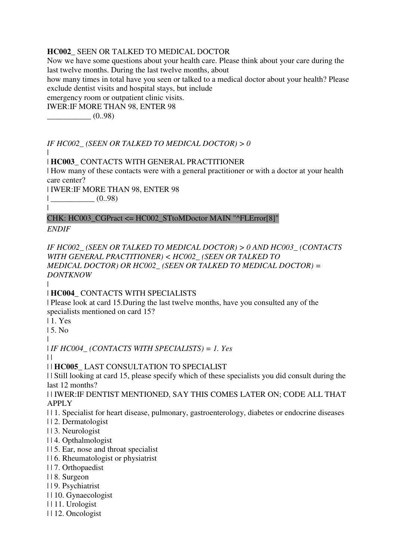### **HC002\_** SEEN OR TALKED TO MEDICAL DOCTOR

Now we have some questions about your health care. Please think about your care during the last twelve months. During the last twelve months, about how many times in total have you seen or talked to a medical doctor about your health? Please exclude dentist visits and hospital stays, but include emergency room or outpatient clinic visits. IWER:IF MORE THAN 98, ENTER 98

 $-$  (0..98)

*IF HC002\_ (SEEN OR TALKED TO MEDICAL DOCTOR) > 0*

### | **HC003\_** CONTACTS WITH GENERAL PRACTITIONER

| How many of these contacts were with a general practitioner or with a doctor at your health care center?

| IWER:IF MORE THAN 98, ENTER 98  $|$  (0..98)

|

CHK: HC003\_CGPract <= HC002\_STtoMDoctor MAIN "^FLError[8]"

*ENDIF*

|

*IF HC002\_ (SEEN OR TALKED TO MEDICAL DOCTOR) > 0 AND HC003\_ (CONTACTS WITH GENERAL PRACTITIONER) < HC002\_ (SEEN OR TALKED TO MEDICAL DOCTOR) OR HC002\_ (SEEN OR TALKED TO MEDICAL DOCTOR) = DONTKNOW*

|

| **HC004\_** CONTACTS WITH SPECIALISTS

| Please look at card 15.During the last twelve months, have you consulted any of the specialists mentioned on card 15?

| 1. Yes

| 5. No

|

| *IF HC004\_ (CONTACTS WITH SPECIALISTS) = 1. Yes*

 $\blacksquare$ 

| | **HC005\_** LAST CONSULTATION TO SPECIALIST

| | Still looking at card 15, please specify which of these specialists you did consult during the last 12 months?

| | IWER:IF DENTIST MENTIONED, SAY THIS COMES LATER ON; CODE ALL THAT APPLY

| | 1. Specialist for heart disease, pulmonary, gastroenterology, diabetes or endocrine diseases

- | | 2. Dermatologist
- | | 3. Neurologist
- | | 4. Opthalmologist
- | | 5. Ear, nose and throat specialist
- | | 6. Rheumatologist or physiatrist
- | | 7. Orthopaedist
- | | 8. Surgeon
- | | 9. Psychiatrist
- | | 10. Gynaecologist
- | | 11. Urologist
- | | 12. Oncologist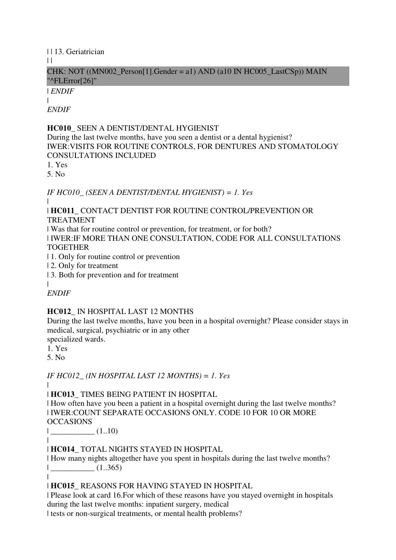| | 13. Geriatrician

 $\perp$ 

### CHK: NOT ((MN002 Person[1].Gender = a1) AND (a10 IN HC005 LastCSp)) MAIN "^FLError[26]"

| *ENDIF*

|

*ENDIF*

# **HC010\_** SEEN A DENTIST/DENTAL HYGIENIST

During the last twelve months, have you seen a dentist or a dental hygienist? IWER:VISITS FOR ROUTINE CONTROLS, FOR DENTURES AND STOMATOLOGY CONSULTATIONS INCLUDED

1. Yes

5. No

*IF HC010\_ (SEEN A DENTIST/DENTAL HYGIENIST) = 1. Yes*

| | **HC011\_** CONTACT DENTIST FOR ROUTINE CONTROL/PREVENTION OR TREATMENT

| Was that for routine control or prevention, for treatment, or for both? | IWER:IF MORE THAN ONE CONSULTATION, CODE FOR ALL CONSULTATIONS **TOGETHER** 

| 1. Only for routine control or prevention

| 2. Only for treatment

| 3. Both for prevention and for treatment

|

*ENDIF*

# **HC012\_** IN HOSPITAL LAST 12 MONTHS

During the last twelve months, have you been in a hospital overnight? Please consider stays in medical, surgical, psychiatric or in any other

specialized wards.

1. Yes

5. No

*IF HC012\_ (IN HOSPITAL LAST 12 MONTHS) = 1. Yes*

|

|

| **HC013\_** TIMES BEING PATIENT IN HOSPITAL

| How often have you been a patient in a hospital overnight during the last twelve months? | IWER:COUNT SEPARATE OCCASIONS ONLY. CODE 10 FOR 10 OR MORE **OCCASIONS** 

| \_\_\_\_\_\_\_\_\_\_\_ (1..10) |

| **HC014\_** TOTAL NIGHTS STAYED IN HOSPITAL

| How many nights altogether have you spent in hospitals during the last twelve months?  $|$   $(1..365)$ 

| **HC015\_** REASONS FOR HAVING STAYED IN HOSPITAL

| Please look at card 16.For which of these reasons have you stayed overnight in hospitals during the last twelve months: inpatient surgery, medical

| tests or non-surgical treatments, or mental health problems?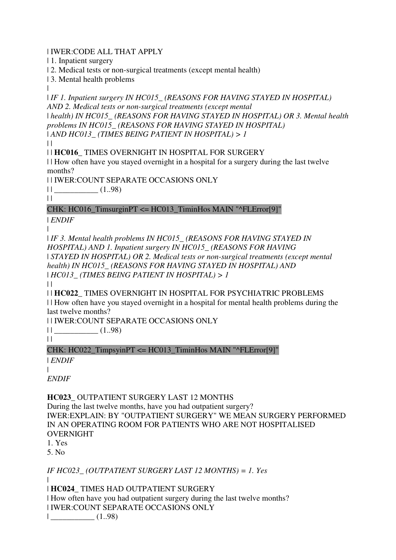| IWER:CODE ALL THAT APPLY

| 1. Inpatient surgery

| 2. Medical tests or non-surgical treatments (except mental health)

| 3. Mental health problems

|

| *IF 1. Inpatient surgery IN HC015\_ (REASONS FOR HAVING STAYED IN HOSPITAL) AND 2. Medical tests or non-surgical treatments (except mental*  | *health) IN HC015\_ (REASONS FOR HAVING STAYED IN HOSPITAL) OR 3. Mental health problems IN HC015\_ (REASONS FOR HAVING STAYED IN HOSPITAL)*  | *AND HC013\_ (TIMES BEING PATIENT IN HOSPITAL) > 1*

 $| |$ 

| | **HC016\_** TIMES OVERNIGHT IN HOSPITAL FOR SURGERY

| | How often have you stayed overnight in a hospital for a surgery during the last twelve months?

| | IWER:COUNT SEPARATE OCCASIONS ONLY

| | \_\_\_\_\_\_\_\_\_\_\_ (1..98)

 $\|$ 

# CHK: HC016\_TimsurginPT <= HC013\_TiminHos MAIN "^FLError[9]"

| *ENDIF*

|

| *IF 3. Mental health problems IN HC015\_ (REASONS FOR HAVING STAYED IN HOSPITAL) AND 1. Inpatient surgery IN HC015\_ (REASONS FOR HAVING*  | *STAYED IN HOSPITAL) OR 2. Medical tests or non-surgical treatments (except mental health) IN HC015\_ (REASONS FOR HAVING STAYED IN HOSPITAL) AND*  | *HC013\_ (TIMES BEING PATIENT IN HOSPITAL) > 1*

 $\|$ 

| | **HC022\_** TIMES OVERNIGHT IN HOSPITAL FOR PSYCHIATRIC PROBLEMS

| | How often have you stayed overnight in a hospital for mental health problems during the last twelve months?

| | IWER:COUNT SEPARATE OCCASIONS ONLY

 $||$   $(1.98)$ 

 $||$ 

CHK: HC022\_TimpsyinPT <= HC013\_TiminHos MAIN "^FLError[9]"

| *ENDIF*

| *ENDIF*

**HC023\_** OUTPATIENT SURGERY LAST 12 MONTHS

During the last twelve months, have you had outpatient surgery? IWER:EXPLAIN: BY "OUTPATIENT SURGERY" WE MEAN SURGERY PERFORMED IN AN OPERATING ROOM FOR PATIENTS WHO ARE NOT HOSPITALISED OVERNIGHT

1. Yes

5. No

*IF HC023\_ (OUTPATIENT SURGERY LAST 12 MONTHS) = 1. Yes*

 $\blacksquare$ 

| **HC024\_** TIMES HAD OUTPATIENT SURGERY | How often have you had outpatient surgery during the last twelve months?

| IWER:COUNT SEPARATE OCCASIONS ONLY

| \_\_\_\_\_\_\_\_\_\_\_ (1..98)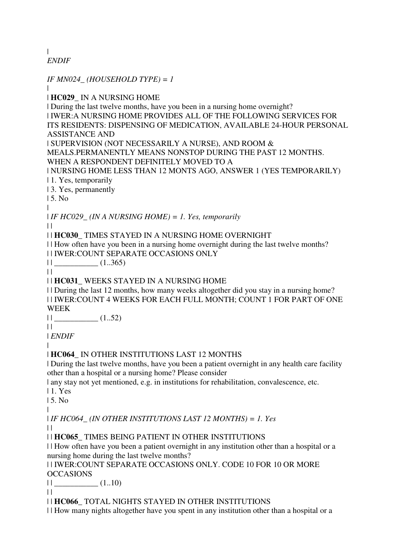| *ENDIF*

*IF MN024\_ (HOUSEHOLD TYPE) = 1* | | **HC029\_** IN A NURSING HOME | During the last twelve months, have you been in a nursing home overnight? | IWER:A NURSING HOME PROVIDES ALL OF THE FOLLOWING SERVICES FOR ITS RESIDENTS: DISPENSING OF MEDICATION, AVAILABLE 24-HOUR PERSONAL ASSISTANCE AND | SUPERVISION (NOT NECESSARILY A NURSE), AND ROOM & MEALS.PERMANENTLY MEANS NONSTOP DURING THE PAST 12 MONTHS. WHEN A RESPONDENT DEFINITELY MOVED TO A | NURSING HOME LESS THAN 12 MONTS AGO, ANSWER 1 (YES TEMPORARILY) | 1. Yes, temporarily | 3. Yes, permanently  $15$ . No. | | *IF HC029\_ (IN A NURSING HOME) = 1. Yes, temporarily*  $\perp$ | | **HC030\_** TIMES STAYED IN A NURSING HOME OVERNIGHT | | How often have you been in a nursing home overnight during the last twelve months? | | IWER:COUNT SEPARATE OCCASIONS ONLY  $||$   $(1..365)$  $\|$ | | **HC031\_** WEEKS STAYED IN A NURSING HOME | | During the last 12 months, how many weeks altogether did you stay in a nursing home? | | IWER:COUNT 4 WEEKS FOR EACH FULL MONTH; COUNT 1 FOR PART OF ONE WEEK  $||$   $(1..52)$  $\perp$ | *ENDIF* | | **HC064\_** IN OTHER INSTITUTIONS LAST 12 MONTHS | During the last twelve months, have you been a patient overnight in any health care facility other than a hospital or a nursing home? Please consider | any stay not yet mentioned, e.g. in institutions for rehabilitation, convalescence, etc. | 1. Yes | 5. No | | *IF HC064\_ (IN OTHER INSTITUTIONS LAST 12 MONTHS) = 1. Yes*  $\perp$ | | **HC065\_** TIMES BEING PATIENT IN OTHER INSTITUTIONS | | How often have you been a patient overnight in any institution other than a hospital or a nursing home during the last twelve months? | | IWER:COUNT SEPARATE OCCASIONS ONLY. CODE 10 FOR 10 OR MORE **OCCASIONS**  $||$   $(1..10)$  $| |$ | | **HC066\_** TOTAL NIGHTS STAYED IN OTHER INSTITUTIONS | | How many nights altogether have you spent in any institution other than a hospital or a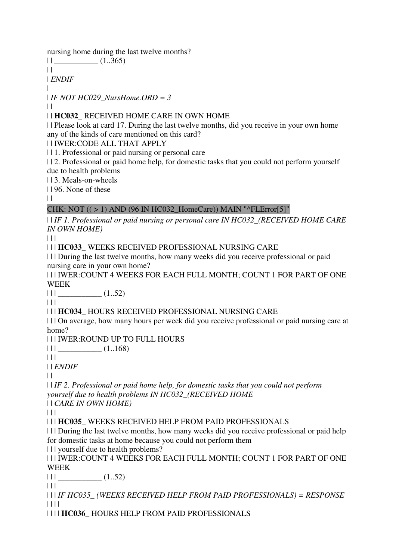nursing home during the last twelve months?

 $||$   $(1..365)$ 

 $||$ 

| *ENDIF* |

| *IF NOT HC029\_NursHome.ORD = 3*

 $| |$ 

| | **HC032\_** RECEIVED HOME CARE IN OWN HOME

| | Please look at card 17. During the last twelve months, did you receive in your own home any of the kinds of care mentioned on this card?

| | IWER:CODE ALL THAT APPLY

| | 1. Professional or paid nursing or personal care

| | 2. Professional or paid home help, for domestic tasks that you could not perform yourself due to health problems

| | 3. Meals-on-wheels

| | 96. None of these

 $\|$ 

# CHK: NOT  $((>1)$  AND  $(96$  IN HC032\_HomeCare)) MAIN "^FLError[5]"

| | *IF 1. Professional or paid nursing or personal care IN HC032\_(RECEIVED HOME CARE IN OWN HOME)*

 $| 11$ 

| | | **HC033\_** WEEKS RECEIVED PROFESSIONAL NURSING CARE

| | | During the last twelve months, how many weeks did you receive professional or paid nursing care in your own home?

| | | IWER:COUNT 4 WEEKS FOR EACH FULL MONTH; COUNT 1 FOR PART OF ONE WEEK

| | | \_\_\_\_\_\_\_\_\_\_\_ (1..52)

 $|| ||$ 

# | | | **HC034\_** HOURS RECEIVED PROFESSIONAL NURSING CARE

| | | On average, how many hours per week did you receive professional or paid nursing care at home?

| | | IWER:ROUND UP TO FULL HOURS

 $|| ||$   $|| \tfrac{1}{\sqrt{2}}$  (1..168)

| | |

| | *ENDIF*

 $\|$ 

| | *IF 2. Professional or paid home help, for domestic tasks that you could not perform yourself due to health problems IN HC032\_(RECEIVED HOME* 

| | *CARE IN OWN HOME)*

 $| | | |$ 

| | | **HC035\_** WEEKS RECEIVED HELP FROM PAID PROFESSIONALS

| | | During the last twelve months, how many weeks did you receive professional or paid help for domestic tasks at home because you could not perform them

| | | yourself due to health problems?

| | | IWER:COUNT 4 WEEKS FOR EACH FULL MONTH; COUNT 1 FOR PART OF ONE WEEK

 $|| ||$   $(1..52)$ 

 $| 11$ 

| | | *IF HC035\_ (WEEKS RECEIVED HELP FROM PAID PROFESSIONALS) = RESPONSE* | | | |

| | | | **HC036\_** HOURS HELP FROM PAID PROFESSIONALS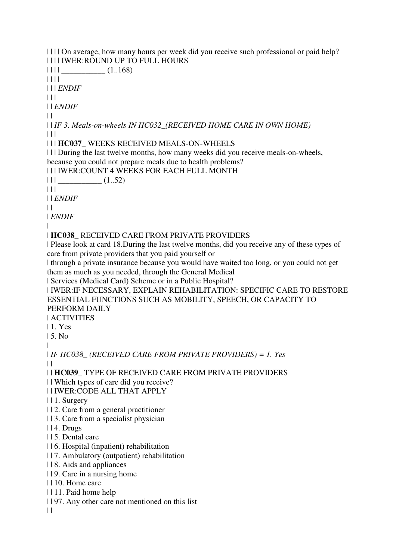| | | | On average, how many hours per week did you receive such professional or paid help? | | | | IWER:ROUND UP TO FULL HOURS

 $\| \cdot \|$   $\|$   $(1.168)$ 

| | | |

| | | *ENDIF*

 $| | |$ 

| | *ENDIF*

 $\perp$ 

| | *IF 3. Meals-on-wheels IN HC032\_(RECEIVED HOME CARE IN OWN HOME)*  $\Box$ 

| | | **HC037\_** WEEKS RECEIVED MEALS-ON-WHEELS

| | | During the last twelve months, how many weeks did you receive meals-on-wheels, because you could not prepare meals due to health problems?

| | | IWER:COUNT 4 WEEKS FOR EACH FULL MONTH

 $\left| \begin{array}{c} \end{array} \right|$   $\left| \begin{array}{c} \end{array} \right|$   $\left| \begin{array}{c} \end{array} \right|$   $\left| \begin{array}{c} \end{array} \right|$   $\left| \begin{array}{c} \end{array} \right|$   $\left| \begin{array}{c} \end{array} \right|$   $\left| \begin{array}{c} \end{array} \right|$   $\left| \begin{array}{c} \end{array}$ 

 $| 11 |$ 

| | *ENDIF*

 $\|$ 

| *ENDIF*

|

| **HC038\_** RECEIVED CARE FROM PRIVATE PROVIDERS

| Please look at card 18.During the last twelve months, did you receive any of these types of care from private providers that you paid yourself or

| through a private insurance because you would have waited too long, or you could not get them as much as you needed, through the General Medical

| Services (Medical Card) Scheme or in a Public Hospital?

| IWER:IF NECESSARY, EXPLAIN REHABILITATION: SPECIFIC CARE TO RESTORE ESSENTIAL FUNCTIONS SUCH AS MOBILITY, SPEECH, OR CAPACITY TO PERFORM DAILY

| ACTIVITIES

| 1. Yes

| 5. No

|

| *IF HC038\_ (RECEIVED CARE FROM PRIVATE PROVIDERS) = 1. Yes*  $\perp$ 

| | **HC039\_** TYPE OF RECEIVED CARE FROM PRIVATE PROVIDERS

| | Which types of care did you receive?

| | IWER:CODE ALL THAT APPLY

- | | 1. Surgery
- | | 2. Care from a general practitioner
- | | 3. Care from a specialist physician
- | | 4. Drugs
- | | 5. Dental care
- | | 6. Hospital (inpatient) rehabilitation
- | | 7. Ambulatory (outpatient) rehabilitation
- | | 8. Aids and appliances
- | | 9. Care in a nursing home
- | | 10. Home care
- | | 11. Paid home help
- | | 97. Any other care not mentioned on this list

 $\|$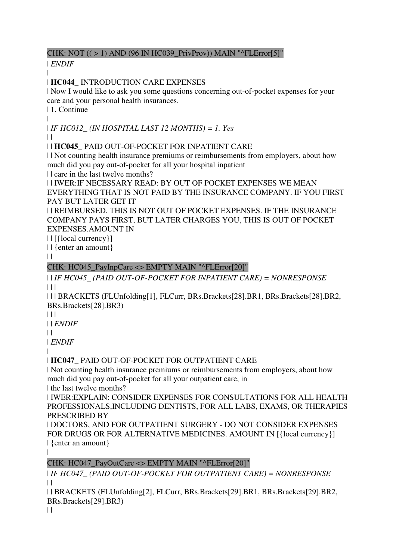# CHK: NOT (( > 1) AND (96 IN HC039\_PrivProv)) MAIN "^FLError[5]"

| *ENDIF*

| | **HC044\_** INTRODUCTION CARE EXPENSES

| Now I would like to ask you some questions concerning out-of-pocket expenses for your care and your personal health insurances.

| 1. Continue

|

| *IF HC012\_ (IN HOSPITAL LAST 12 MONTHS) = 1. Yes*

 $| |$ 

| | **HC045\_** PAID OUT-OF-POCKET FOR INPATIENT CARE

| | Not counting health insurance premiums or reimbursements from employers, about how much did you pay out-of-pocket for all your hospital inpatient

| | care in the last twelve months?

| | IWER:IF NECESSARY READ: BY OUT OF POCKET EXPENSES WE MEAN EVERYTHING THAT IS NOT PAID BY THE INSURANCE COMPANY. IF YOU FIRST PAY BUT LATER GET IT

| | REIMBURSED, THIS IS NOT OUT OF POCKET EXPENSES. IF THE INSURANCE COMPANY PAYS FIRST, BUT LATER CHARGES YOU, THIS IS OUT OF POCKET EXPENSES.AMOUNT IN

| | [{local currency}]

| | {enter an amount}

 $\|$ 

# CHK: HC045\_PayInpCare <> EMPTY MAIN "^FLError[20]"

| | *IF HC045\_ (PAID OUT-OF-POCKET FOR INPATIENT CARE) = NONRESPONSE*  $|| ||$ 

| | | BRACKETS (FLUnfolding[1], FLCurr, BRs.Brackets[28].BR1, BRs.Brackets[28].BR2, BRs.Brackets[28].BR3)

| | |

| | *ENDIF*

 $\perp$ 

| *ENDIF*

|

# | **HC047\_** PAID OUT-OF-POCKET FOR OUTPATIENT CARE

| Not counting health insurance premiums or reimbursements from employers, about how much did you pay out-of-pocket for all your outpatient care, in

| the last twelve months?

| IWER:EXPLAIN: CONSIDER EXPENSES FOR CONSULTATIONS FOR ALL HEALTH PROFESSIONALS,INCLUDING DENTISTS, FOR ALL LABS, EXAMS, OR THERAPIES PRESCRIBED BY

| DOCTORS, AND FOR OUTPATIENT SURGERY - DO NOT CONSIDER EXPENSES FOR DRUGS OR FOR ALTERNATIVE MEDICINES. AMOUNT IN [{local currency}] | {enter an amount}  $\blacksquare$ 

# CHK: HC047\_PayOutCare <> EMPTY MAIN "^FLError[20]"

| *IF HC047\_ (PAID OUT-OF-POCKET FOR OUTPATIENT CARE) = NONRESPONSE*  $\|$ 

| | BRACKETS (FLUnfolding[2], FLCurr, BRs.Brackets[29].BR1, BRs.Brackets[29].BR2, BRs.Brackets[29].BR3)

 $\|$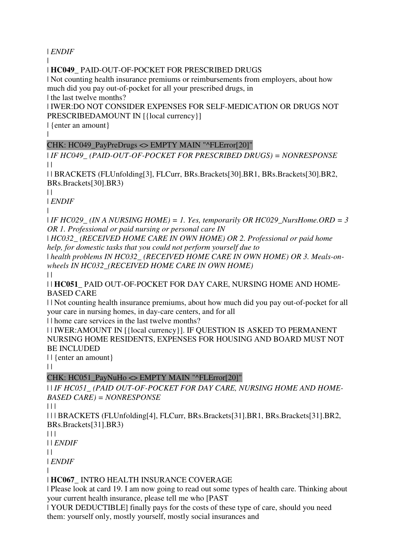| *ENDIF*

| | **HC049\_** PAID-OUT-OF-POCKET FOR PRESCRIBED DRUGS

| Not counting health insurance premiums or reimbursements from employers, about how much did you pay out-of-pocket for all your prescribed drugs, in

| the last twelve months?

| IWER:DO NOT CONSIDER EXPENSES FOR SELF-MEDICATION OR DRUGS NOT PRESCRIBEDAMOUNT IN [{local currency}]

| {enter an amount}

# CHK: HC049\_PayPreDrugs <> EMPTY MAIN "^FLError[20]"

| *IF HC049\_ (PAID-OUT-OF-POCKET FOR PRESCRIBED DRUGS) = NONRESPONSE*  $\perp$ 

| | BRACKETS (FLUnfolding[3], FLCurr, BRs.Brackets[30].BR1, BRs.Brackets[30].BR2, BRs.Brackets[30].BR3)

 $\perp$ 

|

| *ENDIF*

|

| *IF HC029\_ (IN A NURSING HOME) = 1. Yes, temporarily OR HC029\_NursHome.ORD = 3 OR 1. Professional or paid nursing or personal care IN* 

| *HC032\_ (RECEIVED HOME CARE IN OWN HOME) OR 2. Professional or paid home help, for domestic tasks that you could not perform yourself due to* 

| *health problems IN HC032\_ (RECEIVED HOME CARE IN OWN HOME) OR 3. Meals-onwheels IN HC032\_(RECEIVED HOME CARE IN OWN HOME)*

 $\Box$ 

| | **HC051\_** PAID OUT-OF-POCKET FOR DAY CARE, NURSING HOME AND HOME-BASED CARE

| | Not counting health insurance premiums, about how much did you pay out-of-pocket for all your care in nursing homes, in day-care centers, and for all

| | home care services in the last twelve months?

| | IWER:AMOUNT IN [{local currency}]. IF QUESTION IS ASKED TO PERMANENT NURSING HOME RESIDENTS, EXPENSES FOR HOUSING AND BOARD MUST NOT BE INCLUDED

| | {enter an amount}

 $\|$ 

# CHK: HC051\_PayNuHo <> EMPTY MAIN "^FLError[20]"

| | *IF HC051\_ (PAID OUT-OF-POCKET FOR DAY CARE, NURSING HOME AND HOME-BASED CARE) = NONRESPONSE*

 $| 11$ 

| | | BRACKETS (FLUnfolding[4], FLCurr, BRs.Brackets[31].BR1, BRs.Brackets[31].BR2, BRs.Brackets[31].BR3)

 $| 11$ 

| | *ENDIF*

 $\|$ 

| *ENDIF*

|

# | **HC067\_** INTRO HEALTH INSURANCE COVERAGE

| Please look at card 19. I am now going to read out some types of health care. Thinking about your current health insurance, please tell me who [PAST

| YOUR DEDUCTIBLE] finally pays for the costs of these type of care, should you need them: yourself only, mostly yourself, mostly social insurances and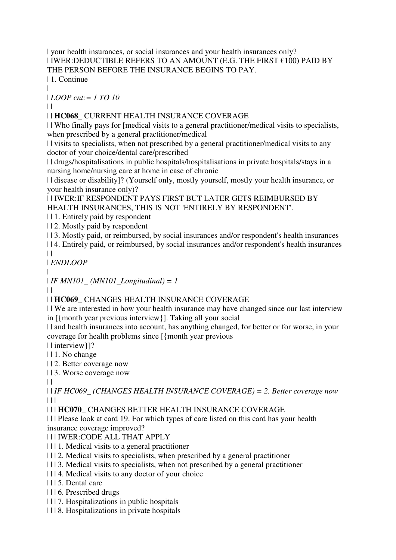| your health insurances, or social insurances and your health insurances only?  $|$  IWER:DEDUCTIBLE REFERS TO AN AMOUNT (E.G. THE FIRST  $€100$ ) PAID BY THE PERSON BEFORE THE INSURANCE BEGINS TO PAY.

| 1. Continue

| | *LOOP cnt:= 1 TO 10*

 $\perp$ 

# | | **HC068\_** CURRENT HEALTH INSURANCE COVERAGE

| | Who finally pays for [medical visits to a general practitioner/medical visits to specialists, when prescribed by a general practitioner/medical

| | visits to specialists, when not prescribed by a general practitioner/medical visits to any doctor of your choice/dental care/prescribed

| | drugs/hospitalisations in public hospitals/hospitalisations in private hospitals/stays in a nursing home/nursing care at home in case of chronic

| | disease or disability]? (Yourself only, mostly yourself, mostly your health insurance, or your health insurance only)?

| | IWER:IF RESPONDENT PAYS FIRST BUT LATER GETS REIMBURSED BY HEALTH INSURANCES, THIS IS NOT 'ENTIRELY BY RESPONDENT'.

| | 1. Entirely paid by respondent

| | 2. Mostly paid by respondent

| | 3. Mostly paid, or reimbursed, by social insurances and/or respondent's health insurances

| | 4. Entirely paid, or reimbursed, by social insurances and/or respondent's health insurances  $\perp$ 

| *ENDLOOP*

|

| *IF MN101\_ (MN101\_Longitudinal) = 1*

 $| |$ 

| | **HC069\_** CHANGES HEALTH INSURANCE COVERAGE

| | We are interested in how your health insurance may have changed since our last interview in [{month year previous interview}]. Taking all your social

| | and health insurances into account, has anything changed, for better or for worse, in your coverage for health problems since [{month year previous

| | interview}]?

- | | 1. No change
- | | 2. Better coverage now
- | | 3. Worse coverage now

 $\perp$ 

| | *IF HC069\_ (CHANGES HEALTH INSURANCE COVERAGE) = 2. Better coverage now*  $\Box$ 

| | | **HC070\_** CHANGES BETTER HEALTH INSURANCE COVERAGE

| | | Please look at card 19. For which types of care listed on this card has your health insurance coverage improved?

# | | | IWER:CODE ALL THAT APPLY

- | | | 1. Medical visits to a general practitioner
- | | | 2. Medical visits to specialists, when prescribed by a general practitioner
- | | | 3. Medical visits to specialists, when not prescribed by a general practitioner
- | | | 4. Medical visits to any doctor of your choice
- | | | 5. Dental care
- | | | 6. Prescribed drugs
- | | | 7. Hospitalizations in public hospitals
- | | | 8. Hospitalizations in private hospitals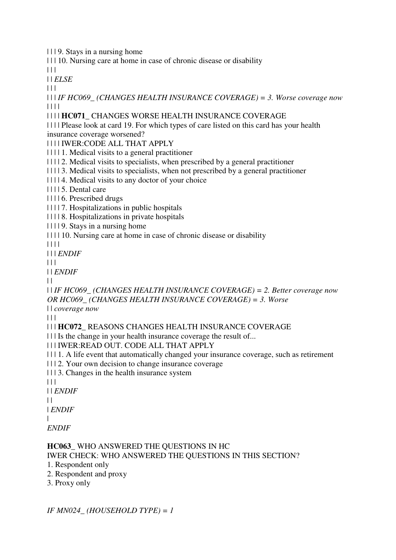| | | 9. Stays in a nursing home

| | | 10. Nursing care at home in case of chronic disease or disability

 $\Box$ | | *ELSE*

 $| 11 |$ 

| | | *IF HC069\_ (CHANGES HEALTH INSURANCE COVERAGE) = 3. Worse coverage now* | | | |

### | | | | **HC071\_** CHANGES WORSE HEALTH INSURANCE COVERAGE

| | | | Please look at card 19. For which types of care listed on this card has your health insurance coverage worsened?

| | | | IWER:CODE ALL THAT APPLY

| | | | 1. Medical visits to a general practitioner

- | | | | 2. Medical visits to specialists, when prescribed by a general practitioner
- | | | | 3. Medical visits to specialists, when not prescribed by a general practitioner
- | | | | 4. Medical visits to any doctor of your choice

| | | | 5. Dental care

| | | | 6. Prescribed drugs

| | | | 7. Hospitalizations in public hospitals

| | | | 8. Hospitalizations in private hospitals

| | | | 9. Stays in a nursing home

| | | | 10. Nursing care at home in case of chronic disease or disability

| | | |

| | | *ENDIF*

| | |

| | *ENDIF*

 $\perp$ 

| | *IF HC069\_ (CHANGES HEALTH INSURANCE COVERAGE) = 2. Better coverage now OR HC069\_ (CHANGES HEALTH INSURANCE COVERAGE) = 3. Worse* 

| | *coverage now*

 $| 11$ 

| | | **HC072\_** REASONS CHANGES HEALTH INSURANCE COVERAGE

| | | Is the change in your health insurance coverage the result of...

| | | IWER:READ OUT. CODE ALL THAT APPLY

| | | 1. A life event that automatically changed your insurance coverage, such as retirement

| | | 2. Your own decision to change insurance coverage

| | | 3. Changes in the health insurance system

 $| 11$ 

| | *ENDIF*

 $\perp$ 

| *ENDIF*

| *ENDIF*

# **HC063\_** WHO ANSWERED THE QUESTIONS IN HC

IWER CHECK: WHO ANSWERED THE QUESTIONS IN THIS SECTION?

- 1. Respondent only
- 2. Respondent and proxy
- 3. Proxy only

*IF MN024\_ (HOUSEHOLD TYPE) = 1*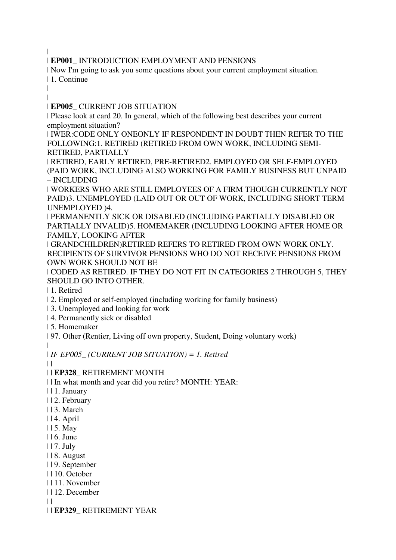|

| **EP001\_** INTRODUCTION EMPLOYMENT AND PENSIONS

| Now I'm going to ask you some questions about your current employment situation. | 1. Continue

| |

| **EP005\_** CURRENT JOB SITUATION

| Please look at card 20. In general, which of the following best describes your current employment situation?

| IWER:CODE ONLY ONEONLY IF RESPONDENT IN DOUBT THEN REFER TO THE FOLLOWING:1. RETIRED (RETIRED FROM OWN WORK, INCLUDING SEMI-RETIRED, PARTIALLY

| RETIRED, EARLY RETIRED, PRE-RETIRED2. EMPLOYED OR SELF-EMPLOYED (PAID WORK, INCLUDING ALSO WORKING FOR FAMILY BUSINESS BUT UNPAID – INCLUDING

| WORKERS WHO ARE STILL EMPLOYEES OF A FIRM THOUGH CURRENTLY NOT PAID)3. UNEMPLOYED (LAID OUT OR OUT OF WORK, INCLUDING SHORT TERM UNEMPLOYED )4.

| PERMANENTLY SICK OR DISABLED (INCLUDING PARTIALLY DISABLED OR PARTIALLY INVALID)5. HOMEMAKER (INCLUDING LOOKING AFTER HOME OR FAMILY, LOOKING AFTER

| GRANDCHILDREN)RETIRED REFERS TO RETIRED FROM OWN WORK ONLY. RECIPIENTS OF SURVIVOR PENSIONS WHO DO NOT RECEIVE PENSIONS FROM OWN WORK SHOULD NOT BE

| CODED AS RETIRED. IF THEY DO NOT FIT IN CATEGORIES 2 THROUGH 5, THEY SHOULD GO INTO OTHER.

| 1. Retired

| 2. Employed or self-employed (including working for family business)

| 3. Unemployed and looking for work

| 4. Permanently sick or disabled

| 5. Homemaker

| 97. Other (Rentier, Living off own property, Student, Doing voluntary work) |

| *IF EP005\_ (CURRENT JOB SITUATION) = 1. Retired*

 $\perp$ 

### | | **EP328\_** RETIREMENT MONTH

| | In what month and year did you retire? MONTH: YEAR:

- | | 1. January
- | | 2. February
- | | 3. March
- | | 4. April
- | | 5. May
- | | 6. June
- | | 7. July
- | | 8. August
- | | 9. September
- | | 10. October
- | | 11. November
- | | 12. December

 $\perp$ 

| | **EP329\_** RETIREMENT YEAR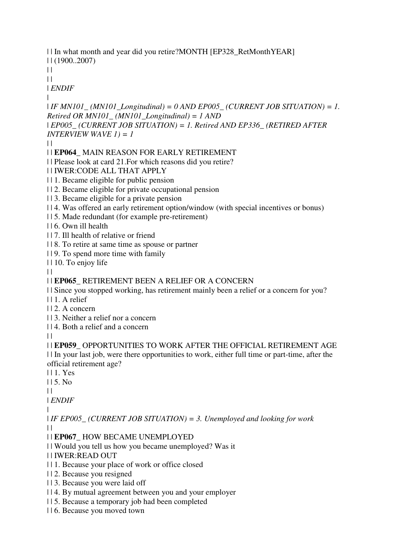| | In what month and year did you retire?MONTH [EP328\_RetMonthYEAR] | | (1900..2007)

 $\|$  $\perp$ 

| *ENDIF*

|

| *IF MN101\_ (MN101\_Longitudinal) = 0 AND EP005\_ (CURRENT JOB SITUATION) = 1. Retired OR MN101\_ (MN101\_Longitudinal) = 1 AND* 

| *EP005\_ (CURRENT JOB SITUATION) = 1. Retired AND EP336\_ (RETIRED AFTER INTERVIEW WAVE 1) = 1*

 $\perp$ 

| | **EP064\_** MAIN REASON FOR EARLY RETIREMENT

| | Please look at card 21.For which reasons did you retire?

| | IWER:CODE ALL THAT APPLY

| | 1. Became eligible for public pension

| | 2. Became eligible for private occupational pension

| | 3. Became eligible for a private pension

| | 4. Was offered an early retirement option/window (with special incentives or bonus)

| | 5. Made redundant (for example pre-retirement)

| | 6. Own ill health

| | 7. Ill health of relative or friend

| | 8. To retire at same time as spouse or partner

| | 9. To spend more time with family

| | 10. To enjoy life

 $\|$ 

# | | **EP065\_** RETIREMENT BEEN A RELIEF OR A CONCERN

| | Since you stopped working, has retirement mainly been a relief or a concern for you?

| | 1. A relief

| | 2. A concern

| | 3. Neither a relief nor a concern

| | 4. Both a relief and a concern

 $| |$ 

| | **EP059\_** OPPORTUNITIES TO WORK AFTER THE OFFICIAL RETIREMENT AGE | | In your last job, were there opportunities to work, either full time or part-time, after the official retirement age?

| | 1. Yes

| | 5. No

 $| |$ 

| *ENDIF*

|

| *IF EP005\_ (CURRENT JOB SITUATION) = 3. Unemployed and looking for work*  $\perp$ 

# | | **EP067\_** HOW BECAME UNEMPLOYED

| | Would you tell us how you became unemployed? Was it

| | IWER:READ OUT

- | | 1. Because your place of work or office closed
- | | 2. Because you resigned
- | | 3. Because you were laid off
- | | 4. By mutual agreement between you and your employer
- | | 5. Because a temporary job had been completed
- | | 6. Because you moved town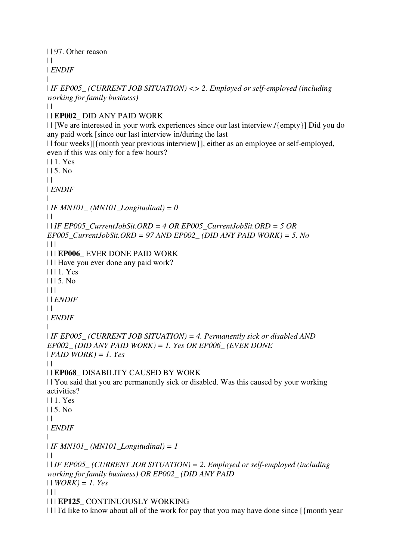| | 97. Other reason

 $\|$ 

|

| *ENDIF*

| *IF EP005\_ (CURRENT JOB SITUATION) <> 2. Employed or self-employed (including working for family business)*

 $| |$ 

# | | **EP002\_** DID ANY PAID WORK

| | [We are interested in your work experiences since our last interview./{empty}] Did you do any paid work [since our last interview in/during the last

| | four weeks][{month year previous interview}], either as an employee or self-employed, even if this was only for a few hours?

| | 1. Yes | | 5. No  $\perp$ | *ENDIF* | | *IF MN101\_ (MN101\_Longitudinal) = 0*  $\perp$ | | *IF EP005\_CurrentJobSit.ORD = 4 OR EP005\_CurrentJobSit.ORD = 5 OR EP005\_CurrentJobSit.ORD = 97 AND EP002\_ (DID ANY PAID WORK) = 5. No*  $| 11$ | | | **EP006\_** EVER DONE PAID WORK | | | Have you ever done any paid work? | | | 1. Yes  $1115. No$ | | | | | *ENDIF*  $| |$ | *ENDIF* | | *IF EP005\_ (CURRENT JOB SITUATION) = 4. Permanently sick or disabled AND EP002\_ (DID ANY PAID WORK) = 1. Yes OR EP006\_ (EVER DONE*  | *PAID WORK) = 1. Yes*  $\perp$ | | **EP068\_** DISABILITY CAUSED BY WORK | | You said that you are permanently sick or disabled. Was this caused by your working activities? | | 1. Yes | | 5. No  $\perp$ | *ENDIF* | | *IF MN101\_ (MN101\_Longitudinal) = 1*  $\perp$ | | *IF EP005\_ (CURRENT JOB SITUATION) = 2. Employed or self-employed (including working for family business) OR EP002\_ (DID ANY PAID*  | | *WORK) = 1. Yes*  $| 11$ | | | **EP125\_** CONTINUOUSLY WORKING

| | | I'd like to know about all of the work for pay that you may have done since [{month year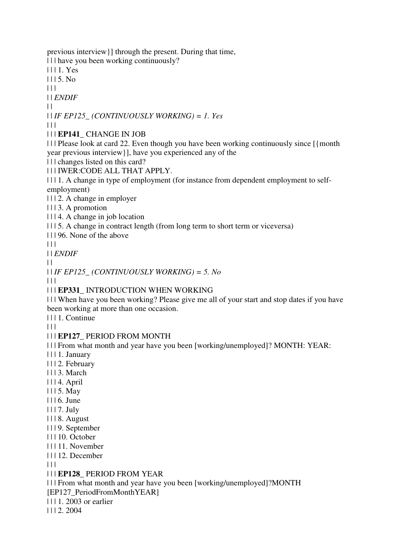previous interview}] through the present. During that time,

| | | have you been working continuously?

| | | 1. Yes

 $1115. No$ 

| | |

| | *ENDIF*

 $| |$ 

| | *IF EP125\_ (CONTINUOUSLY WORKING) = 1. Yes*

| | |

| | | **EP141\_** CHANGE IN JOB

| | | Please look at card 22. Even though you have been working continuously since [{month year previous interview}], have you experienced any of the

| | | changes listed on this card?

| | | IWER:CODE ALL THAT APPLY.

| | | 1. A change in type of employment (for instance from dependent employment to selfemployment)

| | | 2. A change in employer

| | | 3. A promotion

| | | 4. A change in job location

| | | 5. A change in contract length (from long term to short term or viceversa)

| | | 96. None of the above

 $| 11$ 

| | *ENDIF*

 $\perp$ 

| | *IF EP125\_ (CONTINUOUSLY WORKING) = 5. No*

 $| 11$ 

| | | **EP331\_** INTRODUCTION WHEN WORKING

| | | When have you been working? Please give me all of your start and stop dates if you have been working at more than one occasion.

| | | 1. Continue

 $| 11$ 

### | | | **EP127\_** PERIOD FROM MONTH

| | | From what month and year have you been [working/unemployed]? MONTH: YEAR:

| | | 1. January

- | | | 2. February
- | | | 3. March
- | | | 4. April
- | | | 5. May
- | | | 6. June
- | | | 7. July
- | | | 8. August
- | | | 9. September
- | | | 10. October
- | | | 11. November
- | | | 12. December

 $\Box$ 

### | | | **EP128\_** PERIOD FROM YEAR

| | | From what month and year have you been [working/unemployed]?MONTH [EP127\_PeriodFromMonthYEAR]

| | | 1. 2003 or earlier

| | | 2. 2004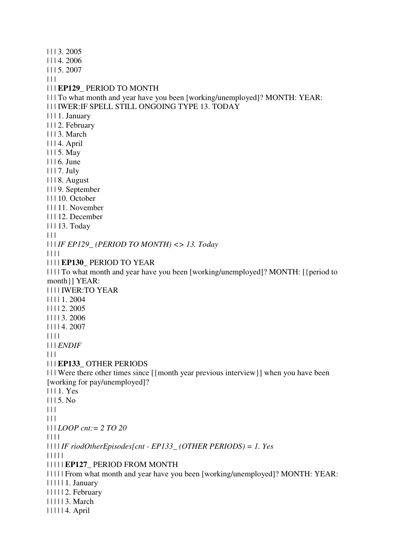| | | 3. 2005 | | | 4. 2006 | | | 5. 2007  $| 11$ | | | **EP129\_** PERIOD TO MONTH | | | To what month and year have you been [working/unemployed]? MONTH: YEAR: | | | IWER:IF SPELL STILL ONGOING TYPE 13. TODAY | | | 1. January | | | 2. February | | | 3. March | | | 4. April | | | 5. May | | | 6. June | | | 7. July | | | 8. August | | | 9. September | | | 10. October | | | 11. November | | | 12. December | | | 13. Today  $\Box$ | | | *IF EP129\_ (PERIOD TO MONTH) <> 13. Today* | | | | | | | | **EP130\_** PERIOD TO YEAR | | | | To what month and year have you been [working/unemployed]? MONTH: [{period to month}] YEAR: | | | | IWER:TO YEAR | | | | 1. 2004 | | | | 2. 2005 | | | | 3. 2006 | | | | 4. 2007 | | | | | | | *ENDIF*  $| 11$ | | | **EP133\_** OTHER PERIODS | | | Were there other times since [{month year previous interview}] when you have been [working for pay/unemployed]? | | | 1. Yes  $1115. No$  $\Box$  $| 11 |$ | | | *LOOP cnt:= 2 TO 20* | | | | | | | | *IF riodOtherEpisodes[cnt - EP133\_ (OTHER PERIODS) = 1. Yes* | | | | | | | | | | **EP127\_** PERIOD FROM MONTH | | | | | From what month and year have you been [working/unemployed]? MONTH: YEAR: | | | | | 1. January | | | | | 2. February | | | | | 3. March | | | | | 4. April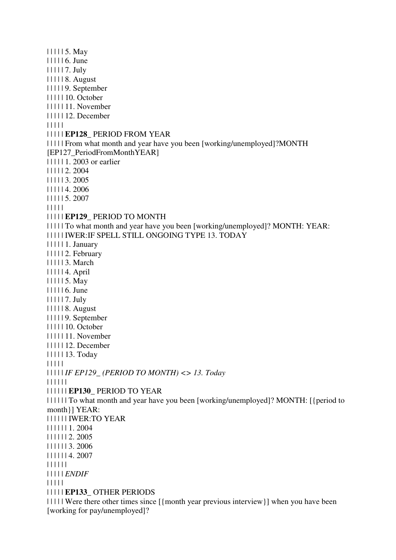| | | | | 5. May | | | | | 6. June | | | | | 7. July | | | | | 8. August | | | | | 9. September | | | | | 10. October | | | | | 11. November | | | | | 12. December | | | | | | | | | | **EP128\_** PERIOD FROM YEAR | | | | | From what month and year have you been [working/unemployed]?MONTH [EP127\_PeriodFromMonthYEAR] | | | | | 1. 2003 or earlier | | | | | 2. 2004 | | | | | 3. 2005 | | | | | 4. 2006 | | | | | 5. 2007 | | | | | | | | | | **EP129\_** PERIOD TO MONTH | | | | | To what month and year have you been [working/unemployed]? MONTH: YEAR: | | | | | IWER:IF SPELL STILL ONGOING TYPE 13. TODAY | | | | | 1. January | | | | | 2. February | | | | | 3. March | | | | | 4. April | | | | | 5. May | | | | | 6. June | | | | | 7. July | | | | | 8. August | | | | | 9. September | | | | | 10. October | | | | | 11. November | | | | | 12. December | | | | | 13. Today | | | | | | | | | | *IF EP129\_ (PERIOD TO MONTH) <> 13. Today* | | | | | | | | | | | | **EP130\_** PERIOD TO YEAR | | | | | | To what month and year have you been [working/unemployed]? MONTH: [{period to month}] YEAR: | | | | | | IWER:TO YEAR | | | | | | 1. 2004 | | | | | | 2. 2005 | | | | | | 3. 2006 | | | | | | 4. 2007 | | | | | | | | | | | *ENDIF* | | | | | | | | | | **EP133\_** OTHER PERIODS | | | | | Were there other times since [{month year previous interview}] when you have been [working for pay/unemployed]?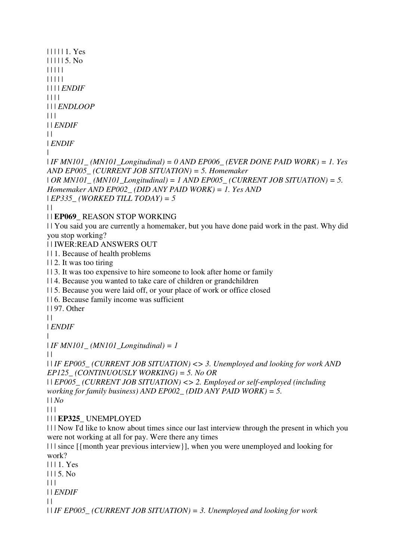```
| | | | | 1. Yes 
| | | | | 5. No 
| | | | | 
| | | | | 
| | | | ENDIF
| | | | 
| | | ENDLOOP
\Box| | ENDIF
\|| ENDIF
| 
| IF MN101_ (MN101_Longitudinal) = 0 AND EP006_ (EVER DONE PAID WORK) = 1. Yes 
AND EP005_ (CURRENT JOB SITUATION) = 5. Homemaker 
| OR MN101_ (MN101_Longitudinal) = 1 AND EP005_ (CURRENT JOB SITUATION) = 5. 
Homemaker AND EP002_ (DID ANY PAID WORK) = 1. Yes AND 
| EP335_ (WORKED TILL TODAY) = 5
\perp| | EP069_ REASON STOP WORKING 
| | You said you are currently a homemaker, but you have done paid work in the past. Why did 
you stop working? 
| | IWER:READ ANSWERS OUT 
| | 1. Because of health problems 
| | 2. It was too tiring 
| | 3. It was too expensive to hire someone to look after home or family
| | 4. Because you wanted to take care of children or grandchildren 
| | 5. Because you were laid off, or your place of work or office closed 
| | 6. Because family income was sufficient 
| | 97. Other 
\|| ENDIF
| 
| IF MN101_ (MN101_Longitudinal) = 1
\perp| | IF EP005_ (CURRENT JOB SITUATION) <> 3. Unemployed and looking for work AND 
EP125_ (CONTINUOUSLY WORKING) = 5. No OR 
| | EP005_ (CURRENT JOB SITUATION) <> 2. Employed or self-employed (including 
working for family business) AND EP002_ (DID ANY PAID WORK) = 5. 
| | No
\Box| | | EP325_ UNEMPLOYED 
| | | Now I'd like to know about times since our last interview through the present in which you 
were not working at all for pay. Were there any times 
| | | since [{month year previous interview}], when you were unemployed and looking for 
work? 
| | | 1. Yes 
| | | 5. No 
\Box| | ENDIF
| | 
| | IF EP005_ (CURRENT JOB SITUATION) = 3. Unemployed and looking for work
```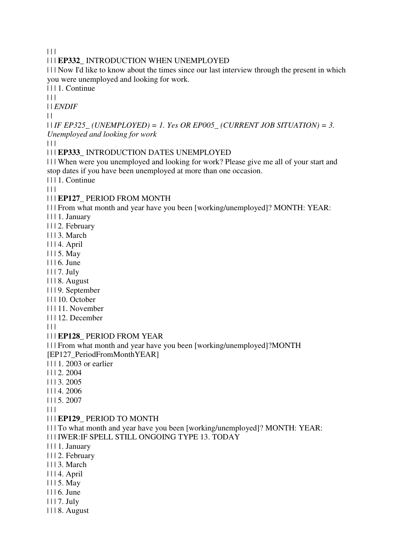$|| ||$ 

### | | | **EP332\_** INTRODUCTION WHEN UNEMPLOYED

| | | Now I'd like to know about the times since our last interview through the present in which you were unemployed and looking for work.

| | | 1. Continue

 $| 11$ 

| | *ENDIF*

 $| |$ 

| | *IF EP325\_ (UNEMPLOYED) = 1. Yes OR EP005\_ (CURRENT JOB SITUATION) = 3. Unemployed and looking for work*

 $| 11$ 

### | | | **EP333\_** INTRODUCTION DATES UNEMPLOYED

| | | When were you unemployed and looking for work? Please give me all of your start and stop dates if you have been unemployed at more than one occasion.

| | | 1. Continue

 $| 11$ 

### | | | **EP127\_** PERIOD FROM MONTH

| | | From what month and year have you been [working/unemployed]? MONTH: YEAR:

| | | 1. January

| | | 2. February

- | | | 3. March
- | | | 4. April
- | | | 5. May
- | | | 6. June
- | | | 7. July
- | | | 8. August
- | | | 9. September
- | | | 10. October
- | | | 11. November
- | | | 12. December

| | |

#### | | | **EP128\_** PERIOD FROM YEAR

| | | From what month and year have you been [working/unemployed]?MONTH [EP127\_PeriodFromMonthYEAR]

| | | 1. 2003 or earlier

- | | | 2. 2004
- | | | 3. 2005
- | | | 4. 2006
- | | | 5. 2007

 $\Box$ 

#### | | | **EP129\_** PERIOD TO MONTH

- | | | To what month and year have you been [working/unemployed]? MONTH: YEAR:
- | | | IWER:IF SPELL STILL ONGOING TYPE 13. TODAY
- | | | 1. January
- | | | 2. February
- | | | 3. March
- | | | 4. April
- | | | 5. May
- | | | 6. June
- | | | 7. July
- | | | 8. August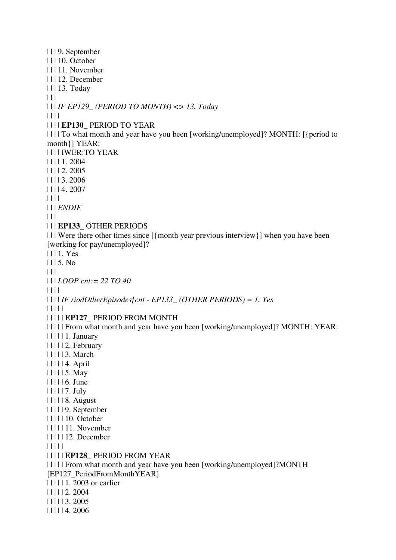| | | 9. September | | | 10. October | | | 11. November | | | 12. December | | | 13. Today  $|| ||$ | | | *IF EP129\_ (PERIOD TO MONTH) <> 13. Today* | | | | | | | | **EP130\_** PERIOD TO YEAR | | | | To what month and year have you been [working/unemployed]? MONTH: [{period to month}] YEAR: | | | | IWER:TO YEAR | | | | 1. 2004 | | | | 2. 2005 | | | | 3. 2006 | | | | 4. 2007  $|| || ||$ | | | *ENDIF*  $| 11$ | | | **EP133\_** OTHER PERIODS | | | Were there other times since [{month year previous interview}] when you have been [working for pay/unemployed]? | | | 1. Yes | | | 5. No  $\begin{array}{c|c} \hline \end{array}$ | | | *LOOP cnt:= 22 TO 40* | | | | | | | | *IF riodOtherEpisodes[cnt - EP133\_ (OTHER PERIODS) = 1. Yes* | | | | | | | | | | **EP127\_** PERIOD FROM MONTH | | | | | From what month and year have you been [working/unemployed]? MONTH: YEAR: | | | | | 1. January | | | | | 2. February | | | | | 3. March | | | | | 4. April | | | | | 5. May | | | | | 6. June | | | | | 7. July | | | | | 8. August | | | | | 9. September | | | | | 10. October | | | | | 11. November | | | | | 12. December | | | | | | | | | | **EP128\_** PERIOD FROM YEAR | | | | | From what month and year have you been [working/unemployed]?MONTH [EP127\_PeriodFromMonthYEAR] | | | | | 1. 2003 or earlier | | | | | 2. 2004 | | | | | 3. 2005 | | | | | 4. 2006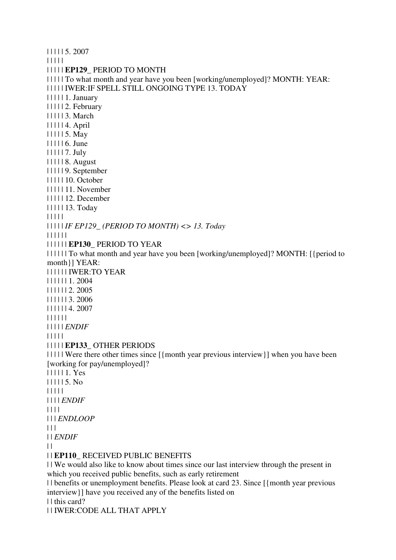| | | | | 5. 2007 | | | | | | | | | | **EP129\_** PERIOD TO MONTH | | | | | To what month and year have you been [working/unemployed]? MONTH: YEAR: | | | | | IWER:IF SPELL STILL ONGOING TYPE 13. TODAY | | | | | 1. January | | | | | 2. February | | | | | 3. March | | | | | 4. April | | | | | 5. May | | | | | 6. June | | | | | 7. July | | | | | 8. August | | | | | 9. September | | | | | 10. October | | | | | 11. November | | | | | 12. December | | | | | 13. Today | | | | | | | | | | *IF EP129\_ (PERIOD TO MONTH) <> 13. Today* | | | | | | | | | | | | **EP130\_** PERIOD TO YEAR | | | | | | To what month and year have you been [working/unemployed]? MONTH: [{period to month}] YEAR: | | | | | | IWER:TO YEAR | | | | | | 1. 2004 | | | | | | 2. 2005 | | | | | | 3. 2006 | | | | | | 4. 2007 | | | | | | | | | | | *ENDIF* | | | | | | | | | | **EP133\_** OTHER PERIODS | | | | | Were there other times since [{month year previous interview}] when you have been [working for pay/unemployed]? | | | | | 1. Yes | | | | | 5. No | | | | | | | | | *ENDIF* | | | | | | | *ENDLOOP*  $| 11$ | | *ENDIF*  $| |$ | | **EP110\_** RECEIVED PUBLIC BENEFITS | | We would also like to know about times since our last interview through the present in which you received public benefits, such as early retirement | | benefits or unemployment benefits. Please look at card 23. Since [{month year previous interview}] have you received any of the benefits listed on | | this card?

| | IWER:CODE ALL THAT APPLY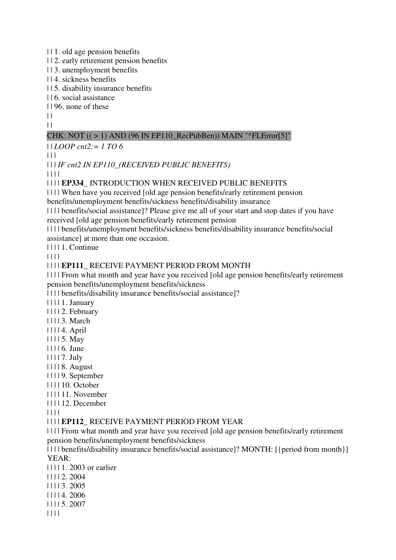| | 1. old age pension benefits

| | 2. early retirement pension benefits

| | 3. unemployment benefits

| | 4. sickness benefits

| | 5. disability insurance benefits

| | 6. social assistance

| | 96. none of these

 $\|$  $\|$ 

# CHK: NOT  $((>1)$  AND (96 IN EP110 RecPubBen)) MAIN "^FLError[5]"

| | *LOOP cnt2:= 1 TO 6*

 $| 11 |$ 

| | | *IF cnt2 IN EP110\_(RECEIVED PUBLIC BENEFITS)*

| | | |

| | | | **EP334\_** INTRODUCTION WHEN RECEIVED PUBLIC BENEFITS

| | | | When have you received [old age pension benefits/early retirement pension benefits/unemployment benefits/sickness benefits/disability insurance

| | | | benefits/social assistance]? Please give me all of your start and stop dates if you have received [old age pension benefits/early retirement pension

| | | | benefits/unemployment benefits/sickness benefits/disability insurance benefits/social assistance] at more than one occasion.

| | | | 1. Continue

| | | |

### | | | | **EP111\_** RECEIVE PAYMENT PERIOD FROM MONTH

| | | | From what month and year have you received [old age pension benefits/early retirement pension benefits/unemployment benefits/sickness

| | | | benefits/disability insurance benefits/social assistance]?

| | | | 1. January

| | | | 2. February

| | | | 3. March

- | | | | 4. April
- | | | | 5. May
- | | | | 6. June

| | | | 7. July

- | | | | 8. August
- | | | | 9. September
- | | | | 10. October

| | | | 11. November

| | | | 12. December

| | | |

### | | | | **EP112\_** RECEIVE PAYMENT PERIOD FROM YEAR

| | | | From what month and year have you received [old age pension benefits/early retirement pension benefits/unemployment benefits/sickness

| | | | benefits/disability insurance benefits/social assistance]? MONTH: [{period from month}] YEAR:

| | | | 1. 2003 or earlier

- | | | | 2. 2004
- | | | | 3. 2005
- | | | | 4. 2006
- | | | | 5. 2007

| | | |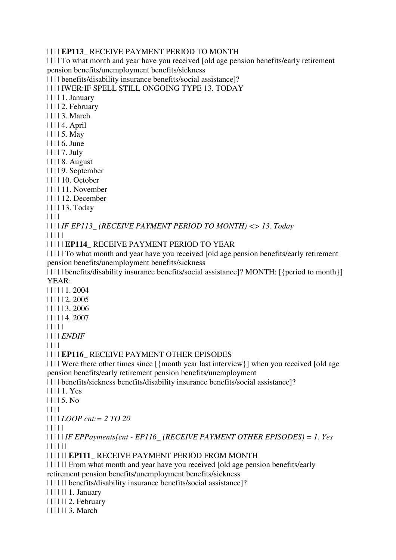### | | | | **EP113\_** RECEIVE PAYMENT PERIOD TO MONTH

| | | | To what month and year have you received [old age pension benefits/early retirement pension benefits/unemployment benefits/sickness

| | | | benefits/disability insurance benefits/social assistance]?

| | | | IWER:IF SPELL STILL ONGOING TYPE 13. TODAY

| | | | 1. January

| | | | 2. February

| | | | 3. March

| | | | 4. April

| | | | 5. May

| | | | 6. June

| | | | 7. July

| | | | 8. August

| | | | 9. September

| | | | 10. October

| | | | 11. November

| | | | 12. December

| | | | 13. Today

| | | |

| | | | *IF EP113\_ (RECEIVE PAYMENT PERIOD TO MONTH) <> 13. Today* | | | | |

### | | | | | **EP114\_** RECEIVE PAYMENT PERIOD TO YEAR

| | | | | To what month and year have you received [old age pension benefits/early retirement pension benefits/unemployment benefits/sickness

| | | | | benefits/disability insurance benefits/social assistance]? MONTH: [{period to month}] YEAR:

| | | | | 1. 2004

| | | | | 2. 2005

| | | | | 3. 2006

| | | | | 4. 2007

| | | | |

| | | | *ENDIF*

| | | |

### | | | | **EP116\_** RECEIVE PAYMENT OTHER EPISODES

| | | | Were there other times since [{month year last interview}] when you received [old age pension benefits/early retirement pension benefits/unemployment

| | | | benefits/sickness benefits/disability insurance benefits/social assistance]?

| | | | 1. Yes

| | | | 5. No

| | | |

| | | | *LOOP cnt:= 2 TO 20*

| | | | |

| | | | | *IF EPPayments[cnt - EP116\_ (RECEIVE PAYMENT OTHER EPISODES) = 1. Yes* | | | | | |

| | | | | | **EP111\_** RECEIVE PAYMENT PERIOD FROM MONTH

| | | | | | From what month and year have you received [old age pension benefits/early

retirement pension benefits/unemployment benefits/sickness

| | | | | | benefits/disability insurance benefits/social assistance]?

| | | | | | 1. January

| | | | | | 2. February

| | | | | | 3. March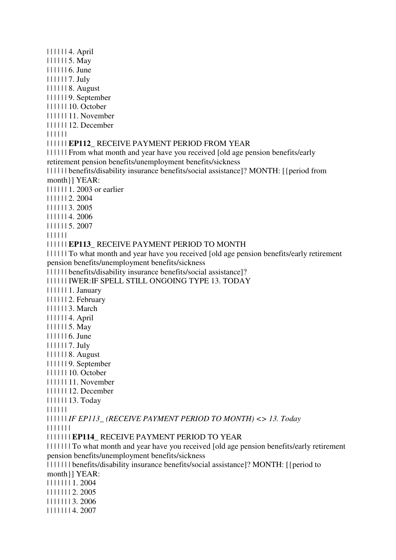| | | | | | 4. April | | | | | | 5. May | | | | | | 6. June | | | | | | 7. July | | | | | | 8. August | | | | | | 9. September | | | | | | 10. October | | | | | | 11. November | | | | | | 12. December | | | | | | | | | | | | **EP112\_** RECEIVE PAYMENT PERIOD FROM YEAR | | | | | | From what month and year have you received [old age pension benefits/early retirement pension benefits/unemployment benefits/sickness | | | | | | benefits/disability insurance benefits/social assistance]? MONTH: [{period from month}] YEAR: | | | | | | 1. 2003 or earlier | | | | | | 2. 2004 | | | | | | 3. 2005 | | | | | | 4. 2006 | | | | | | 5. 2007 | | | | | | | | | | | | **EP113\_** RECEIVE PAYMENT PERIOD TO MONTH | | | | | | To what month and year have you received [old age pension benefits/early retirement pension benefits/unemployment benefits/sickness | | | | | | benefits/disability insurance benefits/social assistance]? | | | | | | IWER:IF SPELL STILL ONGOING TYPE 13. TODAY | | | | | | 1. January | | | | | | 2. February | | | | | | 3. March | | | | | | 4. April | | | | | | 5. May | | | | | | 6. June | | | | | | 7. July | | | | | | 8. August | | | | | | 9. September | | | | | | 10. October | | | | | | 11. November | | | | | | 12. December | | | | | | 13. Today | | | | | | | | | | | | *IF EP113\_ (RECEIVE PAYMENT PERIOD TO MONTH) <> 13. Today* | | | | | | | | | | | | | | **EP114\_** RECEIVE PAYMENT PERIOD TO YEAR | | | | | | | To what month and year have you received [old age pension benefits/early retirement pension benefits/unemployment benefits/sickness | | | | | | | benefits/disability insurance benefits/social assistance]? MONTH: [{period to month}] YEAR: | | | | | | | 1. 2004 | | | | | | | 2. 2005 | | | | | | | 3. 2006 | | | | | | | 4. 2007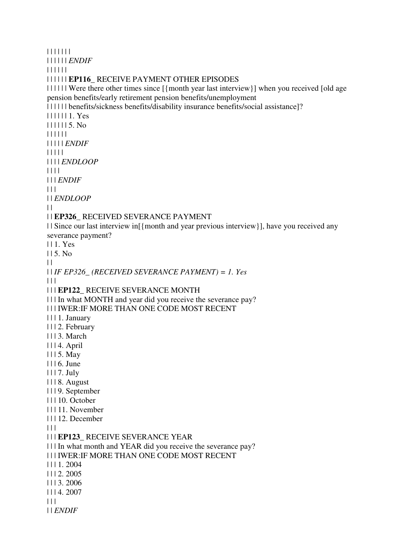| | | | | | | | | | | | | *ENDIF* | | | | | | | | | | | | **EP116\_** RECEIVE PAYMENT OTHER EPISODES | | | | | | Were there other times since [{month year last interview}] when you received [old age pension benefits/early retirement pension benefits/unemployment | | | | | | benefits/sickness benefits/disability insurance benefits/social assistance]? | | | | | | 1. Yes | | | | | | 5. No | | | | | | | | | | | *ENDIF* | | | | | | | | | *ENDLOOP* | | | | | | | *ENDIF*  $| 11$ | | *ENDLOOP*  $| |$ | | **EP326\_** RECEIVED SEVERANCE PAYMENT | | Since our last interview in[{month and year previous interview}], have you received any severance payment? | | 1. Yes | | 5. No  $\perp$ | | *IF EP326\_ (RECEIVED SEVERANCE PAYMENT) = 1. Yes*  $| | | |$ | | | **EP122\_** RECEIVE SEVERANCE MONTH | | | In what MONTH and year did you receive the severance pay? | | | IWER:IF MORE THAN ONE CODE MOST RECENT | | | 1. January | | | 2. February | | | 3. March | | | 4. April | | | 5. May | | | 6. June | | | 7. July | | | 8. August | | | 9. September | | | 10. October | | | 11. November | | | 12. December  $| 11$ | | | **EP123\_** RECEIVE SEVERANCE YEAR | | | In what month and YEAR did you receive the severance pay? | | | IWER:IF MORE THAN ONE CODE MOST RECENT | | | 1. 2004 | | | 2. 2005 | | | 3. 2006 | | | 4. 2007  $|| ||$ | | *ENDIF*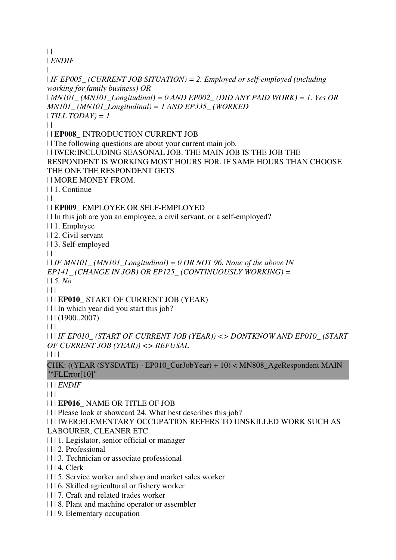$\|$ | *ENDIF* | | *IF EP005\_ (CURRENT JOB SITUATION) = 2. Employed or self-employed (including working for family business) OR*  | *MN101\_ (MN101\_Longitudinal) = 0 AND EP002\_ (DID ANY PAID WORK) = 1. Yes OR MN101\_ (MN101\_Longitudinal) = 1 AND EP335\_ (WORKED*  | *TILL TODAY) = 1*  $\perp$ | | **EP008\_** INTRODUCTION CURRENT JOB | | The following questions are about your current main job. | | IWER:INCLUDING SEASONAL JOB. THE MAIN JOB IS THE JOB THE RESPONDENT IS WORKING MOST HOURS FOR. IF SAME HOURS THAN CHOOSE THE ONE THE RESPONDENT GETS | | MORE MONEY FROM. | | 1. Continue  $| |$ | | **EP009\_** EMPLOYEE OR SELF-EMPLOYED | | In this job are you an employee, a civil servant, or a self-employed? | | 1. Employee | | 2. Civil servant | | 3. Self-employed  $\perp$ | | *IF MN101\_ (MN101\_Longitudinal) = 0 OR NOT 96. None of the above IN EP141\_ (CHANGE IN JOB) OR EP125\_ (CONTINUOUSLY WORKING) =*  | | *5. No* | | | | | | **EP010\_** START OF CURRENT JOB (YEAR) | | | In which year did you start this job? | | | (1900..2007)  $| 11$ | | | *IF EP010\_ (START OF CURRENT JOB (YEAR)) <> DONTKNOW AND EP010\_ (START OF CURRENT JOB (YEAR)) <> REFUSAL* | | | | CHK: ((YEAR (SYSDATE) - EP010\_CurJobYear) + 10) < MN808\_AgeRespondent MAIN "^FLError[10]" | | | *ENDIF*  $| 11$ | | | **EP016\_** NAME OR TITLE OF JOB | | | Please look at showcard 24. What best describes this job? | | | IWER:ELEMENTARY OCCUPATION REFERS TO UNSKILLED WORK SUCH AS LABOURER, CLEANER ETC. | | | 1. Legislator, senior official or manager | | | 2. Professional | | | 3. Technician or associate professional | | | 4. Clerk | | | 5. Service worker and shop and market sales worker | | | 6. Skilled agricultural or fishery worker

- | | | 7. Craft and related trades worker
- | | | 8. Plant and machine operator or assembler
- | | | 9. Elementary occupation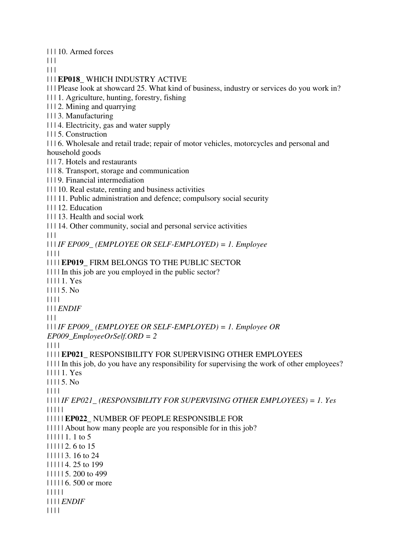| | | 10. Armed forces

 $\Box$ 

 $| 11$ 

| | | **EP018\_** WHICH INDUSTRY ACTIVE

| | | Please look at showcard 25. What kind of business, industry or services do you work in?

| | | 1. Agriculture, hunting, forestry, fishing

| | | 2. Mining and quarrying

| | | 3. Manufacturing

| | | 4. Electricity, gas and water supply

| | | 5. Construction

| | | 6. Wholesale and retail trade; repair of motor vehicles, motorcycles and personal and household goods

| | | 7. Hotels and restaurants

| | | 8. Transport, storage and communication

| | | 9. Financial intermediation

| | | 10. Real estate, renting and business activities

| | | 11. Public administration and defence; compulsory social security

| | | 12. Education

| | | 13. Health and social work

| | | 14. Other community, social and personal service activities

 $\Box$ 

| | | *IF EP009\_ (EMPLOYEE OR SELF-EMPLOYED) = 1. Employee*

| | | |

| | | | **EP019\_** FIRM BELONGS TO THE PUBLIC SECTOR

| | | | In this job are you employed in the public sector?

| | | | 1. Yes

| | | | 5. No

| | | |

| | | *ENDIF*

 $| 11$ 

| | | *IF EP009\_ (EMPLOYEE OR SELF-EMPLOYED) = 1. Employee OR* 

*EP009\_EmployeeOrSelf.ORD = 2*

| | | |

| | | | **EP021\_** RESPONSIBILITY FOR SUPERVISING OTHER EMPLOYEES | | | | In this job, do you have any responsibility for supervising the work of other employees? | | | | 1. Yes | | | | 5. No | | | | | | | | *IF EP021\_ (RESPONSIBILITY FOR SUPERVISING OTHER EMPLOYEES) = 1. Yes*

| | | | |

| | | | | **EP022\_** NUMBER OF PEOPLE RESPONSIBLE FOR

| | | | | About how many people are you responsible for in this job?

| | | | | 1. 1 to 5

| | | | | 2. 6 to 15

| | | | | 3. 16 to 24

| | | | | 4. 25 to 199

| | | | | 5. 200 to 499

| | | | | 6. 500 or more

| | | | |

| | | | *ENDIF*

| | | |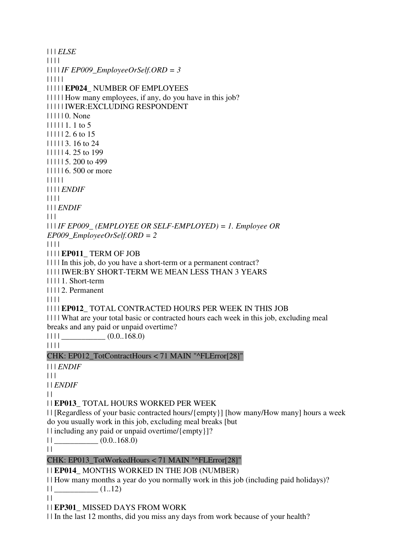| | | *ELSE* | | | | | | | | *IF EP009\_EmployeeOrSelf.ORD = 3* | | | | | | | | | | **EP024\_** NUMBER OF EMPLOYEES | | | | | How many employees, if any, do you have in this job? | | | | | IWER:EXCLUDING RESPONDENT | | | | | 0. None | | | | | 1. 1 to 5 | | | | | 2. 6 to 15 | | | | | 3. 16 to 24 | | | | | 4. 25 to 199 | | | | | 5. 200 to 499 | | | | | 6. 500 or more | | | | | | | | | *ENDIF* | | | | | | | *ENDIF*  $| 11$ | | | *IF EP009\_ (EMPLOYEE OR SELF-EMPLOYED) = 1. Employee OR EP009\_EmployeeOrSelf.ORD = 2* | | | | | | | | **EP011\_** TERM OF JOB | | | | In this job, do you have a short-term or a permanent contract? | | | | IWER:BY SHORT-TERM WE MEAN LESS THAN 3 YEARS | | | | 1. Short-term | | | | 2. Permanent | | | | | | | | **EP012\_** TOTAL CONTRACTED HOURS PER WEEK IN THIS JOB | | | | What are your total basic or contracted hours each week in this job, excluding meal breaks and any paid or unpaid overtime?  $| 1111$  (0.0..168.0) | | | | CHK: EP012\_TotContractHours < 71 MAIN "^FLError[28]" | | | *ENDIF*  $| 11$ | | *ENDIF*  $\mathbf{1}$ | | **EP013\_** TOTAL HOURS WORKED PER WEEK | | [Regardless of your basic contracted hours/{empty}] [how many/How many] hours a week do you usually work in this job, excluding meal breaks [but | | including any paid or unpaid overtime/{empty}]?  $||$   $(0.0..168.0)$  $\|$ CHK: EP013\_TotWorkedHours < 71 MAIN "^FLError[28]" | | **EP014\_** MONTHS WORKED IN THE JOB (NUMBER) | | How many months a year do you normally work in this job (including paid holidays)?  $||$   $(1..12)$  $| |$ | | **EP301\_** MISSED DAYS FROM WORK | | In the last 12 months, did you miss any days from work because of your health?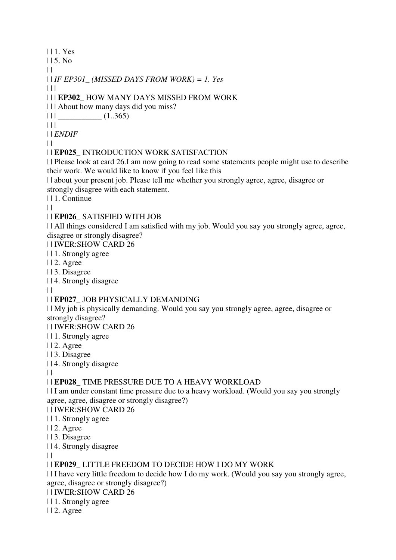| | 1. Yes | | 5. No  $\|$ | | *IF EP301\_ (MISSED DAYS FROM WORK) = 1. Yes*  $| 1 |$ | | | **EP302\_** HOW MANY DAYS MISSED FROM WORK | | | About how many days did you miss?  $|| ||$   $|| \quad (1..365)$  $| 11 |$ | | *ENDIF*  $\perp$ | | **EP025\_** INTRODUCTION WORK SATISFACTION | | Please look at card 26.I am now going to read some statements people might use to describe their work. We would like to know if you feel like this | | about your present job. Please tell me whether you strongly agree, agree, disagree or strongly disagree with each statement. | | 1. Continue  $| |$ | | **EP026\_** SATISFIED WITH JOB | | All things considered I am satisfied with my job. Would you say you strongly agree, agree, disagree or strongly disagree? | | IWER:SHOW CARD 26 | | 1. Strongly agree | | 2. Agree | | 3. Disagree | | 4. Strongly disagree  $\|$ | | **EP027\_** JOB PHYSICALLY DEMANDING | | My job is physically demanding. Would you say you strongly agree, agree, disagree or strongly disagree? | | IWER:SHOW CARD 26 | | 1. Strongly agree | | 2. Agree | | 3. Disagree | | 4. Strongly disagree  $\perp$ | | **EP028\_** TIME PRESSURE DUE TO A HEAVY WORKLOAD | | I am under constant time pressure due to a heavy workload. (Would you say you strongly agree, agree, disagree or strongly disagree?) | | IWER:SHOW CARD 26 | | 1. Strongly agree | | 2. Agree | | 3. Disagree | | 4. Strongly disagree  $\|$ | | **EP029\_** LITTLE FREEDOM TO DECIDE HOW I DO MY WORK

| | I have very little freedom to decide how I do my work. (Would you say you strongly agree, agree, disagree or strongly disagree?)

| | IWER:SHOW CARD 26

| | 1. Strongly agree

| | 2. Agree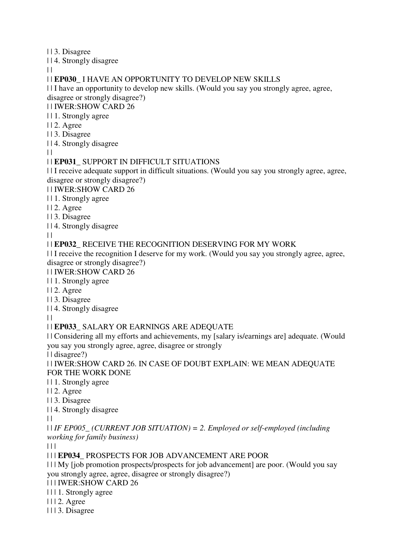| | 3. Disagree

| | 4. Strongly disagree

 $\|$ 

# | | **EP030\_** I HAVE AN OPPORTUNITY TO DEVELOP NEW SKILLS

| | I have an opportunity to develop new skills. (Would you say you strongly agree, agree, disagree or strongly disagree?)

| | IWER:SHOW CARD 26

| | 1. Strongly agree

- | | 2. Agree
- | | 3. Disagree
- | | 4. Strongly disagree

 $\|$ 

# | | **EP031\_** SUPPORT IN DIFFICULT SITUATIONS

| | I receive adequate support in difficult situations. (Would you say you strongly agree, agree, disagree or strongly disagree?)

| | IWER:SHOW CARD 26

- | | 1. Strongly agree
- | | 2. Agree
- | | 3. Disagree
- | | 4. Strongly disagree

 $\|$ 

# | | **EP032\_** RECEIVE THE RECOGNITION DESERVING FOR MY WORK

| | I receive the recognition I deserve for my work. (Would you say you strongly agree, agree, disagree or strongly disagree?)

| | IWER:SHOW CARD 26

- | | 1. Strongly agree
- | | 2. Agree
- | | 3. Disagree
- | | 4. Strongly disagree

 $\|$ 

# | | **EP033\_** SALARY OR EARNINGS ARE ADEQUATE

| | Considering all my efforts and achievements, my [salary is/earnings are] adequate. (Would you say you strongly agree, agree, disagree or strongly

| | disagree?)

| | IWER:SHOW CARD 26. IN CASE OF DOUBT EXPLAIN: WE MEAN ADEQUATE FOR THE WORK DONE

| | 1. Strongly agree

| | 2. Agree

| | 3. Disagree

| | 4. Strongly disagree

 $\|$ 

| | *IF EP005\_ (CURRENT JOB SITUATION) = 2. Employed or self-employed (including working for family business)*

 $\Box$ 

# | | | **EP034\_** PROSPECTS FOR JOB ADVANCEMENT ARE POOR

| | | My [job promotion prospects/prospects for job advancement] are poor. (Would you say you strongly agree, agree, disagree or strongly disagree?)

| | | IWER:SHOW CARD 26

| | | 1. Strongly agree

- | | | 2. Agree
- | | | 3. Disagree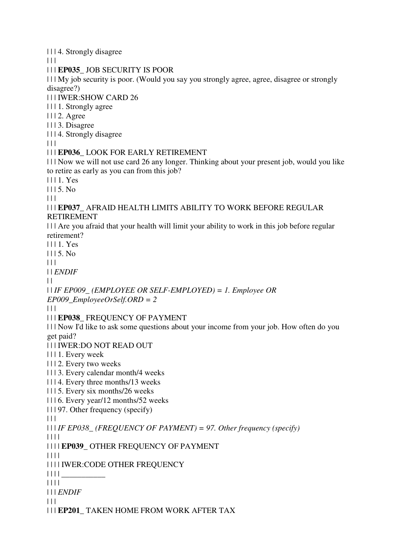| | | 4. Strongly disagree

 $\Box$ 

| | | **EP035\_** JOB SECURITY IS POOR

| | | My job security is poor. (Would you say you strongly agree, agree, disagree or strongly disagree?)

| | | IWER:SHOW CARD 26

| | | 1. Strongly agree

| | | 2. Agree

| | | 3. Disagree

| | | 4. Strongly disagree

 $\Box$ 

#### | | | **EP036\_** LOOK FOR EARLY RETIREMENT

| | | Now we will not use card 26 any longer. Thinking about your present job, would you like to retire as early as you can from this job?

| | | 1. Yes

 $1115.$  No

 $| 11$ 

#### | | | **EP037\_** AFRAID HEALTH LIMITS ABILITY TO WORK BEFORE REGULAR RETIREMENT

| | | Are you afraid that your health will limit your ability to work in this job before regular retirement?

| | | 1. Yes

 $1115. No$ 

 $\Box$ 

| | *ENDIF*

 $\perp$ 

## | | *IF EP009\_ (EMPLOYEE OR SELF-EMPLOYED) = 1. Employee OR*

*EP009\_EmployeeOrSelf.ORD = 2*

 $|| ||$ 

#### | | | **EP038\_** FREQUENCY OF PAYMENT

| | | Now I'd like to ask some questions about your income from your job. How often do you get paid?

| | | IWER:DO NOT READ OUT

| | | 1. Every week

| | | 2. Every two weeks

| | | 3. Every calendar month/4 weeks

| | | 4. Every three months/13 weeks

| | | 5. Every six months/26 weeks

| | | 6. Every year/12 months/52 weeks

```
| | | 97. Other frequency (specify)
```
 $| 11 |$ 

| | | *IF EP038\_ (FREQUENCY OF PAYMENT) = 97. Other frequency (specify)*

| | | |

| | | | **EP039\_** OTHER FREQUENCY OF PAYMENT

| | | |

| | | | IWER:CODE OTHER FREQUENCY

| | | | \_\_\_\_\_\_\_\_\_\_\_

| | | |

| | | *ENDIF*

 $| | | |$ 

| | | **EP201\_** TAKEN HOME FROM WORK AFTER TAX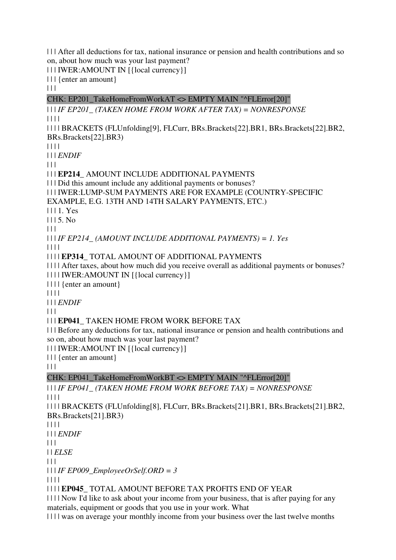| | | After all deductions for tax, national insurance or pension and health contributions and so on, about how much was your last payment?

| | | IWER:AMOUNT IN [{local currency}]

| | | {enter an amount}

 $| 11$ 

CHK: EP201\_TakeHomeFromWorkAT <> EMPTY MAIN "^FLError[20]"

| | | *IF EP201\_ (TAKEN HOME FROM WORK AFTER TAX) = NONRESPONSE* | | | | | | | | BRACKETS (FLUnfolding[9], FLCurr, BRs.Brackets[22].BR1, BRs.Brackets[22].BR2, BRs.Brackets[22].BR3) | | | | | | | *ENDIF*  $| 11$ | | | **EP214\_** AMOUNT INCLUDE ADDITIONAL PAYMENTS | | | Did this amount include any additional payments or bonuses? | | | IWER:LUMP-SUM PAYMENTS ARE FOR EXAMPLE (COUNTRY-SPECIFIC EXAMPLE, E.G. 13TH AND 14TH SALARY PAYMENTS, ETC.) | | | 1. Yes  $1115$ . No  $\begin{array}{c|c} \hline \end{array}$ | | | *IF EP214\_ (AMOUNT INCLUDE ADDITIONAL PAYMENTS) = 1. Yes* | | | | | | | | **EP314\_** TOTAL AMOUNT OF ADDITIONAL PAYMENTS | | | | After taxes, about how much did you receive overall as additional payments or bonuses? | | | | IWER:AMOUNT IN [{local currency}] | | | | {enter an amount} | | | | | | | *ENDIF*  $| 11$ | | | **EP041\_** TAKEN HOME FROM WORK BEFORE TAX | | | Before any deductions for tax, national insurance or pension and health contributions and so on, about how much was your last payment? | | | IWER:AMOUNT IN [{local currency}] | | | {enter an amount}  $|| ||$ CHK: EP041\_TakeHomeFromWorkBT <> EMPTY MAIN "^FLError[20]" | | | *IF EP041\_ (TAKEN HOME FROM WORK BEFORE TAX) = NONRESPONSE* | | | | | | | | BRACKETS (FLUnfolding[8], FLCurr, BRs.Brackets[21].BR1, BRs.Brackets[21].BR2, BRs.Brackets[21].BR3) | | | | | | | *ENDIF*  $| 11$ | | *ELSE*

 $\Box$ 

| | | *IF EP009\_EmployeeOrSelf.ORD = 3*

| | | |

| | | | **EP045\_** TOTAL AMOUNT BEFORE TAX PROFITS END OF YEAR

| | | | Now I'd like to ask about your income from your business, that is after paying for any materials, equipment or goods that you use in your work. What

| | | | was on average your monthly income from your business over the last twelve months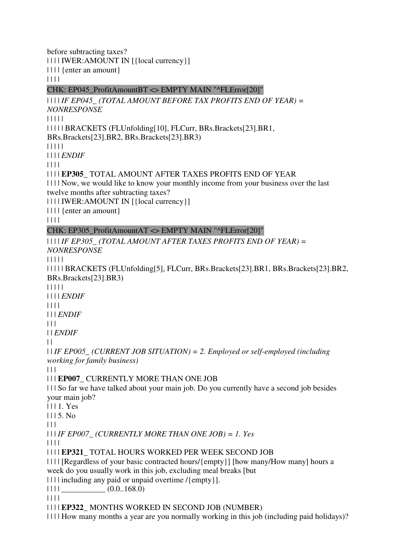before subtracting taxes? | | | | IWER:AMOUNT IN [{local currency}] | | | | {enter an amount} | | | | CHK: EP045\_ProfitAmountBT <> EMPTY MAIN "^FLError[20]" | | | | *IF EP045\_ (TOTAL AMOUNT BEFORE TAX PROFITS END OF YEAR) = NONRESPONSE* | | | | | | | | | | BRACKETS (FLUnfolding[10], FLCurr, BRs.Brackets[23].BR1, BRs.Brackets[23].BR2, BRs.Brackets[23].BR3) | | | | | | | | | *ENDIF* | | | | | | | | **EP305\_** TOTAL AMOUNT AFTER TAXES PROFITS END OF YEAR | | | | Now, we would like to know your monthly income from your business over the last twelve months after subtracting taxes? | | | | IWER:AMOUNT IN [{local currency}] | | | | {enter an amount} | | | | CHK: EP305\_ProfitAmountAT <> EMPTY MAIN "^FLError[20]" | | | | *IF EP305\_ (TOTAL AMOUNT AFTER TAXES PROFITS END OF YEAR) = NONRESPONSE* | | | | | | | | | | BRACKETS (FLUnfolding[5], FLCurr, BRs.Brackets[23].BR1, BRs.Brackets[23].BR2, BRs.Brackets[23].BR3) | | | | | | | | | *ENDIF* | | | | | | | *ENDIF*  $| 11$ | | *ENDIF*  $\perp$ | | *IF EP005\_ (CURRENT JOB SITUATION) = 2. Employed or self-employed (including working for family business)*  $\Box$ | | | **EP007\_** CURRENTLY MORE THAN ONE JOB | | | So far we have talked about your main job. Do you currently have a second job besides your main job? | | | 1. Yes | | | 5. No  $| 11$ | | | *IF EP007\_ (CURRENTLY MORE THAN ONE JOB) = 1. Yes* | | | | | | | | **EP321\_** TOTAL HOURS WORKED PER WEEK SECOND JOB | | | | [Regardless of your basic contracted hours/{empty}] [how many/How many] hours a week do you usually work in this job, excluding meal breaks [but | | | | including any paid or unpaid overtime /{empty}]. | | | | \_\_\_\_\_\_\_\_\_\_\_ (0.0..168.0) | | | | | | | | **EP322\_** MONTHS WORKED IN SECOND JOB (NUMBER) | | | | How many months a year are you normally working in this job (including paid holidays)?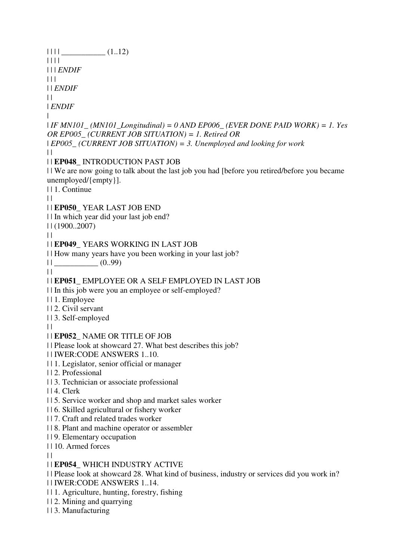| | | | \_\_\_\_\_\_\_\_\_\_\_ (1..12) | | | | | | | *ENDIF*  $| 11$ | | *ENDIF*  $\perp$ | *ENDIF* | | *IF MN101\_ (MN101\_Longitudinal) = 0 AND EP006\_ (EVER DONE PAID WORK) = 1. Yes OR EP005\_ (CURRENT JOB SITUATION) = 1. Retired OR*  | *EP005\_ (CURRENT JOB SITUATION) = 3. Unemployed and looking for work*  $\|$ | | **EP048\_** INTRODUCTION PAST JOB | | We are now going to talk about the last job you had [before you retired/before you became unemployed/{empty}]. | | 1. Continue  $\perp$ | | **EP050\_** YEAR LAST JOB END | | In which year did your last job end? | | (1900..2007)  $\|$ | | **EP049\_** YEARS WORKING IN LAST JOB | | How many years have you been working in your last job? | | \_\_\_\_\_\_\_\_\_\_\_ (0..99)  $\|$ | | **EP051\_** EMPLOYEE OR A SELF EMPLOYED IN LAST JOB | | In this job were you an employee or self-employed? | | 1. Employee | | 2. Civil servant | | 3. Self-employed  $\perp$ | | **EP052\_** NAME OR TITLE OF JOB | | Please look at showcard 27. What best describes this job? | | IWER:CODE ANSWERS 1..10. | | 1. Legislator, senior official or manager | | 2. Professional | | 3. Technician or associate professional | | 4. Clerk | | 5. Service worker and shop and market sales worker | | 6. Skilled agricultural or fishery worker | | 7. Craft and related trades worker | | 8. Plant and machine operator or assembler | | 9. Elementary occupation | | 10. Armed forces  $| |$ | | **EP054\_** WHICH INDUSTRY ACTIVE | | Please look at showcard 28. What kind of business, industry or services did you work in? | | IWER:CODE ANSWERS 1..14. | | 1. Agriculture, hunting, forestry, fishing | | 2. Mining and quarrying | | 3. Manufacturing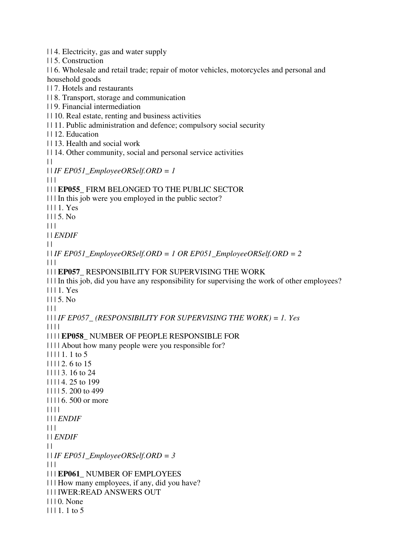| | 4. Electricity, gas and water supply | | 5. Construction | | 6. Wholesale and retail trade; repair of motor vehicles, motorcycles and personal and household goods | | 7. Hotels and restaurants | | 8. Transport, storage and communication | | 9. Financial intermediation | | 10. Real estate, renting and business activities | | 11. Public administration and defence; compulsory social security | | 12. Education | | 13. Health and social work | | 14. Other community, social and personal service activities  $\perp$ | | *IF EP051\_EmployeeORSelf.ORD = 1*  $| | | |$ | | | **EP055\_** FIRM BELONGED TO THE PUBLIC SECTOR | | | In this job were you employed in the public sector? | | | 1. Yes  $1115$ . No.  $\Box$ | | *ENDIF*  $| |$  $| \cdot |$  *IF EP051\_EmployeeORSelf.ORD = 1 OR EP051\_EmployeeORSelf.ORD = 2*  $\Box$ | | | **EP057\_** RESPONSIBILITY FOR SUPERVISING THE WORK | | | In this job, did you have any responsibility for supervising the work of other employees? | | | 1. Yes  $1115. No$  $|| ||$ | | | *IF EP057\_ (RESPONSIBILITY FOR SUPERVISING THE WORK) = 1. Yes* | | | | | | | | **EP058\_** NUMBER OF PEOPLE RESPONSIBLE FOR | | | | About how many people were you responsible for?  $| 11111111111105$ | | | | 2. 6 to 15 | | | | 3. 16 to 24 | | | | 4. 25 to 199 | | | | 5. 200 to 499 | | | | 6. 500 or more | | | | | | | *ENDIF*  $| 11$ | | *ENDIF*  $| |$ | | *IF EP051\_EmployeeORSelf.ORD = 3*  $\Box$ | | | **EP061\_** NUMBER OF EMPLOYEES | | | How many employees, if any, did you have? | | | IWER:READ ANSWERS OUT | | | 0. None  $| 1111.1$  to 5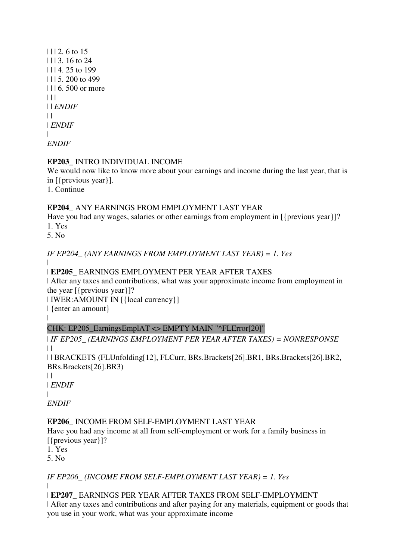| | | 2. 6 to 15 | | | 3. 16 to 24 | | | 4. 25 to 199 | | | 5. 200 to 499 | | | 6. 500 or more  $| 11$ | | *ENDIF*  $| |$ | *ENDIF* | *ENDIF*

## **EP203\_** INTRO INDIVIDUAL INCOME

We would now like to know more about your earnings and income during the last year, that is in [{previous year}].

1. Continue

## **EP204\_** ANY EARNINGS FROM EMPLOYMENT LAST YEAR

Have you had any wages, salaries or other earnings from employment in [{previous year}]? 1. Yes

5. No

*IF EP204\_ (ANY EARNINGS FROM EMPLOYMENT LAST YEAR) = 1. Yes*

#### | | **EP205\_** EARNINGS EMPLOYMENT PER YEAR AFTER TAXES

| After any taxes and contributions, what was your approximate income from employment in the year  $[$ {previous year}]?

| IWER:AMOUNT IN [{local currency}]

| {enter an amount}

## CHK: EP205\_EarningsEmplAT <> EMPTY MAIN "^FLError[20]"

| *IF EP205\_ (EARNINGS EMPLOYMENT PER YEAR AFTER TAXES) = NONRESPONSE*  $\|$ 

| | BRACKETS (FLUnfolding[12], FLCurr, BRs.Brackets[26].BR1, BRs.Brackets[26].BR2, BRs.Brackets[26].BR3)

 $| |$ 

 $\blacksquare$ 

| *ENDIF*

| *ENDIF*

## **EP206\_** INCOME FROM SELF-EMPLOYMENT LAST YEAR

Have you had any income at all from self-employment or work for a family business in [{previous year}]?

1. Yes

5. No

# *IF EP206\_ (INCOME FROM SELF-EMPLOYMENT LAST YEAR) = 1. Yes*

|

| **EP207\_** EARNINGS PER YEAR AFTER TAXES FROM SELF-EMPLOYMENT

| After any taxes and contributions and after paying for any materials, equipment or goods that you use in your work, what was your approximate income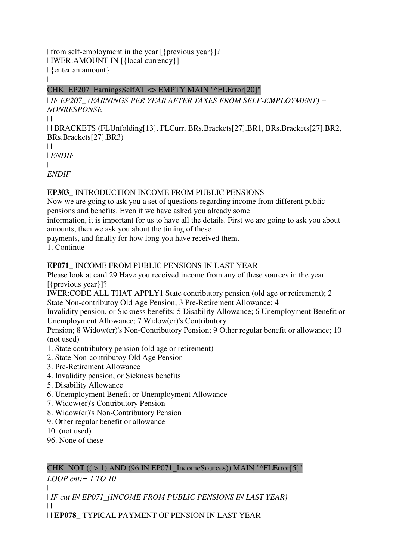| from self-employment in the year [{previous year}]? | IWER:AMOUNT IN [{local currency}] | {enter an amount} |

#### CHK: EP207\_EarningsSelfAT <> EMPTY MAIN "^FLError[20]"

| *IF EP207\_ (EARNINGS PER YEAR AFTER TAXES FROM SELF-EMPLOYMENT) = NONRESPONSE*  $\|$ 

| | BRACKETS (FLUnfolding[13], FLCurr, BRs.Brackets[27].BR1, BRs.Brackets[27].BR2, BRs.Brackets[27].BR3)

 $\perp$ | *ENDIF* |

*ENDIF*

#### **EP303\_** INTRODUCTION INCOME FROM PUBLIC PENSIONS

Now we are going to ask you a set of questions regarding income from different public pensions and benefits. Even if we have asked you already some

information, it is important for us to have all the details. First we are going to ask you about amounts, then we ask you about the timing of these

payments, and finally for how long you have received them.

1. Continue

## **EP071\_** INCOME FROM PUBLIC PENSIONS IN LAST YEAR

Please look at card 29.Have you received income from any of these sources in the year [{previous year}]?

IWER:CODE ALL THAT APPLY1 State contributory pension (old age or retirement); 2 State Non-contributoy Old Age Pension; 3 Pre-Retirement Allowance; 4

Invalidity pension, or Sickness benefits; 5 Disability Allowance; 6 Unemployment Benefit or Unemployment Allowance; 7 Widow(er)'s Contributory

Pension; 8 Widow(er)'s Non-Contributory Pension; 9 Other regular benefit or allowance; 10 (not used)

- 1. State contributory pension (old age or retirement)
- 2. State Non-contributoy Old Age Pension
- 3. Pre-Retirement Allowance
- 4. Invalidity pension, or Sickness benefits
- 5. Disability Allowance
- 6. Unemployment Benefit or Unemployment Allowance
- 7. Widow(er)'s Contributory Pension
- 8. Widow(er)'s Non-Contributory Pension
- 9. Other regular benefit or allowance
- 10. (not used)
- 96. None of these

# CHK: NOT  $((>1)$  AND  $(96$  IN EP071\_IncomeSources)) MAIN "^FLError[5]"

*LOOP cnt:= 1 TO 10*

| | *IF cnt IN EP071\_(INCOME FROM PUBLIC PENSIONS IN LAST YEAR)*  $| |$ 

| | **EP078\_** TYPICAL PAYMENT OF PENSION IN LAST YEAR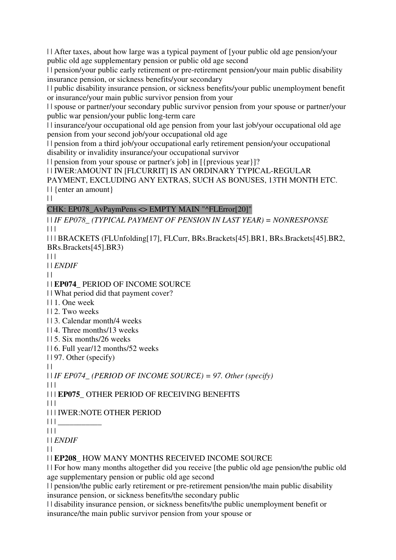| | After taxes, about how large was a typical payment of [your public old age pension/your public old age supplementary pension or public old age second

| | pension/your public early retirement or pre-retirement pension/your main public disability insurance pension, or sickness benefits/your secondary

| | public disability insurance pension, or sickness benefits/your public unemployment benefit or insurance/your main public survivor pension from your

| | spouse or partner/your secondary public survivor pension from your spouse or partner/your public war pension/your public long-term care

| | insurance/your occupational old age pension from your last job/your occupational old age pension from your second job/your occupational old age

| | pension from a third job/your occupational early retirement pension/your occupational disability or invalidity insurance/your occupational survivor

| | pension from your spouse or partner's job] in [{previous year}]?

| | IWER:AMOUNT IN [FLCURRIT] IS AN ORDINARY TYPICAL-REGULAR PAYMENT, EXCLUDING ANY EXTRAS, SUCH AS BONUSES, 13TH MONTH ETC.

| | {enter an amount}

 $\|$ 

#### CHK: EP078\_AvPaymPens <> EMPTY MAIN "^FLError[20]"

| | *IF EP078\_ (TYPICAL PAYMENT OF PENSION IN LAST YEAR) = NONRESPONSE*  $\begin{array}{c|c} \hline \end{array}$ 

| | | BRACKETS (FLUnfolding[17], FLCurr, BRs.Brackets[45].BR1, BRs.Brackets[45].BR2, BRs.Brackets[45].BR3)

 $| 11$ 

| | *ENDIF*

 $| |$ 

| | **EP074\_** PERIOD OF INCOME SOURCE

| | What period did that payment cover?

- | | 1. One week
- | | 2. Two weeks

| | 3. Calendar month/4 weeks

| | 4. Three months/13 weeks

| | 5. Six months/26 weeks

| | 6. Full year/12 months/52 weeks

| | 97. Other (specify)

 $\|$ 

| | *IF EP074\_ (PERIOD OF INCOME SOURCE) = 97. Other (specify)*

 $\Box$ 

| | | **EP075\_** OTHER PERIOD OF RECEIVING BENEFITS

 $\Box$ 

| | | IWER:NOTE OTHER PERIOD

 $|| \ ||$ 

 $|| ||$ 

| | *ENDIF*

 $\|$ 

| | **EP208\_** HOW MANY MONTHS RECEIVED INCOME SOURCE

| | For how many months altogether did you receive [the public old age pension/the public old age supplementary pension or public old age second

| | pension/the public early retirement or pre-retirement pension/the main public disability insurance pension, or sickness benefits/the secondary public

| | disability insurance pension, or sickness benefits/the public unemployment benefit or insurance/the main public survivor pension from your spouse or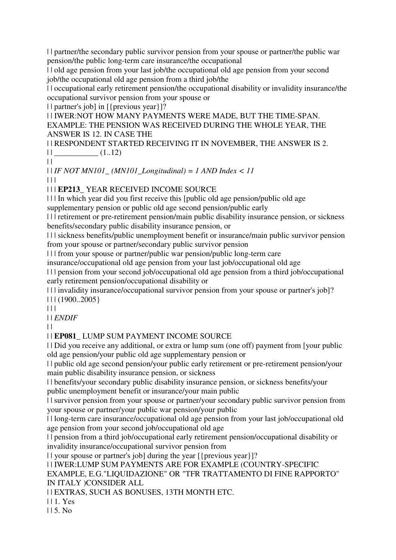| | partner/the secondary public survivor pension from your spouse or partner/the public war pension/the public long-term care insurance/the occupational

| | old age pension from your last job/the occupational old age pension from your second job/the occupational old age pension from a third job/the

| | occupational early retirement pension/the occupational disability or invalidity insurance/the occupational survivor pension from your spouse or

| | partner's job] in [{previous year}]?

| | IWER:NOT HOW MANY PAYMENTS WERE MADE, BUT THE TIME-SPAN. EXAMPLE: THE PENSION WAS RECEIVED DURING THE WHOLE YEAR, THE ANSWER IS 12. IN CASE THE

| | RESPONDENT STARTED RECEIVING IT IN NOVEMBER, THE ANSWER IS 2.  $||$   $(1..12)$ 

 $\|$ 

| | *IF NOT MN101\_ (MN101\_Longitudinal) = 1 AND Index < 11*  $| | | |$ 

| | | **EP213\_** YEAR RECEIVED INCOME SOURCE

| | | In which year did you first receive this [public old age pension/public old age

supplementary pension or public old age second pension/public early

| | | retirement or pre-retirement pension/main public disability insurance pension, or sickness benefits/secondary public disability insurance pension, or

| | | sickness benefits/public unemployment benefit or insurance/main public survivor pension from your spouse or partner/secondary public survivor pension

| | | from your spouse or partner/public war pension/public long-term care

insurance/occupational old age pension from your last job/occupational old age

| | | pension from your second job/occupational old age pension from a third job/occupational early retirement pension/occupational disability or

| | | invalidity insurance/occupational survivor pension from your spouse or partner's job]? | | | (1900..2005}

 $|| ||$ 

| | *ENDIF*

 $\mathbf{1}$ 

| | **EP081\_** LUMP SUM PAYMENT INCOME SOURCE

| | Did you receive any additional, or extra or lump sum (one off) payment from [your public old age pension/your public old age supplementary pension or

| | public old age second pension/your public early retirement or pre-retirement pension/your main public disability insurance pension, or sickness

| | benefits/your secondary public disability insurance pension, or sickness benefits/your public unemployment benefit or insurance/your main public

| | survivor pension from your spouse or partner/your secondary public survivor pension from your spouse or partner/your public war pension/your public

| | long-term care insurance/occupational old age pension from your last job/occupational old age pension from your second job/occupational old age

| | pension from a third job/occupational early retirement pension/occupational disability or invalidity insurance/occupational survivor pension from

| | your spouse or partner's job] during the year [{previous year}]?

| | IWER:LUMP SUM PAYMENTS ARE FOR EXAMPLE (COUNTRY-SPECIFIC

EXAMPLE, E.G."LIQUIDAZIONE" OR "TFR TRATTAMENTO DI FINE RAPPORTO" IN ITALY )CONSIDER ALL

| | EXTRAS, SUCH AS BONUSES, 13TH MONTH ETC.

| | 1. Yes

| | 5. No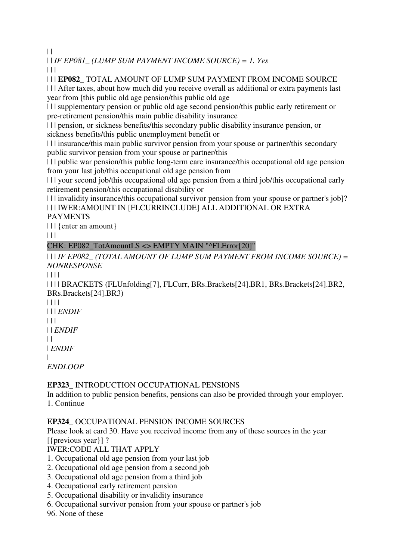$\|$ 

| | *IF EP081\_ (LUMP SUM PAYMENT INCOME SOURCE) = 1. Yes*

 $\Box$ 

| | | **EP082\_** TOTAL AMOUNT OF LUMP SUM PAYMENT FROM INCOME SOURCE

| | | After taxes, about how much did you receive overall as additional or extra payments last year from [this public old age pension/this public old age

| | | supplementary pension or public old age second pension/this public early retirement or pre-retirement pension/this main public disability insurance

| | | pension, or sickness benefits/this secondary public disability insurance pension, or sickness benefits/this public unemployment benefit or

| | | insurance/this main public survivor pension from your spouse or partner/this secondary public survivor pension from your spouse or partner/this

| | | public war pension/this public long-term care insurance/this occupational old age pension from your last job/this occupational old age pension from

| | | your second job/this occupational old age pension from a third job/this occupational early retirement pension/this occupational disability or

| | | invalidity insurance/this occupational survivor pension from your spouse or partner's job]? | | | IWER:AMOUNT IN [FLCURRINCLUDE] ALL ADDITIONAL OR EXTRA

## PAYMENTS

| | | {enter an amount}

| | |

# CHK: EP082\_TotAmountLS <> EMPTY MAIN "^FLError[20]"

| | | *IF EP082\_ (TOTAL AMOUNT OF LUMP SUM PAYMENT FROM INCOME SOURCE) = NONRESPONSE*

| | | |

| | | | BRACKETS (FLUnfolding[7], FLCurr, BRs.Brackets[24].BR1, BRs.Brackets[24].BR2, BRs.Brackets[24].BR3)

| | | | | | | *ENDIF*  $| | | |$ | | *ENDIF*  $| |$ | *ENDIF*

| *ENDLOOP*

## **EP323\_** INTRODUCTION OCCUPATIONAL PENSIONS

In addition to public pension benefits, pensions can also be provided through your employer. 1. Continue

## **EP324\_** OCCUPATIONAL PENSION INCOME SOURCES

Please look at card 30. Have you received income from any of these sources in the year [{previous year}] ?

IWER:CODE ALL THAT APPLY

1. Occupational old age pension from your last job

- 2. Occupational old age pension from a second job
- 3. Occupational old age pension from a third job
- 4. Occupational early retirement pension
- 5. Occupational disability or invalidity insurance
- 6. Occupational survivor pension from your spouse or partner's job

96. None of these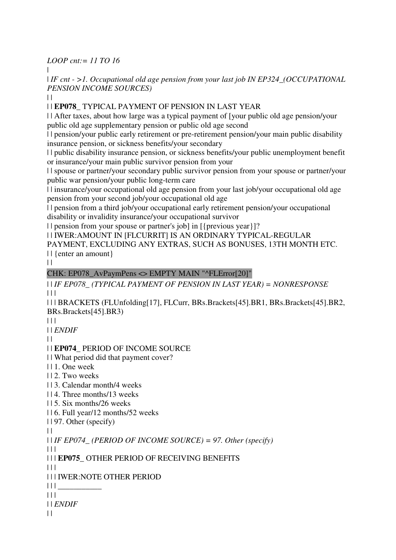*LOOP cnt:= 11 TO 16*

|

| *IF cnt - >1. Occupational old age pension from your last job IN EP324\_(OCCUPATIONAL PENSION INCOME SOURCES)*

 $| |$ 

| | **EP078\_** TYPICAL PAYMENT OF PENSION IN LAST YEAR

| | After taxes, about how large was a typical payment of [your public old age pension/your public old age supplementary pension or public old age second

| | pension/your public early retirement or pre-retirement pension/your main public disability insurance pension, or sickness benefits/your secondary

| | public disability insurance pension, or sickness benefits/your public unemployment benefit or insurance/your main public survivor pension from your

| | spouse or partner/your secondary public survivor pension from your spouse or partner/your public war pension/your public long-term care

| | insurance/your occupational old age pension from your last job/your occupational old age pension from your second job/your occupational old age

| | pension from a third job/your occupational early retirement pension/your occupational disability or invalidity insurance/your occupational survivor

| | pension from your spouse or partner's job] in [{previous year}]?

| | IWER:AMOUNT IN [FLCURRIT] IS AN ORDINARY TYPICAL-REGULAR

PAYMENT, EXCLUDING ANY EXTRAS, SUCH AS BONUSES, 13TH MONTH ETC. | | {enter an amount}

 $\|$ 

## CHK: EP078\_AvPaymPens <> EMPTY MAIN "^FLError[20]"

| | *IF EP078\_ (TYPICAL PAYMENT OF PENSION IN LAST YEAR) = NONRESPONSE*  $\Box$ 

| | | BRACKETS (FLUnfolding[17], FLCurr, BRs.Brackets[45].BR1, BRs.Brackets[45].BR2, BRs.Brackets[45].BR3)

 $| | | |$ 

| | *ENDIF*

 $\|$ 

## | | **EP074\_** PERIOD OF INCOME SOURCE

| | What period did that payment cover?

- | | 1. One week
- | | 2. Two weeks

| | 3. Calendar month/4 weeks

| | 4. Three months/13 weeks

| | 5. Six months/26 weeks

| | 6. Full year/12 months/52 weeks

| | 97. Other (specify)

 $\perp$ 

| | *IF EP074\_ (PERIOD OF INCOME SOURCE) = 97. Other (specify)*

 $\Box$ 

| | | **EP075\_** OTHER PERIOD OF RECEIVING BENEFITS

 $\Box$ 

| | | IWER:NOTE OTHER PERIOD

 $|| || ||$ 

 $| 11 |$ 

| | *ENDIF*

 $\|$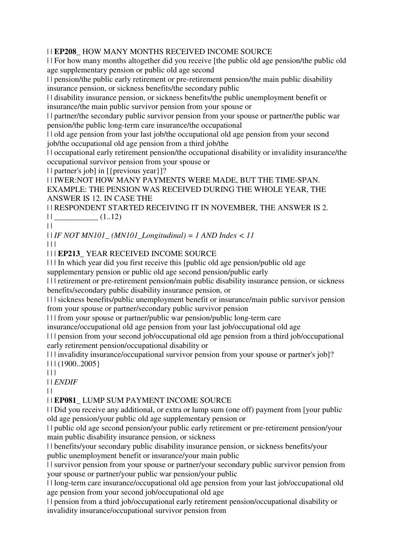#### | | **EP208\_** HOW MANY MONTHS RECEIVED INCOME SOURCE

| | For how many months altogether did you receive [the public old age pension/the public old age supplementary pension or public old age second

| | pension/the public early retirement or pre-retirement pension/the main public disability insurance pension, or sickness benefits/the secondary public

| | disability insurance pension, or sickness benefits/the public unemployment benefit or insurance/the main public survivor pension from your spouse or

| | partner/the secondary public survivor pension from your spouse or partner/the public war pension/the public long-term care insurance/the occupational

| | old age pension from your last job/the occupational old age pension from your second job/the occupational old age pension from a third job/the

| | occupational early retirement pension/the occupational disability or invalidity insurance/the occupational survivor pension from your spouse or

| | partner's job] in [{previous year}]?

| | IWER:NOT HOW MANY PAYMENTS WERE MADE, BUT THE TIME-SPAN. EXAMPLE: THE PENSION WAS RECEIVED DURING THE WHOLE YEAR, THE ANSWER IS 12. IN CASE THE

| | RESPONDENT STARTED RECEIVING IT IN NOVEMBER, THE ANSWER IS 2.  $|| \_$   $(1..12)$ 

 $\|$ 

| | *IF NOT MN101\_ (MN101\_Longitudinal) = 1 AND Index < 11*

 $\Box$ 

| | | **EP213\_** YEAR RECEIVED INCOME SOURCE

| | | In which year did you first receive this [public old age pension/public old age

supplementary pension or public old age second pension/public early

| | | retirement or pre-retirement pension/main public disability insurance pension, or sickness benefits/secondary public disability insurance pension, or

| | | sickness benefits/public unemployment benefit or insurance/main public survivor pension from your spouse or partner/secondary public survivor pension

| | | from your spouse or partner/public war pension/public long-term care

insurance/occupational old age pension from your last job/occupational old age

| | | pension from your second job/occupational old age pension from a third job/occupational early retirement pension/occupational disability or

| | | invalidity insurance/occupational survivor pension from your spouse or partner's job]?  $| 11 (1900..2005)$ 

 $\Box$ 

| | *ENDIF*

 $| |$ 

| | **EP081\_** LUMP SUM PAYMENT INCOME SOURCE

| | Did you receive any additional, or extra or lump sum (one off) payment from [your public old age pension/your public old age supplementary pension or

| | public old age second pension/your public early retirement or pre-retirement pension/your main public disability insurance pension, or sickness

| | benefits/your secondary public disability insurance pension, or sickness benefits/your public unemployment benefit or insurance/your main public

| | survivor pension from your spouse or partner/your secondary public survivor pension from your spouse or partner/your public war pension/your public

| | long-term care insurance/occupational old age pension from your last job/occupational old age pension from your second job/occupational old age

| | pension from a third job/occupational early retirement pension/occupational disability or invalidity insurance/occupational survivor pension from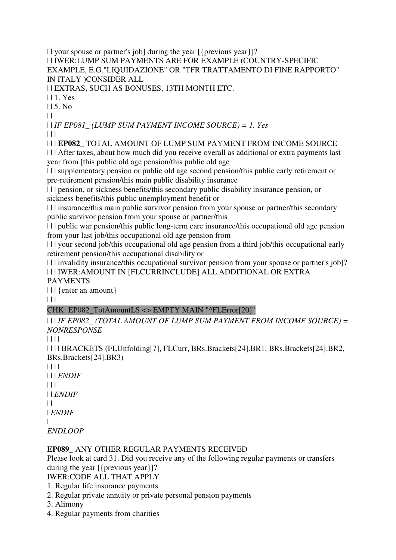| | your spouse or partner's job] during the year [{previous year}]?

| | IWER:LUMP SUM PAYMENTS ARE FOR EXAMPLE (COUNTRY-SPECIFIC EXAMPLE, E.G."LIQUIDAZIONE" OR "TFR TRATTAMENTO DI FINE RAPPORTO" IN ITALY )CONSIDER ALL

| | EXTRAS, SUCH AS BONUSES, 13TH MONTH ETC.

| | 1. Yes

 $115$ . No.

 $\|$ 

| | *IF EP081\_ (LUMP SUM PAYMENT INCOME SOURCE) = 1. Yes*

 $\Box$ 

| | | **EP082\_** TOTAL AMOUNT OF LUMP SUM PAYMENT FROM INCOME SOURCE

| | | After taxes, about how much did you receive overall as additional or extra payments last year from [this public old age pension/this public old age

| | | supplementary pension or public old age second pension/this public early retirement or pre-retirement pension/this main public disability insurance

| | | pension, or sickness benefits/this secondary public disability insurance pension, or sickness benefits/this public unemployment benefit or

| | | insurance/this main public survivor pension from your spouse or partner/this secondary public survivor pension from your spouse or partner/this

| | | public war pension/this public long-term care insurance/this occupational old age pension from your last job/this occupational old age pension from

| | | your second job/this occupational old age pension from a third job/this occupational early retirement pension/this occupational disability or

| | | invalidity insurance/this occupational survivor pension from your spouse or partner's job]? | | | IWER:AMOUNT IN [FLCURRINCLUDE] ALL ADDITIONAL OR EXTRA

PAYMENTS

| | | {enter an amount}

 $\Box$ 

## CHK: EP082\_TotAmountLS <> EMPTY MAIN "^FLError[20]"

| | | *IF EP082\_ (TOTAL AMOUNT OF LUMP SUM PAYMENT FROM INCOME SOURCE) = NONRESPONSE*

| | | |

| | | | BRACKETS (FLUnfolding[7], FLCurr, BRs.Brackets[24].BR1, BRs.Brackets[24].BR2, BRs.Brackets[24].BR3)

| | | | | | | *ENDIF*  $| \cdot |$ | | *ENDIF*  $\perp$ | *ENDIF* | *ENDLOOP*

## **EP089\_** ANY OTHER REGULAR PAYMENTS RECEIVED

Please look at card 31. Did you receive any of the following regular payments or transfers during the year [{previous year}]?

IWER:CODE ALL THAT APPLY

1. Regular life insurance payments

2. Regular private annuity or private personal pension payments

3. Alimony

4. Regular payments from charities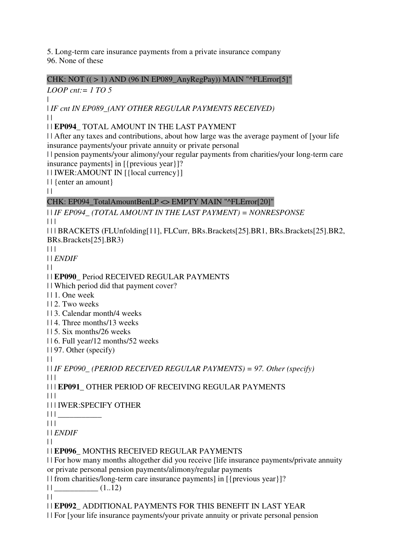5. Long-term care insurance payments from a private insurance company 96. None of these

CHK: NOT  $((>1)$  AND (96 IN EP089 AnyRegPay)) MAIN "^FLError[5]"

*LOOP cnt:= 1 TO 5*

| | *IF cnt IN EP089\_(ANY OTHER REGULAR PAYMENTS RECEIVED)* | |

## | | **EP094\_** TOTAL AMOUNT IN THE LAST PAYMENT

| | After any taxes and contributions, about how large was the average payment of [your life insurance payments/your private annuity or private personal

| | pension payments/your alimony/your regular payments from charities/your long-term care insurance payments] in [{previous year}]?

| | IWER:AMOUNT IN [{local currency}]

| | {enter an amount}

 $\|$ 

# CHK: EP094\_TotalAmountBenLP <> EMPTY MAIN "^FLError[20]"

| | *IF EP094\_ (TOTAL AMOUNT IN THE LAST PAYMENT) = NONRESPONSE*  $\Box$ 

| | | BRACKETS (FLUnfolding[11], FLCurr, BRs.Brackets[25].BR1, BRs.Brackets[25].BR2, BRs.Brackets[25].BR3)

 $\Box$ 

| | *ENDIF*

 $\|$ 

## | | **EP090\_** Period RECEIVED REGULAR PAYMENTS

| | Which period did that payment cover?

| | 1. One week

| | 2. Two weeks

| | 3. Calendar month/4 weeks

| | 4. Three months/13 weeks

| | 5. Six months/26 weeks

| | 6. Full year/12 months/52 weeks

| | 97. Other (specify)

 $\|$ 

| | *IF EP090\_ (PERIOD RECEIVED REGULAR PAYMENTS) = 97. Other (specify)* | | |

| | | **EP091\_** OTHER PERIOD OF RECEIVING REGULAR PAYMENTS

 $\Box$ 

| | | IWER:SPECIFY OTHER

| | | \_\_\_\_\_\_\_\_\_\_\_

| | |

| | *ENDIF*

 $\|$ 

| | **EP096\_** MONTHS RECEIVED REGULAR PAYMENTS

| | For how many months altogether did you receive [life insurance payments/private annuity or private personal pension payments/alimony/regular payments

| | from charities/long-term care insurance payments] in [{previous year}]?

 $||$   $(1..12)$ 

 $\|$ 

| | **EP092\_** ADDITIONAL PAYMENTS FOR THIS BENEFIT IN LAST YEAR

| | For [your life insurance payments/your private annuity or private personal pension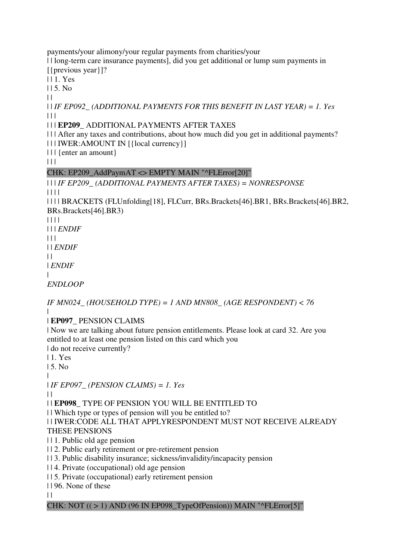payments/your alimony/your regular payments from charities/your

| | long-term care insurance payments], did you get additional or lump sum payments in [{previous year}]?

| | 1. Yes

 $115$  No.

 $| |$ 

| | *IF EP092\_ (ADDITIONAL PAYMENTS FOR THIS BENEFIT IN LAST YEAR) = 1. Yes*  $| | | |$ 

#### | | | **EP209\_** ADDITIONAL PAYMENTS AFTER TAXES

| | | After any taxes and contributions, about how much did you get in additional payments? | | | IWER:AMOUNT IN [{local currency}]

| | | {enter an amount}

 $\Box$ 

## CHK: EP209\_AddPaymAT <> EMPTY MAIN "^FLError[20]"

# | | | *IF EP209\_ (ADDITIONAL PAYMENTS AFTER TAXES) = NONRESPONSE*

| | | |

| | | | BRACKETS (FLUnfolding[18], FLCurr, BRs.Brackets[46].BR1, BRs.Brackets[46].BR2, BRs.Brackets[46].BR3)

| | | |

| | | *ENDIF*

 $| 11$ 

| | *ENDIF*

 $\perp$ 

| *ENDIF*

|

*ENDLOOP*

*IF MN024\_ (HOUSEHOLD TYPE) = 1 AND MN808\_ (AGE RESPONDENT) < 76* |

| **EP097\_** PENSION CLAIMS

| Now we are talking about future pension entitlements. Please look at card 32. Are you entitled to at least one pension listed on this card which you

| do not receive currently?

| 1. Yes

| 5. No

|

| *IF EP097\_ (PENSION CLAIMS) = 1. Yes*

 $\perp$ 

| | **EP098\_** TYPE OF PENSION YOU WILL BE ENTITLED TO

| | Which type or types of pension will you be entitled to?

| | IWER:CODE ALL THAT APPLYRESPONDENT MUST NOT RECEIVE ALREADY

## THESE PENSIONS

| | 1. Public old age pension

| | 2. Public early retirement or pre-retirement pension

| | 3. Public disability insurance; sickness/invalidity/incapacity pension

| | 4. Private (occupational) old age pension

| | 5. Private (occupational) early retirement pension

| | 96. None of these

 $\|$ 

## CHK: NOT  $((>1)$  AND (96 IN EP098 TypeOfPension)) MAIN "^FLError[5]"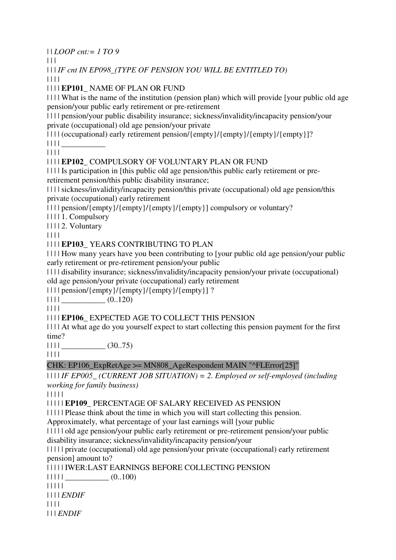| | *LOOP cnt:= 1 TO 9*

 $\Box$ 

| | | *IF cnt IN EP098\_(TYPE OF PENSION YOU WILL BE ENTITLED TO)*

| | | |

| | | | **EP101\_** NAME OF PLAN OR FUND

| | | | What is the name of the institution (pension plan) which will provide [your public old age pension/your public early retirement or pre-retirement

| | | | pension/your public disability insurance; sickness/invalidity/incapacity pension/your private (occupational) old age pension/your private

| | | | (occupational) early retirement pension/{empty}/{empty}/{empty}/{empty}]?

| | | | \_\_\_\_\_\_\_\_\_\_\_

| | | |

| | | | **EP102\_** COMPULSORY OF VOLUNTARY PLAN OR FUND

| | | | Is participation in [this public old age pension/this public early retirement or preretirement pension/this public disability insurance;

| | | | sickness/invalidity/incapacity pension/this private (occupational) old age pension/this private (occupational) early retirement

| | | | pension/{empty}/{empty}/{empty}/{empty}] compulsory or voluntary?

| | | | 1. Compulsory

| | | | 2. Voluntary

| | | |

## | | | | **EP103\_** YEARS CONTRIBUTING TO PLAN

| | | | How many years have you been contributing to [your public old age pension/your public early retirement or pre-retirement pension/your public

| | | | disability insurance; sickness/invalidity/incapacity pension/your private (occupational) old age pension/your private (occupational) early retirement

| | | | pension/{empty}/{empty}/{empty}/{empty}] ?

 $\| \cdot \|$   $\|$   $(0..120)$ 

| | | |

| | | | **EP106\_** EXPECTED AGE TO COLLECT THIS PENSION

| | | | At what age do you yourself expect to start collecting this pension payment for the first time?

 $\left| 1111 \right|$  (30..75)

| | | |

## CHK: EP106\_ExpRetAge >= MN808\_AgeRespondent MAIN "^FLError[25]"

| | | | *IF EP005\_ (CURRENT JOB SITUATION) = 2. Employed or self-employed (including working for family business)*

| | | | |

| | | | | **EP109\_** PERCENTAGE OF SALARY RECEIVED AS PENSION

| | | | | Please think about the time in which you will start collecting this pension.

Approximately, what percentage of your last earnings will [your public

| | | | | old age pension/your public early retirement or pre-retirement pension/your public disability insurance; sickness/invalidity/incapacity pension/your

| | | | | private (occupational) old age pension/your private (occupational) early retirement pension] amount to?

| | | | | IWER:LAST EARNINGS BEFORE COLLECTING PENSION

 $|| || || ||$   $(0..100)$ 

| | | | |

| | | | *ENDIF*

| | | |

| | | *ENDIF*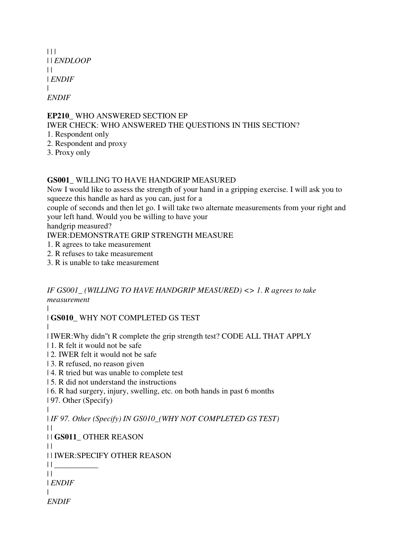| $\perp$               |
|-----------------------|
| $\Box$ <i>ENDLOOP</i> |
| $\perp$               |
| <i>ENDIF</i>          |
|                       |
| <i>ENDIF</i>          |

#### **EP210\_** WHO ANSWERED SECTION EP IWER CHECK: WHO ANSWERED THE QUESTIONS IN THIS SECTION?

- 1. Respondent only
- 2. Respondent and proxy
- 3. Proxy only

#### **GS001\_** WILLING TO HAVE HANDGRIP MEASURED

Now I would like to assess the strength of your hand in a gripping exercise. I will ask you to squeeze this handle as hard as you can, just for a

couple of seconds and then let go. I will take two alternate measurements from your right and your left hand. Would you be willing to have your

handgrip measured?

IWER:DEMONSTRATE GRIP STRENGTH MEASURE

- 1. R agrees to take measurement
- 2. R refuses to take measurement
- 3. R is unable to take measurement

*IF GS001\_ (WILLING TO HAVE HANDGRIP MEASURED) <> 1. R agrees to take measurement*

| | **GS010\_** WHY NOT COMPLETED GS TEST

|

| IWER:Why didn''t R complete the grip strength test? CODE ALL THAT APPLY

- | 1. R felt it would not be safe
- | 2. IWER felt it would not be safe
- | 3. R refused, no reason given
- | 4. R tried but was unable to complete test
- | 5. R did not understand the instructions
- | 6. R had surgery, injury, swelling, etc. on both hands in past 6 months
- | 97. Other (Specify)

|

 $| \cdot |$ 

| *IF 97. Other (Specify) IN GS010\_(WHY NOT COMPLETED GS TEST)*  $\perp$ 

| | **GS011\_** OTHER REASON

```
| | IWER:SPECIFY OTHER REASON
```

```
| | ___________
```

```
\|| ENDIF
```

```
|
```

```
ENDIF
```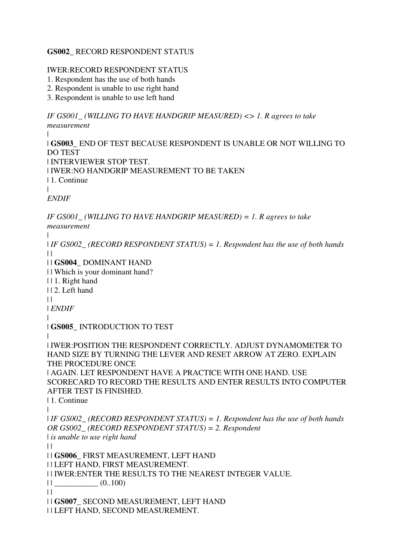#### **GS002\_** RECORD RESPONDENT STATUS

#### IWER:RECORD RESPONDENT STATUS

- 1. Respondent has the use of both hands
- 2. Respondent is unable to use right hand
- 3. Respondent is unable to use left hand

*IF GS001\_ (WILLING TO HAVE HANDGRIP MEASURED) <> 1. R agrees to take measurement*

| | **GS003\_** END OF TEST BECAUSE RESPONDENT IS UNABLE OR NOT WILLING TO DO TEST | INTERVIEWER STOP TEST. | IWER:NO HANDGRIP MEASUREMENT TO BE TAKEN | 1. Continue | *ENDIF*

*IF GS001\_ (WILLING TO HAVE HANDGRIP MEASURED) = 1. R agrees to take measurement*

| | *IF GS002\_ (RECORD RESPONDENT STATUS) = 1. Respondent has the use of both hands*  $\perp$ | | **GS004\_** DOMINANT HAND | | Which is your dominant hand? | | 1. Right hand | | 2. Left hand  $\|$ | *ENDIF* | | **GS005\_** INTRODUCTION TO TEST | | IWER:POSITION THE RESPONDENT CORRECTLY. ADJUST DYNAMOMETER TO HAND SIZE BY TURNING THE LEVER AND RESET ARROW AT ZERO. EXPLAIN THE PROCEDURE ONCE | AGAIN. LET RESPONDENT HAVE A PRACTICE WITH ONE HAND. USE SCORECARD TO RECORD THE RESULTS AND ENTER RESULTS INTO COMPUTER AFTER TEST IS FINISHED. | 1. Continue | | *IF GS002\_ (RECORD RESPONDENT STATUS) = 1. Respondent has the use of both hands OR GS002\_ (RECORD RESPONDENT STATUS) = 2. Respondent*  | *is unable to use right hand*  $\|$ | | **GS006\_** FIRST MEASUREMENT, LEFT HAND | | LEFT HAND, FIRST MEASUREMENT. | | IWER:ENTER THE RESULTS TO THE NEAREST INTEGER VALUE.  $||$   $(0..100)$  $\|$ | | **GS007\_** SECOND MEASUREMENT, LEFT HAND | | LEFT HAND, SECOND MEASUREMENT.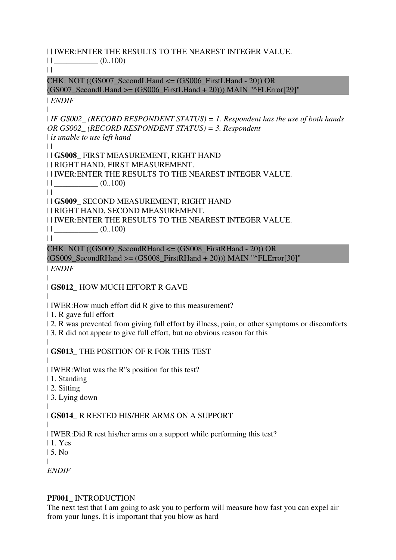| | IWER:ENTER THE RESULTS TO THE NEAREST INTEGER VALUE.

 $||$   $(0..100)$ 

 $||$ 

CHK: NOT  $((GS007 \text{ SecondLHand} \leq (GS006 \text{ FirstLHand} - 20)) \text{ OR})$  $(GS007$  SecondLHand  $>=(GS006$  FirstLHand  $+ 20)$ )) MAIN "^FLError[29]"

| *ENDIF* |

| *IF GS002\_ (RECORD RESPONDENT STATUS) = 1. Respondent has the use of both hands OR GS002\_ (RECORD RESPONDENT STATUS) = 3. Respondent*  | *is unable to use left hand*

 $\perp$ 

| | **GS008\_** FIRST MEASUREMENT, RIGHT HAND | | RIGHT HAND, FIRST MEASUREMENT.

| | IWER:ENTER THE RESULTS TO THE NEAREST INTEGER VALUE.

 $||$   $(0..100)$  $\|$ 

| | **GS009\_** SECOND MEASUREMENT, RIGHT HAND

| | RIGHT HAND, SECOND MEASUREMENT.

| | IWER:ENTER THE RESULTS TO THE NEAREST INTEGER VALUE.

 $||$   $(0..100)$ 

 $\|$ 

 $\blacksquare$ 

CHK: NOT  $((GS009 \text{ SecondRH} \text{ and } \leq (GS008 \text{ FirstRH} \text{ and } -20)) \text{ OR }$  $(GS009$ <sub>\_</sub>SecondRHand >=  $(GS008$ <sub>\_FirstRHand + 20))</sub> $MAIN$  " $'FLError[30]$ "

| *ENDIF*

| **GS012\_** HOW MUCH EFFORT R GAVE

| | IWER:How much effort did R give to this measurement?

| 1. R gave full effort

| 2. R was prevented from giving full effort by illness, pain, or other symptoms or discomforts

| 3. R did not appear to give full effort, but no obvious reason for this

| | **GS013\_** THE POSITION OF R FOR THIS TEST

| | IWER:What was the R''s position for this test?

| 1. Standing

| 2. Sitting

| 3. Lying down

#### | | **GS014\_** R RESTED HIS/HER ARMS ON A SUPPORT

|

| IWER:Did R rest his/her arms on a support while performing this test? | 1. Yes

| 5. No

|

*ENDIF*

## **PF001\_** INTRODUCTION

The next test that I am going to ask you to perform will measure how fast you can expel air from your lungs. It is important that you blow as hard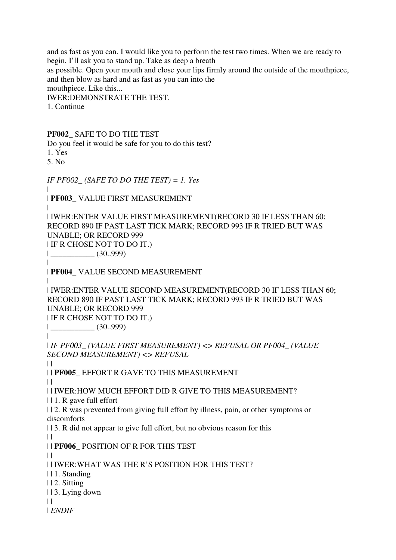and as fast as you can. I would like you to perform the test two times. When we are ready to begin, I'll ask you to stand up. Take as deep a breath as possible. Open your mouth and close your lips firmly around the outside of the mouthpiece, and then blow as hard and as fast as you can into the mouthpiece. Like this... IWER:DEMONSTRATE THE TEST. 1. Continue **PF002\_** SAFE TO DO THE TEST Do you feel it would be safe for you to do this test? 1. Yes 5. No *IF PF002\_ (SAFE TO DO THE TEST) = 1. Yes* | | **PF003\_** VALUE FIRST MEASUREMENT | | IWER:ENTER VALUE FIRST MEASUREMENT(RECORD 30 IF LESS THAN 60; RECORD 890 IF PAST LAST TICK MARK; RECORD 993 IF R TRIED BUT WAS UNABLE; OR RECORD 999 | IF R CHOSE NOT TO DO IT.) | \_\_\_\_\_\_\_\_\_\_\_ (30..999)  $\blacksquare$ | **PF004\_** VALUE SECOND MEASUREMENT | | IWER:ENTER VALUE SECOND MEASUREMENT(RECORD 30 IF LESS THAN 60; RECORD 890 IF PAST LAST TICK MARK; RECORD 993 IF R TRIED BUT WAS UNABLE; OR RECORD 999 | IF R CHOSE NOT TO DO IT.)  $|$  (30..999) | | *IF PF003\_ (VALUE FIRST MEASUREMENT) <> REFUSAL OR PF004\_ (VALUE SECOND MEASUREMENT) <> REFUSAL*  $\|$ | | **PF005\_** EFFORT R GAVE TO THIS MEASUREMENT  $\perp$ | | IWER:HOW MUCH EFFORT DID R GIVE TO THIS MEASUREMENT? | | 1. R gave full effort | | 2. R was prevented from giving full effort by illness, pain, or other symptoms or discomforts | | 3. R did not appear to give full effort, but no obvious reason for this  $\|$ | | **PF006\_** POSITION OF R FOR THIS TEST  $\perp$ | | IWER:WHAT WAS THE R'S POSITION FOR THIS TEST? | | 1. Standing | | 2. Sitting | | 3. Lying down  $\perp$ | *ENDIF*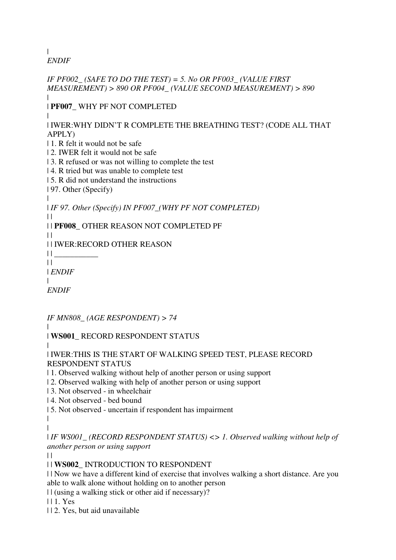| *ENDIF*

*IF PF002\_ (SAFE TO DO THE TEST) = 5. No OR PF003\_ (VALUE FIRST MEASUREMENT) > 890 OR PF004\_ (VALUE SECOND MEASUREMENT) > 890* | | **PF007\_** WHY PF NOT COMPLETED | | IWER:WHY DIDN'T R COMPLETE THE BREATHING TEST? (CODE ALL THAT APPLY) | 1. R felt it would not be safe | 2. IWER felt it would not be safe | 3. R refused or was not willing to complete the test | 4. R tried but was unable to complete test | 5. R did not understand the instructions | 97. Other (Specify) | | *IF 97. Other (Specify) IN PF007\_(WHY PF NOT COMPLETED)*  $\mathbf{||}$ | | **PF008\_** OTHER REASON NOT COMPLETED PF  $\perp$ | | IWER:RECORD OTHER REASON  $||$  $\|$ | *ENDIF*  $\blacksquare$ *ENDIF IF MN808\_ (AGE RESPONDENT) > 74* | | **WS001\_** RECORD RESPONDENT STATUS | | IWER:THIS IS THE START OF WALKING SPEED TEST, PLEASE RECORD RESPONDENT STATUS | 1. Observed walking without help of another person or using support

- 
- | 2. Observed walking with help of another person or using support
- | 3. Not observed in wheelchair
- | 4. Not observed bed bound
- | 5. Not observed uncertain if respondent has impairment
- | |

| *IF WS001\_ (RECORD RESPONDENT STATUS) <> 1. Observed walking without help of another person or using support*

 $\perp$ 

| | **WS002\_** INTRODUCTION TO RESPONDENT

| | Now we have a different kind of exercise that involves walking a short distance. Are you able to walk alone without holding on to another person

| | (using a walking stick or other aid if necessary)?

| | 1. Yes

| | 2. Yes, but aid unavailable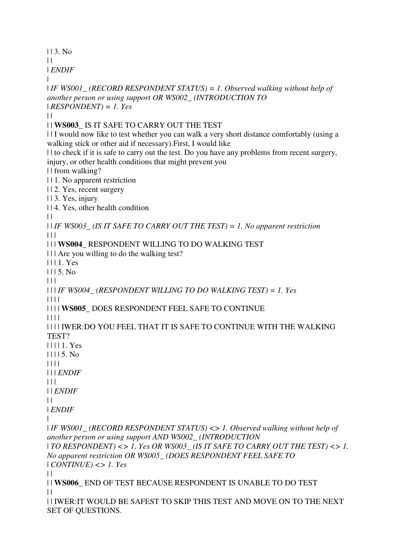| | 3. No

 $\perp$ 

| *ENDIF* |

```
| IF WS001_ (RECORD RESPONDENT STATUS) = 1. Observed walking without help of 
another person or using support OR WS002_ (INTRODUCTION TO 
| RESPONDENT) = 1. Yes
\|| | WS003_ IS IT SAFE TO CARRY OUT THE TEST 
| | I would now like to test whether you can walk a very short distance comfortably (using a 
walking stick or other aid if necessary).First, I would like 
| | to check if it is safe to carry out the test. Do you have any problems from recent surgery, 
injury, or other health conditions that might prevent you 
| | from walking? 
| | 1. No apparent restriction 
| | 2. Yes, recent surgery 
| | 3. Yes, injury 
| | 4. Yes, other health condition 
\perp| | IF WS003_ (IS IT SAFE TO CARRY OUT THE TEST) = 1. No apparent restriction
|| \ ||| | | WS004_ RESPONDENT WILLING TO DO WALKING TEST 
| | | Are you willing to do the walking test? 
| | | 1. Yes 
1115. No| 11| | | IF WS004_ (RESPONDENT WILLING TO DO WALKING TEST) = 1. Yes
| | | | 
| | | | WS005_ DOES RESPONDENT FEEL SAFE TO CONTINUE 
| | | | 
| | | | IWER:DO YOU FEEL THAT IT IS SAFE TO CONTINUE WITH THE WALKING 
TEST?
| | | | 1. Yes 
| | | | 5. No 
| | | | 
| | | ENDIF
| 11| | ENDIF
\|| ENDIF
| 
| IF WS001_ (RECORD RESPONDENT STATUS) <> 1. Observed walking without help of 
another person or using support AND WS002_ (INTRODUCTION 
| TO RESPONDENT) <> 1. Yes OR WS003_ (IS IT SAFE TO CARRY OUT THE TEST) <> 1. 
No apparent restriction OR WS005_ (DOES RESPONDENT FEEL SAFE TO 
| CONTINUE) <> 1. Yes
\|| | WS006_ END OF TEST BECAUSE RESPONDENT IS UNABLE TO DO TEST 
| || | IWER:IT WOULD BE SAFEST TO SKIP THIS TEST AND MOVE ON TO THE NEXT 
SET OF QUESTIONS.
```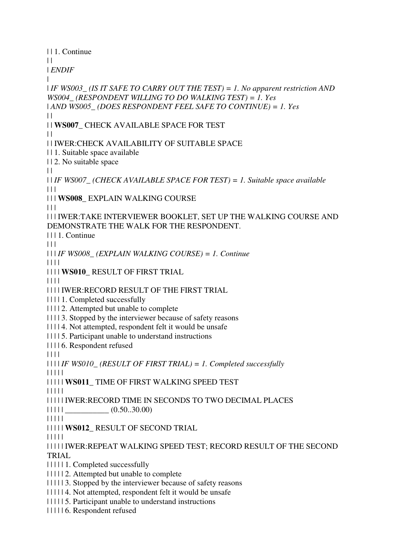| | 1. Continue  $\perp$ | *ENDIF* | | *IF WS003\_ (IS IT SAFE TO CARRY OUT THE TEST) = 1. No apparent restriction AND WS004\_ (RESPONDENT WILLING TO DO WALKING TEST) = 1. Yes*  | *AND WS005\_ (DOES RESPONDENT FEEL SAFE TO CONTINUE) = 1. Yes*  $\perp$ | | **WS007\_** CHECK AVAILABLE SPACE FOR TEST  $\perp$ | | IWER:CHECK AVAILABILITY OF SUITABLE SPACE | | 1. Suitable space available | | 2. No suitable space  $| |$ | | *IF WS007\_ (CHECK AVAILABLE SPACE FOR TEST) = 1. Suitable space available*  $\Box$ | | | **WS008\_** EXPLAIN WALKING COURSE  $\Box$ | | | IWER:TAKE INTERVIEWER BOOKLET, SET UP THE WALKING COURSE AND DEMONSTRATE THE WALK FOR THE RESPONDENT. | | | 1. Continue  $| 11$ | | | *IF WS008\_ (EXPLAIN WALKING COURSE) = 1. Continue* | | | | | | | | **WS010\_** RESULT OF FIRST TRIAL | | | | | | | | IWER:RECORD RESULT OF THE FIRST TRIAL | | | | 1. Completed successfully | | | | 2. Attempted but unable to complete | | | | 3. Stopped by the interviewer because of safety reasons | | | | 4. Not attempted, respondent felt it would be unsafe | | | | 5. Participant unable to understand instructions | | | | 6. Respondent refused | | | | | | | | *IF WS010\_ (RESULT OF FIRST TRIAL) = 1. Completed successfully* | | | | | | | | | | **WS011\_** TIME OF FIRST WALKING SPEED TEST | | | | | | | | | | IWER:RECORD TIME IN SECONDS TO TWO DECIMAL PLACES  $|| || || ||$   $\qquad \qquad \qquad \qquad (0.50..30.00)$ | | | | | | | | | | **WS012\_** RESULT OF SECOND TRIAL | | | | | | | | | | IWER:REPEAT WALKING SPEED TEST; RECORD RESULT OF THE SECOND TRIAL | | | | | 1. Completed successfully | | | | | 2. Attempted but unable to complete | | | | | 3. Stopped by the interviewer because of safety reasons | | | | | 4. Not attempted, respondent felt it would be unsafe | | | | | 5. Participant unable to understand instructions | | | | | 6. Respondent refused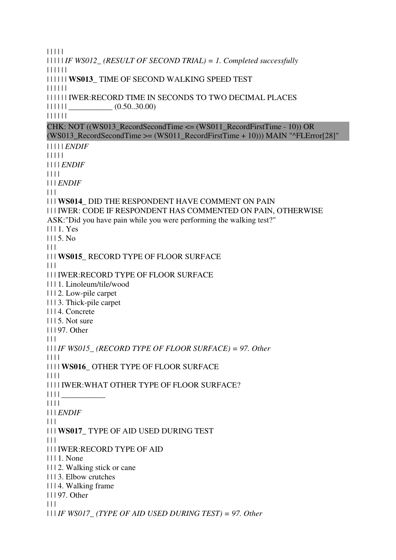| | | | | | | | | | *IF WS012\_ (RESULT OF SECOND TRIAL) = 1. Completed successfully* | | | | | | | | | | | | **WS013\_** TIME OF SECOND WALKING SPEED TEST | | | | | | | | | | | | IWER:RECORD TIME IN SECONDS TO TWO DECIMAL PLACES  $|| || || || ||$   $(0.50..30.00)$ | | | | | | CHK: NOT ((WS013\_RecordSecondTime <= (WS011\_RecordFirstTime - 10)) OR (WS013\_RecordSecondTime >= (WS011\_RecordFirstTime + 10))) MAIN "^FLError[28]" | | | | | *ENDIF* | | | | | | | | | *ENDIF* | | | | | | | *ENDIF*  $| 11$ | | | **WS014\_** DID THE RESPONDENT HAVE COMMENT ON PAIN | | | IWER: CODE IF RESPONDENT HAS COMMENTED ON PAIN, OTHERWISE ASK:"Did you have pain while you were performing the walking test?" | | | 1. Yes  $1115. No$  $| 11$ | | | **WS015\_** RECORD TYPE OF FLOOR SURFACE  $| | | |$ | | | IWER:RECORD TYPE OF FLOOR SURFACE | | | 1. Linoleum/tile/wood | | | 2. Low-pile carpet | | | 3. Thick-pile carpet | | | 4. Concrete | | | 5. Not sure | | | 97. Other  $| 11$ | | | *IF WS015\_ (RECORD TYPE OF FLOOR SURFACE) = 97. Other* | | | | | | | | **WS016\_** OTHER TYPE OF FLOOR SURFACE | | | | | | | | IWER:WHAT OTHER TYPE OF FLOOR SURFACE?  $\| \cdot \| \cdot \|_{\mathbb{L}}$ | | | | | | | *ENDIF*  $\Box$ | | | **WS017\_** TYPE OF AID USED DURING TEST  $| | | |$ | | | IWER:RECORD TYPE OF AID | | | 1. None | | | 2. Walking stick or cane | | | 3. Elbow crutches | | | 4. Walking frame | | | 97. Other  $| | | |$ | | | *IF WS017\_ (TYPE OF AID USED DURING TEST) = 97. Other*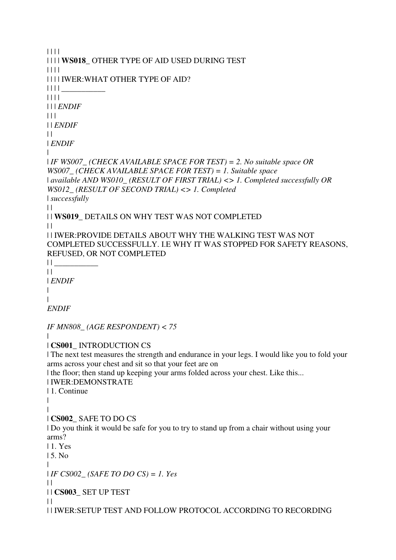```
| | | | 
| | | | WS018_ OTHER TYPE OF AID USED DURING TEST 
| | | | 
| | | | IWER:WHAT OTHER TYPE OF AID? 
||  || || \qquad \qquad \qquad| | | | 
| | | ENDIF
| 11| | ENDIF
\perp| ENDIF
| 
| IF WS007_ (CHECK AVAILABLE SPACE FOR TEST) = 2. No suitable space OR 
WS007_ (CHECK AVAILABLE SPACE FOR TEST) = 1. Suitable space 
| available AND WS010_ (RESULT OF FIRST TRIAL) <> 1. Completed successfully OR 
WS012_ (RESULT OF SECOND TRIAL) <> 1. Completed 
| successfully
\Box| | WS019_ DETAILS ON WHY TEST WAS NOT COMPLETED 
\perp| | IWER:PROVIDE DETAILS ABOUT WHY THE WALKING TEST WAS NOT 
COMPLETED SUCCESSFULLY. I.E WHY IT WAS STOPPED FOR SAFETY REASONS, 
REFUSED, OR NOT COMPLETED 
|| \cdot ||\|| ENDIF
\blacksquare\blacksquareENDIF
IF MN808_ (AGE RESPONDENT) < 75
| 
| CS001_ INTRODUCTION CS 
| The next test measures the strength and endurance in your legs. I would like you to fold your 
arms across your chest and sit so that your feet are on 
| the floor; then stand up keeping your arms folded across your chest. Like this... 
| IWER:DEMONSTRATE 
| 1. Continue 
| 
| 
| CS002_ SAFE TO DO CS 
| Do you think it would be safe for you to try to stand up from a chair without using your 
arms? 
| 1. Yes 
| 5. No 
| 
| IF CS002_ (SAFE TO DO CS) = 1. Yes
\|| | CS003_ SET UP TEST 
\perp| | IWER:SETUP TEST AND FOLLOW PROTOCOL ACCORDING TO RECORDING
```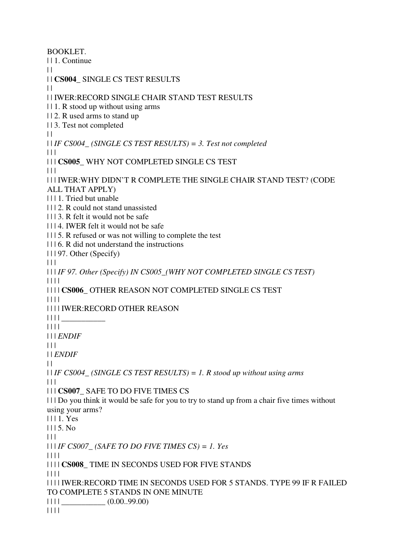BOOKLET. | | 1. Continue  $\|$ | | **CS004\_** SINGLE CS TEST RESULTS  $\|$ | | IWER:RECORD SINGLE CHAIR STAND TEST RESULTS | | 1. R stood up without using arms | | 2. R used arms to stand up | | 3. Test not completed  $\perp$ | | *IF CS004\_ (SINGLE CS TEST RESULTS) = 3. Test not completed*  $|| ||$ | | | **CS005\_** WHY NOT COMPLETED SINGLE CS TEST  $|| ||$ | | | IWER:WHY DIDN'T R COMPLETE THE SINGLE CHAIR STAND TEST? (CODE ALL THAT APPLY) | | | 1. Tried but unable | | | 2. R could not stand unassisted | | | 3. R felt it would not be safe | | | 4. IWER felt it would not be safe | | | 5. R refused or was not willing to complete the test | | | 6. R did not understand the instructions | | | 97. Other (Specify)  $\Box$ | | | *IF 97. Other (Specify) IN CS005\_(WHY NOT COMPLETED SINGLE CS TEST)*  $\begin{array}{c|c} \hline \text{ } & \text{ } & \text{ } \\ \hline \end{array}$ | | | | **CS006\_** OTHER REASON NOT COMPLETED SINGLE CS TEST | | | | | | | | IWER:RECORD OTHER REASON | | | | \_\_\_\_\_\_\_\_\_\_\_ | | | | | | | *ENDIF*  $| 11$ | | *ENDIF*  $\|$ | | *IF CS004\_ (SINGLE CS TEST RESULTS) = 1. R stood up without using arms*  $| 11$ | | | **CS007\_** SAFE TO DO FIVE TIMES CS | | | Do you think it would be safe for you to try to stand up from a chair five times without using your arms? | | | 1. Yes  $1115$ . No.  $| 11$ | | | *IF CS007\_ (SAFE TO DO FIVE TIMES CS) = 1. Yes* | | | | | | | | **CS008\_** TIME IN SECONDS USED FOR FIVE STANDS | | | | | | | | IWER:RECORD TIME IN SECONDS USED FOR 5 STANDS. TYPE 99 IF R FAILED TO COMPLETE 5 STANDS IN ONE MINUTE  $| 1111$  (0.00..99.00) | | | |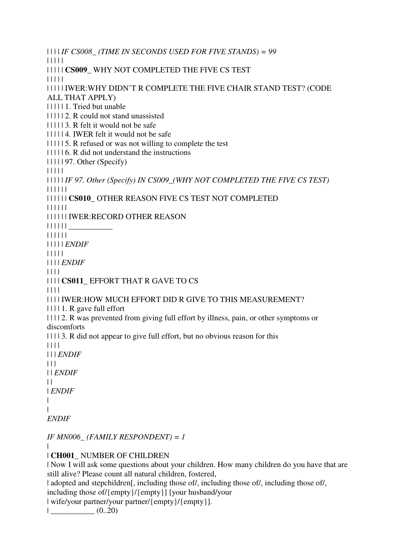```
| | | | IF CS008_ (TIME IN SECONDS USED FOR FIVE STANDS) = 99
| | | | | 
| | | | | CS009_ WHY NOT COMPLETED THE FIVE CS TEST 
| | | | | 
| | | | | IWER:WHY DIDN'T R COMPLETE THE FIVE CHAIR STAND TEST? (CODE 
ALL THAT APPLY) 
| | | | | 1. Tried but unable 
| | | | | 2. R could not stand unassisted 
| 111113. R felt it would not be safe
| | | | | 4. IWER felt it would not be safe 
| | | | | 5. R refused or was not willing to complete the test 
| | | | | 6. R did not understand the instructions 
| | | | | 97. Other (Specify) 
| | | | | 
| | | | | IF 97. Other (Specify) IN CS009_(WHY NOT COMPLETED THE FIVE CS TEST)
| | | | | | 
| | | | | | CS010_ OTHER REASON FIVE CS TEST NOT COMPLETED 
| | | | | | 
| | | | | | IWER:RECORD OTHER REASON 
| | | | | | ___________ 
| | | | | | 
| | | | | ENDIF
| | | | | 
| | | | ENDIF
| | | | 
| | | | CS011_ EFFORT THAT R GAVE TO CS 
| | | | 
| | | | IWER:HOW MUCH EFFORT DID R GIVE TO THIS MEASUREMENT? 
| | | | 1. R gave full effort 
| | | | 2. R was prevented from giving full effort by illness, pain, or other symptoms or 
discomforts 
| | | | 3. R did not appear to give full effort, but no obvious reason for this 
| | | | 
| | | ENDIF
\Box| | ENDIF
\perp| ENDIF
| 
\blacksquareENDIF
IF MN006_ (FAMILY RESPONDENT) = 1
| 
| CH001_ NUMBER OF CHILDREN 
| Now I will ask some questions about your children. How many children do you have that are 
still alive? Please count all natural children, fostered,
```
| adopted and stepchildren[, including those of/, including those of/, including those of/,

including those of/{empty}/{empty}] [your husband/your

| wife/your partner/your partner/{empty}/{empty}].

| \_\_\_\_\_\_\_\_\_\_\_ (0..20)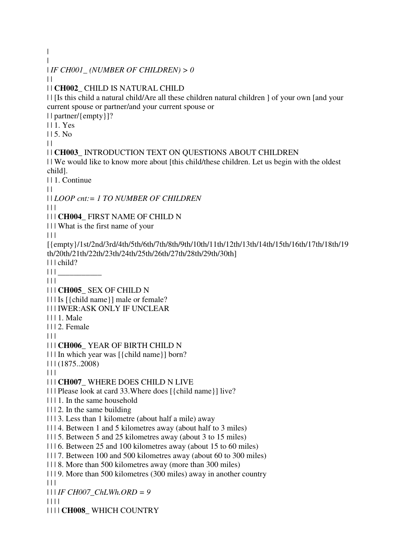| | | *IF CH001\_ (NUMBER OF CHILDREN) > 0*  $\perp$ | | **CH002\_** CHILD IS NATURAL CHILD | | [Is this child a natural child/Are all these children natural children ] of your own [and your current spouse or partner/and your current spouse or | | partner/{empty}]? | | 1. Yes | | 5. No  $\perp$ | | **CH003\_** INTRODUCTION TEXT ON QUESTIONS ABOUT CHILDREN | | We would like to know more about [this child/these children. Let us begin with the oldest child]. | | 1. Continue  $\|$ | | *LOOP cnt:= 1 TO NUMBER OF CHILDREN* | | | | | | **CH004\_** FIRST NAME OF CHILD N | | | What is the first name of your  $| | | |$ [{empty}/1st/2nd/3rd/4th/5th/6th/7th/8th/9th/10th/11th/12th/13th/14th/15th/16th/17th/18th/19 th/20th/21th/22th/23th/24th/25th/26th/27th/28th/29th/30th] | | | child?  $|| ||$  $| 11 |$ | | | **CH005\_** SEX OF CHILD N | | | Is [{child name}] male or female? | | | IWER:ASK ONLY IF UNCLEAR | | | 1. Male | | | 2. Female  $| 11 |$ | | | **CH006\_** YEAR OF BIRTH CHILD N | | | In which year was [{child name}] born? | | | (1875..2008)  $\Box$ | | | **CH007\_** WHERE DOES CHILD N LIVE | | | Please look at card 33.Where does [{child name}] live? | | | 1. In the same household | | | 2. In the same building  $|| \cdot ||$  3. Less than 1 kilometre (about half a mile) away | | | 4. Between 1 and 5 kilometres away (about half to 3 miles) | | | 5. Between 5 and 25 kilometres away (about 3 to 15 miles) | | | 6. Between 25 and 100 kilometres away (about 15 to 60 miles) | | | 7. Between 100 and 500 kilometres away (about 60 to 300 miles) | | | 8. More than 500 kilometres away (more than 300 miles) | | | 9. More than 500 kilometres (300 miles) away in another country  $| 11$ | | | *IF CH007\_ChLWh.ORD = 9* | | | | | | | | **CH008\_** WHICH COUNTRY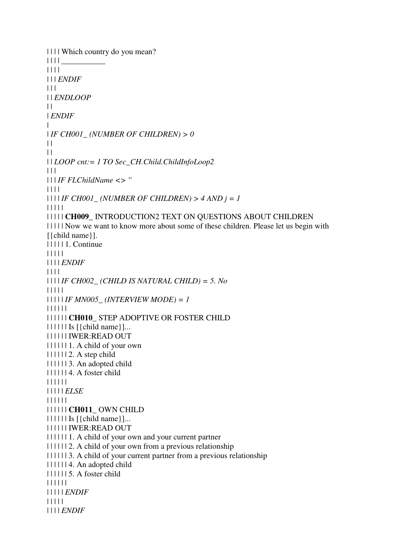```
| | | | Which country do you mean? 
\| \ | \ || \| | | | 
| | | ENDIF
| 11 || | ENDLOOP
\|| ENDIF
\blacksquare| IF CH001_ (NUMBER OF CHILDREN) > 0
\|||| | LOOP cnt:= 1 TO Sec_CH.Child.ChildInfoLoop2
\Box| | | IF FLChildName <> ''
| | | | 
|111IF CH001 (NUMBER OF CHILDREN) > 4 AND j = 1| | | | | 
| | | | | CH009_ INTRODUCTION2 TEXT ON QUESTIONS ABOUT CHILDREN 
| | | | | Now we want to know more about some of these children. Please let us begin with 
[{child name}]. 
| | | | | 1. Continue 
| | | | | 
| | | | ENDIF
| | | | 
| | | | IF CH002_ (CHILD IS NATURAL CHILD) = 5. No
| | | | | 
| | | | | IF MN005_ (INTERVIEW MODE) = 1
| | | | | | 
| | | | | | CH010_ STEP ADOPTIVE OR FOSTER CHILD 
|| \cdot || \cdot || Is [ \{ \text{child name} \} ]...| | | | | | IWER:READ OUT 
| | | | | | 1. A child of your own 
| | | | | | 2. A step child 
| | | | | | 3. An adopted child 
| | | | | | 4. A foster child 
| | | | | | 
| | | | | ELSE
| | | | | | 
| | | | | | CH011_ OWN CHILD 
| | | | | | Is [{child name}]... 
| | | | | | IWER:READ OUT 
| | | | | | 1. A child of your own and your current partner 
| | | | | | 2. A child of your own from a previous relationship 
| | | | | | 3. A child of your current partner from a previous relationship 
| | | | | | 4. An adopted child 
| | | | | | 5. A foster child 
| | | | | | 
| | | | | ENDIF
| | | | | 
| | | | ENDIF
```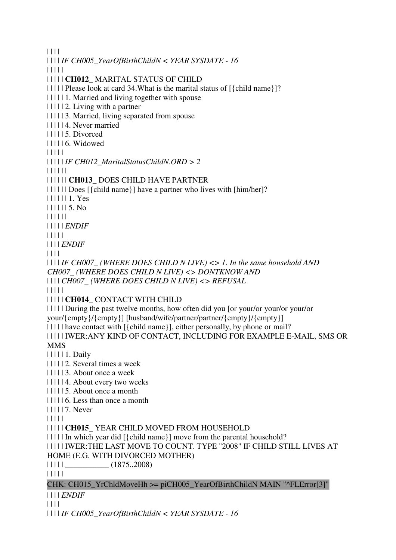| | | |

| | | | *IF CH005\_YearOfBirthChildN < YEAR SYSDATE - 16* | | | | | | | | | | **CH012\_** MARITAL STATUS OF CHILD | | | | | Please look at card 34.What is the marital status of [{child name}]? | | | | | 1. Married and living together with spouse | | | | | 2. Living with a partner | | | | | 3. Married, living separated from spouse | | | | | 4. Never married | | | | | 5. Divorced | | | | | 6. Widowed | | | | | | | | | | *IF CH012\_MaritalStatusChildN.ORD > 2* | | | | | | | | | | | | **CH013\_** DOES CHILD HAVE PARTNER | | | | | | Does [{child name}] have a partner who lives with [him/her]? | | | | | | 1. Yes | | | | | | 5. No | | | | | | | | | | | *ENDIF* | | | | | | | | | *ENDIF* | | | | | | | | *IF CH007\_ (WHERE DOES CHILD N LIVE) <> 1. In the same household AND CH007\_ (WHERE DOES CHILD N LIVE) <> DONTKNOW AND*  | | | | *CH007\_ (WHERE DOES CHILD N LIVE) <> REFUSAL* | | | | | | | | | | **CH014\_** CONTACT WITH CHILD | | | | | During the past twelve months, how often did you [or your/or your/or your/or your/{empty}/{empty}] [husband/wife/partner/partner/{empty}/{empty}] | | | | | have contact with [{child name}], either personally, by phone or mail? | | | | | IWER:ANY KIND OF CONTACT, INCLUDING FOR EXAMPLE E-MAIL, SMS OR MMS | | | | | 1. Daily | | | | | 2. Several times a week | | | | | 3. About once a week | | | | | 4. About every two weeks | | | | | 5. About once a month | | | | | 6. Less than once a month | | | | | 7. Never | | | | | | | | | | **CH015\_** YEAR CHILD MOVED FROM HOUSEHOLD | | | | | In which year did [{child name}] move from the parental household? | | | | | IWER:THE LAST MOVE TO COUNT. TYPE "2008" IF CHILD STILL LIVES AT HOME (E.G. WITH DIVORCED MOTHER) | | | | | \_\_\_\_\_\_\_\_\_\_\_ (1875..2008) | | | | | CHK: CH015 YrChldMoveHh >= piCH005 YearOfBirthChildN MAIN "^FLError[3]" | | | | *ENDIF* | | | |

| | | | *IF CH005\_YearOfBirthChildN < YEAR SYSDATE - 16*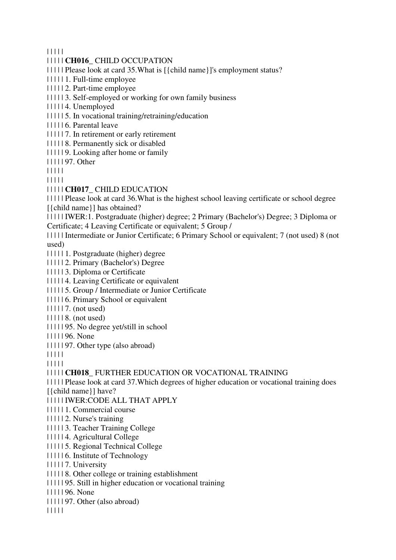| | | | |

- | | | | | **CH016\_** CHILD OCCUPATION
- | | | | | Please look at card 35.What is [{child name}]'s employment status?
- | | | | | 1. Full-time employee
- | | | | | 2. Part-time employee
- | | | | | 3. Self-employed or working for own family business
- | | | | | 4. Unemployed
- | | | | | 5. In vocational training/retraining/education
- | | | | | 6. Parental leave
- | | | | | 7. In retirement or early retirement
- | | | | | 8. Permanently sick or disabled
- | | | | | 9. Looking after home or family
- | | | | | 97. Other
- | | | | |
- | | | | |
- | | | | | **CH017\_** CHILD EDUCATION
- | | | | | Please look at card 36.What is the highest school leaving certificate or school degree [{child name}] has obtained?
- | | | | | IWER:1. Postgraduate (higher) degree; 2 Primary (Bachelor's) Degree; 3 Diploma or Certificate; 4 Leaving Certificate or equivalent; 5 Group /
- | | | | | Intermediate or Junior Certificate; 6 Primary School or equivalent; 7 (not used) 8 (not used)
- | | | | | 1. Postgraduate (higher) degree
- | | | | | 2. Primary (Bachelor's) Degree
- | | | | | 3. Diploma or Certificate
- | | | | | 4. Leaving Certificate or equivalent
- | | | | | 5. Group / Intermediate or Junior Certificate
- | | | | | 6. Primary School or equivalent
- | | | | | | 7. (not used)
- | | | | | 8. (not used)
- | | | | | 95. No degree yet/still in school
- | | | | | 96. None
- | | | | | 97. Other type (also abroad)
- | | | | |
- | | | | |
- | | | | | **CH018\_** FURTHER EDUCATION OR VOCATIONAL TRAINING
- | | | | | Please look at card 37.Which degrees of higher education or vocational training does [{child name}] have?
- | | | | | IWER:CODE ALL THAT APPLY
- | | | | | 1. Commercial course
- | | | | | 2. Nurse's training
- | | | | | 3. Teacher Training College
- | | | | | 4. Agricultural College
- | | | | | 5. Regional Technical College
- | | | | | 6. Institute of Technology
- | | | | | 7. University
- | | | | | 8. Other college or training establishment
- | | | | | 95. Still in higher education or vocational training
- | | | | | 96. None
- | | | | | 97. Other (also abroad)
- | | | | |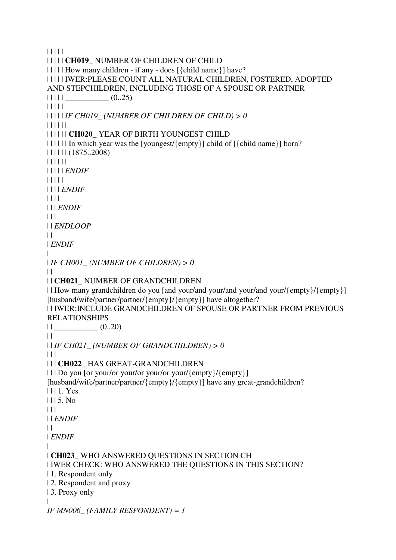| | | | | | | | | | **CH019\_** NUMBER OF CHILDREN OF CHILD | | | | | How many children - if any - does [{child name}] have? | | | | | IWER:PLEASE COUNT ALL NATURAL CHILDREN, FOSTERED, ADOPTED AND STEPCHILDREN, INCLUDING THOSE OF A SPOUSE OR PARTNER  $|| || || ||$   $(0..25)$ | | | | | | | | | | *IF CH019\_ (NUMBER OF CHILDREN OF CHILD) > 0* | | | | | | | | | | | | **CH020\_** YEAR OF BIRTH YOUNGEST CHILD | | | | | | In which year was the [youngest/{empty}] child of [{child name}] born? | | | | | | (1875..2008) | | | | | | | | | | | *ENDIF* | | | | | | | | | *ENDIF* | | | | | | | *ENDIF*  $\Box$ | | *ENDLOOP*  $\perp$ | *ENDIF* | | *IF CH001\_ (NUMBER OF CHILDREN) > 0*  $\Box$ | | **CH021\_** NUMBER OF GRANDCHILDREN | | How many grandchildren do you [and your/and your/and your/and your/{empty}/{empty}] [husband/wife/partner/partner/{empty}/{empty}] have altogether? | | IWER:INCLUDE GRANDCHILDREN OF SPOUSE OR PARTNER FROM PREVIOUS RELATIONSHIPS  $||$   $(0..20)$  $\|$ | | *IF CH021\_ (NUMBER OF GRANDCHILDREN) > 0* | | | | | | **CH022\_** HAS GREAT-GRANDCHILDREN  $|| \cdot ||$  Do you [or your/or your/or your/or your/{empty}/{empty}] [husband/wife/partner/partner/{empty}/{empty}] have any great-grandchildren? | | | 1. Yes  $1115. No$  $\Box$ | | *ENDIF*  $\|$ | *ENDIF* | | **CH023\_** WHO ANSWERED QUESTIONS IN SECTION CH | IWER CHECK: WHO ANSWERED THE QUESTIONS IN THIS SECTION? | 1. Respondent only | 2. Respondent and proxy | 3. Proxy only | *IF MN006\_ (FAMILY RESPONDENT) = 1*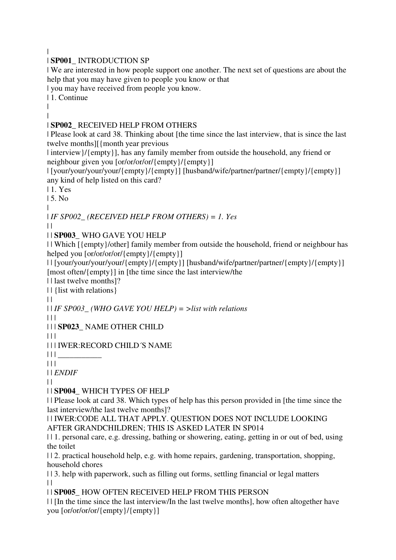|

#### | **SP001\_** INTRODUCTION SP

| We are interested in how people support one another. The next set of questions are about the help that you may have given to people you know or that

| you may have received from people you know.

| 1. Continue

| |

## | **SP002\_** RECEIVED HELP FROM OTHERS

| Please look at card 38. Thinking about [the time since the last interview, that is since the last twelve months][{month year previous

| interview}/{empty}], has any family member from outside the household, any friend or neighbour given you [or/or/or/ $\{empty\}$ ]

| [your/your/your/your/{empty}/{empty}] [husband/wife/partner/partner/{empty}/{empty}] any kind of help listed on this card?

| 1. Yes

 $15$ . No.

| | *IF SP002\_ (RECEIVED HELP FROM OTHERS) = 1. Yes*

 $\perp$ 

## | | **SP003\_** WHO GAVE YOU HELP

| | Which [{empty}/other] family member from outside the household, friend or neighbour has helped you [or/or/or/or/{empty}/{empty}]

| | [your/your/your/your/{empty}/{empty}] [husband/wife/partner/partner/{empty}/{empty}] [most often/{empty}] in [the time since the last interview/the

| | last twelve months]?

| | {list with relations}

 $\|$ 

| | *IF SP003\_ (WHO GAVE YOU HELP) = >list with relations*

 $| | | |$ 

| | | **SP023\_** NAME OTHER CHILD

 $|| ||$ 

| | | IWER:RECORD CHILD´S NAME

 $|| ||$ 

 $| 11 |$ 

| | *ENDIF*

 $\perp$ 

## | | **SP004\_** WHICH TYPES OF HELP

| | Please look at card 38. Which types of help has this person provided in [the time since the last interview/the last twelve months]?

| | IWER:CODE ALL THAT APPLY. QUESTION DOES NOT INCLUDE LOOKING AFTER GRANDCHILDREN; THIS IS ASKED LATER IN SP014

| | 1. personal care, e.g. dressing, bathing or showering, eating, getting in or out of bed, using the toilet

| | 2. practical household help, e.g. with home repairs, gardening, transportation, shopping, household chores

| | 3. help with paperwork, such as filling out forms, settling financial or legal matters  $| |$ 

## | | **SP005\_** HOW OFTEN RECEIVED HELP FROM THIS PERSON

| | [In the time since the last interview/In the last twelve months], how often altogether have you [or/or/or/or/{empty}/{empty}]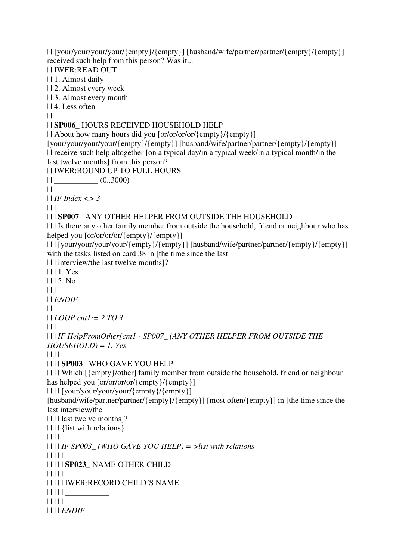| | [your/your/your/your/{empty}/{empty}] [husband/wife/partner/partner/{empty}/{empty}] received such help from this person? Was it... | | IWER:READ OUT | | 1. Almost daily | | 2. Almost every week | | 3. Almost every month | | 4. Less often  $\|$ | | **SP006\_** HOURS RECEIVED HOUSEHOLD HELP | | About how many hours did you [or/or/or/or/{empty}/{empty}] [your/your/your/your/{empty}/{empty}] [husband/wife/partner/partner/{empty}/{empty}] | | receive such help altogether [on a typical day/in a typical week/in a typical month/in the last twelve months] from this person? | | IWER:ROUND UP TO FULL HOURS  $||$   $(0..3000)$  $\|$ | | *IF Index <> 3*  $| \cdot |$ | | | **SP007\_** ANY OTHER HELPER FROM OUTSIDE THE HOUSEHOLD | | | Is there any other family member from outside the household, friend or neighbour who has helped you [or/or/or/or/{empty}/{empty}] | | | [your/your/your/your/{empty}/{empty}] [husband/wife/partner/partner/{empty}/{empty}] with the tasks listed on card 38 in [the time since the last] | | | interview/the last twelve months]? | | | 1. Yes  $1115. No$ | | | | | *ENDIF*  $\|$ | | *LOOP cnt1:= 2 TO 3* | | | | | | *IF HelpFromOther[cnt1 - SP007\_ (ANY OTHER HELPER FROM OUTSIDE THE HOUSEHOLD) = 1. Yes* | | | | | | | | **SP003\_** WHO GAVE YOU HELP | | | | Which [{empty}/other] family member from outside the household, friend or neighbour has helped you [or/or/or/or/{empty}/{empty}] | | | | [your/your/your/your/{empty}/{empty}] [husband/wife/partner/partner/{empty}/{empty}] [most often/{empty}] in [the time since the last interview/the | | | | last twelve months]? | | | | {list with relations} | | | | | | | | *IF SP003\_ (WHO GAVE YOU HELP) = >list with relations* | | | | | | | | | | **SP023\_** NAME OTHER CHILD | | | | | | | | | | IWER:RECORD CHILD´S NAME | | | | | \_\_\_\_\_\_\_\_\_\_\_ | | | | | | | | | *ENDIF*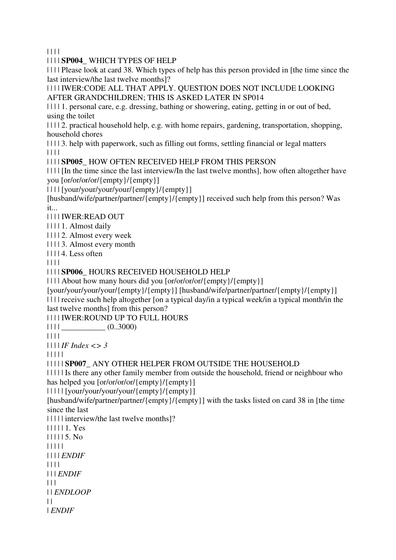| | | |

| | | | **SP004\_** WHICH TYPES OF HELP

| | | | Please look at card 38. Which types of help has this person provided in [the time since the last interview/the last twelve months]?

| | | | IWER:CODE ALL THAT APPLY. QUESTION DOES NOT INCLUDE LOOKING AFTER GRANDCHILDREN; THIS IS ASKED LATER IN SP014

| | | | 1. personal care, e.g. dressing, bathing or showering, eating, getting in or out of bed, using the toilet

| | | | 2. practical household help, e.g. with home repairs, gardening, transportation, shopping, household chores

| | | | 3. help with paperwork, such as filling out forms, settling financial or legal matters | | | |

## | | | | **SP005\_** HOW OFTEN RECEIVED HELP FROM THIS PERSON

| | | | [In the time since the last interview/In the last twelve months], how often altogether have you [or/or/or/or/{empty}/{empty}]

| | | | [your/your/your/your/{empty}/{empty}]

[husband/wife/partner/partner/{empty}/{empty}] received such help from this person? Was it...

| | | | IWER:READ OUT

| | | | 1. Almost daily

| | | | 2. Almost every week

| | | | 3. Almost every month

 $|| || 14$ . Less often

| | | |

| | | | **SP006\_** HOURS RECEIVED HOUSEHOLD HELP

| | | | About how many hours did you [or/or/or/or/{empty}/{empty}]

[your/your/your/your/{empty}/{empty}] [husband/wife/partner/partner/{empty}/{empty}] | | | | receive such help altogether [on a typical day/in a typical week/in a typical month/in the last twelve months] from this person?

| | | | IWER:ROUND UP TO FULL HOURS

 $|| || ||$   $(0..3000)$ 

| | | |

| | | | *IF Index <> 3*

| | | | |

| | | | | **SP007\_** ANY OTHER HELPER FROM OUTSIDE THE HOUSEHOLD

| | | | | Is there any other family member from outside the household, friend or neighbour who has helped you [or/or/or/ $\{empty\}$ ]

| | | | | [your/your/your/your/{empty}/{empty}]

[husband/wife/partner/partner/{empty}/{empty}] with the tasks listed on card 38 in [the time since the last

| | | | | interview/the last twelve months]?

| | | | | 1. Yes | | | | | 5. No | | | | | | | | | *ENDIF* | | | | | | | *ENDIF*  $| 11$ 

| | *ENDLOOP*

 $\|$ | *ENDIF*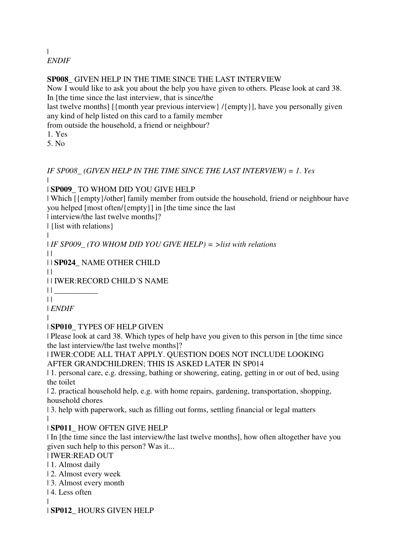| *ENDIF*

#### **SP008\_** GIVEN HELP IN THE TIME SINCE THE LAST INTERVIEW

Now I would like to ask you about the help you have given to others. Please look at card 38. In [the time since the last interview, that is since/the

last twelve months] [{month year previous interview} /{empty}], have you personally given any kind of help listed on this card to a family member

from outside the household, a friend or neighbour?

1. Yes

5. No

*IF SP008\_ (GIVEN HELP IN THE TIME SINCE THE LAST INTERVIEW) = 1. Yes*  $\blacksquare$ 

| **SP009\_** TO WHOM DID YOU GIVE HELP

| Which [{empty}/other] family member from outside the household, friend or neighbour have you helped [most often/{empty}] in [the time since the last

| interview/the last twelve months]?

| {list with relations}

|

| *IF SP009\_ (TO WHOM DID YOU GIVE HELP) = >list with relations*

| | **SP024\_** NAME OTHER CHILD

 $\Box$ 

 $\perp$ 

| | IWER:RECORD CHILD´S NAME

 $\Box$ 

 $\|$ 

| *ENDIF*

#### | | **SP010\_** TYPES OF HELP GIVEN

| Please look at card 38. Which types of help have you given to this person in [the time since the last interview/the last twelve months]?

| IWER:CODE ALL THAT APPLY. QUESTION DOES NOT INCLUDE LOOKING AFTER GRANDCHILDREN; THIS IS ASKED LATER IN SP014

| 1. personal care, e.g. dressing, bathing or showering, eating, getting in or out of bed, using the toilet

| 2. practical household help, e.g. with home repairs, gardening, transportation, shopping, household chores

| 3. help with paperwork, such as filling out forms, settling financial or legal matters |

## | **SP011\_** HOW OFTEN GIVE HELP

| In [the time since the last interview/the last twelve months], how often altogether have you given such help to this person? Was it...

## | IWER:READ OUT

- | 1. Almost daily
- | 2. Almost every week
- | 3. Almost every month
- | 4. Less often

| | **SP012\_** HOURS GIVEN HELP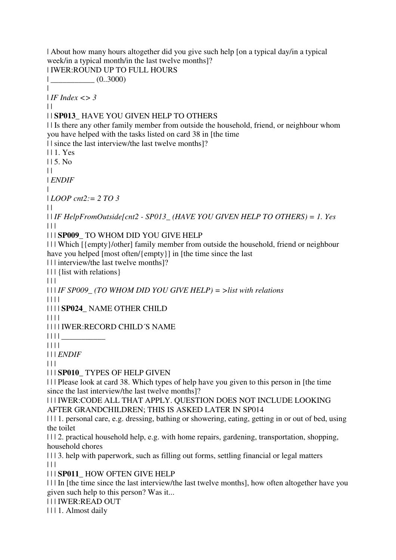| About how many hours altogether did you give such help [on a typical day/in a typical week/in a typical month/in the last twelve months]?

| IWER:ROUND UP TO FULL HOURS  $|$   $(0..3000)$  $\blacksquare$ | *IF Index <> 3*  $\|$ | | **SP013\_** HAVE YOU GIVEN HELP TO OTHERS | | Is there any other family member from outside the household, friend, or neighbour whom you have helped with the tasks listed on card 38 in [the time | | since the last interview/the last twelve months]? | | 1. Yes  $115.$  No  $\perp$ | *ENDIF* | | *LOOP cnt2:= 2 TO 3*  $\perp$ | | *IF HelpFromOutside[cnt2 - SP013\_ (HAVE YOU GIVEN HELP TO OTHERS) = 1. Yes*  $| | | |$ | | | **SP009\_** TO WHOM DID YOU GIVE HELP | | | Which [{empty}/other] family member from outside the household, friend or neighbour have you helped [most often/{empty}] in [the time since the last] | | | interview/the last twelve months]? | | | {list with relations}  $| 11$ | | | *IF SP009\_ (TO WHOM DID YOU GIVE HELP) = >list with relations* | | | | | | | | **SP024\_** NAME OTHER CHILD | | | | | | | | IWER:RECORD CHILD´S NAME  $|| || ||$ | | | | | | | *ENDIF*  $\Box$ | | | **SP010\_** TYPES OF HELP GIVEN | | | Please look at card 38. Which types of help have you given to this person in [the time since the last interview/the last twelve months]? | | | IWER:CODE ALL THAT APPLY. QUESTION DOES NOT INCLUDE LOOKING AFTER GRANDCHILDREN; THIS IS ASKED LATER IN SP014 | | | 1. personal care, e.g. dressing, bathing or showering, eating, getting in or out of bed, using the toilet

| | | 2. practical household help, e.g. with home repairs, gardening, transportation, shopping, household chores

| | | 3. help with paperwork, such as filling out forms, settling financial or legal matters  $\Box$ 

| | | **SP011\_** HOW OFTEN GIVE HELP

| | | In [the time since the last interview/the last twelve months], how often altogether have you given such help to this person? Was it...

| | | IWER:READ OUT

| | | 1. Almost daily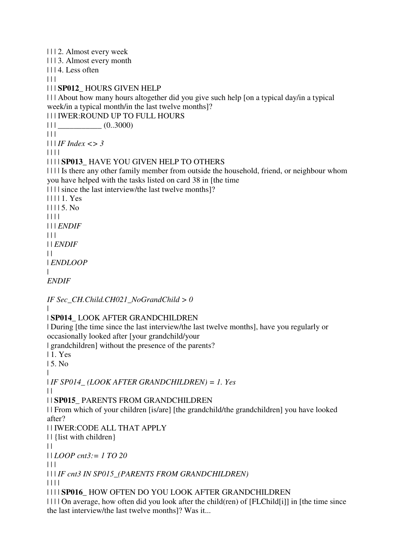| | | 2. Almost every week | | | 3. Almost every month | | | 4. Less often  $| 11$ | | | **SP012\_** HOURS GIVEN HELP | | | About how many hours altogether did you give such help [on a typical day/in a typical week/in a typical month/in the last twelve months]? | | | IWER:ROUND UP TO FULL HOURS  $|| ||$   $||$   $(0..3000)$  $| 11$ | | | *IF Index <> 3* | | | | | | | | **SP013\_** HAVE YOU GIVEN HELP TO OTHERS | | | | Is there any other family member from outside the household, friend, or neighbour whom you have helped with the tasks listed on card 38 in [the time | | | | since the last interview/the last twelve months]? | | | | 1. Yes | | | | 5. No | | | | | | | *ENDIF* | | | | | *ENDIF*  $\perp$ | *ENDLOOP* | *ENDIF*

*IF Sec\_CH.Child.CH021\_NoGrandChild > 0*

|

| **SP014\_** LOOK AFTER GRANDCHILDREN

| During [the time since the last interview/the last twelve months], have you regularly or occasionally looked after [your grandchild/your

| grandchildren] without the presence of the parents?

| 1. Yes

| 5. No

| | *IF SP014\_ (LOOK AFTER GRANDCHILDREN) = 1. Yes*

 $\|$ 

| | **SP015\_** PARENTS FROM GRANDCHILDREN

| | From which of your children [is/are] [the grandchild/the grandchildren] you have looked after?

| | IWER:CODE ALL THAT APPLY

| | {list with children}

 $\|$ 

| | *LOOP cnt3:= 1 TO 20*

 $| | | |$ 

| | | *IF cnt3 IN SP015\_(PARENTS FROM GRANDCHILDREN)*

| | | |

| | | | **SP016\_** HOW OFTEN DO YOU LOOK AFTER GRANDCHILDREN

| | | | On average, how often did you look after the child(ren) of [FLChild[i]] in [the time since the last interview/the last twelve months]? Was it...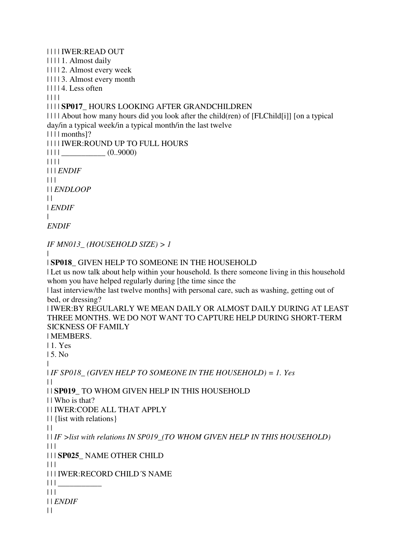| | | | IWER:READ OUT

| | | | 1. Almost daily

| | | | 2. Almost every week

| | | | 3. Almost every month

 $| 1114$ . Less often

| | | |

# | | | | **SP017\_** HOURS LOOKING AFTER GRANDCHILDREN

| | | | About how many hours did you look after the child(ren) of [FLChild[i]] [on a typical day/in a typical week/in a typical month/in the last twelve

| | | | months]?

| | | | IWER:ROUND UP TO FULL HOURS

 $|| 1 || 1$   $(0.9000)$ 

| | | |

| | | *ENDIF*

 $| | | |$ 

| | *ENDLOOP*

 $| |$ 

| *ENDIF*

|

*ENDIF*

*IF MN013\_ (HOUSEHOLD SIZE) > 1*

|

# | **SP018\_** GIVEN HELP TO SOMEONE IN THE HOUSEHOLD

| Let us now talk about help within your household. Is there someone living in this household whom you have helped regularly during [the time since the

| last interview/the last twelve months] with personal care, such as washing, getting out of bed, or dressing?

| IWER:BY REGULARLY WE MEAN DAILY OR ALMOST DAILY DURING AT LEAST THREE MONTHS. WE DO NOT WANT TO CAPTURE HELP DURING SHORT-TERM SICKNESS OF FAMILY

| MEMBERS.

| 1. Yes | 5. No

|

| *IF SP018\_ (GIVEN HELP TO SOMEONE IN THE HOUSEHOLD) = 1. Yes*  $| \ |$ | | **SP019\_** TO WHOM GIVEN HELP IN THIS HOUSEHOLD

| | Who is that?

| | IWER:CODE ALL THAT APPLY

| | {list with relations}

 $\|$ 

| | *IF >list with relations IN SP019\_(TO WHOM GIVEN HELP IN THIS HOUSEHOLD)*  $|| ||$ 

| | | **SP025\_** NAME OTHER CHILD

 $\Box$ 

| | | IWER:RECORD CHILD´S NAME

 $|| \ ||$ 

 $|| ||$ 

| | *ENDIF*

 $\|$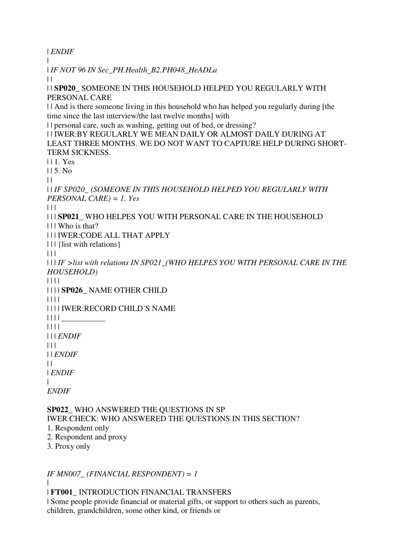| *ENDIF*

| *IF NOT 96 IN Sec\_PH.Health\_B2.PH048\_HeADLa*

 $\perp$ 

|

| | **SP020\_** SOMEONE IN THIS HOUSEHOLD HELPED YOU REGULARLY WITH PERSONAL CARE

| | And is there someone living in this household who has helped you regularly during [the time since the last interview/the last twelve months] with

| | personal care, such as washing, getting out of bed, or dressing?

| | IWER:BY REGULARLY WE MEAN DAILY OR ALMOST DAILY DURING AT LEAST THREE MONTHS. WE DO NOT WANT TO CAPTURE HELP DURING SHORT-TERM SICKNESS.

| | 1. Yes

| | 5. No

 $\perp$ 

| | *IF SP020\_ (SOMEONE IN THIS HOUSEHOLD HELPED YOU REGULARLY WITH PERSONAL CARE) = 1. Yes*

 $\Box$ 

| | | **SP021\_** WHO HELPES YOU WITH PERSONAL CARE IN THE HOUSEHOLD

| | | Who is that?

| | | IWER:CODE ALL THAT APPLY

| | | {list with relations}

 $| | | |$ 

| | | *IF >list with relations IN SP021\_(WHO HELPES YOU WITH PERSONAL CARE IN THE HOUSEHOLD)*

| | | |

| | | | **SP026\_** NAME OTHER CHILD

| | | |

| | | | IWER:RECORD CHILD´S NAME

 $|| \ || ||$ 

| | | |

| | | *ENDIF*

 $| 11$ 

| | *ENDIF*

 $\perp$ 

| *ENDIF*

| *ENDIF*

**SP022\_** WHO ANSWERED THE QUESTIONS IN SP IWER CHECK: WHO ANSWERED THE QUESTIONS IN THIS SECTION?

1. Respondent only

2. Respondent and proxy

3. Proxy only

*IF MN007\_ (FINANCIAL RESPONDENT) = 1*

|

| **FT001\_** INTRODUCTION FINANCIAL TRANSFERS

| Some people provide financial or material gifts, or support to others such as parents, children, grandchildren, some other kind, or friends or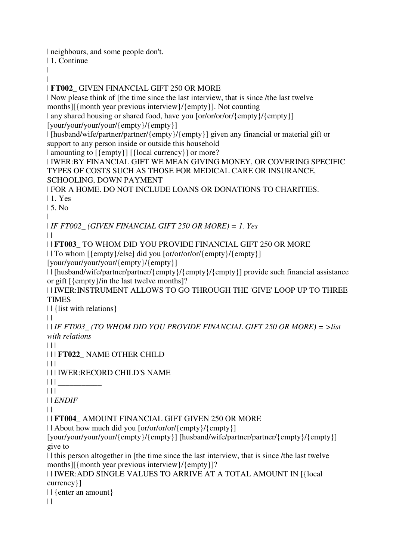| neighbours, and some people don't.

| 1. Continue

| |

| **FT002\_** GIVEN FINANCIAL GIFT 250 OR MORE

| Now please think of [the time since the last interview, that is since /the last twelve months][{month year previous interview}/{empty}]. Not counting

| any shared housing or shared food, have you [or/or/or/or/{empty}/{empty}]

[your/your/your/your/{empty}/{empty}]

| [husband/wife/partner/partner/{empty}/{empty}] given any financial or material gift or support to any person inside or outside this household

| amounting to [{empty}] [{local currency}] or more?

| IWER:BY FINANCIAL GIFT WE MEAN GIVING MONEY, OR COVERING SPECIFIC TYPES OF COSTS SUCH AS THOSE FOR MEDICAL CARE OR INSURANCE, SCHOOLING, DOWN PAYMENT

| FOR A HOME. DO NOT INCLUDE LOANS OR DONATIONS TO CHARITIES. | 1. Yes

| 5. No

|

| *IF FT002\_ (GIVEN FINANCIAL GIFT 250 OR MORE) = 1. Yes*

 $\|$ 

| | **FT003\_** TO WHOM DID YOU PROVIDE FINANCIAL GIFT 250 OR MORE

| | To whom [{empty}/else] did you [or/or/or/or/{empty}/{empty}]

[your/your/your/your/{empty}/{empty}]

| | [husband/wife/partner/partner/{empty}/{empty}/{empty}] provide such financial assistance or gift [{empty}/in the last twelve months]?

| | IWER:INSTRUMENT ALLOWS TO GO THROUGH THE 'GIVE' LOOP UP TO THREE TIMES

| | {list with relations}

 $\|$ 

| | *IF FT003\_ (TO WHOM DID YOU PROVIDE FINANCIAL GIFT 250 OR MORE) = >list with relations*

 $| 11$ 

| | | **FT022\_** NAME OTHER CHILD

 $\Box$ 

| | | IWER:RECORD CHILD'S NAME

 $|| || ||$ 

 $| 11 |$ 

| | *ENDIF*

 $\|$ 

| | **FT004\_** AMOUNT FINANCIAL GIFT GIVEN 250 OR MORE

| | About how much did you [or/or/or/or/{empty}/{empty}]

[your/your/your/your/{empty}/{empty}] [husband/wife/partner/partner/{empty}/{empty}] give to

| | this person altogether in [the time since the last interview, that is since /the last twelve months][{month year previous interview}/{empty}]?

| | IWER:ADD SINGLE VALUES TO ARRIVE AT A TOTAL AMOUNT IN [{local currency}]

| | {enter an amount}  $||$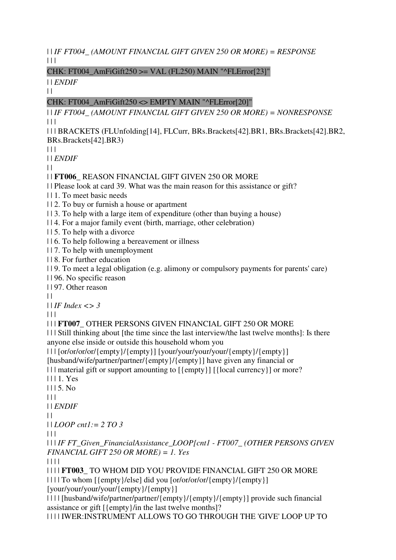| | *IF FT004\_ (AMOUNT FINANCIAL GIFT GIVEN 250 OR MORE) = RESPONSE*  $|| ||$ 

# CHK: FT004 AmFiGift250  $>=$  VAL (FL250) MAIN "^FLError[23]"

| | *ENDIF*  $||$ 

# $CHK: FT004$  AmFiGift250  $\leq$  EMPTY MAIN "^FLError[20]"

| | *IF FT004\_ (AMOUNT FINANCIAL GIFT GIVEN 250 OR MORE) = NONRESPONSE*  $| 11 |$ 

| | | BRACKETS (FLUnfolding[14], FLCurr, BRs.Brackets[42].BR1, BRs.Brackets[42].BR2, BRs.Brackets[42].BR3)

 $| 11$ 

| | *ENDIF*

 $\perp$ 

| | **FT006\_** REASON FINANCIAL GIFT GIVEN 250 OR MORE

| | Please look at card 39. What was the main reason for this assistance or gift?

| | 1. To meet basic needs

| | 2. To buy or furnish a house or apartment

| | 3. To help with a large item of expenditure (other than buying a house)

| | 4. For a major family event (birth, marriage, other celebration)

| | 5. To help with a divorce

| | 6. To help following a bereavement or illness

| | 7. To help with unemployment

| | 8. For further education

| | 9. To meet a legal obligation (e.g. alimony or compulsory payments for parents' care)

| | 96. No specific reason

| | 97. Other reason

 $| |$ 

| | *IF Index <> 3*

 $| | | |$ 

| | | **FT007\_** OTHER PERSONS GIVEN FINANCIAL GIFT 250 OR MORE

| | | Still thinking about [the time since the last interview/the last twelve months]: Is there anyone else inside or outside this household whom you

| | | [or/or/or/or/{empty}/{empty}] [your/your/your/your/{empty}/{empty}]

[husband/wife/partner/partner/{empty}/{empty}] have given any financial or

| | | material gift or support amounting to  $[\{\text{empty}\}]$   $[\{\text{local currency}\}]$  or more?

| | | 1. Yes

| | | 5. No

 $\Box$ 

| | *ENDIF*

 $\perp$ 

| | *LOOP cnt1:= 2 TO 3*

 $| | | |$ 

| | | *IF FT\_Given\_FinancialAssistance\_LOOP[cnt1 - FT007\_ (OTHER PERSONS GIVEN FINANCIAL GIFT 250 OR MORE) = 1. Yes*

| | | |

| | | | **FT003\_** TO WHOM DID YOU PROVIDE FINANCIAL GIFT 250 OR MORE | | | | To whom [{empty}/else] did you [or/or/or/or/{empty}/{empty}]

[your/your/your/your/{empty}/{empty}]

| | | | [husband/wife/partner/partner/{empty}/{empty}/{empty}] provide such financial assistance or gift [{empty}/in the last twelve months]?

| | | | IWER:INSTRUMENT ALLOWS TO GO THROUGH THE 'GIVE' LOOP UP TO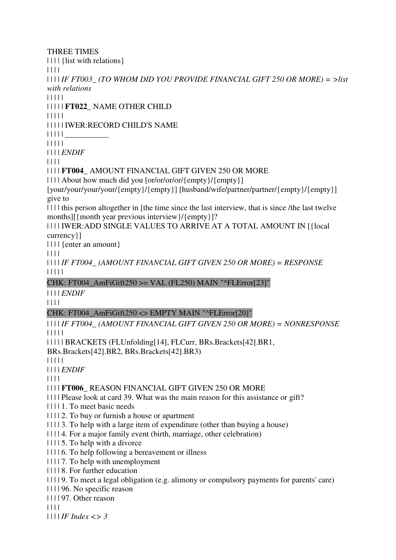### THREE TIMES

| | | | {list with relations}

| | | |

| | | | *IF FT003\_ (TO WHOM DID YOU PROVIDE FINANCIAL GIFT 250 OR MORE) = >list with relations*

| | | | |

| | | | | **FT022\_** NAME OTHER CHILD

| | | | |

| | | | | IWER:RECORD CHILD'S NAME

 $|| \ || || ||$ 

| | | | |

| | | | *ENDIF*

| | | |

| | | | **FT004\_** AMOUNT FINANCIAL GIFT GIVEN 250 OR MORE

| | | | About how much did you [or/or/or/or/{empty}/{empty}]

[your/your/your/your/{empty}/{empty}] [husband/wife/partner/partner/{empty}/{empty}] give to

| | | | this person altogether in [the time since the last interview, that is since /the last twelve months][{month year previous interview}/{empty}]?

| | | | IWER:ADD SINGLE VALUES TO ARRIVE AT A TOTAL AMOUNT IN [{local currency}]

| | | | {enter an amount}

| | | |

| | | | *IF FT004\_ (AMOUNT FINANCIAL GIFT GIVEN 250 OR MORE) = RESPONSE* | | | | |

CHK: FT004 AmFiGift250  $>=$  VAL (FL250) MAIN "^FLError[23]"

| | | | *ENDIF*

| | | |

# $CHK: FT004$  AmFiGift250  $\leq$  EMPTY MAIN "^FLError[20]"

| | | | *IF FT004\_ (AMOUNT FINANCIAL GIFT GIVEN 250 OR MORE) = NONRESPONSE* | | | | |

| | | | | BRACKETS (FLUnfolding[14], FLCurr, BRs.Brackets[42].BR1,

BRs.Brackets[42].BR2, BRs.Brackets[42].BR3)

| | | | |

| | | | *ENDIF*

| | | |

| | | | **FT006\_** REASON FINANCIAL GIFT GIVEN 250 OR MORE

| | | | Please look at card 39. What was the main reason for this assistance or gift?

| | | | 1. To meet basic needs

| | | | 2. To buy or furnish a house or apartment

| | | | 3. To help with a large item of expenditure (other than buying a house)

- | | | | 4. For a major family event (birth, marriage, other celebration)
- $|| \cdot ||$  5. To help with a divorce
- | | | | 6. To help following a bereavement or illness

| | | | 7. To help with unemployment

| | | | 8. For further education

| | | | 9. To meet a legal obligation (e.g. alimony or compulsory payments for parents' care)

| | | | 96. No specific reason

| | | | 97. Other reason

| | | |

| | | | *IF Index <> 3*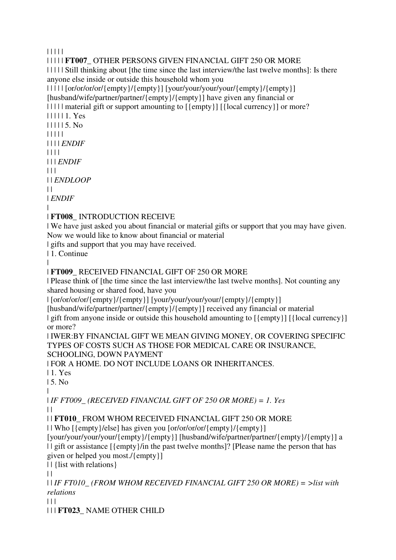| | | | |

| | | | | **FT007\_** OTHER PERSONS GIVEN FINANCIAL GIFT 250 OR MORE

| | | | | Still thinking about [the time since the last interview/the last twelve months]: Is there anyone else inside or outside this household whom you

| | | | | [or/or/or/or/{empty}/{empty}] [your/your/your/your/{empty}/{empty}] [husband/wife/partner/partner/{empty}/{empty}] have given any financial or

| | | | | | material gift or support amounting to  $[\{\text{empty}\}]$   $[\{\text{local currency}\}]$  or more?

| | | | | 1. Yes | | | | | 5. No | | | | | | | | | *ENDIF* | | | | | | | *ENDIF*  $| 11 |$ | | *ENDLOOP*  $\perp$ 

| *ENDIF*

| | **FT008\_** INTRODUCTION RECEIVE

| We have just asked you about financial or material gifts or support that you may have given. Now we would like to know about financial or material

| gifts and support that you may have received.

| 1. Continue

| | **FT009\_** RECEIVED FINANCIAL GIFT OF 250 OR MORE

| Please think of [the time since the last interview/the last twelve months]. Not counting any shared housing or shared food, have you

| [or/or/or/or/{empty}/{empty}] [your/your/your/your/{empty}/{empty}]

[husband/wife/partner/partner/{empty}/{empty}] received any financial or material | gift from anyone inside or outside this household amounting to  $[\{\text{empty}\}]$  [ $\{\text{local currency}\}]$ ] or more?

| IWER:BY FINANCIAL GIFT WE MEAN GIVING MONEY, OR COVERING SPECIFIC TYPES OF COSTS SUCH AS THOSE FOR MEDICAL CARE OR INSURANCE, SCHOOLING, DOWN PAYMENT

| FOR A HOME. DO NOT INCLUDE LOANS OR INHERITANCES.

| 1. Yes

| 5. No

|

| *IF FT009\_ (RECEIVED FINANCIAL GIFT OF 250 OR MORE) = 1. Yes*  $\Box$ 

| | **FT010\_** FROM WHOM RECEIVED FINANCIAL GIFT 250 OR MORE

| | Who [{empty}/else] has given you [or/or/or/or/{empty}/{empty}]

[your/your/your/your/{empty}/{empty}] [husband/wife/partner/partner/{empty}/{empty}] a | | gift or assistance [{empty}/in the past twelve months]? [Please name the person that has given or helped you most./{empty}]

| | {list with relations}

 $| |$ 

| | *IF FT010\_ (FROM WHOM RECEIVED FINANCIAL GIFT 250 OR MORE) = >list with relations*

 $| | | |$ 

| | | **FT023\_** NAME OTHER CHILD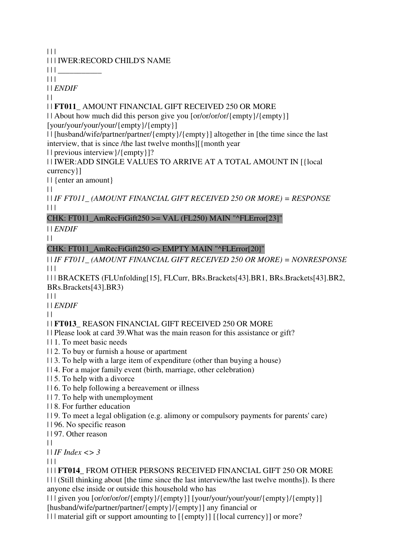$|| ||$ 

# | | | IWER:RECORD CHILD'S NAME

 $|| \ ||$ 

 $| 11$ 

| | *ENDIF*

 $\|$ 

# | | **FT011\_** AMOUNT FINANCIAL GIFT RECEIVED 250 OR MORE

| | About how much did this person give you [or/or/or/or/{empty}/{empty}] [your/your/your/your/{empty}/{empty}]

| | [husband/wife/partner/partner/{empty}/{empty}] altogether in [the time since the last interview, that is since /the last twelve months][{month year

| | previous interview}/{empty}]?

| | IWER:ADD SINGLE VALUES TO ARRIVE AT A TOTAL AMOUNT IN [{local currency}]

| | {enter an amount}

 $\|$ 

| | *IF FT011\_ (AMOUNT FINANCIAL GIFT RECEIVED 250 OR MORE) = RESPONSE*  $\Box$ 

# CHK: FT011\_AmRecFiGift250 >= VAL (FL250) MAIN " $^{\circ}$ FLError[23]"

| | *ENDIF*

 $\|$ 

# CHK: FT011\_AmRecFiGift250 <> EMPTY MAIN "^FLError[20]"

| | *IF FT011\_ (AMOUNT FINANCIAL GIFT RECEIVED 250 OR MORE) = NONRESPONSE*  $| | | |$ 

| | | BRACKETS (FLUnfolding[15], FLCurr, BRs.Brackets[43].BR1, BRs.Brackets[43].BR2, BRs.Brackets[43].BR3)

 $| 11$ 

| | *ENDIF*

 $\perp$ 

# | | **FT013\_** REASON FINANCIAL GIFT RECEIVED 250 OR MORE

| | Please look at card 39.What was the main reason for this assistance or gift?

- | | 1. To meet basic needs
- | | 2. To buy or furnish a house or apartment
- | | 3. To help with a large item of expenditure (other than buying a house)
- | | 4. For a major family event (birth, marriage, other celebration)
- | | 5. To help with a divorce
- | | 6. To help following a bereavement or illness
- | | 7. To help with unemployment
- | | 8. For further education
- | | 9. To meet a legal obligation (e.g. alimony or compulsory payments for parents' care)

| | 96. No specific reason

| | 97. Other reason

 $\|$ 

| | *IF Index <> 3*

 $\Box$ 

| | | **FT014\_** FROM OTHER PERSONS RECEIVED FINANCIAL GIFT 250 OR MORE | | | (Still thinking about [the time since the last interview/the last twelve months]). Is there anyone else inside or outside this household who has

| | | given you [or/or/or/or/{empty}/{empty}] [your/your/your/your/{empty}/{empty}] [husband/wife/partner/partner/{empty}/{empty}] any financial or

| | | material gift or support amounting to  $[\{\text{empty}\}]$  [ $\{\text{local currency}\}]$  or more?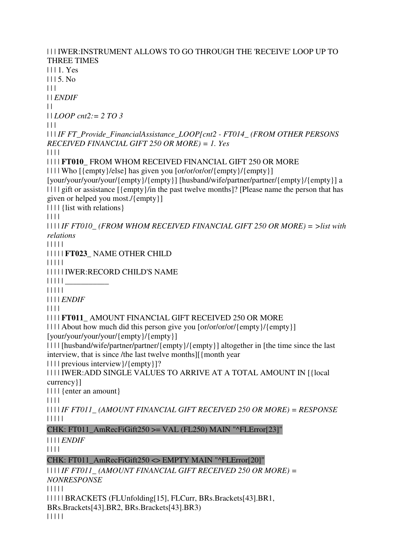| | | IWER:INSTRUMENT ALLOWS TO GO THROUGH THE 'RECEIVE' LOOP UP TO THREE TIMES | | | 1. Yes  $1115$ . No.  $| 11 |$ | | *ENDIF*  $| |$ | | *LOOP cnt2:= 2 TO 3* | | | | | | *IF FT\_Provide\_FinancialAssistance\_LOOP[cnt2 - FT014\_ (FROM OTHER PERSONS RECEIVED FINANCIAL GIFT 250 OR MORE) = 1. Yes* | | | | | | | | **FT010\_** FROM WHOM RECEIVED FINANCIAL GIFT 250 OR MORE | | | | Who [{empty}/else] has given you [or/or/or/or/{empty}/{empty}] [your/your/your/your/{empty}/{empty}] [husband/wife/partner/partner/{empty}/{empty}] a | | | | gift or assistance [{empty}/in the past twelve months]? [Please name the person that has given or helped you most./{empty}] | | | | {list with relations} | | | | | | | | *IF FT010\_ (FROM WHOM RECEIVED FINANCIAL GIFT 250 OR MORE) = >list with relations* | | | | | | | | | | **FT023\_** NAME OTHER CHILD | | | | | | | | | | IWER:RECORD CHILD'S NAME | | | | | \_\_\_\_\_\_\_\_\_\_\_ | | | | | | | | | *ENDIF* | | | | | | | | **FT011\_** AMOUNT FINANCIAL GIFT RECEIVED 250 OR MORE | | | | About how much did this person give you [or/or/or/or/{empty}/{empty}] [your/your/your/your/{empty}/{empty}] | | | | [husband/wife/partner/partner/{empty}/{empty}] altogether in [the time since the last interview, that is since /the last twelve months][{month year | | | | previous interview}/{empty}]? | | | | IWER:ADD SINGLE VALUES TO ARRIVE AT A TOTAL AMOUNT IN [{local currency}] | | | | {enter an amount} | | | | | | | | *IF FT011\_ (AMOUNT FINANCIAL GIFT RECEIVED 250 OR MORE) = RESPONSE* | | | | | CHK: FT011\_AmRecFiGift250 >= VAL (FL250) MAIN " $^{\circ}$ FLError[23]" | | | | *ENDIF* | | | | CHK: FT011\_AmRecFiGift250 <> EMPTY MAIN "^FLError[20]" | | | | *IF FT011\_ (AMOUNT FINANCIAL GIFT RECEIVED 250 OR MORE) = NONRESPONSE* | | | | | | | | | | BRACKETS (FLUnfolding[15], FLCurr, BRs.Brackets[43].BR1, BRs.Brackets[43].BR2, BRs.Brackets[43].BR3)

| | | | |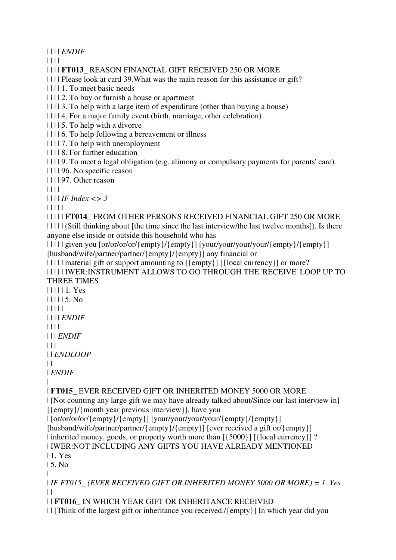| | | | *ENDIF*

| | | |

| | | | **FT013\_** REASON FINANCIAL GIFT RECEIVED 250 OR MORE

| | | | Please look at card 39.What was the main reason for this assistance or gift?

| | | | 1. To meet basic needs

| | | | 2. To buy or furnish a house or apartment

| | | | 3. To help with a large item of expenditure (other than buying a house)

| | | | 4. For a major family event (birth, marriage, other celebration)

| | | | 5. To help with a divorce

| | | | 6. To help following a bereavement or illness

| | | | 7. To help with unemployment

| | | | 8. For further education

| | | | 9. To meet a legal obligation (e.g. alimony or compulsory payments for parents' care)

| | | | 96. No specific reason

| | | | 97. Other reason

| | | |

| | | | *IF Index <> 3*

| | | | |

| | | | | **FT014\_** FROM OTHER PERSONS RECEIVED FINANCIAL GIFT 250 OR MORE

| | | | | (Still thinking about [the time since the last interview/the last twelve months]). Is there anyone else inside or outside this household who has

| | | | | given you [or/or/or/or/{empty}/{empty}] [your/your/your/your/{empty}/{empty}] [husband/wife/partner/partner/{empty}/{empty}] any financial or

| | | | | material gift or support amounting to [{empty}] [{local currency}] or more? | | | | | IWER:INSTRUMENT ALLOWS TO GO THROUGH THE 'RECEIVE' LOOP UP TO THREE TIMES

| | | | | 1. Yes | | | | | 5. No | | | | | | | | | *ENDIF* | | | |

| | | *ENDIF*

 $| 11$ 

| | *ENDLOOP*

 $\perp$ 

| *ENDIF*

| | **FT015\_** EVER RECEIVED GIFT OR INHERITED MONEY 5000 OR MORE

| [Not counting any large gift we may have already talked about/Since our last interview in] [{empty}/{month year previous interview}], have you

| [or/or/or/or/{empty}/{empty}] [your/your/your/your/{empty}/{empty}]

[husband/wife/partner/partner/{empty}/{empty}] [ever received a gift or/{empty}]

| inherited money, goods, or property worth more than  $[\{5000\}]$  [ $\{local currency\}]$  ?

| IWER:NOT INCLUDING ANY GIFTS YOU HAVE ALREADY MENTIONED

| 1. Yes

| 5. No

|

| *IF FT015\_ (EVER RECEIVED GIFT OR INHERITED MONEY 5000 OR MORE) = 1. Yes*  $| |$ 

| | **FT016\_** IN WHICH YEAR GIFT OR INHERITANCE RECEIVED

| | [Think of the largest gift or inheritance you received./{empty}] In which year did you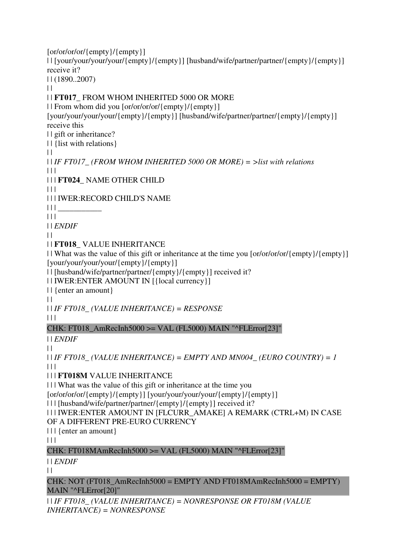[or/or/or/or/{empty}/{empty}] | | [your/your/your/your/{empty}/{empty}] [husband/wife/partner/partner/{empty}/{empty}] receive it? | | (1890..2007)  $\|$ | | **FT017\_** FROM WHOM INHERITED 5000 OR MORE | | From whom did you [or/or/or/or/{empty}/{empty}] [your/your/your/your/{empty}/{empty}] [husband/wife/partner/partner/{empty}/{empty}] receive this | | gift or inheritance? | | {list with relations}  $\|$ | | *IF FT017\_ (FROM WHOM INHERITED 5000 OR MORE) = >list with relations*  $\Box$ | | | **FT024\_** NAME OTHER CHILD  $\Box$ | | | IWER:RECORD CHILD'S NAME  $| | | |$  $| 11$ | | *ENDIF*  $\perp$ | | **FT018\_** VALUE INHERITANCE | | What was the value of this gift or inheritance at the time you [or/or/or/or/{empty}/{empty}] [your/your/your/your/{empty}/{empty}] | | [husband/wife/partner/partner/{empty}/{empty}] received it? | | IWER:ENTER AMOUNT IN [{local currency}] | | {enter an amount}  $\|$ | | *IF FT018\_ (VALUE INHERITANCE) = RESPONSE*  $|| ||$ CHK: FT018\_AmRecInh5000 >= VAL (FL5000) MAIN "^FLError[23]" | | *ENDIF*  $\|$  $| \cdot |$  *IF FT018* (VALUE INHERITANCE) = EMPTY AND MN004 (EURO COUNTRY) = 1  $\Box$ | | | **FT018M** VALUE INHERITANCE | | | What was the value of this gift or inheritance at the time you [or/or/or/or/{empty}/{empty}] [your/your/your/your/{empty}/{empty}] | | | [husband/wife/partner/partner/{empty}/{empty}] received it? | | | IWER:ENTER AMOUNT IN [FLCURR\_AMAKE] A REMARK (CTRL+M) IN CASE OF A DIFFERENT PRE-EURO CURRENCY | | | {enter an amount}  $| 11$ CHK: FT018MAmRecInh5000 >= VAL (FL5000) MAIN "^FLError[23]" | | *ENDIF*  $\|$ CHK: NOT (FT018\_AmRecInh5000 = EMPTY AND FT018MAmRecInh5000 = EMPTY) MAIN "^FLError[20]" | | *IF FT018\_ (VALUE INHERITANCE) = NONRESPONSE OR FT018M (VALUE* 

*INHERITANCE) = NONRESPONSE*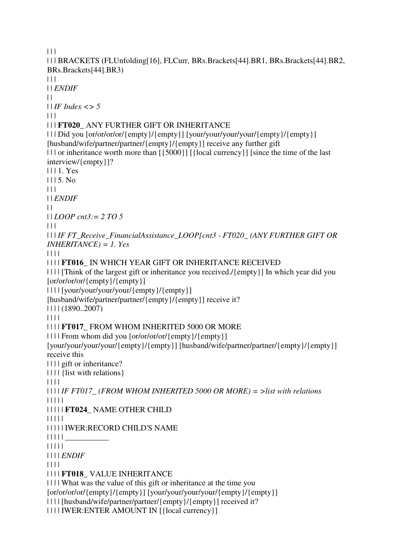```
|| ||| | | BRACKETS (FLUnfolding[16], FLCurr, BRs.Brackets[44].BR1, BRs.Brackets[44].BR2, 
BRs.Brackets[44].BR3) 
| 11| | ENDIF
| || | IF Index <> 5
\Box| | | FT020_ ANY FURTHER GIFT OR INHERITANCE 
| | | Did you [or/or/or/or/{empty}/{empty}] [your/your/your/your/{empty}/{empty}] 
[husband/wife/partner/partner/{empty}/{empty}] receive any further gift 
| | | or inheritance worth more than [\{5000\}] [\{local currency\}] [since the time of the last
interview/{empty}]? 
| | | 1. Yes 
| | | 5. No 
| 11| | ENDIF
| || | LOOP cnt3:= 2 TO 5
|  |  |  || | | IF FT_Receive_FinancialAssistance_LOOP[cnt3 - FT020_ (ANY FURTHER GIFT OR 
INHERITANCE) = 1. Yes
| | | | 
| | | | FT016_ IN WHICH YEAR GIFT OR INHERITANCE RECEIVED 
| | | | [Think of the largest gift or inheritance you received./{empty}] In which year did you 
[or/or/or/or/{empty}/{empty}] 
| | | | [your/your/your/your/{empty}/{empty}] 
[husband/wife/partner/partner/{empty}/{empty}] receive it?
| | | | (1890..2007) 
| | | | 
| | | | FT017_ FROM WHOM INHERITED 5000 OR MORE 
| | | | From whom did you [or/or/or/or/{empty}/{empty}] 
[your/your/your/your/{empty}/{empty}] [husband/wife/partner/partner/{empty}/{empty}] 
receive this 
| | | | gift or inheritance? 
| | | | {list with relations} 
| | | | 
| | | | IF FT017_ (FROM WHOM INHERITED 5000 OR MORE) = >list with relations
| | | | | 
| | | | | FT024_ NAME OTHER CHILD 
| | | | | 
| | | | | IWER:RECORD CHILD'S NAME 
| | | | | ___________ 
| | | | | 
| | | | ENDIF
| | | | 
| | | | FT018_ VALUE INHERITANCE 
| | | | What was the value of this gift or inheritance at the time you 
[or/or/or/or/{empty}/{empty}] [your/your/your/your/{empty}/{empty}] 
| | | | [husband/wife/partner/partner/{empty}/{empty}] received it? 
| | | | IWER:ENTER AMOUNT IN [{local currency}]
```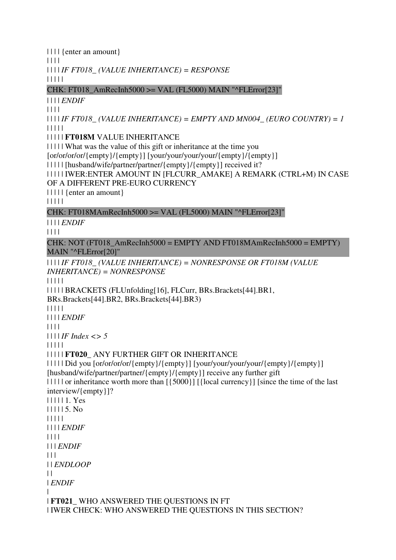| | | | | | | | *IF FT018\_ (VALUE INHERITANCE) = RESPONSE* | | | | | CHK: FT018\_AmRecInh5000 >= VAL (FL5000) MAIN "^FLError[23]" | | | | *ENDIF* | | | | | | | | *IF FT018\_ (VALUE INHERITANCE) = EMPTY AND MN004\_ (EURO COUNTRY) = 1* | | | | | | | | | | **FT018M** VALUE INHERITANCE | | | | | What was the value of this gift or inheritance at the time you [or/or/or/or/{empty}/{empty}] [your/your/your/your/{empty}/{empty}] | | | | | [husband/wife/partner/partner/{empty}/{empty}] received it? | | | | | IWER:ENTER AMOUNT IN [FLCURR\_AMAKE] A REMARK (CTRL+M) IN CASE OF A DIFFERENT PRE-EURO CURRENCY | | | | | {enter an amount} | | | | | CHK: FT018MAmRecInh5000 >= VAL (FL5000) MAIN "^FLError[23]" | | | | *ENDIF* | | | | CHK: NOT (FT018\_AmRecInh5000 = EMPTY AND FT018MAmRecInh5000 = EMPTY) MAIN "^FLError[20]" | | | | *IF FT018\_ (VALUE INHERITANCE) = NONRESPONSE OR FT018M (VALUE INHERITANCE) = NONRESPONSE* | | | | | | | | | | BRACKETS (FLUnfolding[16], FLCurr, BRs.Brackets[44].BR1, BRs.Brackets[44].BR2, BRs.Brackets[44].BR3) | | | | | | | | | *ENDIF*

| | | |

| | | | *IF Index <> 5*

| | | | {enter an amount}

| | | | |

| | | | | **FT020\_** ANY FURTHER GIFT OR INHERITANCE

| | | | | Did you [or/or/or/or/{empty}/{empty}] [your/your/your/your/{empty}/{empty}] [husband/wife/partner/partner/{empty}/{empty}] receive any further gift | | | | | or inheritance worth more than [{5000}] [{local currency}] [since the time of the last interview/{empty}]? | | | | | 1. Yes | | | | | 5. No | | | | | | | | | *ENDIF* | | | | | | | *ENDIF*  $\Box$ | | *ENDLOOP*  $\|$ | *ENDIF* | | **FT021\_** WHO ANSWERED THE QUESTIONS IN FT | IWER CHECK: WHO ANSWERED THE QUESTIONS IN THIS SECTION?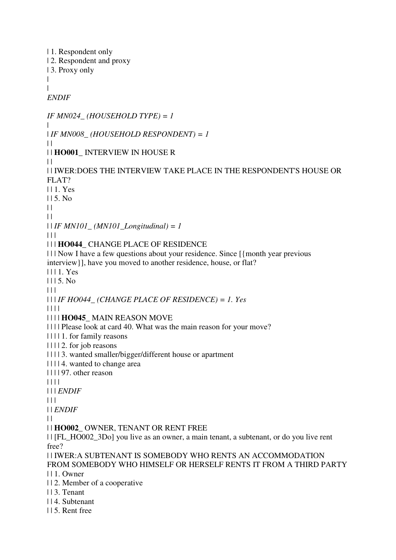| 1. Respondent only | 2. Respondent and proxy | 3. Proxy only | | *ENDIF IF MN024\_ (HOUSEHOLD TYPE) = 1* | | *IF MN008\_ (HOUSEHOLD RESPONDENT) = 1*  $\perp$ | | **HO001\_** INTERVIEW IN HOUSE R  $\perp$ | | IWER:DOES THE INTERVIEW TAKE PLACE IN THE RESPONDENT'S HOUSE OR FLAT? | | 1. Yes  $115.$  No  $\|$  $\perp$ | | *IF MN101\_ (MN101\_Longitudinal) = 1*  $\Box$ | | | **HO044\_** CHANGE PLACE OF RESIDENCE | | | Now I have a few questions about your residence. Since [{month year previous interview}], have you moved to another residence, house, or flat? | | | 1. Yes  $1115. No$  $| 11$ | | | *IF HO044\_ (CHANGE PLACE OF RESIDENCE) = 1. Yes* | | | | | | | | **HO045\_** MAIN REASON MOVE | | | | Please look at card 40. What was the main reason for your move? | | | | 1. for family reasons | | | | 2. for job reasons | | | | 3. wanted smaller/bigger/different house or apartment | | | | 4. wanted to change area | | | | 97. other reason | | | | | | | *ENDIF*  $| 11$ | | *ENDIF*  $\perp$ | | **HO002\_** OWNER, TENANT OR RENT FREE | | [FL\_HO002\_3Do] you live as an owner, a main tenant, a subtenant, or do you live rent free? | | IWER:A SUBTENANT IS SOMEBODY WHO RENTS AN ACCOMMODATION FROM SOMEBODY WHO HIMSELF OR HERSELF RENTS IT FROM A THIRD PARTY | | 1. Owner | | 2. Member of a cooperative | | 3. Tenant | | 4. Subtenant | | 5. Rent free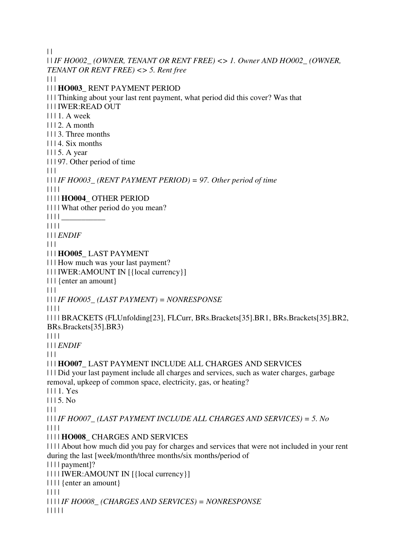$\|$ 

| | *IF HO002\_ (OWNER, TENANT OR RENT FREE) <> 1. Owner AND HO002\_ (OWNER, TENANT OR RENT FREE) <> 5. Rent free*  $| 11$ | | | **HO003\_** RENT PAYMENT PERIOD | | | Thinking about your last rent payment, what period did this cover? Was that | | | IWER:READ OUT | | | 1. A week  $| 112$ . A month | | | 3. Three months | | | 4. Six months | | | 5. A year | | | 97. Other period of time  $\Box$ | | | *IF HO003\_ (RENT PAYMENT PERIOD) = 97. Other period of time* | | | | | | | | **HO004\_** OTHER PERIOD | | | | What other period do you mean?  $| 1111 \_$ | | | | | | | *ENDIF*  $| 11$ | | | **HO005\_** LAST PAYMENT | | | How much was your last payment? | | | IWER:AMOUNT IN [{local currency}] | | | {enter an amount}  $| 11$ | | | *IF HO005\_ (LAST PAYMENT) = NONRESPONSE* | | | | | | | | BRACKETS (FLUnfolding[23], FLCurr, BRs.Brackets[35].BR1, BRs.Brackets[35].BR2, BRs.Brackets[35].BR3) | | | | | | | *ENDIF*  $| 11$ | | | **HO007\_** LAST PAYMENT INCLUDE ALL CHARGES AND SERVICES | | | Did your last payment include all charges and services, such as water charges, garbage removal, upkeep of common space, electricity, gas, or heating? | | | 1. Yes  $1115. No$  $\Box$ | | | *IF HO007\_ (LAST PAYMENT INCLUDE ALL CHARGES AND SERVICES) = 5. No* | | | | | | | | **HO008\_** CHARGES AND SERVICES | | | | About how much did you pay for charges and services that were not included in your rent during the last [week/month/three months/six months/period of | | | | payment]? | | | | IWER:AMOUNT IN [{local currency}] | | | | {enter an amount} | | | | | | | | *IF HO008\_ (CHARGES AND SERVICES) = NONRESPONSE* | | | | |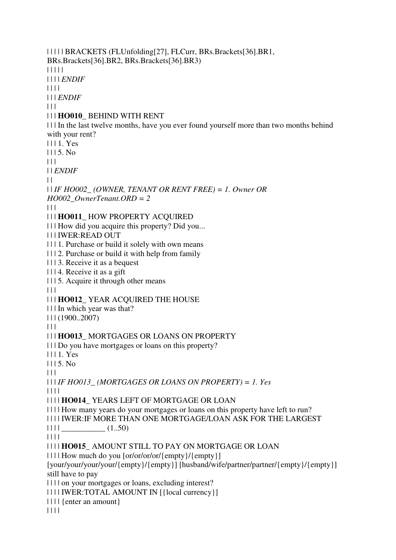| | | | | BRACKETS (FLUnfolding[27], FLCurr, BRs.Brackets[36].BR1, BRs.Brackets[36].BR2, BRs.Brackets[36].BR3) | | | | | | | | | *ENDIF* | | | | | | | *ENDIF*  $| 11$ | | | **HO010\_** BEHIND WITH RENT | | | In the last twelve months, have you ever found yourself more than two months behind with your rent? | | | 1. Yes | | | 5. No  $| | | |$ | | *ENDIF*  $\perp$ | | *IF HO002\_ (OWNER, TENANT OR RENT FREE) = 1. Owner OR HO002\_OwnerTenant.ORD = 2*  $\Box$ | | | **HO011\_** HOW PROPERTY ACQUIRED | | | How did you acquire this property? Did you... | | | IWER:READ OUT | | | 1. Purchase or build it solely with own means | | | 2. Purchase or build it with help from family | | | 3. Receive it as a bequest | | | 4. Receive it as a gift | | | 5. Acquire it through other means  $| 11$ | | | **HO012\_** YEAR ACQUIRED THE HOUSE | | | In which year was that? | | | (1900..2007)  $| 11$ | | | **HO013\_** MORTGAGES OR LOANS ON PROPERTY | | | Do you have mortgages or loans on this property? | | | 1. Yes | | | 5. No  $\Box$ | | | *IF HO013\_ (MORTGAGES OR LOANS ON PROPERTY) = 1. Yes* | | | | | | | | **HO014\_** YEARS LEFT OF MORTGAGE OR LOAN | | | | How many years do your mortgages or loans on this property have left to run? | | | | IWER:IF MORE THAN ONE MORTGAGE/LOAN ASK FOR THE LARGEST  $|| \t|| \t(1.50)$ | | | | | | | | **HO015\_** AMOUNT STILL TO PAY ON MORTGAGE OR LOAN | | | | How much do you [or/or/or/or/{empty}/{empty}] [your/your/your/your/{empty}/{empty}] [husband/wife/partner/partner/{empty}/{empty}] still have to pay | | | | on your mortgages or loans, excluding interest? | | | | IWER:TOTAL AMOUNT IN [{local currency}] | | | | {enter an amount} | | | |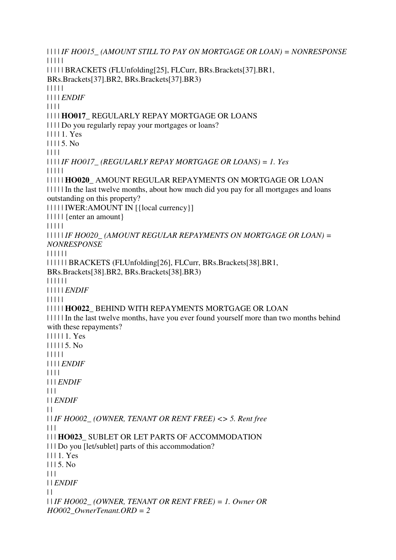| | | | *IF HO015\_ (AMOUNT STILL TO PAY ON MORTGAGE OR LOAN) = NONRESPONSE* | | | | | | | | | | BRACKETS (FLUnfolding[25], FLCurr, BRs.Brackets[37].BR1, BRs.Brackets[37].BR2, BRs.Brackets[37].BR3) | | | | | | | | | *ENDIF* | | | | | | | | **HO017\_** REGULARLY REPAY MORTGAGE OR LOANS | | | | Do you regularly repay your mortgages or loans? | | | | 1. Yes | | | | 5. No | | | | | | | | *IF HO017\_ (REGULARLY REPAY MORTGAGE OR LOANS) = 1. Yes* | | | | | | | | | | **HO020\_** AMOUNT REGULAR REPAYMENTS ON MORTGAGE OR LOAN | | | | | In the last twelve months, about how much did you pay for all mortgages and loans outstanding on this property? | | | | | IWER:AMOUNT IN [{local currency}] | | | | | {enter an amount} | | | | | | | | | | *IF HO020\_ (AMOUNT REGULAR REPAYMENTS ON MORTGAGE OR LOAN) = NONRESPONSE* | | | | | | | | | | | | BRACKETS (FLUnfolding[26], FLCurr, BRs.Brackets[38].BR1, BRs.Brackets[38].BR2, BRs.Brackets[38].BR3) | | | | | | | | | | | *ENDIF* | | | | | | | | | | **HO022\_** BEHIND WITH REPAYMENTS MORTGAGE OR LOAN | | | | | In the last twelve months, have you ever found yourself more than two months behind with these repayments? | | | | | 1. Yes | | | | | 5. No | | | | | | | | | *ENDIF* | | | | | | | *ENDIF*  $| 11$ | | *ENDIF*  $\perp$ | | *IF HO002\_ (OWNER, TENANT OR RENT FREE) <> 5. Rent free* | | | | | | **HO023\_** SUBLET OR LET PARTS OF ACCOMMODATION | | | Do you [let/sublet] parts of this accommodation? | | | 1. Yes  $1115.$  No  $| 11$ | | *ENDIF*  $\perp$ | | *IF HO002\_ (OWNER, TENANT OR RENT FREE) = 1. Owner OR HO002\_OwnerTenant.ORD = 2*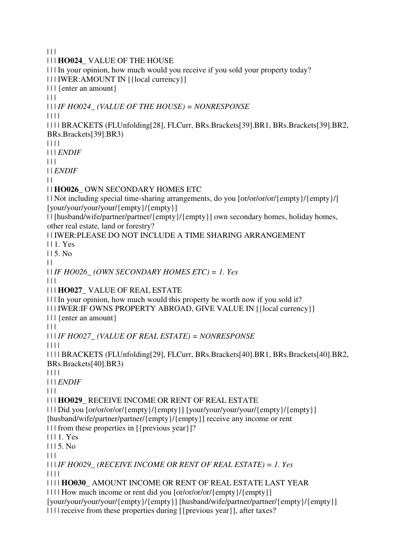$| 11$ 

| | | **HO024\_** VALUE OF THE HOUSE | | | In your opinion, how much would you receive if you sold your property today? | | | IWER:AMOUNT IN [{local currency}] | | | {enter an amount}  $| 11$ | | | *IF HO024\_ (VALUE OF THE HOUSE) = NONRESPONSE* | | | | | | | | BRACKETS (FLUnfolding[28], FLCurr, BRs.Brackets[39].BR1, BRs.Brackets[39].BR2, BRs.Brackets[39].BR3) | | | | | | | *ENDIF*  $\Box$ | | *ENDIF*  $\perp$ | | **HO026\_** OWN SECONDARY HOMES ETC | | Not including special time-sharing arrangements, do you [or/or/or/or/{empty}/{empty}/] [your/your/your/your/{empty}/{empty}] | | [husband/wife/partner/partner/{empty}/{empty}] own secondary homes, holiday homes, other real estate, land or forestry? | | IWER:PLEASE DO NOT INCLUDE A TIME SHARING ARRANGEMENT | | 1. Yes  $115.$  No.  $\mathbf{||}$ | | *IF HO026\_ (OWN SECONDARY HOMES ETC) = 1. Yes*  $| | | |$ | | | **HO027\_** VALUE OF REAL ESTATE | | | In your opinion, how much would this property be worth now if you sold it? | | | IWER:IF OWNS PROPERTY ABROAD, GIVE VALUE IN [{local currency}] | | | {enter an amount} | | | | | | *IF HO027\_ (VALUE OF REAL ESTATE) = NONRESPONSE* | | | | | | | | BRACKETS (FLUnfolding[29], FLCurr, BRs.Brackets[40].BR1, BRs.Brackets[40].BR2, BRs.Brackets[40].BR3) | | | | | | | *ENDIF*  $| 11$ | | | **HO029\_** RECEIVE INCOME OR RENT OF REAL ESTATE | | | Did you [or/or/or/or/{empty}/{empty}] [your/your/your/your/{empty}/{empty}] [husband/wife/partner/partner/{empty}/{empty}] receive any income or rent | | | from these properties in [{previous year}]? | | | 1. Yes  $1115$ . No.  $\Box$ | | | *IF HO029\_ (RECEIVE INCOME OR RENT OF REAL ESTATE) = 1. Yes* | | | | | | | | **HO030\_** AMOUNT INCOME OR RENT OF REAL ESTATE LAST YEAR | | | | How much income or rent did you [or/or/or/or/{empty}/{empty}] [your/your/your/your/{empty}/{empty}] [husband/wife/partner/partner/{empty}/{empty}] | | | | receive from these properties during [{previous year}], after taxes?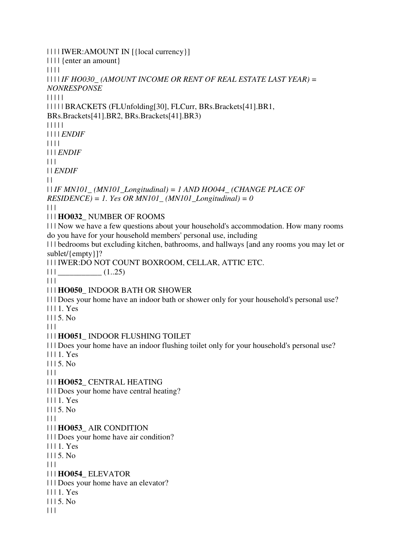| | | | IWER:AMOUNT IN [{local currency}] | | | | {enter an amount} | | | | | | | | *IF HO030\_ (AMOUNT INCOME OR RENT OF REAL ESTATE LAST YEAR) = NONRESPONSE* | | | | | | | | | | BRACKETS (FLUnfolding[30], FLCurr, BRs.Brackets[41].BR1, BRs.Brackets[41].BR2, BRs.Brackets[41].BR3) | | | | | | | | | *ENDIF* | | | | | | | *ENDIF*  $| | | |$ | | *ENDIF*  $\perp$ | | *IF MN101\_ (MN101\_Longitudinal) = 1 AND HO044\_ (CHANGE PLACE OF*   $RESIDENCE$ ) = 1. Yes OR MN101\_ (MN101\_Longitudinal) = 0  $\Box$ | | | **HO032\_** NUMBER OF ROOMS | | | Now we have a few questions about your household's accommodation. How many rooms do you have for your household members' personal use, including | | | bedrooms but excluding kitchen, bathrooms, and hallways [and any rooms you may let or sublet/{empty}]? | | | IWER:DO NOT COUNT BOXROOM, CELLAR, ATTIC ETC.  $\left| \begin{array}{c} \end{array} \right|$   $\left| \begin{array}{c} \end{array} \right|$   $\left| \begin{array}{c} \end{array} \right|$   $\left| \begin{array}{c} \end{array} \right|$   $\left| \begin{array}{c} \end{array} \right|$   $\left| \begin{array}{c} \end{array} \right|$   $\left| \begin{array}{c} \end{array} \right|$   $\left| \begin{array}{c} \end{array}$   $\left| \begin{array}{c} \end{array} \right|$   $\left| \begin{array}{c} \end{array} \right|$   $\left| \begin{array}{c} \end{$  $| 11 |$ | | | **HO050\_** INDOOR BATH OR SHOWER | | | Does your home have an indoor bath or shower only for your household's personal use? | | | 1. Yes  $1115$ . No.  $| 11$ | | | **HO051\_** INDOOR FLUSHING TOILET | | | Does your home have an indoor flushing toilet only for your household's personal use? | | | 1. Yes | | | 5. No  $|| ||$ | | | **HO052\_** CENTRAL HEATING | | | Does your home have central heating? | | | 1. Yes  $1115. No$  $| 11$ | | | **HO053\_** AIR CONDITION | | | Does your home have air condition? | | | 1. Yes  $1115$ . No.  $\Box$ | | | **HO054\_** ELEVATOR | | | Does your home have an elevator?  $1111$  Yes | | | 5. No  $| 11$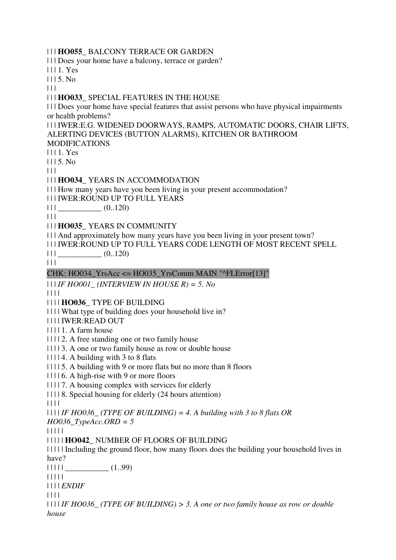| | | **HO055\_** BALCONY TERRACE OR GARDEN

| | | Does your home have a balcony, terrace or garden?

| | | 1. Yes

 $1115$ . No

 $| 11$ 

#### | | | **HO033\_** SPECIAL FEATURES IN THE HOUSE

| | | Does your home have special features that assist persons who have physical impairments or health problems?

| | | IWER:E.G. WIDENED DOORWAYS, RAMPS, AUTOMATIC DOORS, CHAIR LIFTS, ALERTING DEVICES (BUTTON ALARMS), KITCHEN OR BATHROOM

MODIFICATIONS

| | | 1. Yes

 $1115$ . No

 $| 11$ 

| | | **HO034\_** YEARS IN ACCOMMODATION

| | | How many years have you been living in your present accommodation?

| | | IWER:ROUND UP TO FULL YEARS

 $|| \t||$   $(0..120)$ 

 $| 11 |$ 

| | | **HO035\_** YEARS IN COMMUNITY

| | | And approximately how many years have you been living in your present town?

| | | IWER:ROUND UP TO FULL YEARS CODE LENGTH OF MOST RECENT SPELL

 $|| ||$   $(0..120)$ 

 $| 11 |$ 

CHK: HO034\_YrsAcc <= HO035\_YrsComm MAIN "^FLError[13]"

| | | *IF HO001\_ (INTERVIEW IN HOUSE R) = 5. No*

| | | |

| | | | **HO036\_** TYPE OF BUILDING

| | | | What type of building does your household live in?

| | | | IWER:READ OUT

| | | | 1. A farm house

| | | | 2. A free standing one or two family house

| | | | 3. A one or two family house as row or double house

| | | | 4. A building with 3 to 8 flats

| | | | 5. A building with 9 or more flats but no more than 8 floors

| | | | 6. A high-rise with 9 or more floors

| | | | 7. A housing complex with services for elderly

| | | | 8. Special housing for elderly (24 hours attention)

| | | |

| | | | *IF HO036\_ (TYPE OF BUILDING) = 4. A building with 3 to 8 flats OR* 

*HO036\_TypeAcc.ORD = 5*

| | | | |

| | | | | **HO042\_** NUMBER OF FLOORS OF BUILDING

| | | | | Including the ground floor, how many floors does the building your household lives in have?

 $|| || || ||$   $(1.99)$ 

| | | | |

| | | | *ENDIF*

| | | |

| | | | *IF HO036\_ (TYPE OF BUILDING) > 3. A one or two family house as row or double house*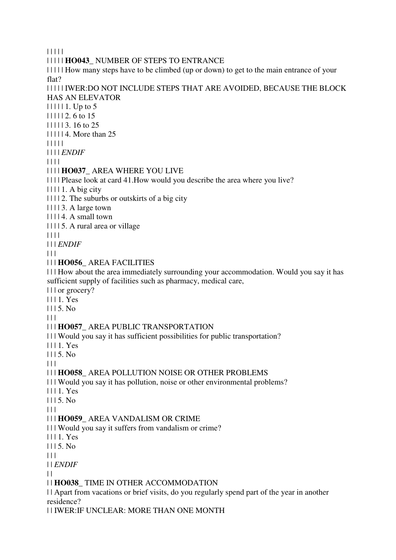| | | | |

| | | | | **HO043\_** NUMBER OF STEPS TO ENTRANCE

| | | | | How many steps have to be climbed (up or down) to get to the main entrance of your flat?

#### | | | | | IWER:DO NOT INCLUDE STEPS THAT ARE AVOIDED, BECAUSE THE BLOCK HAS AN ELEVATOR

 $|| || || || 1.$  Up to 5

- | | | | | 2. 6 to 15
- | | | | | 3. 16 to 25
- | | | | | 4. More than 25
- | | | | |
- | | | | *ENDIF*

| | | |

### | | | | **HO037\_** AREA WHERE YOU LIVE

- | | | | Please look at card 41.How would you describe the area where you live?
- $|| || || 1. A \text{ big city}$
- | | | | 2. The suburbs or outskirts of a big city
- | | | | 3. A large town
- | | | | 4. A small town
- | | | | 5. A rural area or village
- | | | |
- | | | *ENDIF*
- $| 11$

### | | | **HO056\_** AREA FACILITIES

| | | How about the area immediately surrounding your accommodation. Would you say it has sufficient supply of facilities such as pharmacy, medical care,

| | | or grocery?

- | | | 1. Yes
- | | | 5. No

 $| 11 |$ 

### | | | **HO057\_** AREA PUBLIC TRANSPORTATION

| | | Would you say it has sufficient possibilities for public transportation?

- | | | 1. Yes
- $1115$ . No

 $\Box$ 

### | | | **HO058\_** AREA POLLUTION NOISE OR OTHER PROBLEMS

| | | Would you say it has pollution, noise or other environmental problems?

- | | | 1. Yes
- $1115. No$

 $|| ||$ 

### | | | **HO059\_** AREA VANDALISM OR CRIME

- | | | Would you say it suffers from vandalism or crime?
- | | | 1. Yes

 $1115$ . No.

 $\Box$ 

| | *ENDIF*

 $| |$ 

### | | **HO038\_** TIME IN OTHER ACCOMMODATION

| | Apart from vacations or brief visits, do you regularly spend part of the year in another residence?

| | IWER:IF UNCLEAR: MORE THAN ONE MONTH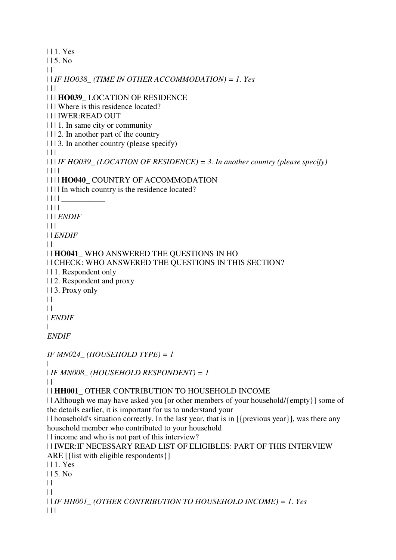| | 1. Yes | | 5. No  $\|$ | | *IF HO038\_ (TIME IN OTHER ACCOMMODATION) = 1. Yes*  $| 11 |$ | | | **HO039\_** LOCATION OF RESIDENCE | | | Where is this residence located? | | | IWER:READ OUT | | | 1. In same city or community | | | 2. In another part of the country | | | 3. In another country (please specify)  $\Box$ | | | *IF HO039\_ (LOCATION OF RESIDENCE) = 3. In another country (please specify)* | | | | | | | | **HO040\_** COUNTRY OF ACCOMMODATION | | | | In which country is the residence located?  $|| \ || ||$ | | | | | | | *ENDIF*  $\Box$ | | *ENDIF*  $| \cdot |$ | | **HO041\_** WHO ANSWERED THE QUESTIONS IN HO | | CHECK: WHO ANSWERED THE QUESTIONS IN THIS SECTION? | | 1. Respondent only | | 2. Respondent and proxy | | 3. Proxy only  $\|$  $| |$ | *ENDIF* | *ENDIF IF MN024\_ (HOUSEHOLD TYPE) = 1*  $\perp$ | *IF MN008\_ (HOUSEHOLD RESPONDENT) = 1*  $\perp$ | | **HH001\_** OTHER CONTRIBUTION TO HOUSEHOLD INCOME | | Although we may have asked you [or other members of your household/{empty}] some of the details earlier, it is important for us to understand your | | household's situation correctly. In the last year, that is in [{previous year}], was there any household member who contributed to your household | | income and who is not part of this interview? | | IWER:IF NECESSARY READ LIST OF ELIGIBLES: PART OF THIS INTERVIEW ARE [{list with eligible respondents}] | | 1. Yes | | 5. No  $\|$  $\perp$ | | *IF HH001\_ (OTHER CONTRIBUTION TO HOUSEHOLD INCOME) = 1. Yes*  $| 11$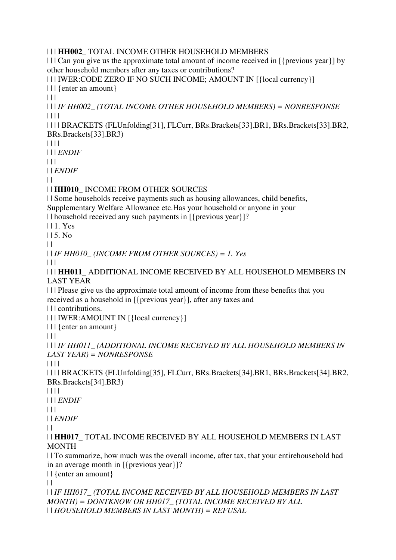### | | | **HH002\_** TOTAL INCOME OTHER HOUSEHOLD MEMBERS

| | | Can you give us the approximate total amount of income received in [{previous year}] by other household members after any taxes or contributions?

| | | IWER:CODE ZERO IF NO SUCH INCOME; AMOUNT IN [{local currency}]

| | | {enter an amount}

 $| 11$ 

| | | *IF HH002\_ (TOTAL INCOME OTHER HOUSEHOLD MEMBERS) = NONRESPONSE* | | | |

| | | | BRACKETS (FLUnfolding[31], FLCurr, BRs.Brackets[33].BR1, BRs.Brackets[33].BR2, BRs.Brackets[33].BR3)

| | | |

| | | *ENDIF*

 $\Box$ 

| | *ENDIF*

 $\perp$ 

| | **HH010\_** INCOME FROM OTHER SOURCES

| | Some households receive payments such as housing allowances, child benefits, Supplementary Welfare Allowance etc.Has your household or anyone in your

| | household received any such payments in [{previous year}]?

| | 1. Yes

 $115.$  No.

 $\|$ 

| | *IF HH010\_ (INCOME FROM OTHER SOURCES) = 1. Yes*

 $\Box$ 

| | | **HH011\_** ADDITIONAL INCOME RECEIVED BY ALL HOUSEHOLD MEMBERS IN LAST YEAR

| | | Please give us the approximate total amount of income from these benefits that you received as a household in [{previous year}], after any taxes and

| | | contributions.

| | | IWER:AMOUNT IN [{local currency}]

| | | {enter an amount}

 $\Box$ 

| | | *IF HH011\_ (ADDITIONAL INCOME RECEIVED BY ALL HOUSEHOLD MEMBERS IN LAST YEAR) = NONRESPONSE*

| | | |

| | | | BRACKETS (FLUnfolding[35], FLCurr, BRs.Brackets[34].BR1, BRs.Brackets[34].BR2, BRs.Brackets[34].BR3)

| | | |

| | | *ENDIF*

 $| 11 |$ 

| | *ENDIF*

 $\|$ 

| | **HH017\_** TOTAL INCOME RECEIVED BY ALL HOUSEHOLD MEMBERS IN LAST **MONTH** 

| | To summarize, how much was the overall income, after tax, that your entirehousehold had in an average month in [{previous year}]?

| | {enter an amount}

 $| |$ 

| | *IF HH017\_ (TOTAL INCOME RECEIVED BY ALL HOUSEHOLD MEMBERS IN LAST MONTH) = DONTKNOW OR HH017\_ (TOTAL INCOME RECEIVED BY ALL*  | | *HOUSEHOLD MEMBERS IN LAST MONTH) = REFUSAL*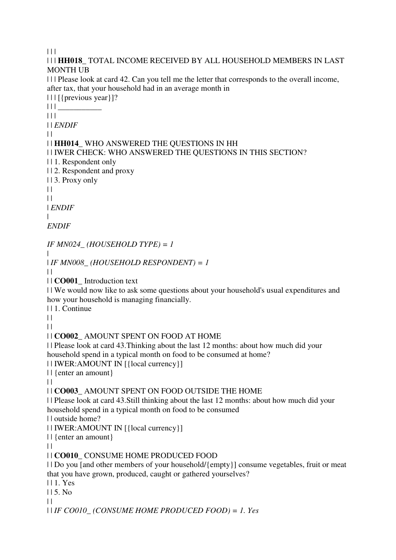$|| ||$ 

| | | **HH018\_** TOTAL INCOME RECEIVED BY ALL HOUSEHOLD MEMBERS IN LAST MONTH UB | | | Please look at card 42. Can you tell me the letter that corresponds to the overall income,

after tax, that your household had in an average month in

| | | [{previous year}]?

 $\| ||$   $\|$ 

 $| 11 |$ 

| | *ENDIF*

 $\perp$ 

### | | **HH014\_** WHO ANSWERED THE QUESTIONS IN HH

| | IWER CHECK: WHO ANSWERED THE QUESTIONS IN THIS SECTION?

| | 1. Respondent only

| | 2. Respondent and proxy

| | 3. Proxy only

 $\|$ 

 $\perp$ 

| *ENDIF*

|

*ENDIF*

*IF MN024\_ (HOUSEHOLD TYPE) = 1*

| | *IF MN008\_ (HOUSEHOLD RESPONDENT) = 1*

 $\|$ 

| | **CO001\_** Introduction text

| | We would now like to ask some questions about your household's usual expenditures and how your household is managing financially.

| | 1. Continue

 $| |$ 

 $\perp$ 

| | **CO002\_** AMOUNT SPENT ON FOOD AT HOME

| | Please look at card 43.Thinking about the last 12 months: about how much did your household spend in a typical month on food to be consumed at home?

| | IWER:AMOUNT IN [{local currency}]

| | {enter an amount}

 $| |$ 

| | **CO003\_** AMOUNT SPENT ON FOOD OUTSIDE THE HOME

| | Please look at card 43.Still thinking about the last 12 months: about how much did your household spend in a typical month on food to be consumed

| | outside home?

| | IWER:AMOUNT IN [{local currency}]

| | {enter an amount}

 $\|$ 

| | **CO010\_** CONSUME HOME PRODUCED FOOD

| | Do you [and other members of your household/{empty}] consume vegetables, fruit or meat that you have grown, produced, caught or gathered yourselves?

| | 1. Yes

| | 5. No

 $\perp$ 

| | *IF CO010\_ (CONSUME HOME PRODUCED FOOD) = 1. Yes*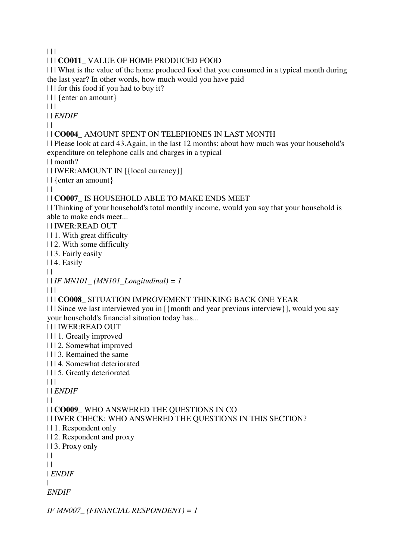$| 11$ 

#### | | | **CO011\_** VALUE OF HOME PRODUCED FOOD

| | | What is the value of the home produced food that you consumed in a typical month during the last year? In other words, how much would you have paid

| | | for this food if you had to buy it?

| | | {enter an amount}

 $| 11$ 

| | *ENDIF*

 $\perp$ 

#### | | **CO004\_** AMOUNT SPENT ON TELEPHONES IN LAST MONTH

| | Please look at card 43.Again, in the last 12 months: about how much was your household's expenditure on telephone calls and charges in a typical

| | month?

| | IWER:AMOUNT IN [{local currency}]

| | {enter an amount}

 $\|$ 

### | | **CO007\_** IS HOUSEHOLD ABLE TO MAKE ENDS MEET

| | Thinking of your household's total monthly income, would you say that your household is able to make ends meet...

| | IWER:READ OUT

| | 1. With great difficulty

| | 2. With some difficulty

| | 3. Fairly easily

| | 4. Easily

 $\Box$ 

| | *IF MN101\_ (MN101\_Longitudinal) = 1*

 $\Box$ 

#### | | | **CO008\_** SITUATION IMPROVEMENT THINKING BACK ONE YEAR

| | | Since we last interviewed you in [{month and year previous interview}], would you say your household's financial situation today has...

| | | IWER:READ OUT

| | | 1. Greatly improved

| | | 2. Somewhat improved

| | | 3. Remained the same

| | | 4. Somewhat deteriorated

| | | 5. Greatly deteriorated

 $\Box$ 

| | *ENDIF*

 $\perp$ 

| | **CO009\_** WHO ANSWERED THE QUESTIONS IN CO

| | IWER CHECK: WHO ANSWERED THE QUESTIONS IN THIS SECTION?

| | 1. Respondent only

| | 2. Respondent and proxy

| | 3. Proxy only

 $\perp$ 

 $\perp$ 

| *ENDIF*

|

*ENDIF*

*IF MN007\_ (FINANCIAL RESPONDENT) = 1*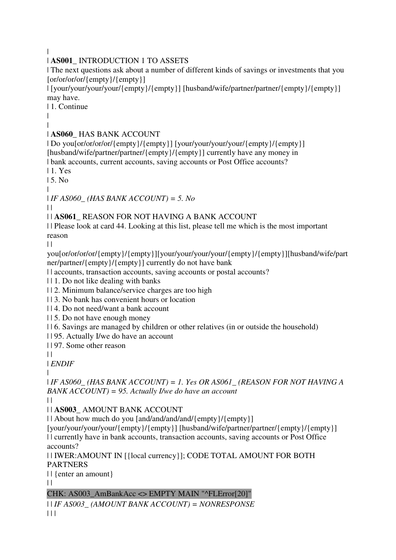|

# | **AS001\_** INTRODUCTION 1 TO ASSETS

| The next questions ask about a number of different kinds of savings or investments that you [or/or/or/or/{empty}/{empty}]

| [your/your/your/your/{empty}/{empty}] [husband/wife/partner/partner/{empty}/{empty}] may have.

| 1. Continue

| |

# | **AS060\_** HAS BANK ACCOUNT

| Do you[or/or/or/or/{empty}/{empty}] [your/your/your/your/{empty}/{empty}] [husband/wife/partner/partner/{empty}/{empty}] currently have any money in | bank accounts, current accounts, saving accounts or Post Office accounts?

| 1. Yes

| 5. No

|

| *IF AS060\_ (HAS BANK ACCOUNT) = 5. No*

 $\perp$ 

# | | **AS061\_** REASON FOR NOT HAVING A BANK ACCOUNT

| | Please look at card 44. Looking at this list, please tell me which is the most important reason

 $| |$ 

you[or/or/or/or/{empty}/{empty}][your/your/your/your/{empty}/{empty}][husband/wife/part ner/partner/{empty}/{empty}] currently do not have bank

| | accounts, transaction accounts, saving accounts or postal accounts?

| | 1. Do not like dealing with banks

| | 2. Minimum balance/service charges are too high

| | 3. No bank has convenient hours or location

| | 4. Do not need/want a bank account

| | 5. Do not have enough money

| | 6. Savings are managed by children or other relatives (in or outside the household)

| | 95. Actually I/we do have an account

| | 97. Some other reason

 $\|$ 

| *ENDIF*

|

| *IF AS060\_ (HAS BANK ACCOUNT) = 1. Yes OR AS061\_ (REASON FOR NOT HAVING A BANK ACCOUNT) = 95. Actually I/we do have an account*

 $\perp$ 

| | **AS003\_** AMOUNT BANK ACCOUNT

| | About how much do you [and/and/and/and/{empty}/{empty}]

[your/your/your/your/{empty}/{empty}] [husband/wife/partner/partner/{empty}/{empty}] | | currently have in bank accounts, transaction accounts, saving accounts or Post Office accounts?

| | IWER:AMOUNT IN [{local currency}]; CODE TOTAL AMOUNT FOR BOTH PARTNERS

| | {enter an amount}

 $| |$ 

# CHK: AS003\_AmBankAcc <> EMPTY MAIN "^FLError[20]"

| | *IF AS003\_ (AMOUNT BANK ACCOUNT) = NONRESPONSE*  $|| ||$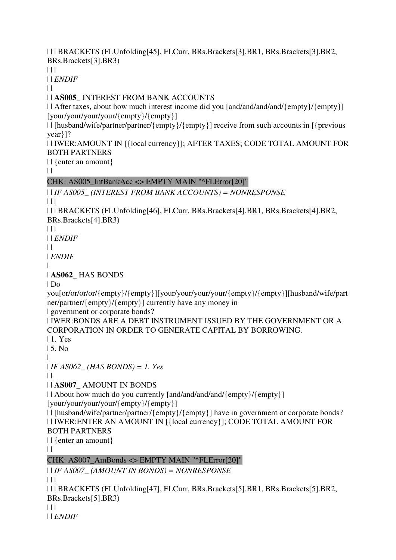| | | BRACKETS (FLUnfolding[45], FLCurr, BRs.Brackets[3].BR1, BRs.Brackets[3].BR2, BRs.Brackets[3].BR3)

 $|| ||$ 

| | *ENDIF*

 $| |$ 

| | **AS005\_** INTEREST FROM BANK ACCOUNTS

| | After taxes, about how much interest income did you [and/and/and/and/{empty}/{empty}] [your/your/your/your/{empty}/{empty}]

| | [husband/wife/partner/partner/{empty}/{empty}] receive from such accounts in [{previous year}]?

| | IWER:AMOUNT IN [{local currency}]; AFTER TAXES; CODE TOTAL AMOUNT FOR BOTH PARTNERS

| | {enter an amount}

 $\|$ 

CHK: AS005\_IntBankAcc <> EMPTY MAIN "^FLError[20]"

| | *IF AS005\_ (INTEREST FROM BANK ACCOUNTS) = NONRESPONSE*

 $| 11$ 

| | | BRACKETS (FLUnfolding[46], FLCurr, BRs.Brackets[4].BR1, BRs.Brackets[4].BR2, BRs.Brackets[4].BR3)

 $\Box$ 

| | *ENDIF*

 $\perp$ 

| *ENDIF*

| | **AS062\_** HAS BONDS

| Do

you[or/or/or/or/{empty}/{empty}][your/your/your/your/{empty}/{empty}][husband/wife/part ner/partner/{empty}/{empty}] currently have any money in

| government or corporate bonds?

| IWER:BONDS ARE A DEBT INSTRUMENT ISSUED BY THE GOVERNMENT OR A CORPORATION IN ORDER TO GENERATE CAPITAL BY BORROWING.

| 1. Yes

| 5. No

| | *IF AS062\_ (HAS BONDS) = 1. Yes*

 $\|$ 

| | **AS007\_** AMOUNT IN BONDS

| | About how much do you currently [and/and/and/and/{empty}/{empty}] [your/your/your/your/{empty}/{empty}]

| | [husband/wife/partner/partner/{empty}/{empty}] have in government or corporate bonds? | | IWER:ENTER AN AMOUNT IN [{local currency}]; CODE TOTAL AMOUNT FOR BOTH PARTNERS

| | {enter an amount}

 $\|$ 

CHK: AS007\_AmBonds <> EMPTY MAIN "^FLError[20]"

| | *IF AS007\_ (AMOUNT IN BONDS) = NONRESPONSE*

 $| 11$ 

| | | BRACKETS (FLUnfolding[47], FLCurr, BRs.Brackets[5].BR1, BRs.Brackets[5].BR2, BRs.Brackets[5].BR3)  $|| ||$ 

| | *ENDIF*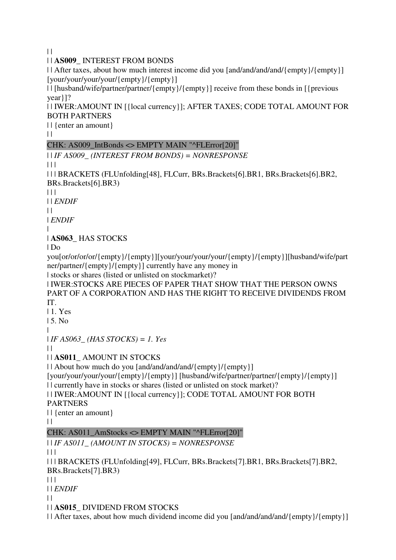$\|$ 

| | **AS009\_** INTEREST FROM BONDS

| | After taxes, about how much interest income did you [and/and/and/and/{empty}/{empty}] [your/your/your/your/{empty}/{empty}]

| | [husband/wife/partner/partner/{empty}/{empty}] receive from these bonds in [{previous year}]?

| | IWER:AMOUNT IN [{local currency}]; AFTER TAXES; CODE TOTAL AMOUNT FOR BOTH PARTNERS

| | {enter an amount}

 $\|$ 

# CHK: AS009\_IntBonds <> EMPTY MAIN "^FLError[20]"

```
| | IF AS009_ (INTEREST FROM BONDS) = NONRESPONSE
```
 $\Box$ 

| | | BRACKETS (FLUnfolding[48], FLCurr, BRs.Brackets[6].BR1, BRs.Brackets[6].BR2, BRs.Brackets[6].BR3)

 $| 11$ 

| | *ENDIF*

 $\perp$ 

| *ENDIF*

|

# | **AS063\_** HAS STOCKS

 $|$  Do

you[or/or/or/or/{empty}/{empty}][your/your/your/your/{empty}/{empty}][husband/wife/part ner/partner/{empty}/{empty}] currently have any money in

| stocks or shares (listed or unlisted on stockmarket)?

| IWER:STOCKS ARE PIECES OF PAPER THAT SHOW THAT THE PERSON OWNS PART OF A CORPORATION AND HAS THE RIGHT TO RECEIVE DIVIDENDS FROM IT.

| 1. Yes

| 5. No

|

| *IF AS063\_ (HAS STOCKS) = 1. Yes*

 $\perp$ 

| | **AS011\_** AMOUNT IN STOCKS

| | About how much do you [and/and/and/and/{empty}/{empty}]

[your/your/your/your/{empty}/{empty}] [husband/wife/partner/partner/{empty}/{empty}] | | currently have in stocks or shares (listed or unlisted on stock market)?

| | IWER:AMOUNT IN [{local currency}]; CODE TOTAL AMOUNT FOR BOTH

PARTNERS

| | {enter an amount}

 $\|$ 

# CHK: AS011\_AmStocks <> EMPTY MAIN "^FLError[20]"

| | *IF AS011\_ (AMOUNT IN STOCKS) = NONRESPONSE*

 $| 11 |$ 

| | | BRACKETS (FLUnfolding[49], FLCurr, BRs.Brackets[7].BR1, BRs.Brackets[7].BR2, BRs.Brackets[7].BR3)

| | |

| | *ENDIF*

 $\|$ 

| | **AS015\_** DIVIDEND FROM STOCKS

| | After taxes, about how much dividend income did you [and/and/and/and/{empty}/{empty}]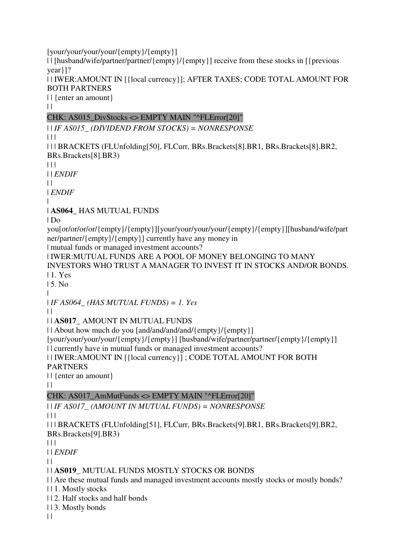[your/your/your/your/{empty}/{empty}] | | [husband/wife/partner/partner/{empty}/{empty}] receive from these stocks in [{previous year}]? | | IWER:AMOUNT IN [{local currency}]; AFTER TAXES; CODE TOTAL AMOUNT FOR BOTH PARTNERS | | {enter an amount}

 $| |$ 

# CHK: AS015 DivStocks <> EMPTY MAIN "^FLError[20]"

| | *IF AS015\_ (DIVIDEND FROM STOCKS) = NONRESPONSE*

 $\Box$ 

| | | BRACKETS (FLUnfolding[50], FLCurr, BRs.Brackets[8].BR1, BRs.Brackets[8].BR2, BRs.Brackets[8].BR3)

 $| 11$ 

| | *ENDIF*

 $\perp$ 

| *ENDIF*

|

| **AS064\_** HAS MUTUAL FUNDS

| Do

you[or/or/or/or/{empty}/{empty}][your/your/your/your/{empty}/{empty}][husband/wife/part ner/partner/{empty}/{empty}] currently have any money in

| mutual funds or managed investment accounts?

| IWER:MUTUAL FUNDS ARE A POOL OF MONEY BELONGING TO MANY INVESTORS WHO TRUST A MANAGER TO INVEST IT IN STOCKS AND/OR BONDS.

| 1. Yes

| 5. No

|

| *IF AS064\_ (HAS MUTUAL FUNDS) = 1. Yes*

 $\perp$ 

| | **AS017\_** AMOUNT IN MUTUAL FUNDS

| | About how much do you [and/and/and/and/{empty}/{empty}]

[your/your/your/your/{empty}/{empty}] [husband/wife/partner/partner/{empty}/{empty}]

| | currently have in mutual funds or managed investment accounts?

| | IWER:AMOUNT IN [{local currency}] ; CODE TOTAL AMOUNT FOR BOTH

PARTNERS

| | {enter an amount}

 $\|$ 

# CHK: AS017\_AmMutFunds <> EMPTY MAIN "^FLError[20]"

| | *IF AS017\_ (AMOUNT IN MUTUAL FUNDS) = NONRESPONSE*

 $| | | |$ 

| | | BRACKETS (FLUnfolding[51], FLCurr, BRs.Brackets[9].BR1, BRs.Brackets[9].BR2, BRs.Brackets[9].BR3)

 $| 11$ 

| | *ENDIF*

 $\Box$ 

| | **AS019\_** MUTUAL FUNDS MOSTLY STOCKS OR BONDS

| | Are these mutual funds and managed investment accounts mostly stocks or mostly bonds?

| | 1. Mostly stocks

| | 2. Half stocks and half bonds

| | 3. Mostly bonds

 $\|$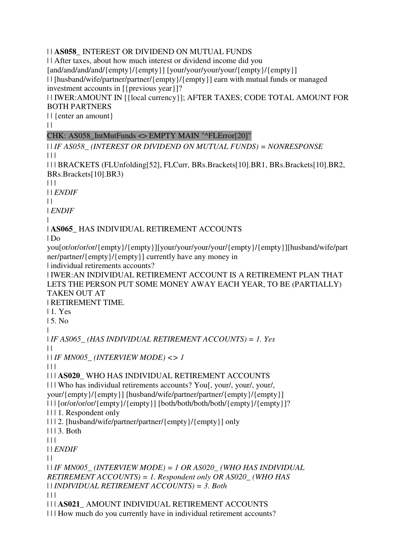# | | **AS058\_** INTEREST OR DIVIDEND ON MUTUAL FUNDS

| | After taxes, about how much interest or dividend income did you [and/and/and/and/{empty}/{empty}] [your/your/your/your/{empty}/{empty}] | | [husband/wife/partner/partner/{empty}/{empty}] earn with mutual funds or managed investment accounts in [{previous year}]?

| | IWER:AMOUNT IN [{local currency}]; AFTER TAXES; CODE TOTAL AMOUNT FOR BOTH PARTNERS

| | {enter an amount}

 $\|$ 

# CHK: AS058\_IntMutFunds <> EMPTY MAIN "^FLError[20]"

| | *IF AS058\_ (INTEREST OR DIVIDEND ON MUTUAL FUNDS) = NONRESPONSE*  $| 11$ 

| | | BRACKETS (FLUnfolding[52], FLCurr, BRs.Brackets[10].BR1, BRs.Brackets[10].BR2, BRs.Brackets[10].BR3)

 $\Box$ 

| | *ENDIF*

 $\perp$ 

| *ENDIF*

#### | | **AS065\_** HAS INDIVIDUAL RETIREMENT ACCOUNTS

 $|$  Do

you[or/or/or/or/{empty}/{empty}][your/your/your/your/{empty}/{empty}][husband/wife/part ner/partner/{empty}/{empty}] currently have any money in

| individual retirements accounts?

| IWER:AN INDIVIDUAL RETIREMENT ACCOUNT IS A RETIREMENT PLAN THAT LETS THE PERSON PUT SOME MONEY AWAY EACH YEAR, TO BE (PARTIALLY) TAKEN OUT AT

| RETIREMENT TIME.

| 1. Yes

| 5. No

|

| *IF AS065\_ (HAS INDIVIDUAL RETIREMENT ACCOUNTS) = 1. Yes*  $\perp$ 

| | *IF MN005\_ (INTERVIEW MODE) <> 1*

 $\Box$ 

| | | **AS020\_** WHO HAS INDIVIDUAL RETIREMENT ACCOUNTS

| | | Who has individual retirements accounts? You[, your/, your/, your/, your/{empty}/{empty}] [husband/wife/partner/partner/{empty}/{empty}]

| | | [or/or/or/or/{empty}/{empty}] [both/both/both/both/{empty}/{empty}]?

| | | 1. Respondent only

| | | 2. [husband/wife/partner/partner/{empty}/{empty}] only

| | | 3. Both

 $| 11$ 

| | *ENDIF*

 $| |$ 

| | *IF MN005\_ (INTERVIEW MODE) = 1 OR AS020\_ (WHO HAS INDIVIDUAL RETIREMENT ACCOUNTS) = 1. Respondent only OR AS020\_ (WHO HAS*  | | *INDIVIDUAL RETIREMENT ACCOUNTS) = 3. Both*

 $| 11$ 

| | | **AS021\_** AMOUNT INDIVIDUAL RETIREMENT ACCOUNTS

| | | How much do you currently have in individual retirement accounts?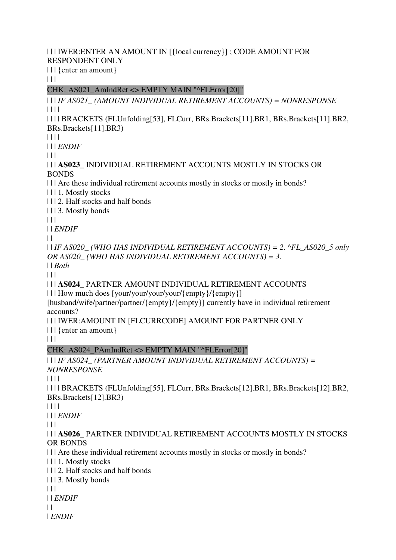#### | | | IWER:ENTER AN AMOUNT IN [{local currency}] ; CODE AMOUNT FOR RESPONDENT ONLY

| | | {enter an amount}

 $| 11$ 

CHK: AS021\_AmIndRet <> EMPTY MAIN "^FLError[20]"

| | | *IF AS021\_ (AMOUNT INDIVIDUAL RETIREMENT ACCOUNTS) = NONRESPONSE* | | | |

| | | | BRACKETS (FLUnfolding[53], FLCurr, BRs.Brackets[11].BR1, BRs.Brackets[11].BR2, BRs.Brackets[11].BR3)

| | | |

| | | *ENDIF*

 $| 11 |$ 

| | | **AS023\_** INDIVIDUAL RETIREMENT ACCOUNTS MOSTLY IN STOCKS OR BONDS

| | | Are these individual retirement accounts mostly in stocks or mostly in bonds?

| | | 1. Mostly stocks

| | | 2. Half stocks and half bonds

| | | 3. Mostly bonds

 $|| ||$ 

| | *ENDIF*

 $\perp$ 

| | *IF AS020\_ (WHO HAS INDIVIDUAL RETIREMENT ACCOUNTS) = 2. ^FL\_AS020\_5 only OR AS020\_ (WHO HAS INDIVIDUAL RETIREMENT ACCOUNTS) = 3.*  | | *Both*

 $| 11 |$ 

| | | **AS024\_** PARTNER AMOUNT INDIVIDUAL RETIREMENT ACCOUNTS

| | | How much does [your/your/your/your/{empty}/{empty}]

[husband/wife/partner/partner/{empty}/{empty}] currently have in individual retirement accounts?

| | | IWER:AMOUNT IN [FLCURRCODE] AMOUNT FOR PARTNER ONLY

| | | {enter an amount}

 $| 11 |$ 

# CHK: AS024\_PAmIndRet <> EMPTY MAIN "^FLError[20]"

### | | | *IF AS024\_ (PARTNER AMOUNT INDIVIDUAL RETIREMENT ACCOUNTS) = NONRESPONSE*

| | | |

| | | | BRACKETS (FLUnfolding[55], FLCurr, BRs.Brackets[12].BR1, BRs.Brackets[12].BR2, BRs.Brackets[12].BR3)

| | | |

| | | *ENDIF*

 $| 11$ 

| | | **AS026\_** PARTNER INDIVIDUAL RETIREMENT ACCOUNTS MOSTLY IN STOCKS OR BONDS

| | | Are these individual retirement accounts mostly in stocks or mostly in bonds?

| | | 1. Mostly stocks

| | | 2. Half stocks and half bonds

| | | 3. Mostly bonds

| | |

| | *ENDIF*

 $\perp$ 

| *ENDIF*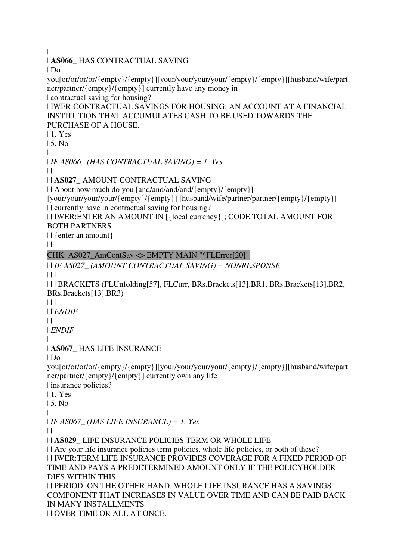|

| **AS066\_** HAS CONTRACTUAL SAVING

| Do

you[or/or/or/or/{empty}/{empty}][your/your/your/your/{empty}/{empty}][husband/wife/part ner/partner/{empty}/{empty}] currently have any money in

| contractual saving for housing?

| IWER:CONTRACTUAL SAVINGS FOR HOUSING: AN ACCOUNT AT A FINANCIAL INSTITUTION THAT ACCUMULATES CASH TO BE USED TOWARDS THE PURCHASE OF A HOUSE.

| 1. Yes

| 5. No

|

| *IF AS066\_ (HAS CONTRACTUAL SAVING) = 1. Yes*

 $\Box$ 

| | **AS027\_** AMOUNT CONTRACTUAL SAVING

| | About how much do you [and/and/and/and/{empty}/{empty}]

[your/your/your/your/{empty}/{empty}] [husband/wife/partner/partner/{empty}/{empty}] | | currently have in contractual saving for housing?

| | IWER:ENTER AN AMOUNT IN [{local currency}]; CODE TOTAL AMOUNT FOR

BOTH PARTNERS

| | {enter an amount}

 $| |$ 

# CHK: AS027\_AmContSav <> EMPTY MAIN "^FLError[20]"

| | *IF AS027\_ (AMOUNT CONTRACTUAL SAVING) = NONRESPONSE*  $| 11$ 

| | | BRACKETS (FLUnfolding[57], FLCurr, BRs.Brackets[13].BR1, BRs.Brackets[13].BR2, BRs.Brackets[13].BR3)

 $\Box$ | | *ENDIF*

 $\perp$ 

| *ENDIF*

|

| **AS067\_** HAS LIFE INSURANCE

| Do

you[or/or/or/or/{empty}/{empty}][your/your/your/your/{empty}/{empty}][husband/wife/part ner/partner/{empty}/{empty}] currently own any life

| insurance policies?

| 1. Yes

| 5. No

|

| *IF AS067\_ (HAS LIFE INSURANCE) = 1. Yes*

| |

| | **AS029\_** LIFE INSURANCE POLICIES TERM OR WHOLE LIFE

| | Are your life insurance policies term policies, whole life policies, or both of these? | | IWER:TERM LIFE INSURANCE PROVIDES COVERAGE FOR A FIXED PERIOD OF TIME AND PAYS A PREDETERMINED AMOUNT ONLY IF THE POLICYHOLDER DIES WITHIN THIS

| | PERIOD. ON THE OTHER HAND, WHOLE LIFE INSURANCE HAS A SAVINGS COMPONENT THAT INCREASES IN VALUE OVER TIME AND CAN BE PAID BACK IN MANY INSTALLMENTS | | OVER TIME OR ALL AT ONCE.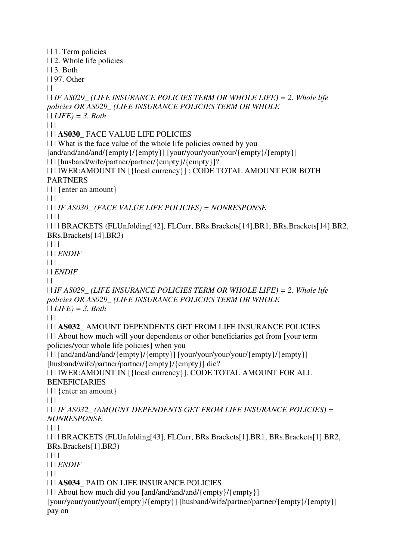| | 1. Term policies | | 2. Whole life policies | | 3. Both | | 97. Other  $\|$ | | *IF AS029\_ (LIFE INSURANCE POLICIES TERM OR WHOLE LIFE) = 2. Whole life policies OR AS029\_ (LIFE INSURANCE POLICIES TERM OR WHOLE*  | | *LIFE) = 3. Both*  $\Box$ | | | **AS030\_** FACE VALUE LIFE POLICIES | | | What is the face value of the whole life policies owned by you [and/and/and/and/{empty}/{empty}] [your/your/your/your/{empty}] | | | [husband/wife/partner/partner/{empty}/{empty}]? | | | IWER:AMOUNT IN [{local currency}] ; CODE TOTAL AMOUNT FOR BOTH PARTNERS | | | {enter an amount}  $| | | |$ | | | *IF AS030\_ (FACE VALUE LIFE POLICIES) = NONRESPONSE* | | | | | | | | BRACKETS (FLUnfolding[42], FLCurr, BRs.Brackets[14].BR1, BRs.Brackets[14].BR2, BRs.Brackets[14].BR3) | | | | | | | *ENDIF*  $\Box$ | | *ENDIF*  $\perp$ | | *IF AS029\_ (LIFE INSURANCE POLICIES TERM OR WHOLE LIFE) = 2. Whole life policies OR AS029\_ (LIFE INSURANCE POLICIES TERM OR WHOLE*  | | *LIFE) = 3. Both*  $| 11$ | | | **AS032\_** AMOUNT DEPENDENTS GET FROM LIFE INSURANCE POLICIES | | | About how much will your dependents or other beneficiaries get from [your term policies/your whole life policies] when you | | | [and/and/and/and/{empty}/{empty}] [your/your/your/your/{empty}/{empty}] [husband/wife/partner/partner/{empty}/{empty}] die? | | | IWER:AMOUNT IN [{local currency}]. CODE TOTAL AMOUNT FOR ALL BENEFICIARIES | | | {enter an amount}  $| 11 |$ | | | *IF AS032\_ (AMOUNT DEPENDENTS GET FROM LIFE INSURANCE POLICIES) = NONRESPONSE* | | | | | | | | BRACKETS (FLUnfolding[43], FLCurr, BRs.Brackets[1].BR1, BRs.Brackets[1].BR2, BRs.Brackets[1].BR3) | | | | | | | *ENDIF*  $| 11$ | | | **AS034\_** PAID ON LIFE INSURANCE POLICIES | | | About how much did you [and/and/and/and/{empty}/{empty}] [your/your/your/your/{empty}/{empty}] [husband/wife/partner/partner/{empty}/{empty}] pay on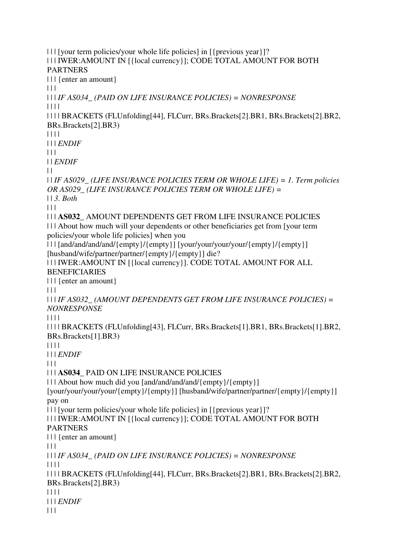| | | [your term policies/your whole life policies] in [{previous year}]? | | | IWER:AMOUNT IN [{local currency}]; CODE TOTAL AMOUNT FOR BOTH PARTNERS | | | {enter an amount}  $\Box$ | | | *IF AS034\_ (PAID ON LIFE INSURANCE POLICIES) = NONRESPONSE* | | | | | | | | BRACKETS (FLUnfolding[44], FLCurr, BRs.Brackets[2].BR1, BRs.Brackets[2].BR2, BRs.Brackets[2].BR3) | | | | | | | *ENDIF*  $| 11$ | | *ENDIF*  $\perp$ | | *IF AS029\_ (LIFE INSURANCE POLICIES TERM OR WHOLE LIFE) = 1. Term policies OR AS029\_ (LIFE INSURANCE POLICIES TERM OR WHOLE LIFE) =*  | | *3. Both*  $\Box$ | | | **AS032\_** AMOUNT DEPENDENTS GET FROM LIFE INSURANCE POLICIES | | | About how much will your dependents or other beneficiaries get from [your term policies/your whole life policies] when you | | | [and/and/and/and/{empty}/{empty}] [your/your/your/your/{empty}/{empty}] [husband/wife/partner/partner/{empty}/{empty}] die? | | | IWER:AMOUNT IN [{local currency}]. CODE TOTAL AMOUNT FOR ALL BENEFICIARIES | | | {enter an amount}  $| 11$ | | | *IF AS032\_ (AMOUNT DEPENDENTS GET FROM LIFE INSURANCE POLICIES) = NONRESPONSE* | | | | | | | | BRACKETS (FLUnfolding[43], FLCurr, BRs.Brackets[1].BR1, BRs.Brackets[1].BR2, BRs.Brackets[1].BR3) | | | | | | | *ENDIF*  $\Box$ | | | **AS034\_** PAID ON LIFE INSURANCE POLICIES | | | About how much did you [and/and/and/and/{empty}/{empty}] [your/your/your/your/{empty}/{empty}] [husband/wife/partner/partner/{empty}/{empty}] pay on | | | [your term policies/your whole life policies] in [{previous year}]? | | | IWER:AMOUNT IN [{local currency}]; CODE TOTAL AMOUNT FOR BOTH PARTNERS | | | {enter an amount}  $\Box$ | | | *IF AS034\_ (PAID ON LIFE INSURANCE POLICIES) = NONRESPONSE* | | | | | | | | BRACKETS (FLUnfolding[44], FLCurr, BRs.Brackets[2].BR1, BRs.Brackets[2].BR2, BRs.Brackets[2].BR3) | | | | | | | *ENDIF*  $| 11$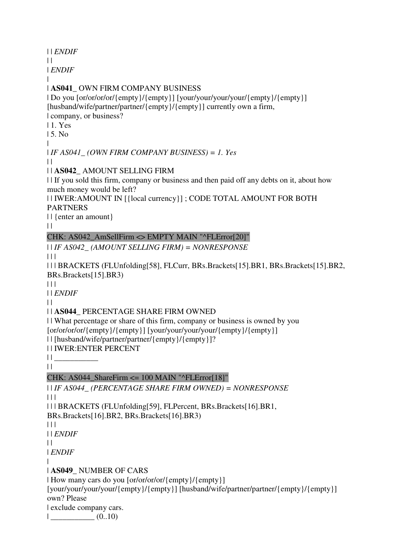| | *ENDIF*

 $\perp$ 

| *ENDIF*

#### | | **AS041\_** OWN FIRM COMPANY BUSINESS

| Do you [or/or/or/or/{empty}/{empty}] [your/your/your/your/{empty}/{empty}] [husband/wife/partner/partner/{empty}/{empty}] currently own a firm, | company, or business?

| 1. Yes

| 5. No

|

| *IF AS041\_ (OWN FIRM COMPANY BUSINESS) = 1. Yes*

 $\perp$ 

| | **AS042\_** AMOUNT SELLING FIRM

| | If you sold this firm, company or business and then paid off any debts on it, about how much money would be left?

| | IWER:AMOUNT IN [{local currency}] ; CODE TOTAL AMOUNT FOR BOTH PARTNERS

| | {enter an amount}

 $\|$ 

# CHK: AS042\_AmSellFirm <> EMPTY MAIN "^FLError[20]"

| | *IF AS042\_ (AMOUNT SELLING FIRM) = NONRESPONSE*

 $| 11$ 

| | | BRACKETS (FLUnfolding[58], FLCurr, BRs.Brackets[15].BR1, BRs.Brackets[15].BR2, BRs.Brackets[15].BR3)

 $|| ||$ 

| | *ENDIF*

 $| |$ 

# | | **AS044\_** PERCENTAGE SHARE FIRM OWNED

| | What percentage or share of this firm, company or business is owned by you [or/or/or/or/{empty}/{empty}] [your/your/your/your/{empty}/{empty}]

| | [husband/wife/partner/partner/{empty}/{empty}]?

| | IWER:ENTER PERCENT

 $|| \cdot ||$ 

 $| |$ 

# CHK: AS044\_ShareFirm <= 100 MAIN "^FLError[18]"

| | *IF AS044\_ (PERCENTAGE SHARE FIRM OWNED) = NONRESPONSE*  $\Box$ | | | BRACKETS (FLUnfolding[59], FLPercent, BRs.Brackets[16].BR1, BRs.Brackets[16].BR2, BRs.Brackets[16].BR3)  $| 11$ | | *ENDIF*  $\|$ | *ENDIF* | | **AS049\_** NUMBER OF CARS | How many cars do you [or/or/or/or/{empty}/{empty}] [your/your/your/your/{empty}/{empty}] [husband/wife/partner/partner/{empty}/{empty}] own? Please

| exclude company cars.

 $|$   $(0..10)$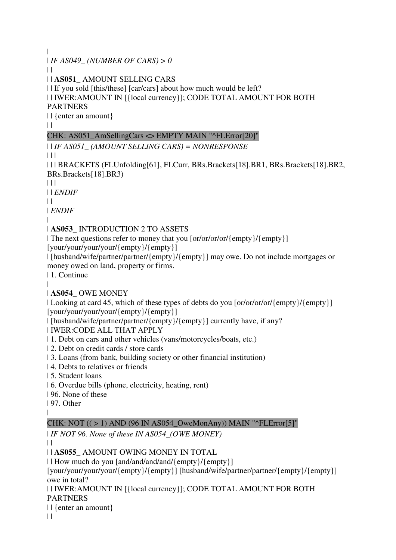|

| *IF AS049\_ (NUMBER OF CARS) > 0*

 $\perp$ 

| | **AS051\_** AMOUNT SELLING CARS

| | If you sold [this/these] [car/cars] about how much would be left?

| | IWER:AMOUNT IN [{local currency}]; CODE TOTAL AMOUNT FOR BOTH PARTNERS

| | {enter an amount}

 $\|$ 

# CHK: AS051\_AmSellingCars <> EMPTY MAIN "^FLError[20]"

| | *IF AS051\_ (AMOUNT SELLING CARS) = NONRESPONSE*

 $| 11$ 

| | | BRACKETS (FLUnfolding[61], FLCurr, BRs.Brackets[18].BR1, BRs.Brackets[18].BR2, BRs.Brackets[18].BR3)

 $\Box$ 

| | *ENDIF*

 $| |$ 

| *ENDIF*

#### | | **AS053\_** INTRODUCTION 2 TO ASSETS

| The next questions refer to money that you [or/or/or/or/{empty}/{empty}] [your/your/your/your/{empty}/{empty}]

| [husband/wife/partner/partner/{empty}/{empty}] may owe. Do not include mortgages or money owed on land, property or firms.

| 1. Continue

#### |

# | **AS054\_** OWE MONEY

| Looking at card 45, which of these types of debts do you [or/or/or/ $\{empty\}$  {empty}] [your/your/your/your/{empty}/{empty}]

| [husband/wife/partner/partner/{empty}/{empty}] currently have, if any?

| IWER:CODE ALL THAT APPLY

- | 1. Debt on cars and other vehicles (vans/motorcycles/boats, etc.)
- | 2. Debt on credit cards / store cards
- | 3. Loans (from bank, building society or other financial institution)
- | 4. Debts to relatives or friends
- | 5. Student loans
- | 6. Overdue bills (phone, electricity, heating, rent)
- | 96. None of these
- | 97. Other

|

# CHK: NOT  $((>1)$  AND (96 IN AS054 OweMonAny)) MAIN "^FLError[5]"

| *IF NOT 96. None of these IN AS054\_(OWE MONEY)*

 $\|$ 

# | | **AS055\_** AMOUNT OWING MONEY IN TOTAL

| | How much do you [and/and/and/and/{empty}/{empty}]

[your/your/your/your/{empty}/{empty}] [husband/wife/partner/partner/{empty}/{empty}] owe in total?

| | IWER:AMOUNT IN [{local currency}]; CODE TOTAL AMOUNT FOR BOTH PARTNERS

| | {enter an amount}

 $\|$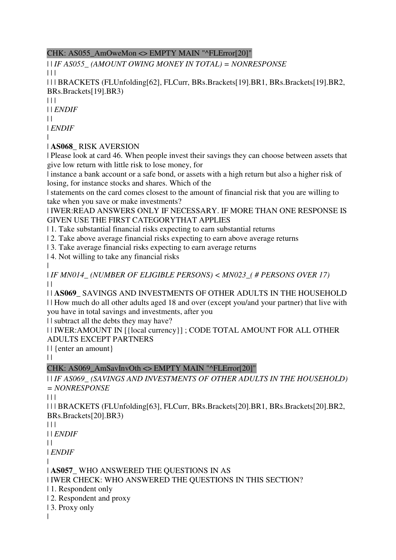## CHK: AS055\_AmOweMon <> EMPTY MAIN "^FLError[20]"

| | *IF AS055\_ (AMOUNT OWING MONEY IN TOTAL) = NONRESPONSE*

 $| | | |$ 

| | | BRACKETS (FLUnfolding[62], FLCurr, BRs.Brackets[19].BR1, BRs.Brackets[19].BR2, BRs.Brackets[19].BR3)

 $| 11 |$ 

| | *ENDIF*

 $\|$ 

| *ENDIF*

|

| **AS068\_** RISK AVERSION

| Please look at card 46. When people invest their savings they can choose between assets that give low return with little risk to lose money, for

| instance a bank account or a safe bond, or assets with a high return but also a higher risk of losing, for instance stocks and shares. Which of the

| statements on the card comes closest to the amount of financial risk that you are willing to take when you save or make investments?

| IWER:READ ANSWERS ONLY IF NECESSARY. IF MORE THAN ONE RESPONSE IS GIVEN USE THE FIRST CATEGORYTHAT APPLIES

| 1. Take substantial financial risks expecting to earn substantial returns

| 2. Take above average financial risks expecting to earn above average returns

| 3. Take average financial risks expecting to earn average returns

| 4. Not willing to take any financial risks

| | *IF MN014\_ (NUMBER OF ELIGIBLE PERSONS) < MN023\_( # PERSONS OVER 17)*  $\perp$ 

| | **AS069\_** SAVINGS AND INVESTMENTS OF OTHER ADULTS IN THE HOUSEHOLD | | How much do all other adults aged 18 and over (except you/and your partner) that live with you have in total savings and investments, after you

| | subtract all the debts they may have?

| | IWER:AMOUNT IN [{local currency}] ; CODE TOTAL AMOUNT FOR ALL OTHER ADULTS EXCEPT PARTNERS

| | {enter an amount}

 $| |$ 

# CHK: AS069\_AmSavInvOth <> EMPTY MAIN "^FLError[20]"

| | *IF AS069\_ (SAVINGS AND INVESTMENTS OF OTHER ADULTS IN THE HOUSEHOLD) = NONRESPONSE*

 $| 11$ 

| | | BRACKETS (FLUnfolding[63], FLCurr, BRs.Brackets[20].BR1, BRs.Brackets[20].BR2, BRs.Brackets[20].BR3)

 $| 11$ 

| | *ENDIF*

 $\|$ 

| *ENDIF*

|

| **AS057\_** WHO ANSWERED THE QUESTIONS IN AS

| IWER CHECK: WHO ANSWERED THE QUESTIONS IN THIS SECTION?

- | 1. Respondent only
- | 2. Respondent and proxy
- | 3. Proxy only
- $\blacksquare$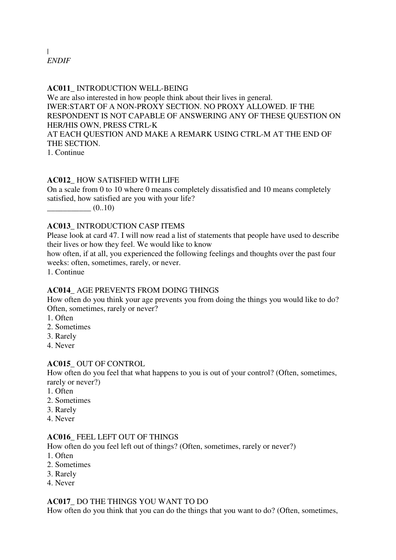# | *ENDIF*

#### **AC011\_** INTRODUCTION WELL-BEING

We are also interested in how people think about their lives in general. IWER:START OF A NON-PROXY SECTION. NO PROXY ALLOWED. IF THE RESPONDENT IS NOT CAPABLE OF ANSWERING ANY OF THESE QUESTION ON HER/HIS OWN, PRESS CTRL-K AT EACH QUESTION AND MAKE A REMARK USING CTRL-M AT THE END OF THE SECTION.

1. Continue

#### **AC012\_** HOW SATISFIED WITH LIFE

On a scale from 0 to 10 where 0 means completely dissatisfied and 10 means completely satisfied, how satisfied are you with your life?

 $(0..10)$ 

#### **AC013\_** INTRODUCTION CASP ITEMS

Please look at card 47. I will now read a list of statements that people have used to describe their lives or how they feel. We would like to know

how often, if at all, you experienced the following feelings and thoughts over the past four weeks: often, sometimes, rarely, or never.

1. Continue

#### **AC014\_** AGE PREVENTS FROM DOING THINGS

How often do you think your age prevents you from doing the things you would like to do? Often, sometimes, rarely or never?

- 1. Often
- 2. Sometimes
- 3. Rarely
- 4. Never

#### **AC015\_** OUT OF CONTROL

How often do you feel that what happens to you is out of your control? (Often, sometimes, rarely or never?)

- 1. Often
- 2. Sometimes
- 3. Rarely
- 4. Never

#### **AC016\_** FEEL LEFT OUT OF THINGS

How often do you feel left out of things? (Often, sometimes, rarely or never?)

- 1. Often
- 2. Sometimes
- 3. Rarely
- 4. Never

#### **AC017\_** DO THE THINGS YOU WANT TO DO

How often do you think that you can do the things that you want to do? (Often, sometimes,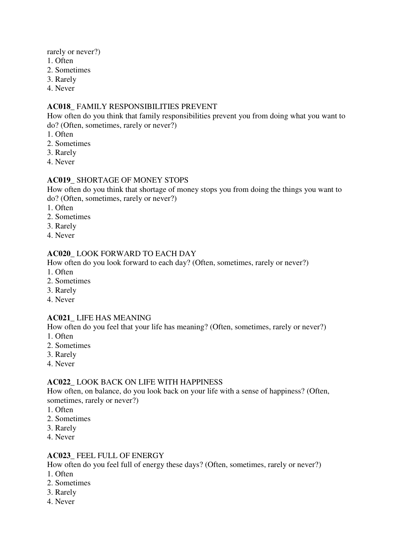rarely or never?)

- 1. Often
- 2. Sometimes
- 3. Rarely
- 4. Never

#### **AC018\_** FAMILY RESPONSIBILITIES PREVENT

How often do you think that family responsibilities prevent you from doing what you want to do? (Often, sometimes, rarely or never?)

- 1. Often
- 2. Sometimes
- 3. Rarely
- 4. Never

#### **AC019\_** SHORTAGE OF MONEY STOPS

How often do you think that shortage of money stops you from doing the things you want to do? (Often, sometimes, rarely or never?)

- 1. Often
- 2. Sometimes
- 3. Rarely
- 4. Never

#### **AC020\_** LOOK FORWARD TO EACH DAY

How often do you look forward to each day? (Often, sometimes, rarely or never?)

- 1. Often
- 2. Sometimes
- 3. Rarely
- 4. Never

#### **AC021\_** LIFE HAS MEANING

How often do you feel that your life has meaning? (Often, sometimes, rarely or never?) 1. Often

- 2. Sometimes
- 3. Rarely
- 4. Never

#### **AC022\_** LOOK BACK ON LIFE WITH HAPPINESS

How often, on balance, do you look back on your life with a sense of happiness? (Often, sometimes, rarely or never?)

- 1. Often
- 2. Sometimes
- 3. Rarely
- 4. Never

#### **AC023\_** FEEL FULL OF ENERGY

How often do you feel full of energy these days? (Often, sometimes, rarely or never?)

- 1. Often
- 2. Sometimes
- 3. Rarely
- 4. Never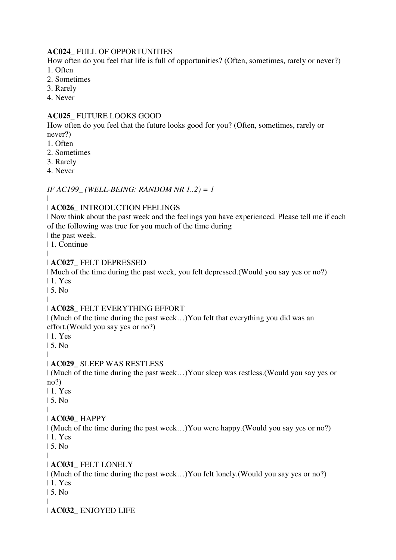### **AC024\_** FULL OF OPPORTUNITIES

How often do you feel that life is full of opportunities? (Often, sometimes, rarely or never?) 1. Often

- 
- 2. Sometimes
- 3. Rarely
- 4. Never

# **AC025\_** FUTURE LOOKS GOOD

How often do you feel that the future looks good for you? (Often, sometimes, rarely or never?)

- 1. Often
- 2. Sometimes
- 3. Rarely
- 4. Never

*IF AC199\_ (WELL-BEING: RANDOM NR 1..2) = 1*

#### |

# | **AC026\_** INTRODUCTION FEELINGS

| Now think about the past week and the feelings you have experienced. Please tell me if each of the following was true for you much of the time during

| the past week. | 1. Continue

|

# | **AC027\_** FELT DEPRESSED

| Much of the time during the past week, you felt depressed.(Would you say yes or no?)

| 1. Yes

| 5. No |

# | **AC028\_** FELT EVERYTHING EFFORT

| (Much of the time during the past week…)You felt that everything you did was an effort.(Would you say yes or no?)

| 1. Yes

| 5. No

|

# | **AC029\_** SLEEP WAS RESTLESS

| (Much of the time during the past week…)Your sleep was restless.(Would you say yes or no?)

| 1. Yes

| 5. No

#### | | **AC030\_** HAPPY

| (Much of the time during the past week…)You were happy.(Would you say yes or no?)

| 1. Yes

| 5. No

#### | | **AC031\_** FELT LONELY

| (Much of the time during the past week…)You felt lonely.(Would you say yes or no?)

| 1. Yes

| 5. No

| | **AC032\_** ENJOYED LIFE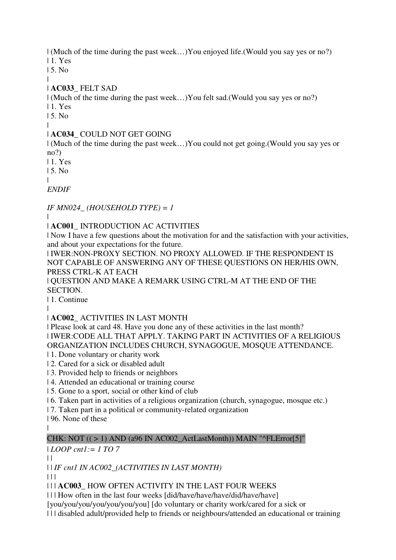| (Much of the time during the past week…)You enjoyed life.(Would you say yes or no?)

| 1. Yes

| 5. No

#### | | **AC033\_** FELT SAD

| (Much of the time during the past week…)You felt sad.(Would you say yes or no?)

| 1. Yes

| 5. No

#### | | **AC034\_** COULD NOT GET GOING

| (Much of the time during the past week…)You could not get going.(Would you say yes or no?)

| 1. Yes

| 5. No

|

*ENDIF*

*IF MN024\_ (HOUSEHOLD TYPE) = 1*

|

# | **AC001\_** INTRODUCTION AC ACTIVITIES

| Now I have a few questions about the motivation for and the satisfaction with your activities, and about your expectations for the future.

| IWER:NON-PROXY SECTION. NO PROXY ALLOWED. IF THE RESPONDENT IS NOT CAPABLE OF ANSWERING ANY OF THESE QUESTIONS ON HER/HIS OWN, PRESS CTRL-K AT EACH

| QUESTION AND MAKE A REMARK USING CTRL-M AT THE END OF THE SECTION.

| 1. Continue

|

# | **AC002\_** ACTIVITIES IN LAST MONTH

| Please look at card 48. Have you done any of these activities in the last month? | IWER:CODE ALL THAT APPLY. TAKING PART IN ACTIVITIES OF A RELIGIOUS ORGANIZATION INCLUDES CHURCH, SYNAGOGUE, MOSQUE ATTENDANCE.

| 1. Done voluntary or charity work

| 2. Cared for a sick or disabled adult

| 3. Provided help to friends or neighbors

| 4. Attended an educational or training course

| 5. Gone to a sport, social or other kind of club

| 6. Taken part in activities of a religious organization (church, synagogue, mosque etc.)

| 7. Taken part in a political or community-related organization

| 96. None of these

|

# CHK:  $NOT (( > 1) AND (a96 IN ACOO2 ActLastMonth)) MAN "^FLError[5]"$

| *LOOP cnt1:= 1 TO 7*

 $\|$ 

| | *IF cnt1 IN AC002\_(ACTIVITIES IN LAST MONTH)*

 $| 11$ 

| | | **AC003\_** HOW OFTEN ACTIVITY IN THE LAST FOUR WEEKS

| | | How often in the last four weeks [did/have/have/have/did/have/have]

[you/you/you/you/you/you/you] [do voluntary or charity work/cared for a sick or

| | | disabled adult/provided help to friends or neighbours/attended an educational or training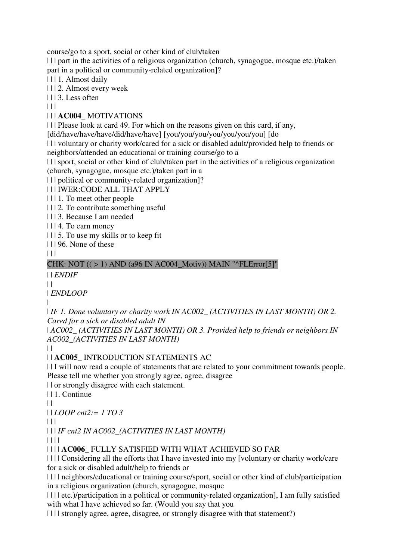course/go to a sport, social or other kind of club/taken

| | | part in the activities of a religious organization (church, synagogue, mosque etc.)/taken part in a political or community-related organization]?

| | | 1. Almost daily

| | | 2. Almost every week

 $| 113$ . Less often

 $| 11$ 

# | | | **AC004\_** MOTIVATIONS

| | | Please look at card 49. For which on the reasons given on this card, if any,

[did/have/have/have/did/have/have] [you/you/you/you/you/you/you] [do

| | | voluntary or charity work/cared for a sick or disabled adult/provided help to friends or neighbors/attended an educational or training course/go to a

| | | sport, social or other kind of club/taken part in the activities of a religious organization (church, synagogue, mosque etc.)/taken part in a

| | | political or community-related organization]?

| | | IWER:CODE ALL THAT APPLY

| | | 1. To meet other people

| | | 2. To contribute something useful

| | | 3. Because I am needed

| | | 4. To earn money

| | | 5. To use my skills or to keep fit

| | | 96. None of these

 $\Box$ 

### CHK: NOT  $((>1)$  AND (a96 IN AC004\_Motiv)) MAIN "^FLError[5]"

| | *ENDIF*

 $\|$ 

| *ENDLOOP*

|

| *IF 1. Done voluntary or charity work IN AC002\_ (ACTIVITIES IN LAST MONTH) OR 2. Cared for a sick or disabled adult IN* 

| *AC002\_ (ACTIVITIES IN LAST MONTH) OR 3. Provided help to friends or neighbors IN AC002\_(ACTIVITIES IN LAST MONTH)*

 $| |$ 

# | | **AC005\_** INTRODUCTION STATEMENTS AC

| | I will now read a couple of statements that are related to your commitment towards people. Please tell me whether you strongly agree, agree, disagree

| | or strongly disagree with each statement.

| | 1. Continue

 $| \cdot |$ 

| | *LOOP cnt2:= 1 TO 3*

 $\Box$ 

| | | *IF cnt2 IN AC002\_(ACTIVITIES IN LAST MONTH)*

| | | |

| | | | **AC006\_** FULLY SATISFIED WITH WHAT ACHIEVED SO FAR

| | | | Considering all the efforts that I have invested into my [voluntary or charity work/care for a sick or disabled adult/help to friends or

| | | | neighbors/educational or training course/sport, social or other kind of club/participation in a religious organization (church, synagogue, mosque

| | | | etc.)/participation in a political or community-related organization], I am fully satisfied with what I have achieved so far. (Would you say that you

| | | | strongly agree, agree, disagree, or strongly disagree with that statement?)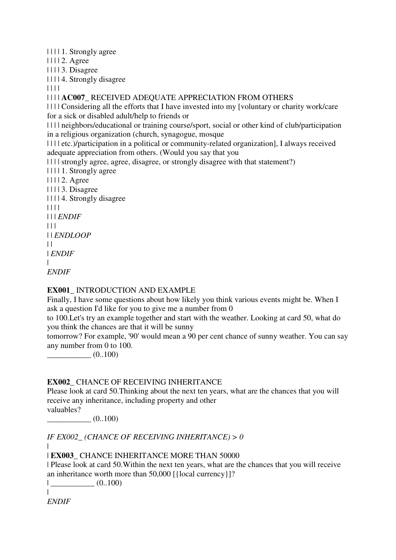| | | | 1. Strongly agree

| | | | 2. Agree

| | | | 3. Disagree

| | | | 4. Strongly disagree

| | | |

| | | | **AC007\_** RECEIVED ADEQUATE APPRECIATION FROM OTHERS

| | | | Considering all the efforts that I have invested into my [voluntary or charity work/care for a sick or disabled adult/help to friends or

| | | | neighbors/educational or training course/sport, social or other kind of club/participation in a religious organization (church, synagogue, mosque

| | | | etc.)/participation in a political or community-related organization], I always received adequate appreciation from others. (Would you say that you

| | | | strongly agree, agree, disagree, or strongly disagree with that statement?)

| | | | 1. Strongly agree

- | | | | 2. Agree
- | | | | 3. Disagree

| | | | 4. Strongly disagree

| | | |

| | | *ENDIF*

 $| | | |$ 

| | *ENDLOOP*

 $| \cdot |$ 

| *ENDIF*

 $\blacksquare$ *ENDIF*

# **EX001\_** INTRODUCTION AND EXAMPLE

Finally, I have some questions about how likely you think various events might be. When I ask a question I'd like for you to give me a number from 0

to 100.Let's try an example together and start with the weather. Looking at card 50, what do you think the chances are that it will be sunny

tomorrow? For example, '90' would mean a 90 per cent chance of sunny weather. You can say any number from 0 to 100.

 $(0..100)$ 

#### **EX002\_** CHANCE OF RECEIVING INHERITANCE

Please look at card 50.Thinking about the next ten years, what are the chances that you will receive any inheritance, including property and other valuables?

 $(0..100)$ 

*IF EX002\_ (CHANCE OF RECEIVING INHERITANCE) > 0*

| | **EX003\_** CHANCE INHERITANCE MORE THAN 50000

| Please look at card 50.Within the next ten years, what are the chances that you will receive an inheritance worth more than 50,000 [{local currency}]?

 $|$   $(0..100)$ 

| *ENDIF*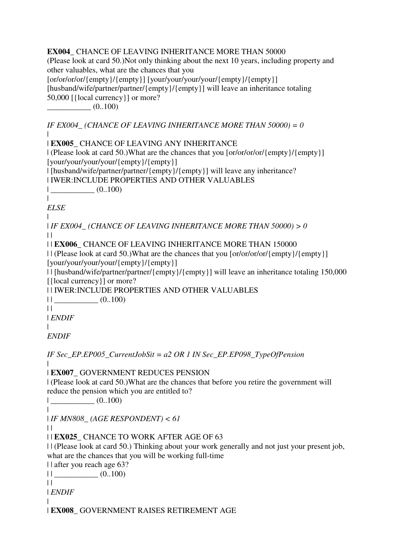**EX004\_** CHANCE OF LEAVING INHERITANCE MORE THAN 50000 (Please look at card 50.)Not only thinking about the next 10 years, including property and other valuables, what are the chances that you [or/or/or/or/{empty}/{empty}] [your/your/your/your/{empty}/{empty}] [husband/wife/partner/partner/{empty}/{empty}] will leave an inheritance totaling 50,000 [{local currency}] or more?  $(0..100)$ 

*IF EX004\_ (CHANCE OF LEAVING INHERITANCE MORE THAN 50000) = 0* |

| **EX005\_** CHANCE OF LEAVING ANY INHERITANCE

 $|$  (Please look at card 50.)What are the chances that you  $\frac{1}{\sqrt{2}}$  (empty)/ $\frac{1}{\sqrt{2}}$ [your/your/your/your/{empty}/{empty}]

| [husband/wife/partner/partner/{empty}/{empty}] will leave any inheritance?

| IWER:INCLUDE PROPERTIES AND OTHER VALUABLES

 $|$   $(0..100)$ 

*ELSE*

|

 $\blacksquare$ 

| *IF EX004\_ (CHANCE OF LEAVING INHERITANCE MORE THAN 50000) > 0*  $\|$ 

| | **EX006\_** CHANCE OF LEAVING INHERITANCE MORE THAN 150000

 $||$  (Please look at card 50.)What are the chances that you  $\frac{1}{\sqrt{\frac{m}{\epsilon}}}|$  (empty) $\frac{1}{\epsilon}$ [your/your/your/your/{empty}/{empty}]

| | [husband/wife/partner/partner/{empty}/{empty}] will leave an inheritance totaling 150,000 [{local currency}] or more?

| | IWER:INCLUDE PROPERTIES AND OTHER VALUABLES

 $||$   $(0..100)$ 

 $||$ 

 $\blacksquare$ 

|

| *ENDIF*

*ENDIF*

*IF Sec\_EP.EP005\_CurrentJobSit = a2 OR 1 IN Sec\_EP.EP098\_TypeOfPension*

| **EX007\_** GOVERNMENT REDUCES PENSION

| (Please look at card 50.)What are the chances that before you retire the government will reduce the pension which you are entitled to?

| \_\_\_\_\_\_\_\_\_\_\_ (0..100)

|

| *IF MN808\_ (AGE RESPONDENT) < 61*

 $\|$ 

| | **EX025\_** CHANCE TO WORK AFTER AGE OF 63

| | (Please look at card 50.) Thinking about your work generally and not just your present job, what are the chances that you will be working full-time

| | after you reach age 63?

 $||$   $\frac{1}{2}$   $(0..100)$ 

 $||$ 

 $\blacksquare$ 

| *ENDIF*

| **EX008\_** GOVERNMENT RAISES RETIREMENT AGE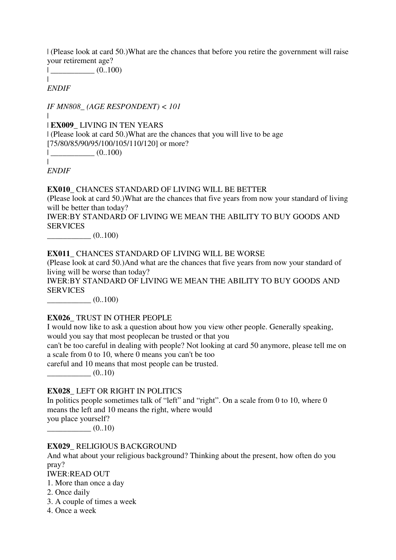| (Please look at card 50.)What are the chances that before you retire the government will raise your retirement age?

 $|$   $(0..100)$ |

*ENDIF*

*IF MN808\_ (AGE RESPONDENT) < 101*

| | **EX009\_** LIVING IN TEN YEARS | (Please look at card 50.)What are the chances that you will live to be age [75/80/85/90/95/100/105/110/120] or more?  $|$   $(0..100)$ 

*ENDIF*

|

**EX010\_** CHANCES STANDARD OF LIVING WILL BE BETTER

(Please look at card 50.)What are the chances that five years from now your standard of living will be better than today?

IWER:BY STANDARD OF LIVING WE MEAN THE ABILITY TO BUY GOODS AND **SERVICES** 

 $\frac{(0..100)}{2}$ 

#### **EX011\_** CHANCES STANDARD OF LIVING WILL BE WORSE

(Please look at card 50.)And what are the chances that five years from now your standard of living will be worse than today?

IWER:BY STANDARD OF LIVING WE MEAN THE ABILITY TO BUY GOODS AND **SERVICES** 

 $(0..100)$ 

#### **EX026\_** TRUST IN OTHER PEOPLE

I would now like to ask a question about how you view other people. Generally speaking, would you say that most peoplecan be trusted or that you

can't be too careful in dealing with people? Not looking at card 50 anymore, please tell me on a scale from 0 to 10, where 0 means you can't be too

careful and 10 means that most people can be trusted.

 $(0..10)$ 

### **EX028\_** LEFT OR RIGHT IN POLITICS

In politics people sometimes talk of "left" and "right". On a scale from 0 to 10, where 0 means the left and 10 means the right, where would you place yourself?  $(0..10)$ 

#### **EX029\_** RELIGIOUS BACKGROUND

And what about your religious background? Thinking about the present, how often do you pray? IWER:READ OUT

1. More than once a day

- 2. Once daily
- 3. A couple of times a week
- 4. Once a week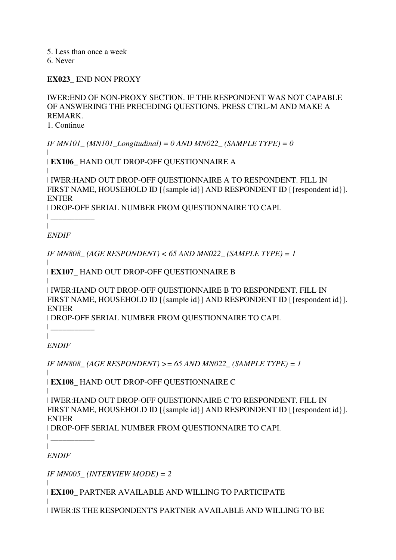5. Less than once a week

6. Never

**EX023\_** END NON PROXY

IWER:END OF NON-PROXY SECTION. IF THE RESPONDENT WAS NOT CAPABLE OF ANSWERING THE PRECEDING QUESTIONS, PRESS CTRL-M AND MAKE A REMARK. 1. Continue

*IF MN101\_(MN101\_Longitudinal) = 0 AND MN022\_ (SAMPLE TYPE) = 0* 

| | **EX106\_** HAND OUT DROP-OFF QUESTIONNAIRE A

| | IWER:HAND OUT DROP-OFF QUESTIONNAIRE A TO RESPONDENT. FILL IN FIRST NAME, HOUSEHOLD ID [{sample id}] AND RESPONDENT ID [{respondent id}]. ENTER

| DROP-OFF SERIAL NUMBER FROM QUESTIONNAIRE TO CAPI. | \_\_\_\_\_\_\_\_\_\_\_

 $\blacksquare$ 

*ENDIF*

*IF MN808\_ (AGE RESPONDENT) < 65 AND MN022\_ (SAMPLE TYPE) = 1*

| | **EX107\_** HAND OUT DROP-OFF QUESTIONNAIRE B

| | IWER:HAND OUT DROP-OFF QUESTIONNAIRE B TO RESPONDENT. FILL IN FIRST NAME, HOUSEHOLD ID [{sample id}] AND RESPONDENT ID [{respondent id}]. ENTER

| DROP-OFF SERIAL NUMBER FROM QUESTIONNAIRE TO CAPI.

| *ENDIF*

 $\| \cdot \|$ 

*IF MN808\_ (AGE RESPONDENT) >= 65 AND MN022\_ (SAMPLE TYPE) = 1*

| | **EX108\_** HAND OUT DROP-OFF QUESTIONNAIRE C

|

| IWER:HAND OUT DROP-OFF QUESTIONNAIRE C TO RESPONDENT. FILL IN FIRST NAME, HOUSEHOLD ID [{sample id}] AND RESPONDENT ID [{respondent id}]. ENTER

| DROP-OFF SERIAL NUMBER FROM QUESTIONNAIRE TO CAPI.

 $\|$ 

|

|

*ENDIF*

*IF MN005\_ (INTERVIEW MODE) = 2*

| **EX100\_** PARTNER AVAILABLE AND WILLING TO PARTICIPATE

| | IWER:IS THE RESPONDENT'S PARTNER AVAILABLE AND WILLING TO BE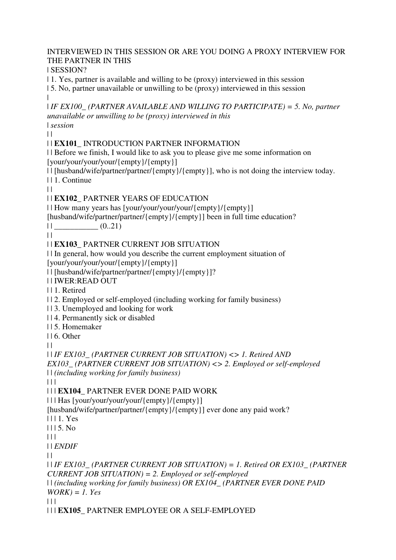# INTERVIEWED IN THIS SESSION OR ARE YOU DOING A PROXY INTERVIEW FOR THE PARTNER IN THIS

| SESSION?

| 1. Yes, partner is available and willing to be (proxy) interviewed in this session

| 5. No, partner unavailable or unwilling to be (proxy) interviewed in this session |

| *IF EX100\_ (PARTNER AVAILABLE AND WILLING TO PARTICIPATE) = 5. No, partner unavailable or unwilling to be (proxy) interviewed in this*  | *session*

 $| |$ 

# | | **EX101\_** INTRODUCTION PARTNER INFORMATION

| | Before we finish, I would like to ask you to please give me some information on [your/your/your/your/{empty}/{empty}]

| | [husband/wife/partner/partner/{empty}/{empty}], who is not doing the interview today. | | 1. Continue

 $\|$ 

# | | **EX102\_** PARTNER YEARS OF EDUCATION

| | How many years has [your/your/your/your/{empty}/{empty}]

[husband/wife/partner/partner/{empty}/{empty}] been in full time education?

 $||$   $(0.21)$ 

 $\perp$ 

# | | **EX103\_** PARTNER CURRENT JOB SITUATION

| | In general, how would you describe the current employment situation of [your/your/your/your/{empty}/{empty}]

| | [husband/wife/partner/partner/{empty}/{empty}]?

| | IWER:READ OUT

| | 1. Retired

| | 2. Employed or self-employed (including working for family business)

| | 3. Unemployed and looking for work

| | 4. Permanently sick or disabled

| | 5. Homemaker

| | 6. Other

 $| |$ 

| | *IF EX103\_ (PARTNER CURRENT JOB SITUATION) <> 1. Retired AND EX103\_ (PARTNER CURRENT JOB SITUATION) <> 2. Employed or self-employed*  | | *(including working for family business)*

 $| 11$ 

| | | **EX104\_** PARTNER EVER DONE PAID WORK

| | | Has [your/your/your/your/{empty}/{empty}]

[husband/wife/partner/partner/{empty}/{empty}] ever done any paid work?

| | | 1. Yes

 $1115$  No.

 $| 11$ 

| | *ENDIF*

 $\perp$ 

| | *IF EX103\_ (PARTNER CURRENT JOB SITUATION) = 1. Retired OR EX103\_ (PARTNER CURRENT JOB SITUATION) = 2. Employed or self-employed*  | | *(including working for family business) OR EX104\_ (PARTNER EVER DONE PAID WORK) = 1. Yes*

 $| | | |$ 

| | | **EX105\_** PARTNER EMPLOYEE OR A SELF-EMPLOYED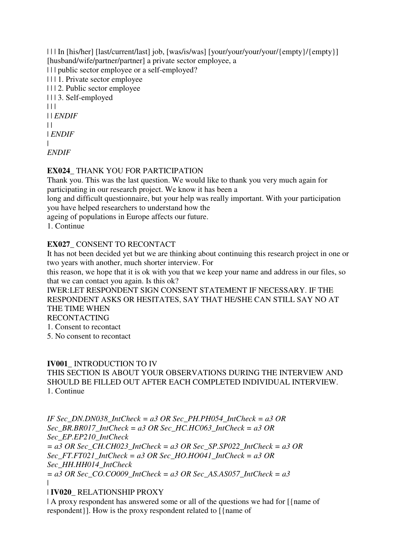| | | In [his/her] [last/current/last] job, [was/is/was] [your/your/your/your/{empty}/{empty}] [husband/wife/partner/partner] a private sector employee, a | | | public sector employee or a self-employed? | | | 1. Private sector employee | | | 2. Public sector employee | | | 3. Self-employed  $| 11$ | | *ENDIF*  $\perp$ | *ENDIF* |

*ENDIF*

### **EX024\_** THANK YOU FOR PARTICIPATION

Thank you. This was the last question. We would like to thank you very much again for participating in our research project. We know it has been a

long and difficult questionnaire, but your help was really important. With your participation you have helped researchers to understand how the

ageing of populations in Europe affects our future.

1. Continue

#### **EX027\_** CONSENT TO RECONTACT

It has not been decided yet but we are thinking about continuing this research project in one or two years with another, much shorter interview. For

this reason, we hope that it is ok with you that we keep your name and address in our files, so that we can contact you again. Is this ok?

IWER:LET RESPONDENT SIGN CONSENT STATEMENT IF NECESSARY. IF THE RESPONDENT ASKS OR HESITATES, SAY THAT HE/SHE CAN STILL SAY NO AT THE TIME WHEN

RECONTACTING

1. Consent to recontact

5. No consent to recontact

#### **IV001\_** INTRODUCTION TO IV

THIS SECTION IS ABOUT YOUR OBSERVATIONS DURING THE INTERVIEW AND SHOULD BE FILLED OUT AFTER EACH COMPLETED INDIVIDUAL INTERVIEW. 1. Continue

*IF Sec\_DN.DN038\_IntCheck = a3 OR Sec\_PH.PH054\_IntCheck = a3 OR Sec\_BR.BR017\_IntCheck = a3 OR Sec\_HC.HC063\_IntCheck = a3 OR Sec\_EP.EP210\_IntCheck = a3 OR Sec\_CH.CH023\_IntCheck = a3 OR Sec\_SP.SP022\_IntCheck = a3 OR Sec\_FT.FT021\_IntCheck = a3 OR Sec\_HO.HO041\_IntCheck = a3 OR Sec\_HH.HH014\_IntCheck = a3 OR Sec\_CO.CO009\_IntCheck = a3 OR Sec\_AS.AS057\_IntCheck = a3* |

#### | **IV020\_** RELATIONSHIP PROXY

| A proxy respondent has answered some or all of the questions we had for  $\alpha$ | {name of respondent}]. How is the proxy respondent related to [{name of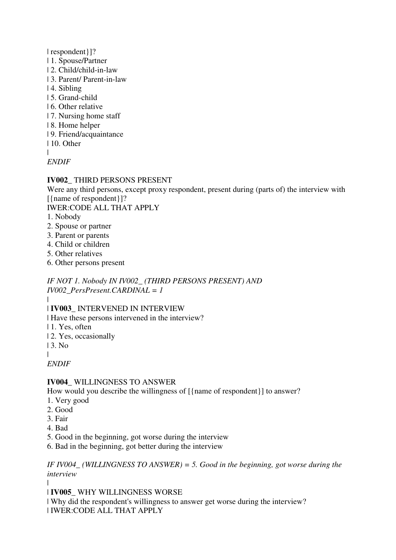| respondent}]?

- | 1. Spouse/Partner
- | 2. Child/child-in-law
- | 3. Parent/ Parent-in-law
- | 4. Sibling
- | 5. Grand-child
- | 6. Other relative
- | 7. Nursing home staff
- | 8. Home helper
- | 9. Friend/acquaintance
- | 10. Other

 $\blacksquare$ 

# *ENDIF*

# **IV002\_** THIRD PERSONS PRESENT

Were any third persons, except proxy respondent, present during (parts of) the interview with [{name of respondent}]?

IWER:CODE ALL THAT APPLY

- 1. Nobody
- 2. Spouse or partner
- 3. Parent or parents
- 4. Child or children
- 5. Other relatives
- 6. Other persons present

*IF NOT 1. Nobody IN IV002\_ (THIRD PERSONS PRESENT) AND IV002\_PersPresent.CARDINAL = 1*

 $\blacksquare$ 

| **IV003\_** INTERVENED IN INTERVIEW

| Have these persons intervened in the interview?

- | 1. Yes, often
- | 2. Yes, occasionally
- | 3. No

|

*ENDIF*

# **IV004\_** WILLINGNESS TO ANSWER

How would you describe the willingness of  $[\{name of$  respondent $\}]$  to answer?

- 1. Very good
- 2. Good
- 3. Fair
- 4. Bad
- 5. Good in the beginning, got worse during the interview
- 6. Bad in the beginning, got better during the interview

*IF IV004\_ (WILLINGNESS TO ANSWER) = 5. Good in the beginning, got worse during the interview*

|

| **IV005\_** WHY WILLINGNESS WORSE

| Why did the respondent's willingness to answer get worse during the interview? | IWER:CODE ALL THAT APPLY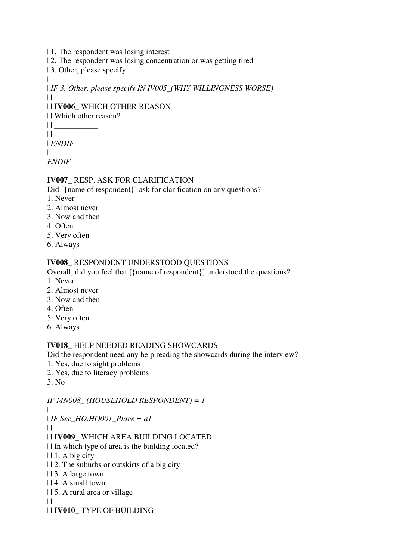- | 1. The respondent was losing interest
- | 2. The respondent was losing concentration or was getting tired
- | 3. Other, please specify

| *IF 3. Other, please specify IN IV005\_(WHY WILLINGNESS WORSE)*  $\|$ 

# | | **IV006\_** WHICH OTHER REASON

- | | Which other reason?
- $||$  $\|$

| *ENDIF*

|

 $\blacksquare$ 

*ENDIF*

# **IV007\_** RESP. ASK FOR CLARIFICATION

Did [{name of respondent}] ask for clarification on any questions?

- 1. Never
- 2. Almost never
- 3. Now and then
- 4. Often
- 5. Very often
- 6. Always

### **IV008\_** RESPONDENT UNDERSTOOD QUESTIONS

Overall, did you feel that [{name of respondent}] understood the questions?

- 1. Never
- 2. Almost never
- 3. Now and then
- 4. Often
- 5. Very often
- 6. Always

#### **IV018\_** HELP NEEDED READING SHOWCARDS

Did the respondent need any help reading the showcards during the interview?

- 1. Yes, due to sight problems
- 2. Yes, due to literacy problems
- 3. No

*IF MN008\_ (HOUSEHOLD RESPONDENT) = 1*

|

- | *IF Sec\_HO.HO001\_Place = a1*
- $\perp$

# | | **IV009\_** WHICH AREA BUILDING LOCATED

| | In which type of area is the building located?

- $|| 1. A \text{ big city}$
- | | 2. The suburbs or outskirts of a big city
- | | 3. A large town
- | | 4. A small town
- | | 5. A rural area or village
- $\perp$
- | | **IV010\_** TYPE OF BUILDING